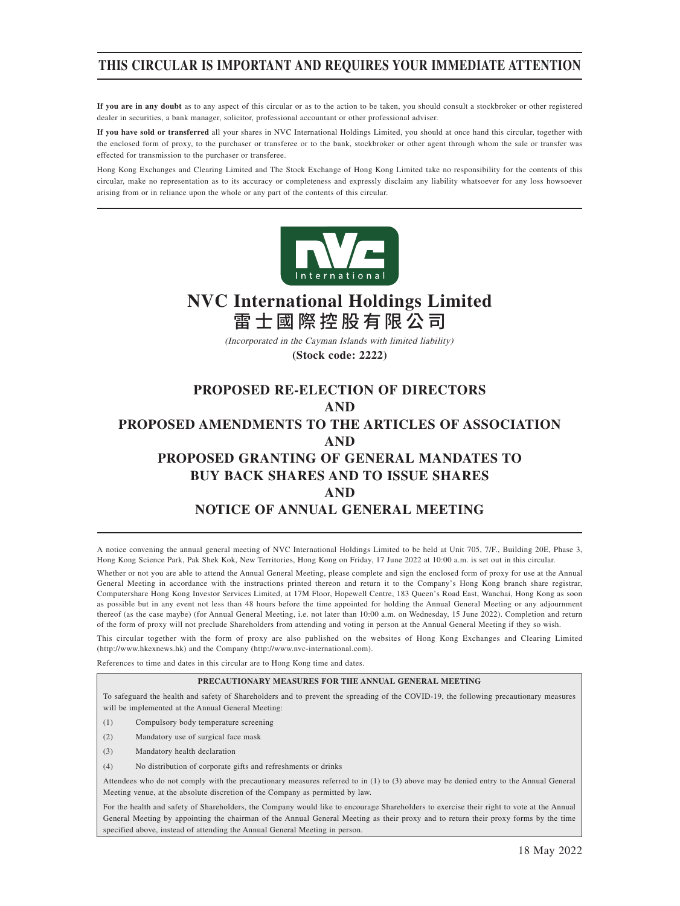## **THIS CIRCULAR IS IMPORTANT AND REQUIRES YOUR IMMEDIATE ATTENTION**

**If you are in any doubt** as to any aspect of this circular or as to the action to be taken, you should consult a stockbroker or other registered dealer in securities, a bank manager, solicitor, professional accountant or other professional adviser.

**If you have sold or transferred** all your shares in NVC International Holdings Limited, you should at once hand this circular, together with the enclosed form of proxy, to the purchaser or transferee or to the bank, stockbroker or other agent through whom the sale or transfer was effected for transmission to the purchaser or transferee.

Hong Kong Exchanges and Clearing Limited and The Stock Exchange of Hong Kong Limited take no responsibility for the contents of this circular, make no representation as to its accuracy or completeness and expressly disclaim any liability whatsoever for any loss howsoever arising from or in reliance upon the whole or any part of the contents of this circular.



# **NVC International Holdings Limited** 雷士國際控股有限公司

(Incorporated in the Cayman Islands with limited liability)

**(Stock code: 2222)**

## **PROPOSED RE-ELECTION OF DIRECTORS AND PROPOSED AMENDMENTS TO THE ARTICLES OF ASSOCIATION AND PROPOSED GRANTING OF GENERAL MANDATES TO BUY BACK SHARES AND TO ISSUE SHARES AND NOTICE OF ANNUAL GENERAL MEETING**

A notice convening the annual general meeting of NVC International Holdings Limited to be held at Unit 705, 7/F., Building 20E, Phase 3, Hong Kong Science Park, Pak Shek Kok, New Territories, Hong Kong on Friday, 17 June 2022 at 10:00 a.m. is set out in this circular.

Whether or not you are able to attend the Annual General Meeting, please complete and sign the enclosed form of proxy for use at the Annual General Meeting in accordance with the instructions printed thereon and return it to the Company's Hong Kong branch share registrar, Computershare Hong Kong Investor Services Limited, at 17M Floor, Hopewell Centre, 183 Queen's Road East, Wanchai, Hong Kong as soon as possible but in any event not less than 48 hours before the time appointed for holding the Annual General Meeting or any adjournment thereof (as the case maybe) (for Annual General Meeting, i.e. not later than 10:00 a.m. on Wednesday, 15 June 2022). Completion and return of the form of proxy will not preclude Shareholders from attending and voting in person at the Annual General Meeting if they so wish.

This circular together with the form of proxy are also published on the websites of Hong Kong Exchanges and Clearing Limited (http://www.hkexnews.hk) and the Company (http://www.nvc-international.com).

References to time and dates in this circular are to Hong Kong time and dates.

### **PRECAUTIONARY MEASURES FOR THE ANNUAL GENERAL MEETING**

To safeguard the health and safety of Shareholders and to prevent the spreading of the COVID-19, the following precautionary measures will be implemented at the Annual General Meeting:

- (1) Compulsory body temperature screening
- (2) Mandatory use of surgical face mask
- (3) Mandatory health declaration
- (4) No distribution of corporate gifts and refreshments or drinks

Attendees who do not comply with the precautionary measures referred to in (1) to (3) above may be denied entry to the Annual General Meeting venue, at the absolute discretion of the Company as permitted by law.

For the health and safety of Shareholders, the Company would like to encourage Shareholders to exercise their right to vote at the Annual General Meeting by appointing the chairman of the Annual General Meeting as their proxy and to return their proxy forms by the time specified above, instead of attending the Annual General Meeting in person.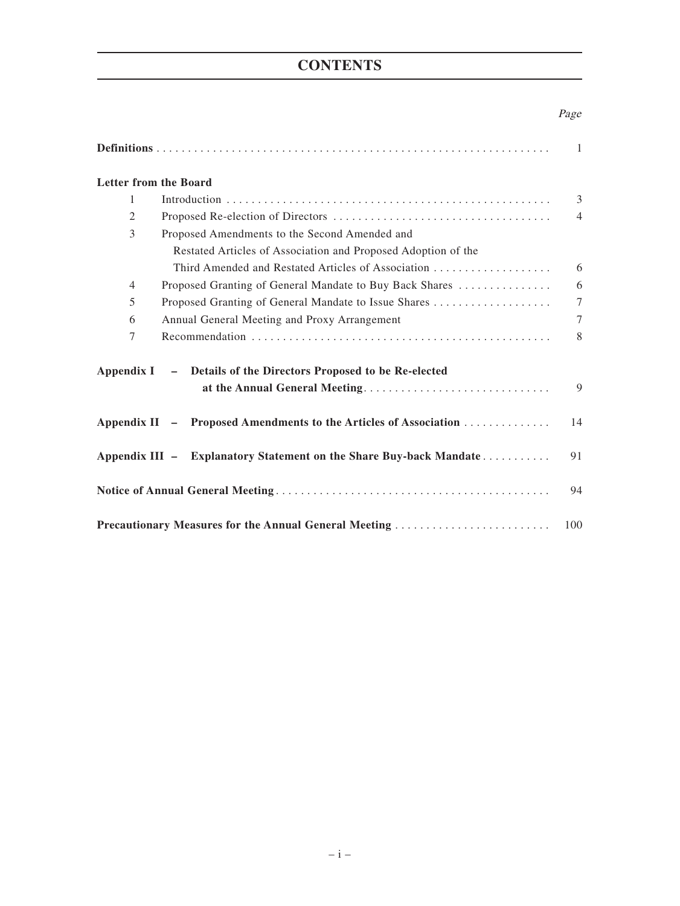# **CONTENTS**

### Page

|                              |                                                                    | $\mathbf{1}$   |
|------------------------------|--------------------------------------------------------------------|----------------|
| <b>Letter from the Board</b> |                                                                    |                |
| 1                            |                                                                    | $\overline{3}$ |
| 2                            |                                                                    | $\overline{4}$ |
| 3                            | Proposed Amendments to the Second Amended and                      |                |
|                              | Restated Articles of Association and Proposed Adoption of the      |                |
|                              |                                                                    | 6              |
| $\overline{4}$               | Proposed Granting of General Mandate to Buy Back Shares            | 6              |
| 5                            |                                                                    | $\tau$         |
| 6                            | Annual General Meeting and Proxy Arrangement                       | 7              |
| 7                            |                                                                    | 8              |
|                              | Appendix I - Details of the Directors Proposed to be Re-elected    |                |
|                              | at the Annual General Meeting                                      | 9              |
|                              | Appendix II - Proposed Amendments to the Articles of Association   | 14             |
|                              | Appendix III - Explanatory Statement on the Share Buy-back Mandate | 91             |
|                              |                                                                    | 94             |
|                              | <b>Precautionary Measures for the Annual General Meeting </b>      | 100            |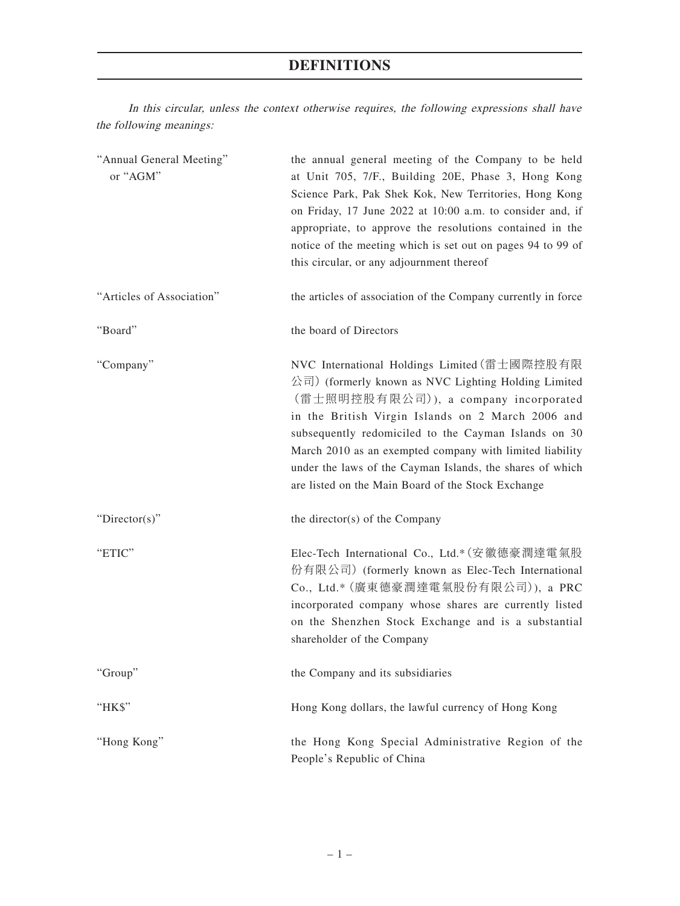## **DEFINITIONS**

In this circular, unless the context otherwise requires, the following expressions shall have the following meanings:

| "Annual General Meeting"<br>or "AGM" | the annual general meeting of the Company to be held<br>at Unit 705, 7/F., Building 20E, Phase 3, Hong Kong<br>Science Park, Pak Shek Kok, New Territories, Hong Kong<br>on Friday, 17 June 2022 at 10:00 a.m. to consider and, if<br>appropriate, to approve the resolutions contained in the<br>notice of the meeting which is set out on pages 94 to 99 of<br>this circular, or any adjournment thereof                               |
|--------------------------------------|------------------------------------------------------------------------------------------------------------------------------------------------------------------------------------------------------------------------------------------------------------------------------------------------------------------------------------------------------------------------------------------------------------------------------------------|
| "Articles of Association"            | the articles of association of the Company currently in force                                                                                                                                                                                                                                                                                                                                                                            |
| "Board"                              | the board of Directors                                                                                                                                                                                                                                                                                                                                                                                                                   |
| "Company"                            | NVC International Holdings Limited (雷士國際控股有限<br>公司) (formerly known as NVC Lighting Holding Limited<br>(雷士照明控股有限公司)), a company incorporated<br>in the British Virgin Islands on 2 March 2006 and<br>subsequently redomiciled to the Cayman Islands on 30<br>March 2010 as an exempted company with limited liability<br>under the laws of the Cayman Islands, the shares of which<br>are listed on the Main Board of the Stock Exchange |
| " $Directory$ "                      | the director(s) of the Company                                                                                                                                                                                                                                                                                                                                                                                                           |
| "ETIC"                               | Elec-Tech International Co., Ltd.* (安徽德豪潤達電氣股<br>份有限公司) (formerly known as Elec-Tech International<br>Co., Ltd.* (廣東德豪潤達電氣股份有限公司)), a PRC<br>incorporated company whose shares are currently listed<br>on the Shenzhen Stock Exchange and is a substantial<br>shareholder of the Company                                                                                                                                                 |
| "Group"                              | the Company and its subsidiaries                                                                                                                                                                                                                                                                                                                                                                                                         |
| "HK\$"                               | Hong Kong dollars, the lawful currency of Hong Kong                                                                                                                                                                                                                                                                                                                                                                                      |
| "Hong Kong"                          | the Hong Kong Special Administrative Region of the<br>People's Republic of China                                                                                                                                                                                                                                                                                                                                                         |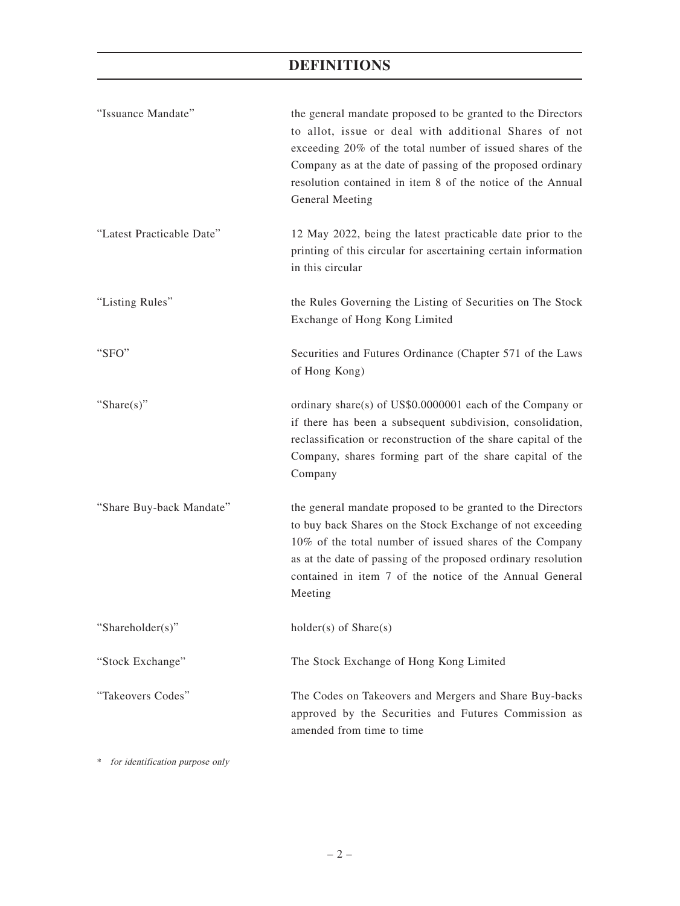| "Issuance Mandate"        | the general mandate proposed to be granted to the Directors<br>to allot, issue or deal with additional Shares of not<br>exceeding 20% of the total number of issued shares of the<br>Company as at the date of passing of the proposed ordinary<br>resolution contained in item 8 of the notice of the Annual<br>General Meeting |
|---------------------------|----------------------------------------------------------------------------------------------------------------------------------------------------------------------------------------------------------------------------------------------------------------------------------------------------------------------------------|
| "Latest Practicable Date" | 12 May 2022, being the latest practicable date prior to the<br>printing of this circular for ascertaining certain information<br>in this circular                                                                                                                                                                                |
| "Listing Rules"           | the Rules Governing the Listing of Securities on The Stock<br>Exchange of Hong Kong Limited                                                                                                                                                                                                                                      |
| "SFO"                     | Securities and Futures Ordinance (Chapter 571 of the Laws<br>of Hong Kong)                                                                                                                                                                                                                                                       |
| "Share $(s)$ "            | ordinary share(s) of US\$0.0000001 each of the Company or<br>if there has been a subsequent subdivision, consolidation,<br>reclassification or reconstruction of the share capital of the<br>Company, shares forming part of the share capital of the<br>Company                                                                 |
| "Share Buy-back Mandate"  | the general mandate proposed to be granted to the Directors<br>to buy back Shares on the Stock Exchange of not exceeding<br>10% of the total number of issued shares of the Company<br>as at the date of passing of the proposed ordinary resolution<br>contained in item 7 of the notice of the Annual General<br>Meeting       |
| "Shareholder(s)"          | $holder(s)$ of $Share(s)$                                                                                                                                                                                                                                                                                                        |
| "Stock Exchange"          | The Stock Exchange of Hong Kong Limited                                                                                                                                                                                                                                                                                          |
| "Takeovers Codes"         | The Codes on Takeovers and Mergers and Share Buy-backs<br>approved by the Securities and Futures Commission as<br>amended from time to time                                                                                                                                                                                      |

\* for identification purpose only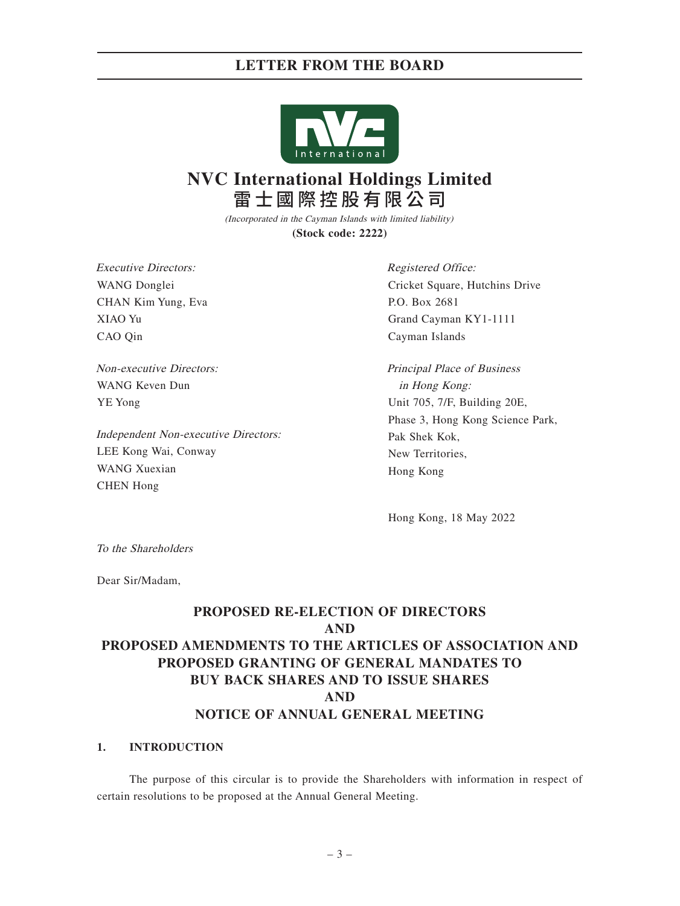### **LETTER FROM THE BOARD**



# **NVC International Holdings Limited** 雷士國際控股有限公司

(Incorporated in the Cayman Islands with limited liability) **(Stock code: 2222)**

Executive Directors: WANG Donglei CHAN Kim Yung, Eva XIAO Yu CAO Qin

Non-executive Directors: WANG Keven Dun YE Yong

Independent Non-executive Directors: LEE Kong Wai, Conway WANG Xuexian CHEN Hong

Registered Office: Cricket Square, Hutchins Drive P.O. Box 2681 Grand Cayman KY1-1111 Cayman Islands

Principal Place of Business in Hong Kong: Unit 705, 7/F, Building 20E, Phase 3, Hong Kong Science Park, Pak Shek Kok, New Territories, Hong Kong

Hong Kong, 18 May 2022

To the Shareholders

Dear Sir/Madam,

# **PROPOSED RE-ELECTION OF DIRECTORS AND PROPOSED AMENDMENTS TO THE ARTICLES OF ASSOCIATION AND PROPOSED GRANTING OF GENERAL MANDATES TO BUY BACK SHARES AND TO ISSUE SHARES AND NOTICE OF ANNUAL GENERAL MEETING**

### **1. INTRODUCTION**

The purpose of this circular is to provide the Shareholders with information in respect of certain resolutions to be proposed at the Annual General Meeting.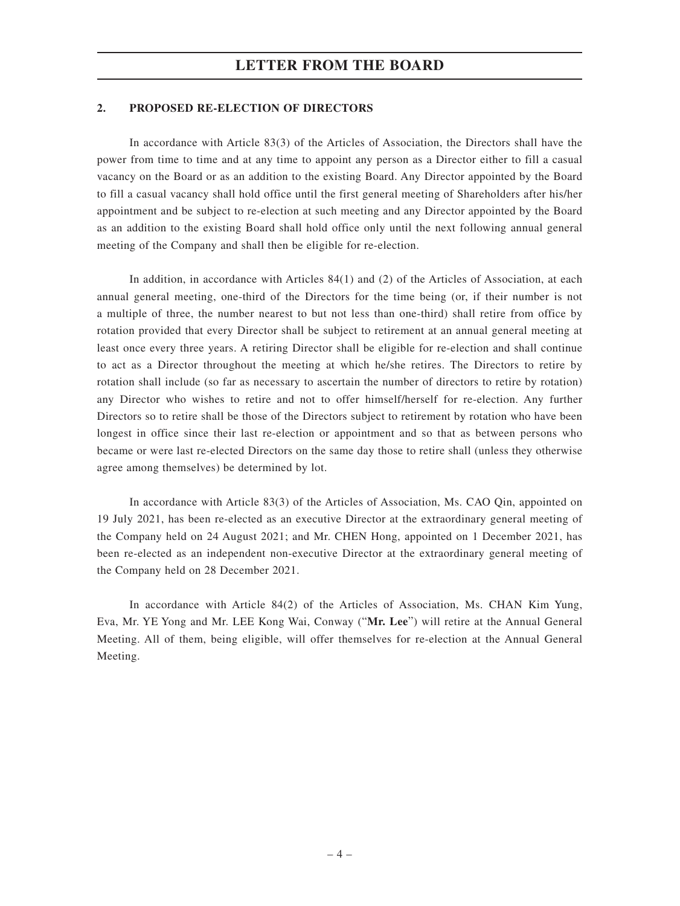### **2. PROPOSED RE-ELECTION OF DIRECTORS**

In accordance with Article 83(3) of the Articles of Association, the Directors shall have the power from time to time and at any time to appoint any person as a Director either to fill a casual vacancy on the Board or as an addition to the existing Board. Any Director appointed by the Board to fill a casual vacancy shall hold office until the first general meeting of Shareholders after his/her appointment and be subject to re-election at such meeting and any Director appointed by the Board as an addition to the existing Board shall hold office only until the next following annual general meeting of the Company and shall then be eligible for re-election.

In addition, in accordance with Articles 84(1) and (2) of the Articles of Association, at each annual general meeting, one-third of the Directors for the time being (or, if their number is not a multiple of three, the number nearest to but not less than one-third) shall retire from office by rotation provided that every Director shall be subject to retirement at an annual general meeting at least once every three years. A retiring Director shall be eligible for re-election and shall continue to act as a Director throughout the meeting at which he/she retires. The Directors to retire by rotation shall include (so far as necessary to ascertain the number of directors to retire by rotation) any Director who wishes to retire and not to offer himself/herself for re-election. Any further Directors so to retire shall be those of the Directors subject to retirement by rotation who have been longest in office since their last re-election or appointment and so that as between persons who became or were last re-elected Directors on the same day those to retire shall (unless they otherwise agree among themselves) be determined by lot.

In accordance with Article 83(3) of the Articles of Association, Ms. CAO Qin, appointed on 19 July 2021, has been re-elected as an executive Director at the extraordinary general meeting of the Company held on 24 August 2021; and Mr. CHEN Hong, appointed on 1 December 2021, has been re-elected as an independent non-executive Director at the extraordinary general meeting of the Company held on 28 December 2021.

In accordance with Article 84(2) of the Articles of Association, Ms. CHAN Kim Yung, Eva, Mr. YE Yong and Mr. LEE Kong Wai, Conway ("**Mr. Lee**") will retire at the Annual General Meeting. All of them, being eligible, will offer themselves for re-election at the Annual General Meeting.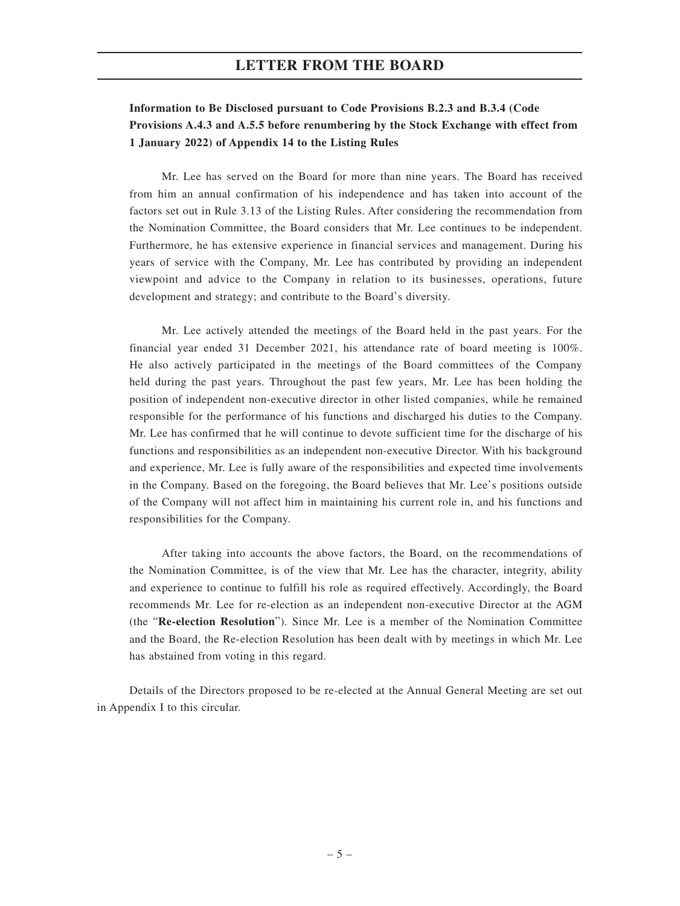### **Information to Be Disclosed pursuant to Code Provisions B.2.3 and B.3.4 (Code Provisions A.4.3 and A.5.5 before renumbering by the Stock Exchange with effect from 1 January 2022) of Appendix 14 to the Listing Rules**

Mr. Lee has served on the Board for more than nine years. The Board has received from him an annual confirmation of his independence and has taken into account of the factors set out in Rule 3.13 of the Listing Rules. After considering the recommendation from the Nomination Committee, the Board considers that Mr. Lee continues to be independent. Furthermore, he has extensive experience in financial services and management. During his years of service with the Company, Mr. Lee has contributed by providing an independent viewpoint and advice to the Company in relation to its businesses, operations, future development and strategy; and contribute to the Board's diversity.

Mr. Lee actively attended the meetings of the Board held in the past years. For the financial year ended 31 December 2021, his attendance rate of board meeting is 100%. He also actively participated in the meetings of the Board committees of the Company held during the past years. Throughout the past few years, Mr. Lee has been holding the position of independent non-executive director in other listed companies, while he remained responsible for the performance of his functions and discharged his duties to the Company. Mr. Lee has confirmed that he will continue to devote sufficient time for the discharge of his functions and responsibilities as an independent non-executive Director. With his background and experience, Mr. Lee is fully aware of the responsibilities and expected time involvements in the Company. Based on the foregoing, the Board believes that Mr. Lee's positions outside of the Company will not affect him in maintaining his current role in, and his functions and responsibilities for the Company.

After taking into accounts the above factors, the Board, on the recommendations of the Nomination Committee, is of the view that Mr. Lee has the character, integrity, ability and experience to continue to fulfill his role as required effectively. Accordingly, the Board recommends Mr. Lee for re-election as an independent non-executive Director at the AGM (the "**Re-election Resolution**"). Since Mr. Lee is a member of the Nomination Committee and the Board, the Re-election Resolution has been dealt with by meetings in which Mr. Lee has abstained from voting in this regard.

Details of the Directors proposed to be re-elected at the Annual General Meeting are set out in Appendix I to this circular.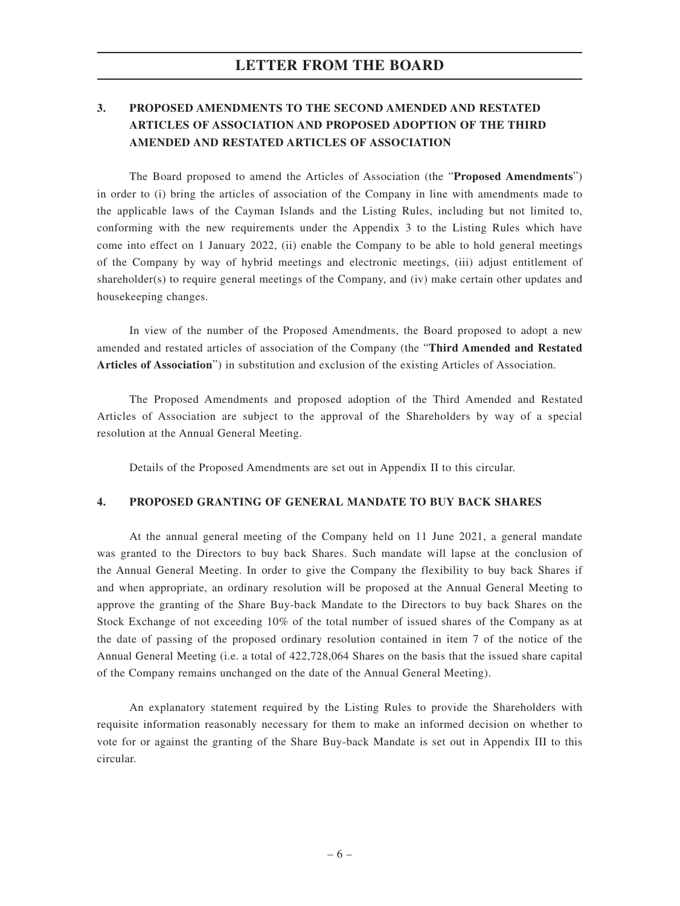## **3. PROPOSED AMENDMENTS TO THE SECOND AMENDED AND RESTATED ARTICLES OF ASSOCIATION AND PROPOSED ADOPTION OF THE THIRD AMENDED AND RESTATED ARTICLES OF ASSOCIATION**

The Board proposed to amend the Articles of Association (the "**Proposed Amendments**") in order to (i) bring the articles of association of the Company in line with amendments made to the applicable laws of the Cayman Islands and the Listing Rules, including but not limited to, conforming with the new requirements under the Appendix 3 to the Listing Rules which have come into effect on 1 January 2022, (ii) enable the Company to be able to hold general meetings of the Company by way of hybrid meetings and electronic meetings, (iii) adjust entitlement of shareholder(s) to require general meetings of the Company, and (iv) make certain other updates and housekeeping changes.

In view of the number of the Proposed Amendments, the Board proposed to adopt a new amended and restated articles of association of the Company (the "**Third Amended and Restated Articles of Association**") in substitution and exclusion of the existing Articles of Association.

The Proposed Amendments and proposed adoption of the Third Amended and Restated Articles of Association are subject to the approval of the Shareholders by way of a special resolution at the Annual General Meeting.

Details of the Proposed Amendments are set out in Appendix II to this circular.

### **4. PROPOSED GRANTING OF GENERAL MANDATE TO BUY BACK SHARES**

At the annual general meeting of the Company held on 11 June 2021, a general mandate was granted to the Directors to buy back Shares. Such mandate will lapse at the conclusion of the Annual General Meeting. In order to give the Company the flexibility to buy back Shares if and when appropriate, an ordinary resolution will be proposed at the Annual General Meeting to approve the granting of the Share Buy-back Mandate to the Directors to buy back Shares on the Stock Exchange of not exceeding 10% of the total number of issued shares of the Company as at the date of passing of the proposed ordinary resolution contained in item 7 of the notice of the Annual General Meeting (i.e. a total of 422,728,064 Shares on the basis that the issued share capital of the Company remains unchanged on the date of the Annual General Meeting).

An explanatory statement required by the Listing Rules to provide the Shareholders with requisite information reasonably necessary for them to make an informed decision on whether to vote for or against the granting of the Share Buy-back Mandate is set out in Appendix III to this circular.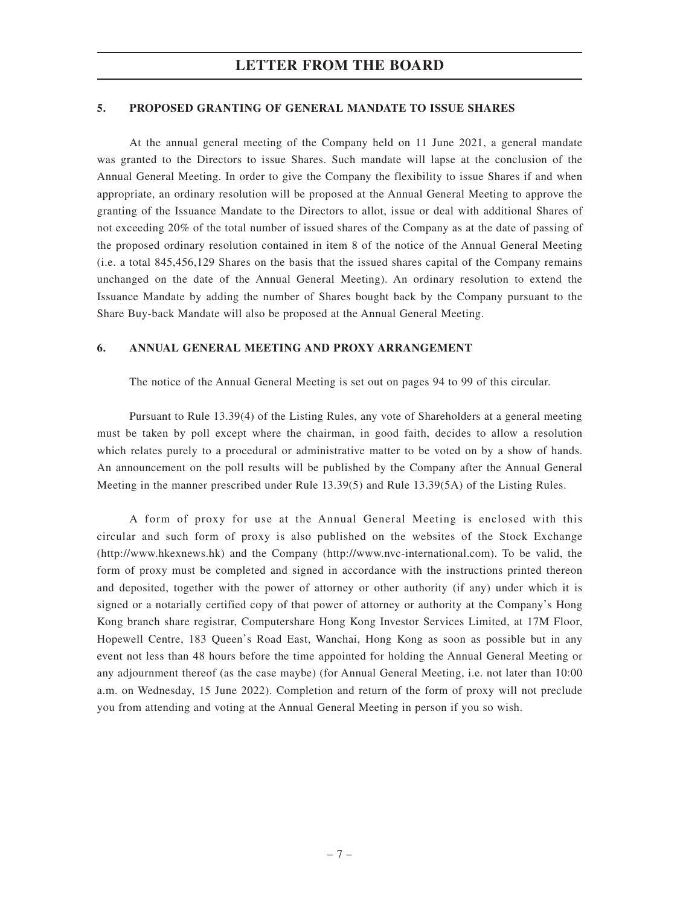### **5. PROPOSED GRANTING OF GENERAL MANDATE TO ISSUE SHARES**

At the annual general meeting of the Company held on 11 June 2021, a general mandate was granted to the Directors to issue Shares. Such mandate will lapse at the conclusion of the Annual General Meeting. In order to give the Company the flexibility to issue Shares if and when appropriate, an ordinary resolution will be proposed at the Annual General Meeting to approve the granting of the Issuance Mandate to the Directors to allot, issue or deal with additional Shares of not exceeding 20% of the total number of issued shares of the Company as at the date of passing of the proposed ordinary resolution contained in item 8 of the notice of the Annual General Meeting (i.e. a total 845,456,129 Shares on the basis that the issued shares capital of the Company remains unchanged on the date of the Annual General Meeting). An ordinary resolution to extend the Issuance Mandate by adding the number of Shares bought back by the Company pursuant to the Share Buy-back Mandate will also be proposed at the Annual General Meeting.

### **6. ANNUAL GENERAL MEETING AND PROXY ARRANGEMENT**

The notice of the Annual General Meeting is set out on pages 94 to 99 of this circular.

Pursuant to Rule 13.39(4) of the Listing Rules, any vote of Shareholders at a general meeting must be taken by poll except where the chairman, in good faith, decides to allow a resolution which relates purely to a procedural or administrative matter to be voted on by a show of hands. An announcement on the poll results will be published by the Company after the Annual General Meeting in the manner prescribed under Rule 13.39(5) and Rule 13.39(5A) of the Listing Rules.

A form of proxy for use at the Annual General Meeting is enclosed with this circular and such form of proxy is also published on the websites of the Stock Exchange (http://www.hkexnews.hk) and the Company (http://www.nvc-international.com). To be valid, the form of proxy must be completed and signed in accordance with the instructions printed thereon and deposited, together with the power of attorney or other authority (if any) under which it is signed or a notarially certified copy of that power of attorney or authority at the Company's Hong Kong branch share registrar, Computershare Hong Kong Investor Services Limited, at 17M Floor, Hopewell Centre, 183 Queen's Road East, Wanchai, Hong Kong as soon as possible but in any event not less than 48 hours before the time appointed for holding the Annual General Meeting or any adjournment thereof (as the case maybe) (for Annual General Meeting, i.e. not later than 10:00 a.m. on Wednesday, 15 June 2022). Completion and return of the form of proxy will not preclude you from attending and voting at the Annual General Meeting in person if you so wish.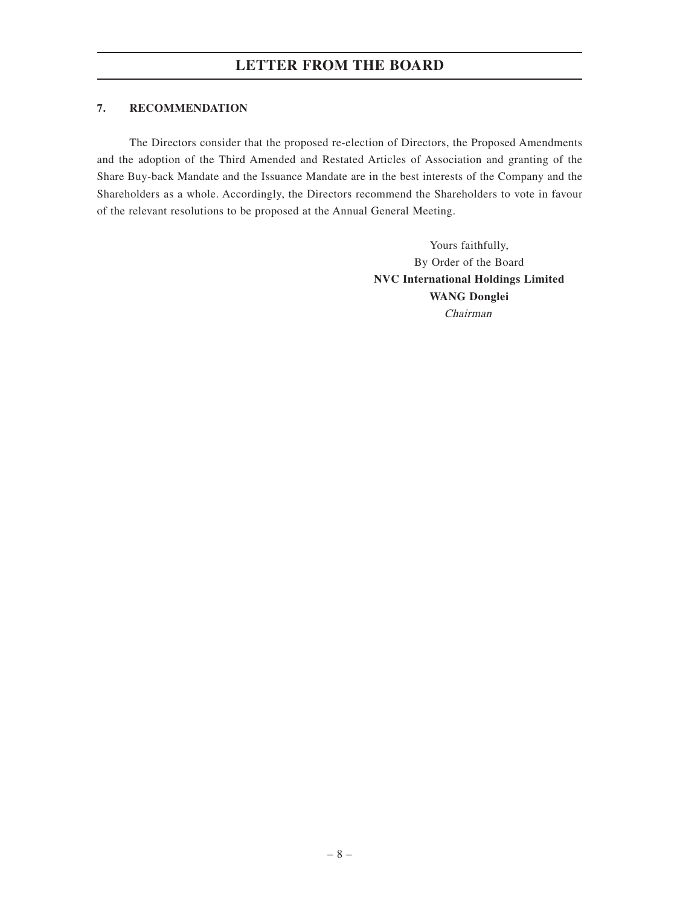### **7. RECOMMENDATION**

The Directors consider that the proposed re-election of Directors, the Proposed Amendments and the adoption of the Third Amended and Restated Articles of Association and granting of the Share Buy-back Mandate and the Issuance Mandate are in the best interests of the Company and the Shareholders as a whole. Accordingly, the Directors recommend the Shareholders to vote in favour of the relevant resolutions to be proposed at the Annual General Meeting.

> Yours faithfully, By Order of the Board **NVC International Holdings Limited WANG Donglei** Chairman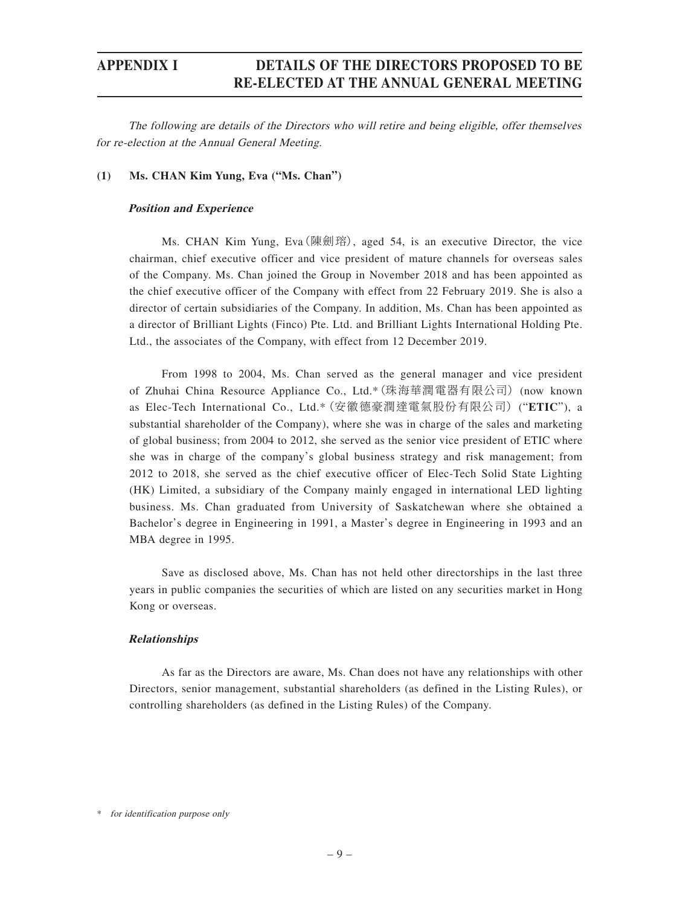The following are details of the Directors who will retire and being eligible, offer themselves for re-election at the Annual General Meeting.

### **(1) Ms. CHAN Kim Yung, Eva ("Ms. Chan")**

### **Position and Experience**

Ms. CHAN Kim Yung, Eva(陳劍瑢), aged 54, is an executive Director, the vice chairman, chief executive officer and vice president of mature channels for overseas sales of the Company. Ms. Chan joined the Group in November 2018 and has been appointed as the chief executive officer of the Company with effect from 22 February 2019. She is also a director of certain subsidiaries of the Company. In addition, Ms. Chan has been appointed as a director of Brilliant Lights (Finco) Pte. Ltd. and Brilliant Lights International Holding Pte. Ltd., the associates of the Company, with effect from 12 December 2019.

From 1998 to 2004, Ms. Chan served as the general manager and vice president of Zhuhai China Resource Appliance Co., Ltd.\*(珠海華潤電器有限公司) (now known as Elec-Tech International Co., Ltd.\*(安徽德豪潤達電氣股份有限公司) ("**ETIC**"), a substantial shareholder of the Company), where she was in charge of the sales and marketing of global business; from 2004 to 2012, she served as the senior vice president of ETIC where she was in charge of the company's global business strategy and risk management; from 2012 to 2018, she served as the chief executive officer of Elec-Tech Solid State Lighting (HK) Limited, a subsidiary of the Company mainly engaged in international LED lighting business. Ms. Chan graduated from University of Saskatchewan where she obtained a Bachelor's degree in Engineering in 1991, a Master's degree in Engineering in 1993 and an MBA degree in 1995.

Save as disclosed above, Ms. Chan has not held other directorships in the last three years in public companies the securities of which are listed on any securities market in Hong Kong or overseas.

### **Relationships**

As far as the Directors are aware, Ms. Chan does not have any relationships with other Directors, senior management, substantial shareholders (as defined in the Listing Rules), or controlling shareholders (as defined in the Listing Rules) of the Company.

\* for identification purpose only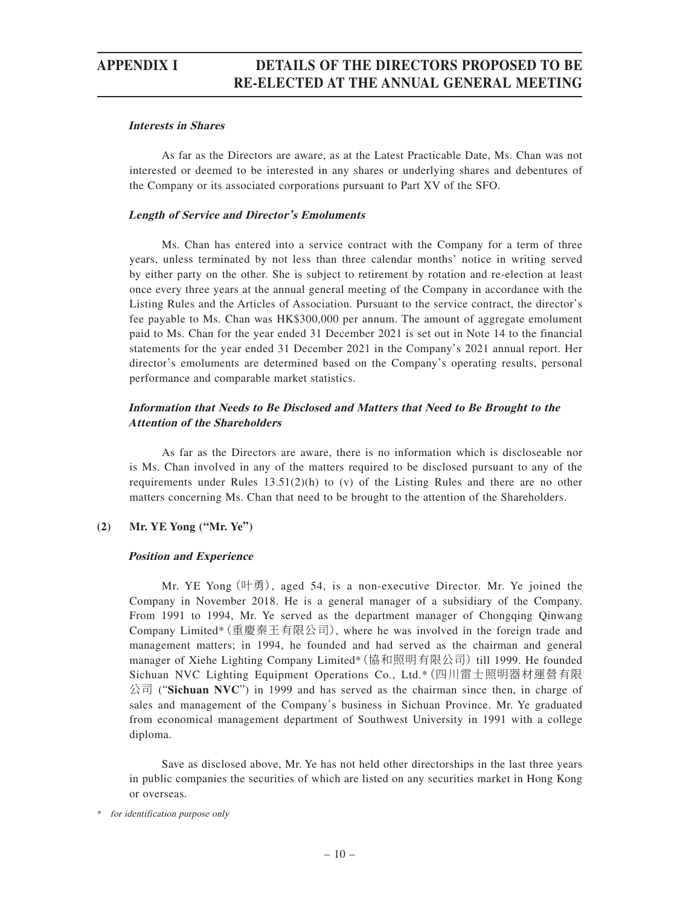### **Interests in Shares**

As far as the Directors are aware, as at the Latest Practicable Date, Ms. Chan was not interested or deemed to be interested in any shares or underlying shares and debentures of the Company or its associated corporations pursuant to Part XV of the SFO.

### **Length of Service and Director's Emoluments**

Ms. Chan has entered into a service contract with the Company for a term of three years, unless terminated by not less than three calendar months' notice in writing served by either party on the other. She is subject to retirement by rotation and re-election at least once every three years at the annual general meeting of the Company in accordance with the Listing Rules and the Articles of Association. Pursuant to the service contract, the director's fee payable to Ms. Chan was HK\$300,000 per annum. The amount of aggregate emolument paid to Ms. Chan for the year ended 31 December 2021 is set out in Note 14 to the financial statements for the year ended 31 December 2021 in the Company's 2021 annual report. Her director's emoluments are determined based on the Company's operating results, personal performance and comparable market statistics.

### **Information that Needs to Be Disclosed and Matters that Need to Be Brought to the Attention of the Shareholders**

As far as the Directors are aware, there is no information which is discloseable nor is Ms. Chan involved in any of the matters required to be disclosed pursuant to any of the requirements under Rules  $13.51(2)(h)$  to (v) of the Listing Rules and there are no other matters concerning Ms. Chan that need to be brought to the attention of the Shareholders.

### **(2) Mr. YE Yong ("Mr. Ye")**

### **Position and Experience**

Mr. YE Yong  $(\mathbb{H}\overline{\mathfrak{B}})$ , aged 54, is a non-executive Director. Mr. Ye joined the Company in November 2018. He is a general manager of a subsidiary of the Company. From 1991 to 1994, Mr. Ye served as the department manager of Chongqing Qinwang Company Limited\*(重慶秦王有限公司), where he was involved in the foreign trade and management matters; in 1994, he founded and had served as the chairman and general manager of Xiehe Lighting Company Limited\*(協和照明有限公司) till 1999. He founded Sichuan NVC Lighting Equipment Operations Co., Ltd.\*(四川雷士照明器材運營有限 公司 ("**Sichuan NVC**") in 1999 and has served as the chairman since then, in charge of sales and management of the Company's business in Sichuan Province. Mr. Ye graduated from economical management department of Southwest University in 1991 with a college diploma.

Save as disclosed above, Mr. Ye has not held other directorships in the last three years in public companies the securities of which are listed on any securities market in Hong Kong or overseas.

\* for identification purpose only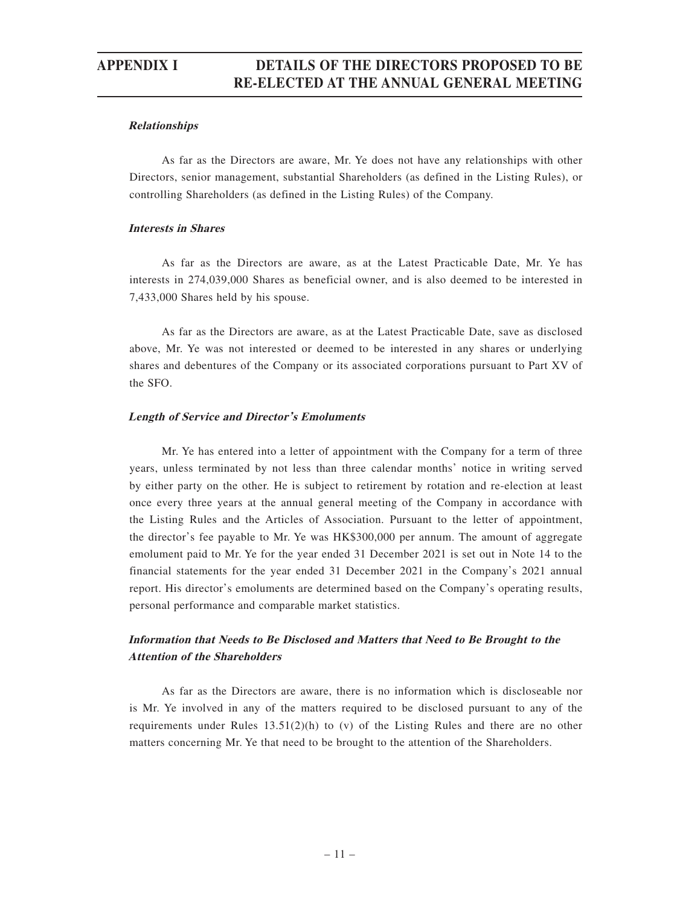### **Relationships**

As far as the Directors are aware, Mr. Ye does not have any relationships with other Directors, senior management, substantial Shareholders (as defined in the Listing Rules), or controlling Shareholders (as defined in the Listing Rules) of the Company.

### **Interests in Shares**

As far as the Directors are aware, as at the Latest Practicable Date, Mr. Ye has interests in 274,039,000 Shares as beneficial owner, and is also deemed to be interested in 7,433,000 Shares held by his spouse.

As far as the Directors are aware, as at the Latest Practicable Date, save as disclosed above, Mr. Ye was not interested or deemed to be interested in any shares or underlying shares and debentures of the Company or its associated corporations pursuant to Part XV of the SFO.

### **Length of Service and Director's Emoluments**

Mr. Ye has entered into a letter of appointment with the Company for a term of three years, unless terminated by not less than three calendar months' notice in writing served by either party on the other. He is subject to retirement by rotation and re-election at least once every three years at the annual general meeting of the Company in accordance with the Listing Rules and the Articles of Association. Pursuant to the letter of appointment, the director's fee payable to Mr. Ye was HK\$300,000 per annum. The amount of aggregate emolument paid to Mr. Ye for the year ended 31 December 2021 is set out in Note 14 to the financial statements for the year ended 31 December 2021 in the Company's 2021 annual report. His director's emoluments are determined based on the Company's operating results, personal performance and comparable market statistics.

### **Information that Needs to Be Disclosed and Matters that Need to Be Brought to the Attention of the Shareholders**

As far as the Directors are aware, there is no information which is discloseable nor is Mr. Ye involved in any of the matters required to be disclosed pursuant to any of the requirements under Rules  $13.51(2)(h)$  to (v) of the Listing Rules and there are no other matters concerning Mr. Ye that need to be brought to the attention of the Shareholders.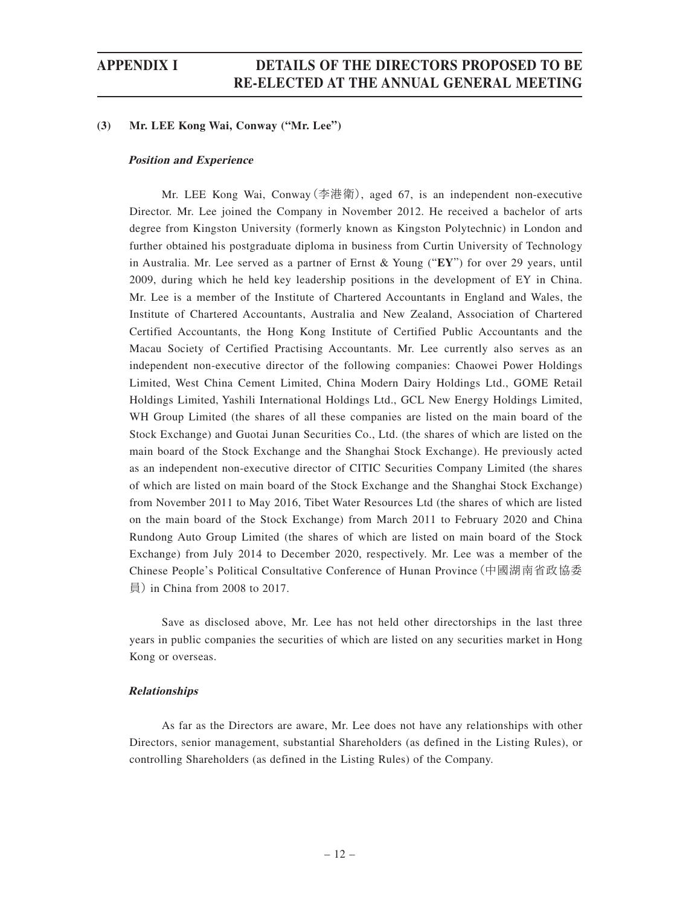### **(3) Mr. LEE Kong Wai, Conway ("Mr. Lee")**

### **Position and Experience**

Mr. LEE Kong Wai, Conway(李港衛), aged 67, is an independent non-executive Director. Mr. Lee joined the Company in November 2012. He received a bachelor of arts degree from Kingston University (formerly known as Kingston Polytechnic) in London and further obtained his postgraduate diploma in business from Curtin University of Technology in Australia. Mr. Lee served as a partner of Ernst & Young ("**EY**") for over 29 years, until 2009, during which he held key leadership positions in the development of EY in China. Mr. Lee is a member of the Institute of Chartered Accountants in England and Wales, the Institute of Chartered Accountants, Australia and New Zealand, Association of Chartered Certified Accountants, the Hong Kong Institute of Certified Public Accountants and the Macau Society of Certified Practising Accountants. Mr. Lee currently also serves as an independent non-executive director of the following companies: Chaowei Power Holdings Limited, West China Cement Limited, China Modern Dairy Holdings Ltd., GOME Retail Holdings Limited, Yashili International Holdings Ltd., GCL New Energy Holdings Limited, WH Group Limited (the shares of all these companies are listed on the main board of the Stock Exchange) and Guotai Junan Securities Co., Ltd. (the shares of which are listed on the main board of the Stock Exchange and the Shanghai Stock Exchange). He previously acted as an independent non-executive director of CITIC Securities Company Limited (the shares of which are listed on main board of the Stock Exchange and the Shanghai Stock Exchange) from November 2011 to May 2016, Tibet Water Resources Ltd (the shares of which are listed on the main board of the Stock Exchange) from March 2011 to February 2020 and China Rundong Auto Group Limited (the shares of which are listed on main board of the Stock Exchange) from July 2014 to December 2020, respectively. Mr. Lee was a member of the Chinese People's Political Consultative Conference of Hunan Province(中國湖南省政協委 員) in China from 2008 to 2017.

Save as disclosed above, Mr. Lee has not held other directorships in the last three years in public companies the securities of which are listed on any securities market in Hong Kong or overseas.

### **Relationships**

As far as the Directors are aware, Mr. Lee does not have any relationships with other Directors, senior management, substantial Shareholders (as defined in the Listing Rules), or controlling Shareholders (as defined in the Listing Rules) of the Company.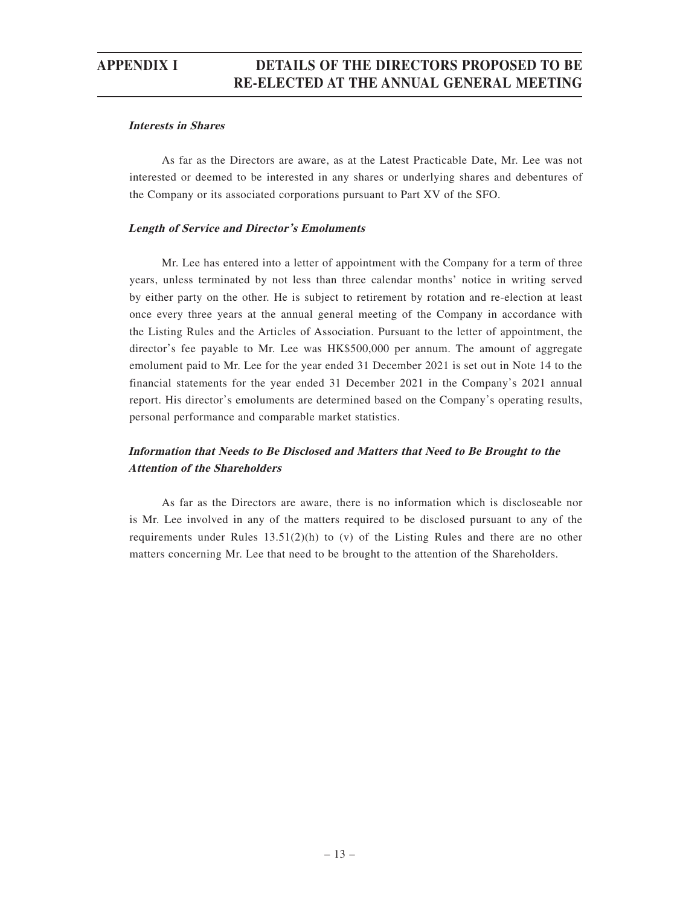### **Interests in Shares**

As far as the Directors are aware, as at the Latest Practicable Date, Mr. Lee was not interested or deemed to be interested in any shares or underlying shares and debentures of the Company or its associated corporations pursuant to Part XV of the SFO.

### **Length of Service and Director's Emoluments**

Mr. Lee has entered into a letter of appointment with the Company for a term of three years, unless terminated by not less than three calendar months' notice in writing served by either party on the other. He is subject to retirement by rotation and re-election at least once every three years at the annual general meeting of the Company in accordance with the Listing Rules and the Articles of Association. Pursuant to the letter of appointment, the director's fee payable to Mr. Lee was HK\$500,000 per annum. The amount of aggregate emolument paid to Mr. Lee for the year ended 31 December 2021 is set out in Note 14 to the financial statements for the year ended 31 December 2021 in the Company's 2021 annual report. His director's emoluments are determined based on the Company's operating results, personal performance and comparable market statistics.

### **Information that Needs to Be Disclosed and Matters that Need to Be Brought to the Attention of the Shareholders**

As far as the Directors are aware, there is no information which is discloseable nor is Mr. Lee involved in any of the matters required to be disclosed pursuant to any of the requirements under Rules 13.51(2)(h) to (v) of the Listing Rules and there are no other matters concerning Mr. Lee that need to be brought to the attention of the Shareholders.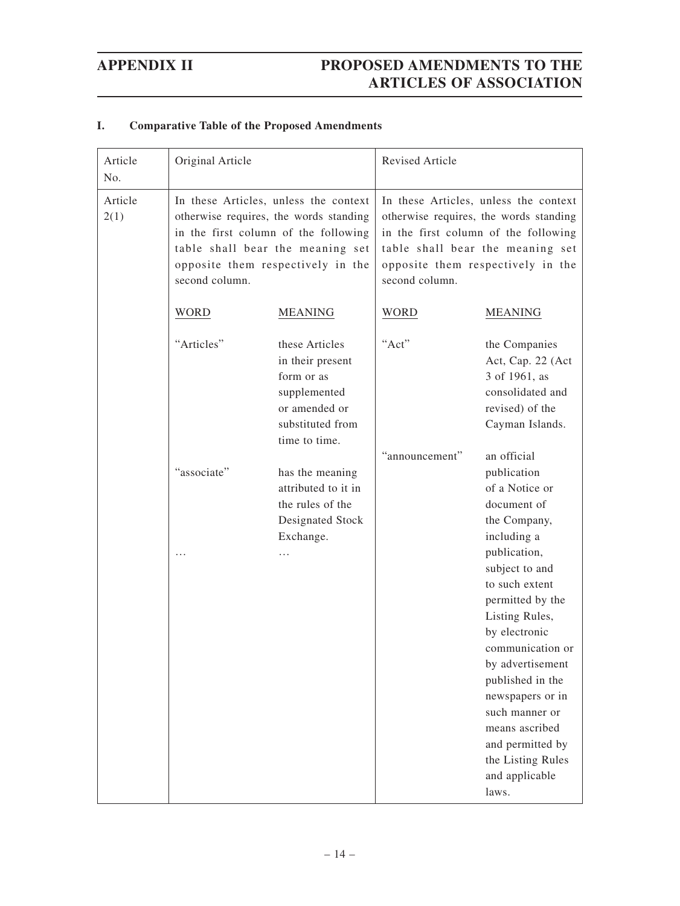| I.<br><b>Comparative Table of the Proposed Amendments</b> |  |
|-----------------------------------------------------------|--|
|-----------------------------------------------------------|--|

| Article<br>No.  | Original Article                                                                                                                                                                                                   |                                                                                                                        | <b>Revised Article</b>                                                                                                                                                                                             |                                                                                                                                                                                                                                                                                                                                                     |
|-----------------|--------------------------------------------------------------------------------------------------------------------------------------------------------------------------------------------------------------------|------------------------------------------------------------------------------------------------------------------------|--------------------------------------------------------------------------------------------------------------------------------------------------------------------------------------------------------------------|-----------------------------------------------------------------------------------------------------------------------------------------------------------------------------------------------------------------------------------------------------------------------------------------------------------------------------------------------------|
| Article<br>2(1) | In these Articles, unless the context<br>otherwise requires, the words standing<br>in the first column of the following<br>table shall bear the meaning set<br>opposite them respectively in the<br>second column. |                                                                                                                        | In these Articles, unless the context<br>otherwise requires, the words standing<br>in the first column of the following<br>table shall bear the meaning set<br>opposite them respectively in the<br>second column. |                                                                                                                                                                                                                                                                                                                                                     |
|                 | <b>WORD</b>                                                                                                                                                                                                        | <b>MEANING</b>                                                                                                         | <b>WORD</b>                                                                                                                                                                                                        | <b>MEANING</b>                                                                                                                                                                                                                                                                                                                                      |
|                 | "Articles"                                                                                                                                                                                                         | these Articles<br>in their present<br>form or as<br>supplemented<br>or amended or<br>substituted from<br>time to time. | "Act"<br>"announcement"                                                                                                                                                                                            | the Companies<br>Act, Cap. 22 (Act<br>3 of 1961, as<br>consolidated and<br>revised) of the<br>Cayman Islands.<br>an official                                                                                                                                                                                                                        |
|                 | "associate"                                                                                                                                                                                                        | has the meaning<br>attributed to it in<br>the rules of the<br>Designated Stock<br>Exchange.                            |                                                                                                                                                                                                                    | publication<br>of a Notice or<br>document of<br>the Company,<br>including a<br>publication,<br>subject to and<br>to such extent<br>permitted by the<br>Listing Rules,<br>by electronic<br>communication or<br>by advertisement<br>published in the<br>newspapers or in<br>such manner or<br>means ascribed<br>and permitted by<br>the Listing Rules |
|                 |                                                                                                                                                                                                                    |                                                                                                                        |                                                                                                                                                                                                                    | and applicable<br>laws.                                                                                                                                                                                                                                                                                                                             |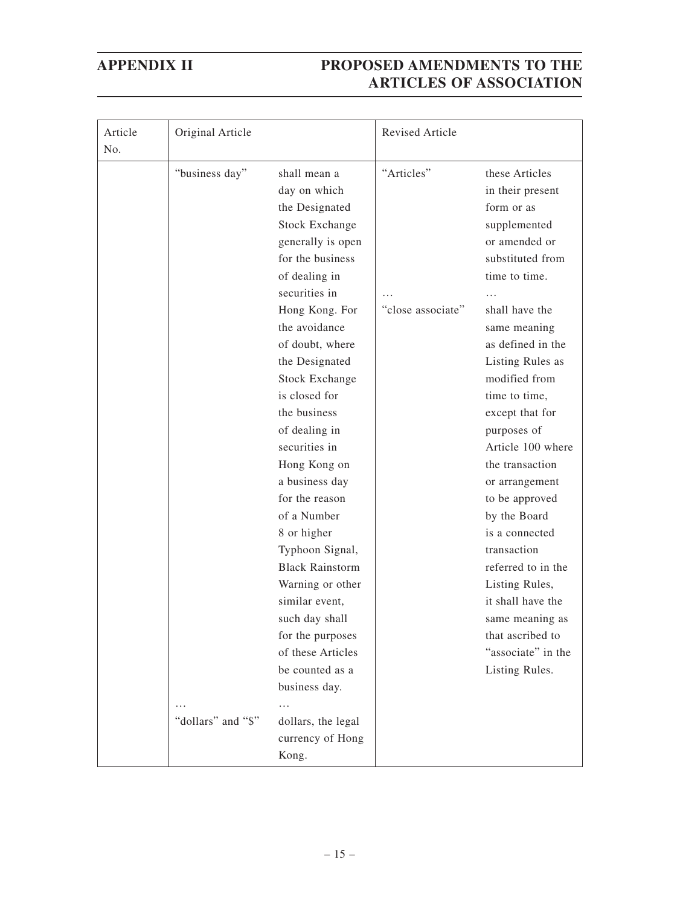| Article<br>No. | Original Article   |                        | Revised Article   |                    |
|----------------|--------------------|------------------------|-------------------|--------------------|
|                | "business day"     | shall mean a           | "Articles"        | these Articles     |
|                |                    | day on which           |                   | in their present   |
|                |                    | the Designated         |                   | form or as         |
|                |                    | <b>Stock Exchange</b>  |                   | supplemented       |
|                |                    | generally is open      |                   | or amended or      |
|                |                    | for the business       |                   | substituted from   |
|                |                    | of dealing in          |                   | time to time.      |
|                |                    | securities in          |                   |                    |
|                |                    | Hong Kong. For         | "close associate" | shall have the     |
|                |                    | the avoidance          |                   | same meaning       |
|                |                    | of doubt, where        |                   | as defined in the  |
|                |                    | the Designated         |                   | Listing Rules as   |
|                |                    | <b>Stock Exchange</b>  |                   | modified from      |
|                |                    | is closed for          |                   | time to time,      |
|                |                    | the business           |                   | except that for    |
|                |                    | of dealing in          |                   | purposes of        |
|                |                    | securities in          |                   | Article 100 where  |
|                |                    | Hong Kong on           |                   | the transaction    |
|                |                    | a business day         |                   | or arrangement     |
|                |                    | for the reason         |                   | to be approved     |
|                |                    | of a Number            |                   | by the Board       |
|                |                    | 8 or higher            |                   | is a connected     |
|                |                    | Typhoon Signal,        |                   | transaction        |
|                |                    | <b>Black Rainstorm</b> |                   | referred to in the |
|                |                    | Warning or other       |                   | Listing Rules,     |
|                |                    | similar event,         |                   | it shall have the  |
|                |                    | such day shall         |                   | same meaning as    |
|                |                    | for the purposes       |                   | that ascribed to   |
|                |                    | of these Articles      |                   | "associate" in the |
|                |                    | be counted as a        |                   | Listing Rules.     |
|                |                    | business day.          |                   |                    |
|                |                    | .                      |                   |                    |
|                | "dollars" and "\$" | dollars, the legal     |                   |                    |
|                |                    | currency of Hong       |                   |                    |
|                |                    | Kong.                  |                   |                    |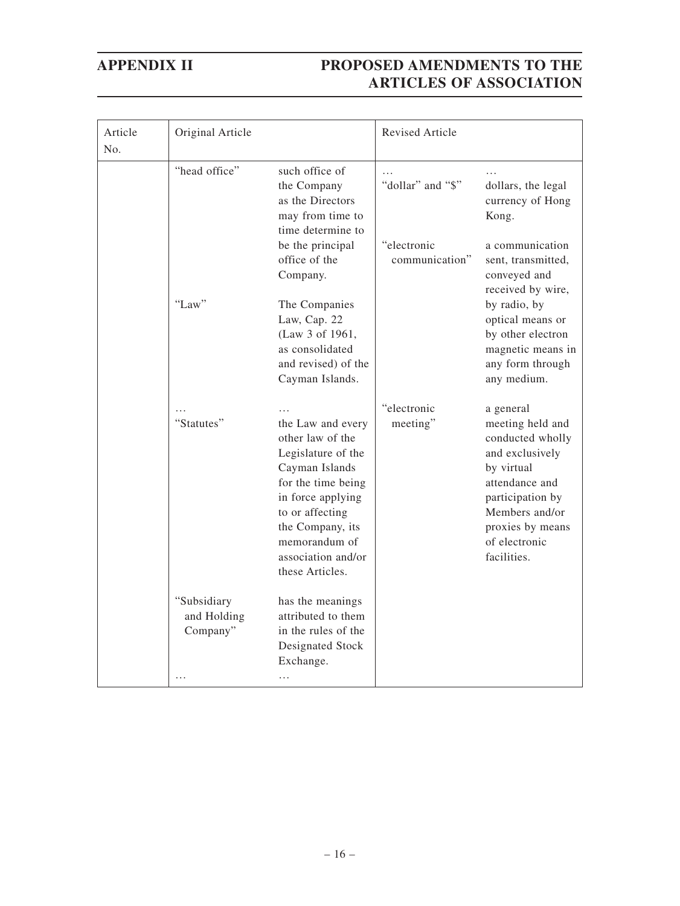| Article<br>No. | Original Article                                         |                                                                                                                                                                                                                           | <b>Revised Article</b>        |                                                                                                                                                                                                |
|----------------|----------------------------------------------------------|---------------------------------------------------------------------------------------------------------------------------------------------------------------------------------------------------------------------------|-------------------------------|------------------------------------------------------------------------------------------------------------------------------------------------------------------------------------------------|
|                | "head office"                                            | such office of<br>the Company<br>as the Directors<br>may from time to<br>time determine to                                                                                                                                | "dollar" and "\$"             | dollars, the legal<br>currency of Hong<br>Kong.                                                                                                                                                |
|                |                                                          | be the principal<br>office of the<br>Company.                                                                                                                                                                             | "electronic<br>communication" | a communication<br>sent, transmitted,<br>conveyed and<br>received by wire,                                                                                                                     |
|                | "Law"                                                    | The Companies<br>Law, Cap. 22<br>(Law 3 of 1961,<br>as consolidated<br>and revised) of the<br>Cayman Islands.                                                                                                             |                               | by radio, by<br>optical means or<br>by other electron<br>magnetic means in<br>any form through<br>any medium.                                                                                  |
|                | "Statutes"                                               | the Law and every<br>other law of the<br>Legislature of the<br>Cayman Islands<br>for the time being<br>in force applying<br>to or affecting<br>the Company, its<br>memorandum of<br>association and/or<br>these Articles. | "electronic<br>meeting"       | a general<br>meeting held and<br>conducted wholly<br>and exclusively<br>by virtual<br>attendance and<br>participation by<br>Members and/or<br>proxies by means<br>of electronic<br>facilities. |
|                | "Subsidiary<br>and Holding<br>Company"<br>$\overline{a}$ | has the meanings<br>attributed to them<br>in the rules of the<br>Designated Stock<br>Exchange.<br>.                                                                                                                       |                               |                                                                                                                                                                                                |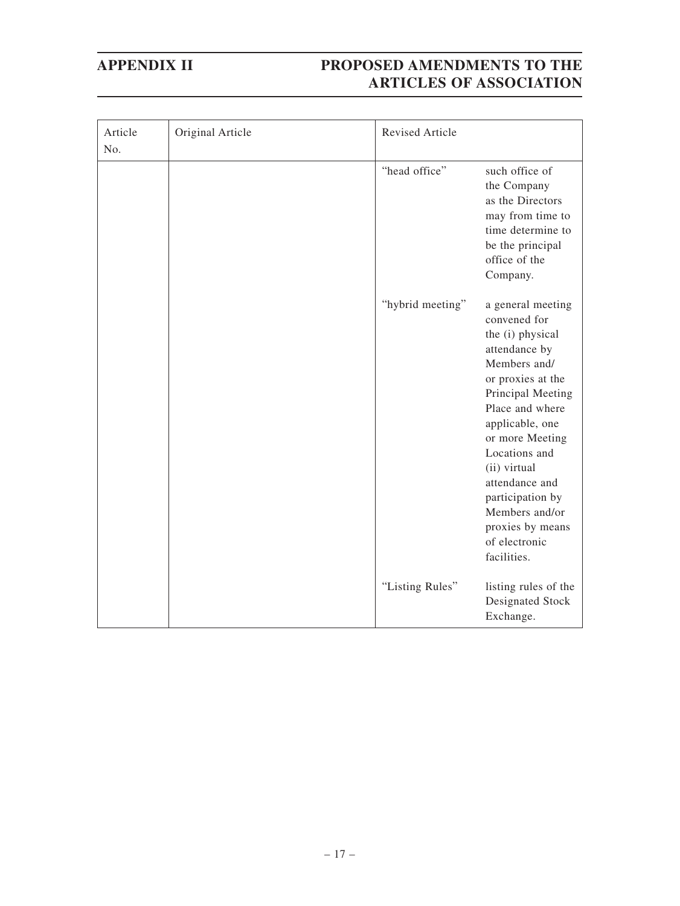| Article<br>No. | Original Article | Revised Article  |                                                                                                                                                                                                                                                                                                                                        |
|----------------|------------------|------------------|----------------------------------------------------------------------------------------------------------------------------------------------------------------------------------------------------------------------------------------------------------------------------------------------------------------------------------------|
|                |                  | "head office"    | such office of<br>the Company<br>as the Directors<br>may from time to<br>time determine to<br>be the principal<br>office of the<br>Company.                                                                                                                                                                                            |
|                |                  | "hybrid meeting" | a general meeting<br>convened for<br>the (i) physical<br>attendance by<br>Members and/<br>or proxies at the<br>Principal Meeting<br>Place and where<br>applicable, one<br>or more Meeting<br>Locations and<br>(ii) virtual<br>attendance and<br>participation by<br>Members and/or<br>proxies by means<br>of electronic<br>facilities. |
|                |                  | "Listing Rules"  | listing rules of the<br>Designated Stock<br>Exchange.                                                                                                                                                                                                                                                                                  |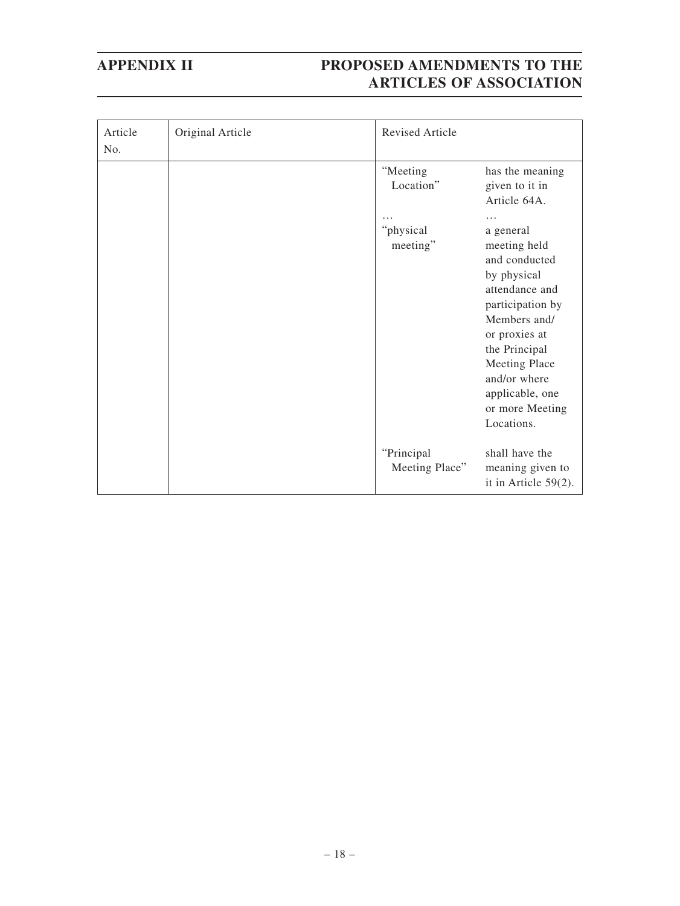| Article<br>No. | Original Article | Revised Article               |                                                                                                                                                                                                                                        |
|----------------|------------------|-------------------------------|----------------------------------------------------------------------------------------------------------------------------------------------------------------------------------------------------------------------------------------|
|                |                  | "Meeting<br>Location"         | has the meaning<br>given to it in<br>Article 64A.                                                                                                                                                                                      |
|                |                  | .                             | .                                                                                                                                                                                                                                      |
|                |                  | "physical<br>meeting"         | a general<br>meeting held<br>and conducted<br>by physical<br>attendance and<br>participation by<br>Members and/<br>or proxies at<br>the Principal<br>Meeting Place<br>and/or where<br>applicable, one<br>or more Meeting<br>Locations. |
|                |                  | "Principal"<br>Meeting Place" | shall have the<br>meaning given to<br>it in Article $59(2)$ .                                                                                                                                                                          |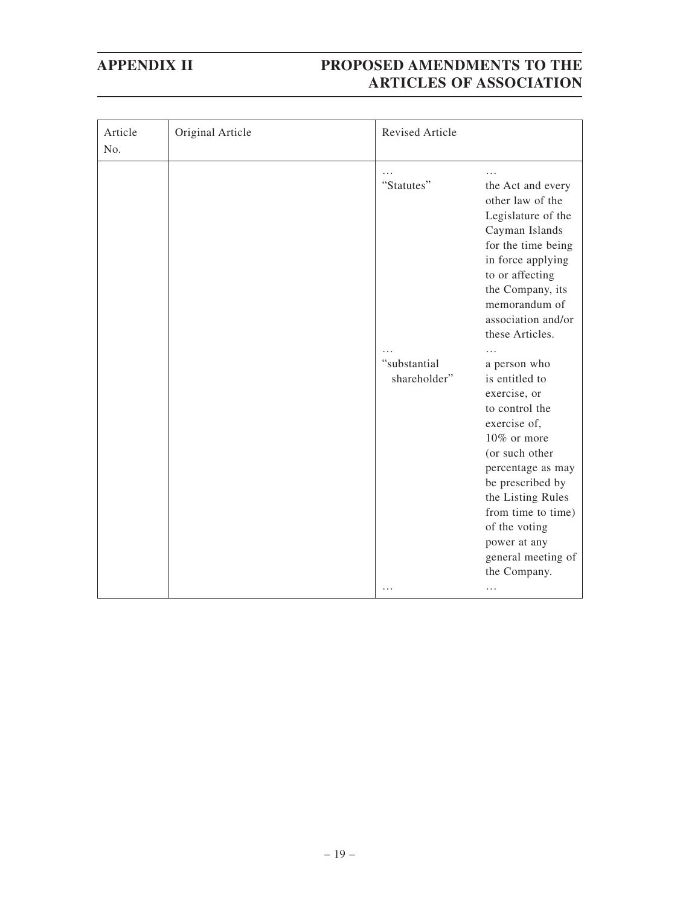| Article<br>No. | Original Article | Revised Article              |                                                                                                                                                                                                                                                                              |
|----------------|------------------|------------------------------|------------------------------------------------------------------------------------------------------------------------------------------------------------------------------------------------------------------------------------------------------------------------------|
|                |                  | "Statutes"                   | the Act and every<br>other law of the<br>Legislature of the<br>Cayman Islands<br>for the time being<br>in force applying<br>to or affecting<br>the Company, its<br>memorandum of<br>association and/or<br>these Articles.<br>.                                               |
|                |                  | "substantial<br>shareholder" | a person who<br>is entitled to<br>exercise, or<br>to control the<br>exercise of,<br>10% or more<br>(or such other<br>percentage as may<br>be prescribed by<br>the Listing Rules<br>from time to time)<br>of the voting<br>power at any<br>general meeting of<br>the Company. |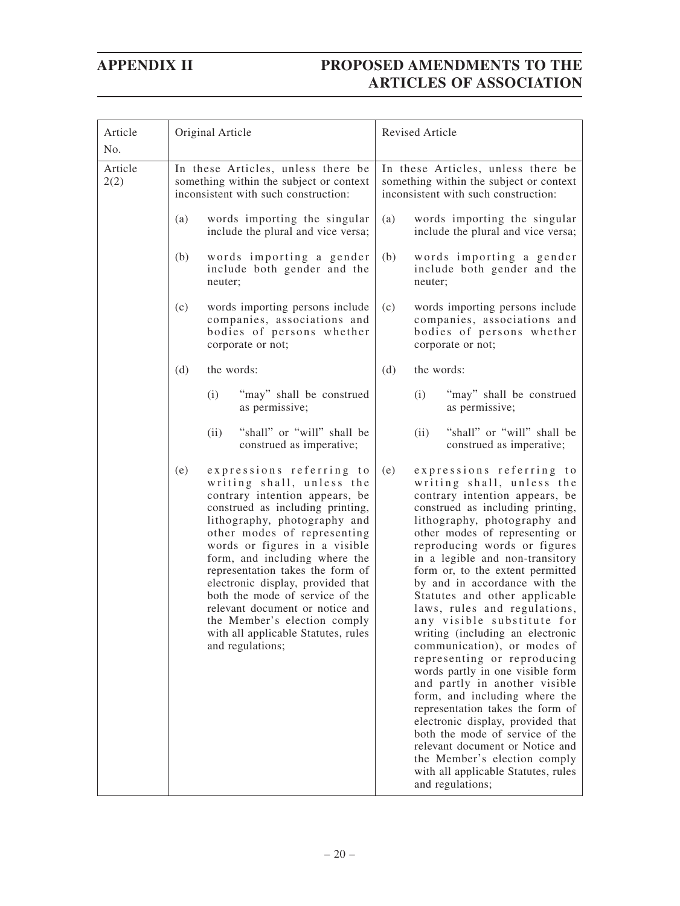| Article<br>No.  | Original Article                                                                                                                                                                                                                                                                                                                                                                                                                                                                                              | Revised Article                                                                                                                                                                                                                                                                                                                                                                                                                                                                                                                                                                                                                                                                                                                                                                                                                                                                               |
|-----------------|---------------------------------------------------------------------------------------------------------------------------------------------------------------------------------------------------------------------------------------------------------------------------------------------------------------------------------------------------------------------------------------------------------------------------------------------------------------------------------------------------------------|-----------------------------------------------------------------------------------------------------------------------------------------------------------------------------------------------------------------------------------------------------------------------------------------------------------------------------------------------------------------------------------------------------------------------------------------------------------------------------------------------------------------------------------------------------------------------------------------------------------------------------------------------------------------------------------------------------------------------------------------------------------------------------------------------------------------------------------------------------------------------------------------------|
| Article<br>2(2) | In these Articles, unless there be<br>something within the subject or context<br>inconsistent with such construction:                                                                                                                                                                                                                                                                                                                                                                                         | In these Articles, unless there be<br>something within the subject or context<br>inconsistent with such construction:                                                                                                                                                                                                                                                                                                                                                                                                                                                                                                                                                                                                                                                                                                                                                                         |
|                 | words importing the singular<br>(a)<br>include the plural and vice versa;                                                                                                                                                                                                                                                                                                                                                                                                                                     | (a)<br>words importing the singular<br>include the plural and vice versa;                                                                                                                                                                                                                                                                                                                                                                                                                                                                                                                                                                                                                                                                                                                                                                                                                     |
|                 | words importing a gender<br>(b)<br>include both gender and the<br>neuter;                                                                                                                                                                                                                                                                                                                                                                                                                                     | (b)<br>words importing a gender<br>include both gender and the<br>neuter;                                                                                                                                                                                                                                                                                                                                                                                                                                                                                                                                                                                                                                                                                                                                                                                                                     |
|                 | (c)<br>words importing persons include<br>companies, associations and<br>bodies of persons whether<br>corporate or not;                                                                                                                                                                                                                                                                                                                                                                                       | (c)<br>words importing persons include<br>companies, associations and<br>bodies of persons whether<br>corporate or not;                                                                                                                                                                                                                                                                                                                                                                                                                                                                                                                                                                                                                                                                                                                                                                       |
|                 | (d)<br>the words:                                                                                                                                                                                                                                                                                                                                                                                                                                                                                             | (d)<br>the words:                                                                                                                                                                                                                                                                                                                                                                                                                                                                                                                                                                                                                                                                                                                                                                                                                                                                             |
|                 | (i)<br>"may" shall be construed<br>as permissive;                                                                                                                                                                                                                                                                                                                                                                                                                                                             | (i)<br>"may" shall be construed<br>as permissive;                                                                                                                                                                                                                                                                                                                                                                                                                                                                                                                                                                                                                                                                                                                                                                                                                                             |
|                 | "shall" or "will" shall be<br>(ii)<br>construed as imperative;                                                                                                                                                                                                                                                                                                                                                                                                                                                | "shall" or "will" shall be<br>(ii)<br>construed as imperative;                                                                                                                                                                                                                                                                                                                                                                                                                                                                                                                                                                                                                                                                                                                                                                                                                                |
|                 | expressions referring to<br>(e)<br>writing shall, unless the<br>contrary intention appears, be<br>construed as including printing,<br>lithography, photography and<br>other modes of representing<br>words or figures in a visible<br>form, and including where the<br>representation takes the form of<br>electronic display, provided that<br>both the mode of service of the<br>relevant document or notice and<br>the Member's election comply<br>with all applicable Statutes, rules<br>and regulations; | expressions referring to<br>(e)<br>writing shall, unless the<br>contrary intention appears, be<br>construed as including printing,<br>lithography, photography and<br>other modes of representing or<br>reproducing words or figures<br>in a legible and non-transitory<br>form or, to the extent permitted<br>by and in accordance with the<br>Statutes and other applicable<br>laws, rules and regulations,<br>any visible substitute for<br>writing (including an electronic<br>communication), or modes of<br>representing or reproducing<br>words partly in one visible form<br>and partly in another visible<br>form, and including where the<br>representation takes the form of<br>electronic display, provided that<br>both the mode of service of the<br>relevant document or Notice and<br>the Member's election comply<br>with all applicable Statutes, rules<br>and regulations; |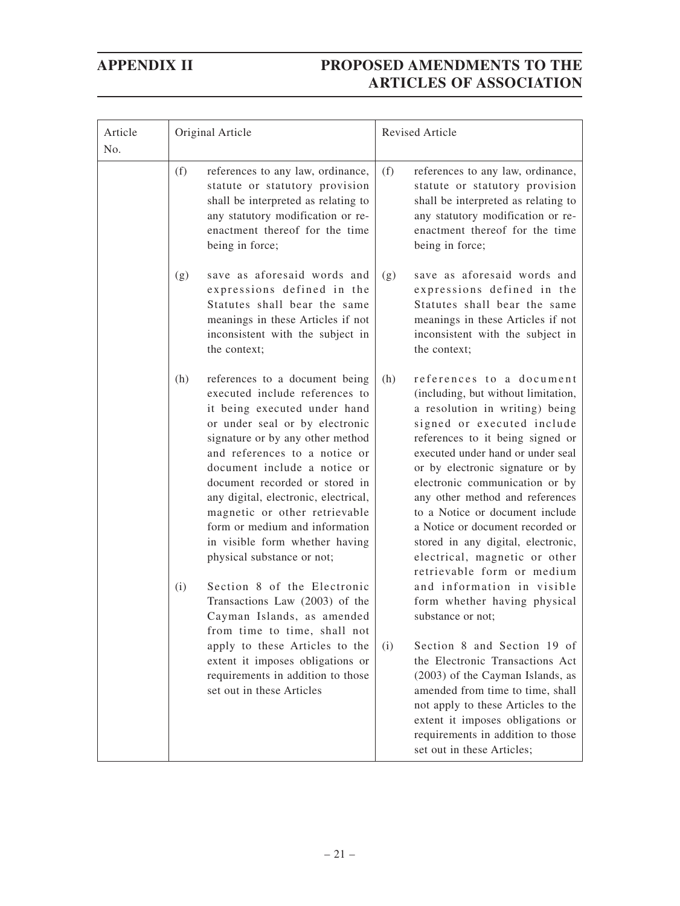| Article<br>No. | Original Article                                                                                                                                                                                                                                                                                                                                                                                                                                                                                                                                                                                  | <b>Revised Article</b>                                                                                                                                                                                                                                                                                                                                                                                                                                                                                                                                                                  |  |
|----------------|---------------------------------------------------------------------------------------------------------------------------------------------------------------------------------------------------------------------------------------------------------------------------------------------------------------------------------------------------------------------------------------------------------------------------------------------------------------------------------------------------------------------------------------------------------------------------------------------------|-----------------------------------------------------------------------------------------------------------------------------------------------------------------------------------------------------------------------------------------------------------------------------------------------------------------------------------------------------------------------------------------------------------------------------------------------------------------------------------------------------------------------------------------------------------------------------------------|--|
|                | (f)<br>references to any law, ordinance,<br>statute or statutory provision<br>shall be interpreted as relating to<br>any statutory modification or re-<br>enactment thereof for the time<br>being in force;                                                                                                                                                                                                                                                                                                                                                                                       | references to any law, ordinance,<br>(f)<br>statute or statutory provision<br>shall be interpreted as relating to<br>any statutory modification or re-<br>enactment thereof for the time<br>being in force;                                                                                                                                                                                                                                                                                                                                                                             |  |
|                | save as aforesaid words and<br>(g)<br>expressions defined in the<br>Statutes shall bear the same<br>meanings in these Articles if not<br>inconsistent with the subject in<br>the context;                                                                                                                                                                                                                                                                                                                                                                                                         | save as aforesaid words and<br>(g)<br>expressions defined in the<br>Statutes shall bear the same<br>meanings in these Articles if not<br>inconsistent with the subject in<br>the context;                                                                                                                                                                                                                                                                                                                                                                                               |  |
|                | (h)<br>references to a document being<br>executed include references to<br>it being executed under hand<br>or under seal or by electronic<br>signature or by any other method<br>and references to a notice or<br>document include a notice or<br>document recorded or stored in<br>any digital, electronic, electrical,<br>magnetic or other retrievable<br>form or medium and information<br>in visible form whether having<br>physical substance or not;<br>Section 8 of the Electronic<br>(i)<br>Transactions Law (2003) of the<br>Cayman Islands, as amended<br>from time to time, shall not | references to a document<br>(h)<br>(including, but without limitation,<br>a resolution in writing) being<br>signed or executed include<br>references to it being signed or<br>executed under hand or under seal<br>or by electronic signature or by<br>electronic communication or by<br>any other method and references<br>to a Notice or document include<br>a Notice or document recorded or<br>stored in any digital, electronic,<br>electrical, magnetic or other<br>retrievable form or medium<br>and information in visible<br>form whether having physical<br>substance or not; |  |
|                | apply to these Articles to the<br>extent it imposes obligations or<br>requirements in addition to those<br>set out in these Articles                                                                                                                                                                                                                                                                                                                                                                                                                                                              | Section 8 and Section 19 of<br>(i)<br>the Electronic Transactions Act<br>(2003) of the Cayman Islands, as<br>amended from time to time, shall<br>not apply to these Articles to the<br>extent it imposes obligations or<br>requirements in addition to those<br>set out in these Articles;                                                                                                                                                                                                                                                                                              |  |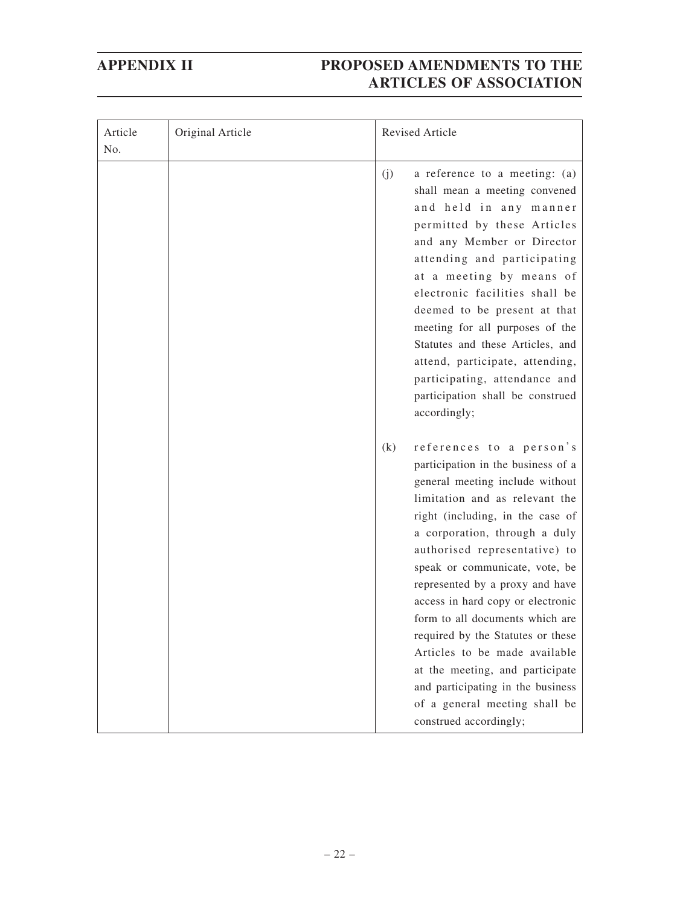| Article<br>No. | Original Article | Revised Article                                                                                                                                                                                                                                                                                                                                                                                                                                                                                                                                                                                        |
|----------------|------------------|--------------------------------------------------------------------------------------------------------------------------------------------------------------------------------------------------------------------------------------------------------------------------------------------------------------------------------------------------------------------------------------------------------------------------------------------------------------------------------------------------------------------------------------------------------------------------------------------------------|
|                |                  | a reference to a meeting: (a)<br>(j)<br>shall mean a meeting convened<br>and held in any manner<br>permitted by these Articles<br>and any Member or Director<br>attending and participating<br>at a meeting by means of<br>electronic facilities shall be<br>deemed to be present at that<br>meeting for all purposes of the<br>Statutes and these Articles, and<br>attend, participate, attending,<br>participating, attendance and<br>participation shall be construed<br>accordingly;                                                                                                               |
|                |                  | references to a person's<br>(k)<br>participation in the business of a<br>general meeting include without<br>limitation and as relevant the<br>right (including, in the case of<br>a corporation, through a duly<br>authorised representative) to<br>speak or communicate, vote, be<br>represented by a proxy and have<br>access in hard copy or electronic<br>form to all documents which are<br>required by the Statutes or these<br>Articles to be made available<br>at the meeting, and participate<br>and participating in the business<br>of a general meeting shall be<br>construed accordingly; |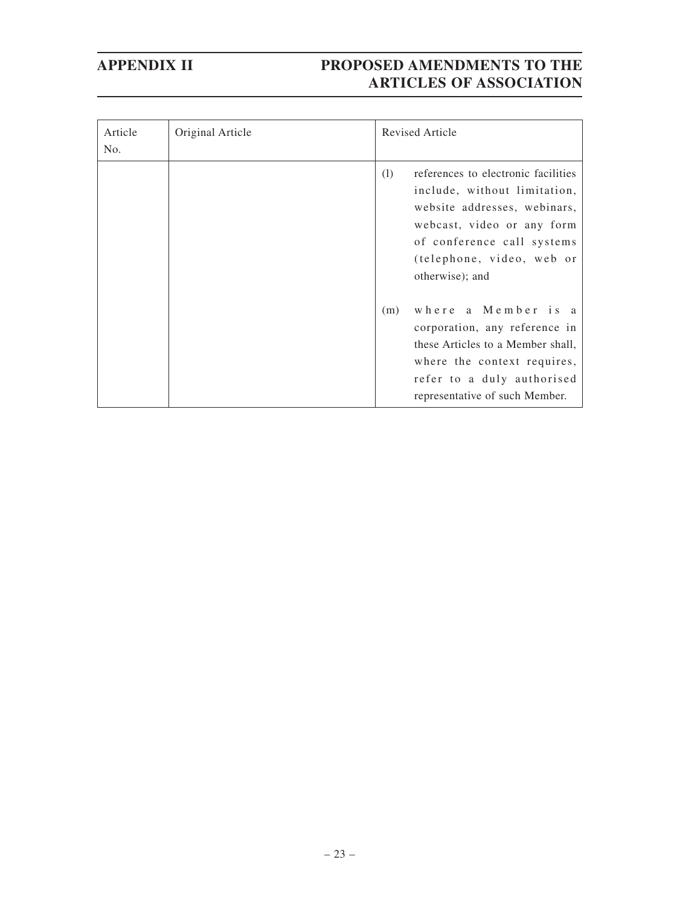| Article<br>No. | Original Article |     | Revised Article                                                                                                                                                                                                 |
|----------------|------------------|-----|-----------------------------------------------------------------------------------------------------------------------------------------------------------------------------------------------------------------|
|                |                  | (1) | references to electronic facilities<br>include, without limitation,<br>website addresses, webinars,<br>webcast, video or any form<br>of conference call systems<br>(telephone, video, web or<br>otherwise); and |
|                |                  | (m) | where a Member is a<br>corporation, any reference in<br>these Articles to a Member shall,<br>where the context requires,<br>refer to a duly authorised<br>representative of such Member.                        |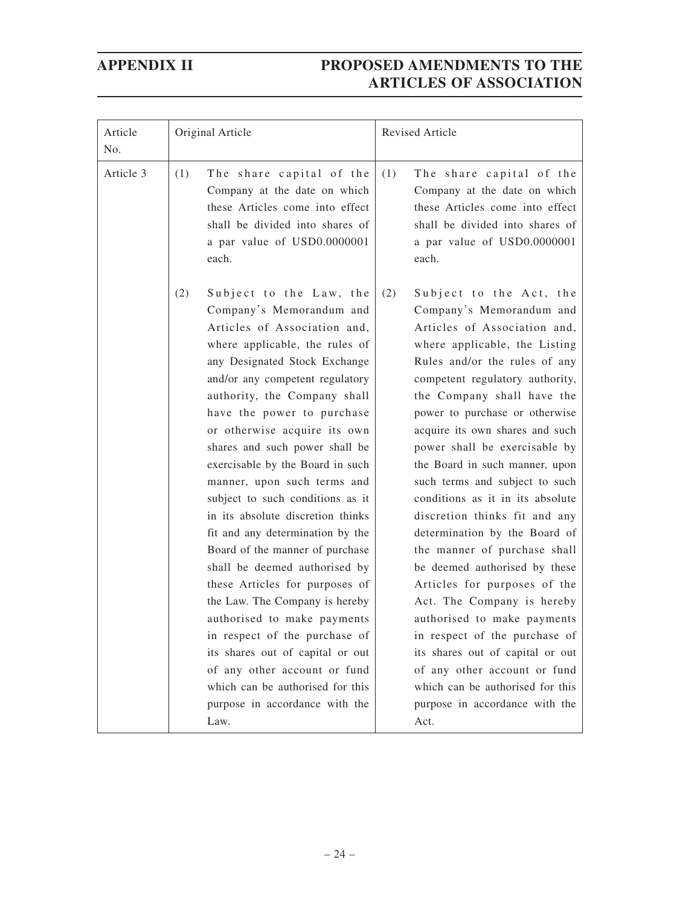| Article<br>No. | Original Article                                                                                                                                                                                                                                                                                                                                                                                                                                                                                                                                                                                                                                                                                                                                                                                                                                                           | Revised Article                                                                                                                                                                                                                                                                                                                                                                                                                                                                                                                                                                                                                                                                                                                                                                                                                                                |
|----------------|----------------------------------------------------------------------------------------------------------------------------------------------------------------------------------------------------------------------------------------------------------------------------------------------------------------------------------------------------------------------------------------------------------------------------------------------------------------------------------------------------------------------------------------------------------------------------------------------------------------------------------------------------------------------------------------------------------------------------------------------------------------------------------------------------------------------------------------------------------------------------|----------------------------------------------------------------------------------------------------------------------------------------------------------------------------------------------------------------------------------------------------------------------------------------------------------------------------------------------------------------------------------------------------------------------------------------------------------------------------------------------------------------------------------------------------------------------------------------------------------------------------------------------------------------------------------------------------------------------------------------------------------------------------------------------------------------------------------------------------------------|
| Article 3      | (1)<br>The share capital of the<br>Company at the date on which<br>these Articles come into effect<br>shall be divided into shares of<br>a par value of USD0.0000001<br>each.                                                                                                                                                                                                                                                                                                                                                                                                                                                                                                                                                                                                                                                                                              | The share capital of the<br>(1)<br>Company at the date on which<br>these Articles come into effect<br>shall be divided into shares of<br>a par value of USD0.0000001<br>each.                                                                                                                                                                                                                                                                                                                                                                                                                                                                                                                                                                                                                                                                                  |
|                | (2)<br>Subject to the Law, the<br>Company's Memorandum and<br>Articles of Association and,<br>where applicable, the rules of<br>any Designated Stock Exchange<br>and/or any competent regulatory<br>authority, the Company shall<br>have the power to purchase<br>or otherwise acquire its own<br>shares and such power shall be<br>exercisable by the Board in such<br>manner, upon such terms and<br>subject to such conditions as it<br>in its absolute discretion thinks<br>fit and any determination by the<br>Board of the manner of purchase<br>shall be deemed authorised by<br>these Articles for purposes of<br>the Law. The Company is hereby<br>authorised to make payments<br>in respect of the purchase of<br>its shares out of capital or out<br>of any other account or fund<br>which can be authorised for this<br>purpose in accordance with the<br>Law. | (2)<br>Subject to the Act, the<br>Company's Memorandum and<br>Articles of Association and,<br>where applicable, the Listing<br>Rules and/or the rules of any<br>competent regulatory authority,<br>the Company shall have the<br>power to purchase or otherwise<br>acquire its own shares and such<br>power shall be exercisable by<br>the Board in such manner, upon<br>such terms and subject to such<br>conditions as it in its absolute<br>discretion thinks fit and any<br>determination by the Board of<br>the manner of purchase shall<br>be deemed authorised by these<br>Articles for purposes of the<br>Act. The Company is hereby<br>authorised to make payments<br>in respect of the purchase of<br>its shares out of capital or out<br>of any other account or fund<br>which can be authorised for this<br>purpose in accordance with the<br>Act. |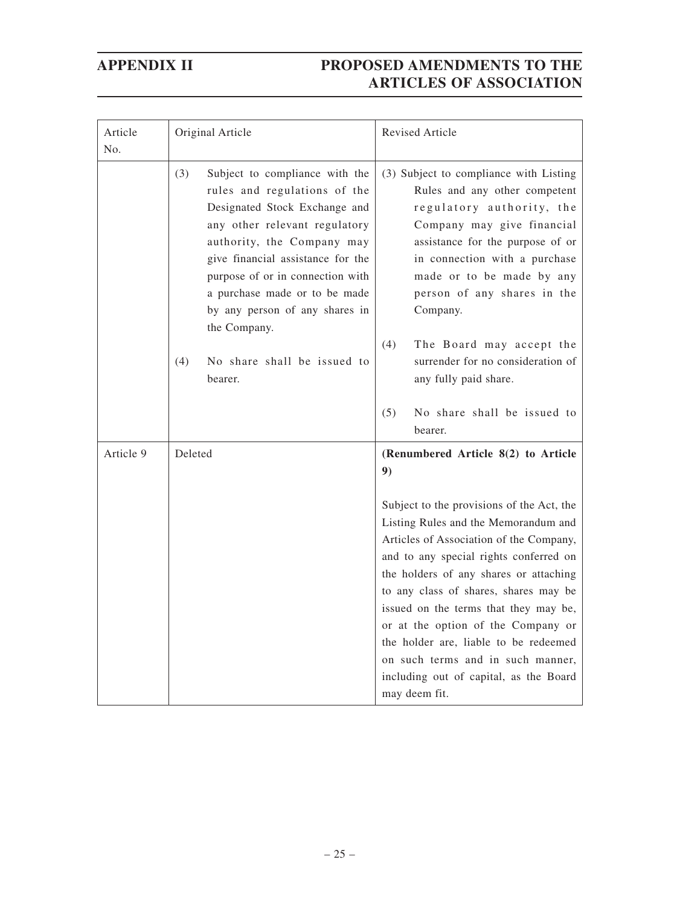| Article<br>No. | Original Article                                                                                                                                                                                                                                                                                                                                                        | <b>Revised Article</b>                                                                                                                                                                                                                                                                                                                                                                                                                                                            |
|----------------|-------------------------------------------------------------------------------------------------------------------------------------------------------------------------------------------------------------------------------------------------------------------------------------------------------------------------------------------------------------------------|-----------------------------------------------------------------------------------------------------------------------------------------------------------------------------------------------------------------------------------------------------------------------------------------------------------------------------------------------------------------------------------------------------------------------------------------------------------------------------------|
|                | (3)<br>Subject to compliance with the<br>rules and regulations of the<br>Designated Stock Exchange and<br>any other relevant regulatory<br>authority, the Company may<br>give financial assistance for the<br>purpose of or in connection with<br>a purchase made or to be made<br>by any person of any shares in<br>the Company.<br>(4)<br>No share shall be issued to | (3) Subject to compliance with Listing<br>Rules and any other competent<br>regulatory authority, the<br>Company may give financial<br>assistance for the purpose of or<br>in connection with a purchase<br>made or to be made by any<br>person of any shares in the<br>Company.<br>The Board may accept the<br>(4)<br>surrender for no consideration of                                                                                                                           |
|                | bearer.                                                                                                                                                                                                                                                                                                                                                                 | any fully paid share.<br>(5)<br>No share shall be issued to<br>bearer.                                                                                                                                                                                                                                                                                                                                                                                                            |
| Article 9      | Deleted                                                                                                                                                                                                                                                                                                                                                                 | (Renumbered Article 8(2) to Article<br>9)                                                                                                                                                                                                                                                                                                                                                                                                                                         |
|                |                                                                                                                                                                                                                                                                                                                                                                         | Subject to the provisions of the Act, the<br>Listing Rules and the Memorandum and<br>Articles of Association of the Company,<br>and to any special rights conferred on<br>the holders of any shares or attaching<br>to any class of shares, shares may be<br>issued on the terms that they may be,<br>or at the option of the Company or<br>the holder are, liable to be redeemed<br>on such terms and in such manner,<br>including out of capital, as the Board<br>may deem fit. |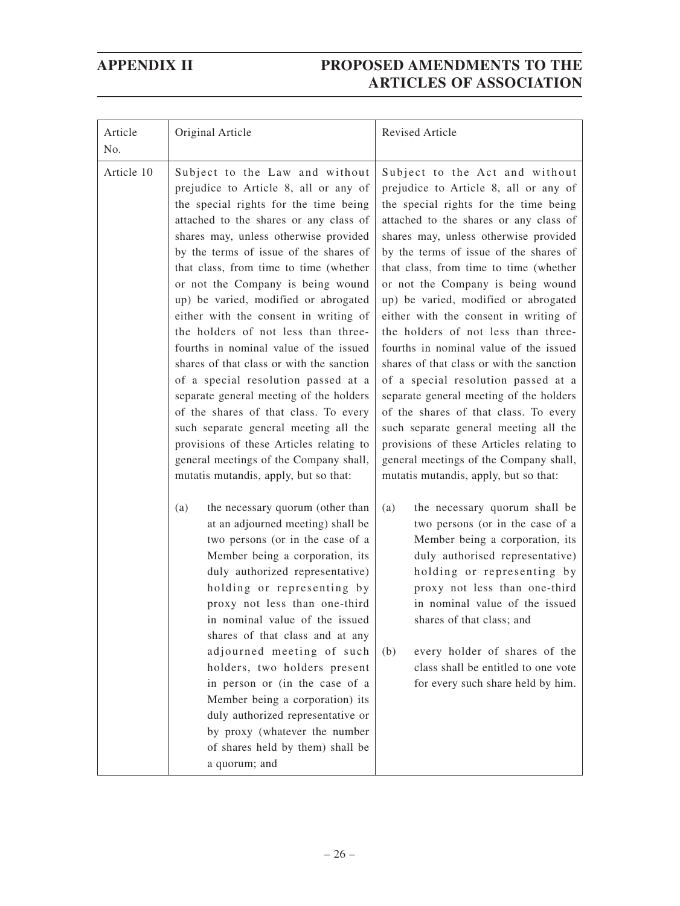| Article<br>No. | Original Article                                                                                                                                                                                                                                                                                                                                                                                                                                                                                                                                                                                                                                                                                                                                                                                                                               | <b>Revised Article</b>                                                                                                                                                                                                                                                                                                                                                                                                                                                                                                                                                                                                                                                                                                                                                                                                                         |
|----------------|------------------------------------------------------------------------------------------------------------------------------------------------------------------------------------------------------------------------------------------------------------------------------------------------------------------------------------------------------------------------------------------------------------------------------------------------------------------------------------------------------------------------------------------------------------------------------------------------------------------------------------------------------------------------------------------------------------------------------------------------------------------------------------------------------------------------------------------------|------------------------------------------------------------------------------------------------------------------------------------------------------------------------------------------------------------------------------------------------------------------------------------------------------------------------------------------------------------------------------------------------------------------------------------------------------------------------------------------------------------------------------------------------------------------------------------------------------------------------------------------------------------------------------------------------------------------------------------------------------------------------------------------------------------------------------------------------|
| Article 10     | Subject to the Law and without<br>prejudice to Article 8, all or any of<br>the special rights for the time being<br>attached to the shares or any class of<br>shares may, unless otherwise provided<br>by the terms of issue of the shares of<br>that class, from time to time (whether<br>or not the Company is being wound<br>up) be varied, modified or abrogated<br>either with the consent in writing of<br>the holders of not less than three-<br>fourths in nominal value of the issued<br>shares of that class or with the sanction<br>of a special resolution passed at a<br>separate general meeting of the holders<br>of the shares of that class. To every<br>such separate general meeting all the<br>provisions of these Articles relating to<br>general meetings of the Company shall,<br>mutatis mutandis, apply, but so that: | Subject to the Act and without<br>prejudice to Article 8, all or any of<br>the special rights for the time being<br>attached to the shares or any class of<br>shares may, unless otherwise provided<br>by the terms of issue of the shares of<br>that class, from time to time (whether<br>or not the Company is being wound<br>up) be varied, modified or abrogated<br>either with the consent in writing of<br>the holders of not less than three-<br>fourths in nominal value of the issued<br>shares of that class or with the sanction<br>of a special resolution passed at a<br>separate general meeting of the holders<br>of the shares of that class. To every<br>such separate general meeting all the<br>provisions of these Articles relating to<br>general meetings of the Company shall,<br>mutatis mutandis, apply, but so that: |
|                | (a)<br>the necessary quorum (other than<br>at an adjourned meeting) shall be<br>two persons (or in the case of a<br>Member being a corporation, its<br>duly authorized representative)<br>holding or representing by<br>proxy not less than one-third<br>in nominal value of the issued<br>shares of that class and at any<br>adjourned meeting of such<br>holders, two holders present<br>in person or (in the case of a<br>Member being a corporation) its<br>duly authorized representative or<br>by proxy (whatever the number<br>of shares held by them) shall be<br>a quorum; and                                                                                                                                                                                                                                                        | the necessary quorum shall be<br>(a)<br>two persons (or in the case of a<br>Member being a corporation, its<br>duly authorised representative)<br>holding or representing by<br>proxy not less than one-third<br>in nominal value of the issued<br>shares of that class; and<br>(b)<br>every holder of shares of the<br>class shall be entitled to one vote<br>for every such share held by him.                                                                                                                                                                                                                                                                                                                                                                                                                                               |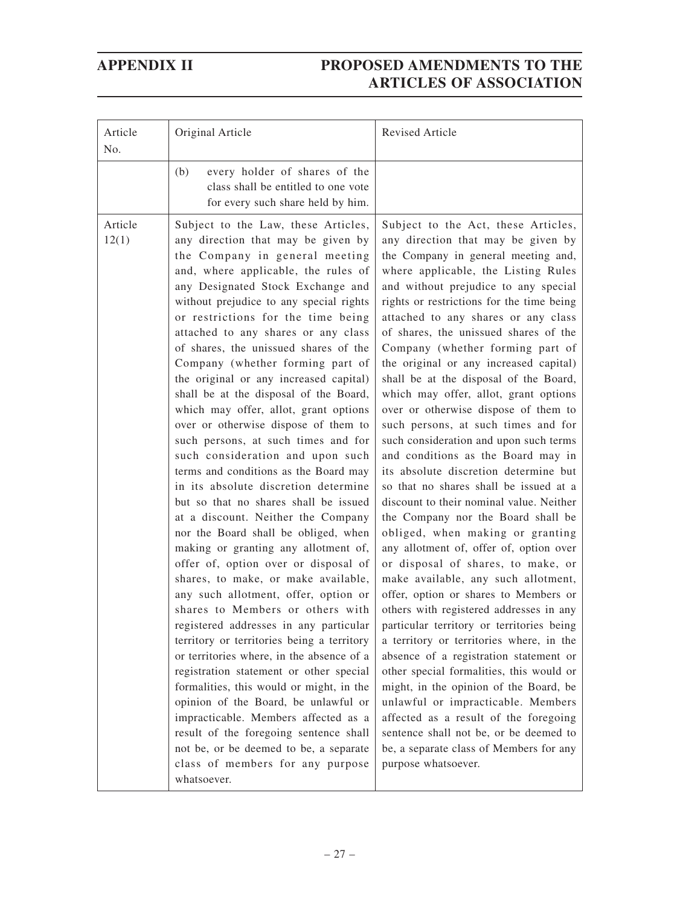| every holder of shares of the<br>(b)<br>class shall be entitled to one vote<br>for every such share held by him.<br>Article<br>Subject to the Law, these Articles,<br>12(1)<br>any direction that may be given by<br>the Company in general meeting<br>and, where applicable, the rules of<br>any Designated Stock Exchange and<br>without prejudice to any special rights<br>or restrictions for the time being<br>attached to any shares or any class<br>of shares, the unissued shares of the<br>Company (whether forming part of<br>the original or any increased capital)                                                                                                                                                                                                                                                                                                                                                                                                                                                                                   | Revised Article                                                                                                                                                                                                                                                                                                                                                                                                                                                                                                                                                                                                                                                                                                                                                                                                                                                                                                                                                                                                                                                                                                                                                                                                                                                                                                                                                                                                                                                                                       |
|------------------------------------------------------------------------------------------------------------------------------------------------------------------------------------------------------------------------------------------------------------------------------------------------------------------------------------------------------------------------------------------------------------------------------------------------------------------------------------------------------------------------------------------------------------------------------------------------------------------------------------------------------------------------------------------------------------------------------------------------------------------------------------------------------------------------------------------------------------------------------------------------------------------------------------------------------------------------------------------------------------------------------------------------------------------|-------------------------------------------------------------------------------------------------------------------------------------------------------------------------------------------------------------------------------------------------------------------------------------------------------------------------------------------------------------------------------------------------------------------------------------------------------------------------------------------------------------------------------------------------------------------------------------------------------------------------------------------------------------------------------------------------------------------------------------------------------------------------------------------------------------------------------------------------------------------------------------------------------------------------------------------------------------------------------------------------------------------------------------------------------------------------------------------------------------------------------------------------------------------------------------------------------------------------------------------------------------------------------------------------------------------------------------------------------------------------------------------------------------------------------------------------------------------------------------------------------|
|                                                                                                                                                                                                                                                                                                                                                                                                                                                                                                                                                                                                                                                                                                                                                                                                                                                                                                                                                                                                                                                                  |                                                                                                                                                                                                                                                                                                                                                                                                                                                                                                                                                                                                                                                                                                                                                                                                                                                                                                                                                                                                                                                                                                                                                                                                                                                                                                                                                                                                                                                                                                       |
| shall be at the disposal of the Board,<br>which may offer, allot, grant options<br>over or otherwise dispose of them to<br>such persons, at such times and for<br>such consideration and upon such<br>terms and conditions as the Board may<br>in its absolute discretion determine<br>but so that no shares shall be issued<br>at a discount. Neither the Company<br>nor the Board shall be obliged, when<br>making or granting any allotment of,<br>offer of, option over or disposal of<br>shares, to make, or make available,<br>any such allotment, offer, option or<br>shares to Members or others with<br>registered addresses in any particular<br>territory or territories being a territory<br>or territories where, in the absence of a<br>registration statement or other special<br>formalities, this would or might, in the<br>opinion of the Board, be unlawful or<br>impracticable. Members affected as a<br>result of the foregoing sentence shall<br>not be, or be deemed to be, a separate<br>class of members for any purpose<br>whatsoever. | Subject to the Act, these Articles,<br>any direction that may be given by<br>the Company in general meeting and,<br>where applicable, the Listing Rules<br>and without prejudice to any special<br>rights or restrictions for the time being<br>attached to any shares or any class<br>of shares, the unissued shares of the<br>Company (whether forming part of<br>the original or any increased capital)<br>shall be at the disposal of the Board,<br>which may offer, allot, grant options<br>over or otherwise dispose of them to<br>such persons, at such times and for<br>such consideration and upon such terms<br>and conditions as the Board may in<br>its absolute discretion determine but<br>so that no shares shall be issued at a<br>discount to their nominal value. Neither<br>the Company nor the Board shall be<br>obliged, when making or granting<br>any allotment of, offer of, option over<br>or disposal of shares, to make, or<br>make available, any such allotment,<br>offer, option or shares to Members or<br>others with registered addresses in any<br>particular territory or territories being<br>a territory or territories where, in the<br>absence of a registration statement or<br>other special formalities, this would or<br>might, in the opinion of the Board, be<br>unlawful or impracticable. Members<br>affected as a result of the foregoing<br>sentence shall not be, or be deemed to<br>be, a separate class of Members for any<br>purpose whatsoever. |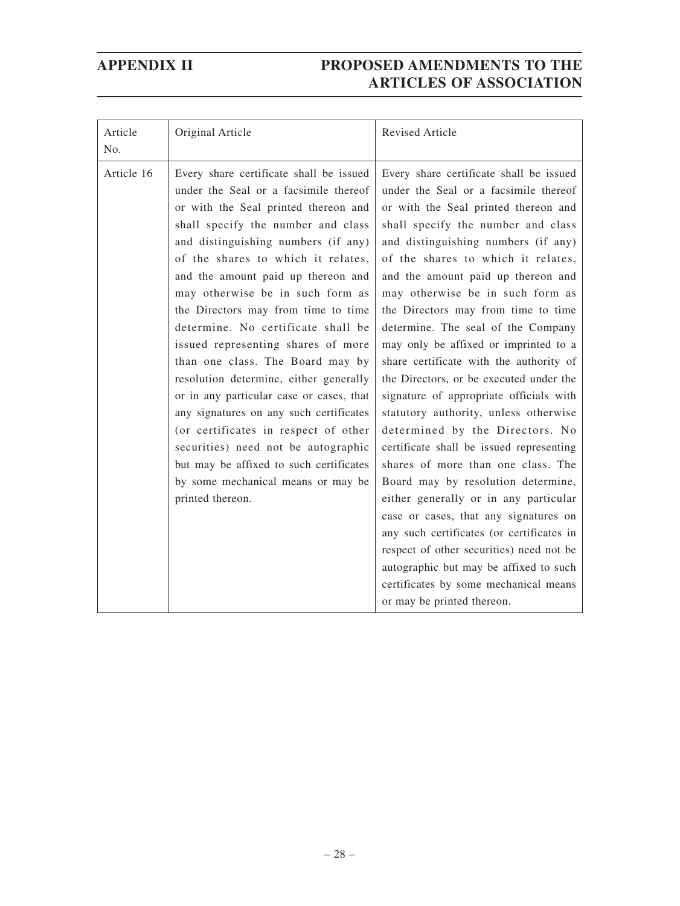| Article<br>No. | Original Article                                                                                                                                                                                                                                                                                                                                                                                                                                                                                                                                                                                                                                                                                                                                                                                  | <b>Revised Article</b>                                                                                                                                                                                                                                                                                                                                                                                                                                                                                                                                                                                                                                                                                                                                                                                                                                                                                                                                                                                                                                                       |
|----------------|---------------------------------------------------------------------------------------------------------------------------------------------------------------------------------------------------------------------------------------------------------------------------------------------------------------------------------------------------------------------------------------------------------------------------------------------------------------------------------------------------------------------------------------------------------------------------------------------------------------------------------------------------------------------------------------------------------------------------------------------------------------------------------------------------|------------------------------------------------------------------------------------------------------------------------------------------------------------------------------------------------------------------------------------------------------------------------------------------------------------------------------------------------------------------------------------------------------------------------------------------------------------------------------------------------------------------------------------------------------------------------------------------------------------------------------------------------------------------------------------------------------------------------------------------------------------------------------------------------------------------------------------------------------------------------------------------------------------------------------------------------------------------------------------------------------------------------------------------------------------------------------|
| Article 16     | Every share certificate shall be issued<br>under the Seal or a facsimile thereof<br>or with the Seal printed thereon and<br>shall specify the number and class<br>and distinguishing numbers (if any)<br>of the shares to which it relates,<br>and the amount paid up thereon and<br>may otherwise be in such form as<br>the Directors may from time to time<br>determine. No certificate shall be<br>issued representing shares of more<br>than one class. The Board may by<br>resolution determine, either generally<br>or in any particular case or cases, that<br>any signatures on any such certificates<br>(or certificates in respect of other<br>securities) need not be autographic<br>but may be affixed to such certificates<br>by some mechanical means or may be<br>printed thereon. | Every share certificate shall be issued<br>under the Seal or a facsimile thereof<br>or with the Seal printed thereon and<br>shall specify the number and class<br>and distinguishing numbers (if any)<br>of the shares to which it relates,<br>and the amount paid up thereon and<br>may otherwise be in such form as<br>the Directors may from time to time<br>determine. The seal of the Company<br>may only be affixed or imprinted to a<br>share certificate with the authority of<br>the Directors, or be executed under the<br>signature of appropriate officials with<br>statutory authority, unless otherwise<br>determined by the Directors. No<br>certificate shall be issued representing<br>shares of more than one class. The<br>Board may by resolution determine,<br>either generally or in any particular<br>case or cases, that any signatures on<br>any such certificates (or certificates in<br>respect of other securities) need not be<br>autographic but may be affixed to such<br>certificates by some mechanical means<br>or may be printed thereon. |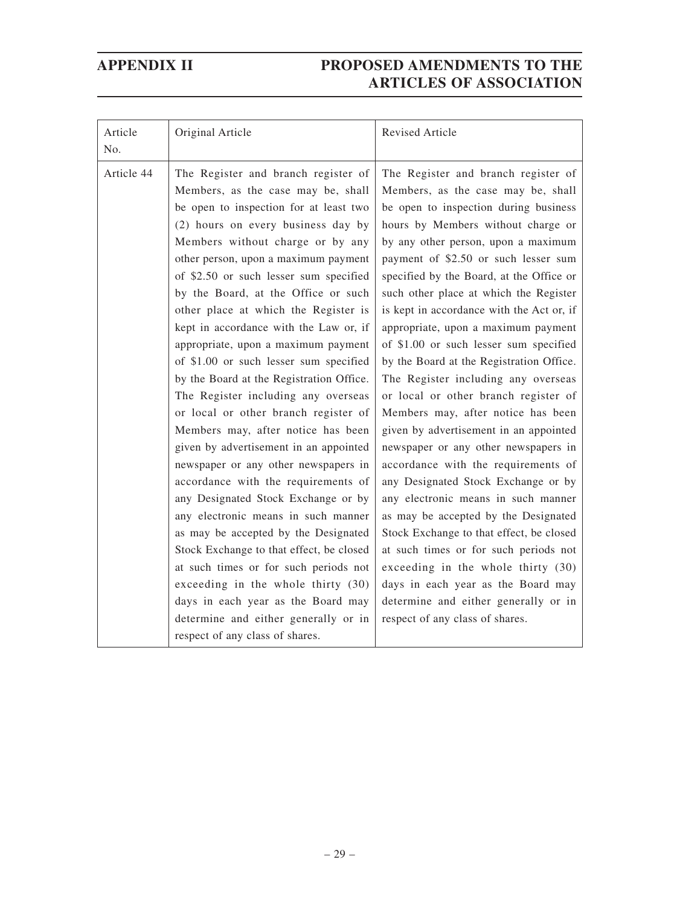| Article<br>No. | Original Article                                                                                                                                                                                                                                                                                                                                                                                                                                                                                                                                                                                                                                                                                                                                                                                                                                                                                                                                                                                                                                                                                                                                      | Revised Article                                                                                                                                                                                                                                                                                                                                                                                                                                                                                                                                                                                                                                                                                                                                                                                                                                                                                                                                                                                                                                                                                                         |
|----------------|-------------------------------------------------------------------------------------------------------------------------------------------------------------------------------------------------------------------------------------------------------------------------------------------------------------------------------------------------------------------------------------------------------------------------------------------------------------------------------------------------------------------------------------------------------------------------------------------------------------------------------------------------------------------------------------------------------------------------------------------------------------------------------------------------------------------------------------------------------------------------------------------------------------------------------------------------------------------------------------------------------------------------------------------------------------------------------------------------------------------------------------------------------|-------------------------------------------------------------------------------------------------------------------------------------------------------------------------------------------------------------------------------------------------------------------------------------------------------------------------------------------------------------------------------------------------------------------------------------------------------------------------------------------------------------------------------------------------------------------------------------------------------------------------------------------------------------------------------------------------------------------------------------------------------------------------------------------------------------------------------------------------------------------------------------------------------------------------------------------------------------------------------------------------------------------------------------------------------------------------------------------------------------------------|
| Article 44     | The Register and branch register of<br>Members, as the case may be, shall<br>be open to inspection for at least two<br>(2) hours on every business day by<br>Members without charge or by any<br>other person, upon a maximum payment<br>of \$2.50 or such lesser sum specified<br>by the Board, at the Office or such<br>other place at which the Register is<br>kept in accordance with the Law or, if<br>appropriate, upon a maximum payment<br>of \$1.00 or such lesser sum specified<br>by the Board at the Registration Office.<br>The Register including any overseas<br>or local or other branch register of<br>Members may, after notice has been<br>given by advertisement in an appointed<br>newspaper or any other newspapers in<br>accordance with the requirements of<br>any Designated Stock Exchange or by<br>any electronic means in such manner<br>as may be accepted by the Designated<br>Stock Exchange to that effect, be closed<br>at such times or for such periods not<br>exceeding in the whole thirty (30)<br>days in each year as the Board may<br>determine and either generally or in<br>respect of any class of shares. | The Register and branch register of<br>Members, as the case may be, shall<br>be open to inspection during business<br>hours by Members without charge or<br>by any other person, upon a maximum<br>payment of \$2.50 or such lesser sum<br>specified by the Board, at the Office or<br>such other place at which the Register<br>is kept in accordance with the Act or, if<br>appropriate, upon a maximum payment<br>of \$1.00 or such lesser sum specified<br>by the Board at the Registration Office.<br>The Register including any overseas<br>or local or other branch register of<br>Members may, after notice has been<br>given by advertisement in an appointed<br>newspaper or any other newspapers in<br>accordance with the requirements of<br>any Designated Stock Exchange or by<br>any electronic means in such manner<br>as may be accepted by the Designated<br>Stock Exchange to that effect, be closed<br>at such times or for such periods not<br>exceeding in the whole thirty (30)<br>days in each year as the Board may<br>determine and either generally or in<br>respect of any class of shares. |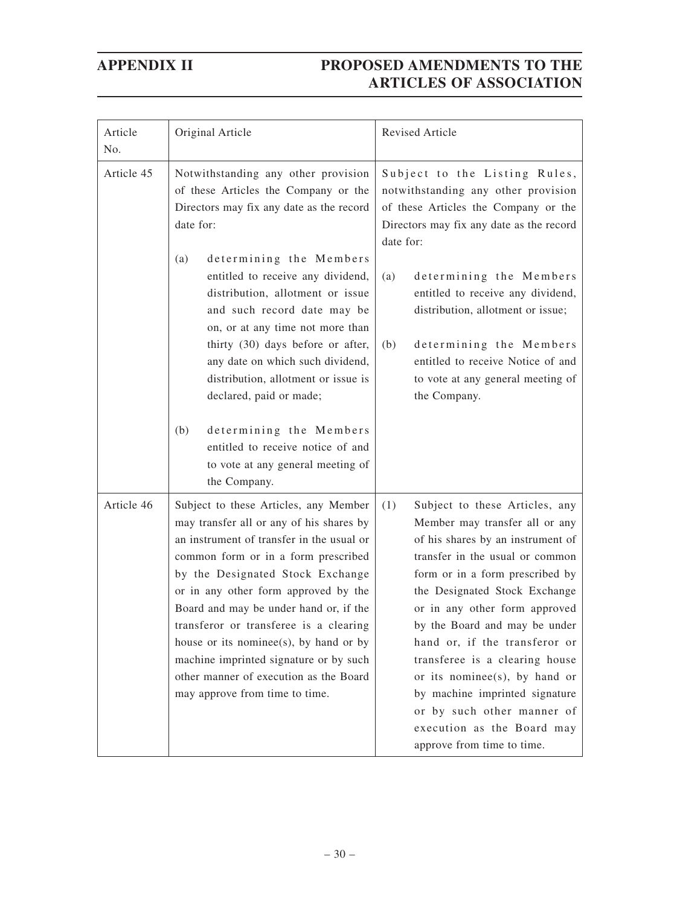| Article<br>No. | Original Article                                                                                                                                                                                                                                                                                                                                                                                                                                                                                      | Revised Article                                                                                                                                                                                                                                                                                                                                                                                                                                                                                                       |
|----------------|-------------------------------------------------------------------------------------------------------------------------------------------------------------------------------------------------------------------------------------------------------------------------------------------------------------------------------------------------------------------------------------------------------------------------------------------------------------------------------------------------------|-----------------------------------------------------------------------------------------------------------------------------------------------------------------------------------------------------------------------------------------------------------------------------------------------------------------------------------------------------------------------------------------------------------------------------------------------------------------------------------------------------------------------|
| Article 45     | Notwithstanding any other provision<br>of these Articles the Company or the<br>Directors may fix any date as the record<br>date for:                                                                                                                                                                                                                                                                                                                                                                  | Subject to the Listing Rules,<br>notwithstanding any other provision<br>of these Articles the Company or the<br>Directors may fix any date as the record<br>date for:                                                                                                                                                                                                                                                                                                                                                 |
|                | determining the Members<br>(a)<br>entitled to receive any dividend,<br>distribution, allotment or issue<br>and such record date may be<br>on, or at any time not more than<br>thirty (30) days before or after,<br>any date on which such dividend,<br>distribution, allotment or issue is<br>declared, paid or made;                                                                                                                                                                                 | determining the Members<br>(a)<br>entitled to receive any dividend,<br>distribution, allotment or issue;<br>determining the Members<br>(b)<br>entitled to receive Notice of and<br>to vote at any general meeting of<br>the Company.                                                                                                                                                                                                                                                                                  |
|                | determining the Members<br>(b)<br>entitled to receive notice of and<br>to vote at any general meeting of<br>the Company.                                                                                                                                                                                                                                                                                                                                                                              |                                                                                                                                                                                                                                                                                                                                                                                                                                                                                                                       |
| Article 46     | Subject to these Articles, any Member<br>may transfer all or any of his shares by<br>an instrument of transfer in the usual or<br>common form or in a form prescribed<br>by the Designated Stock Exchange<br>or in any other form approved by the<br>Board and may be under hand or, if the<br>transferor or transferee is a clearing<br>house or its nominee(s), by hand or by<br>machine imprinted signature or by such<br>other manner of execution as the Board<br>may approve from time to time. | (1)<br>Subject to these Articles, any<br>Member may transfer all or any<br>of his shares by an instrument of<br>transfer in the usual or common<br>form or in a form prescribed by<br>the Designated Stock Exchange<br>or in any other form approved<br>by the Board and may be under<br>hand or, if the transferor or<br>transferee is a clearing house<br>or its nominee(s), by hand or<br>by machine imprinted signature<br>or by such other manner of<br>execution as the Board may<br>approve from time to time. |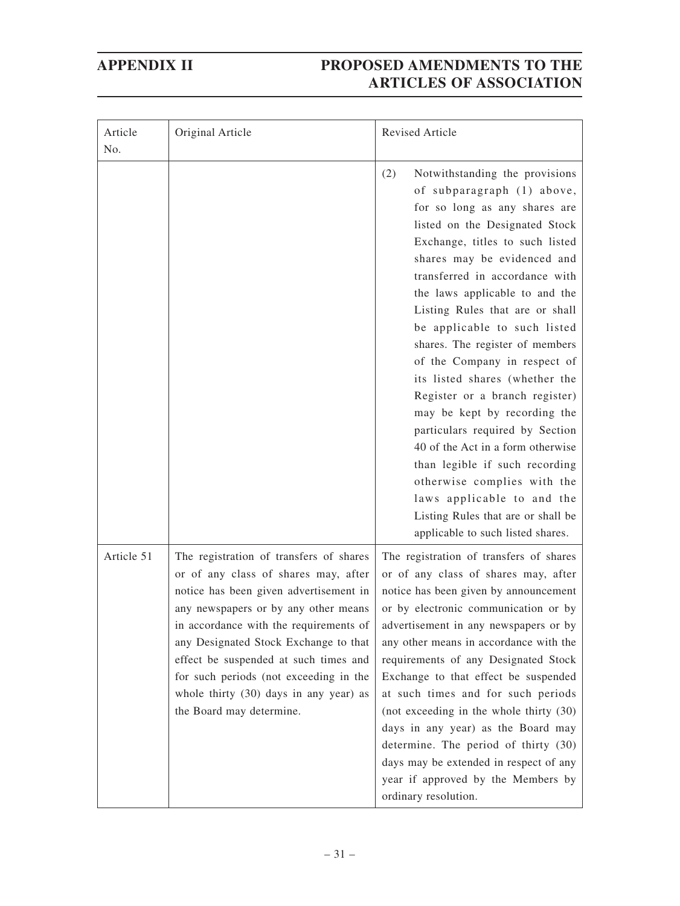| Article<br>No. | Original Article                                                                                                                                                                                                                                                                                                                                                                                              | <b>Revised Article</b>                                                                                                                                                                                                                                                                                                                                                                                                                                                                                                                                                                                                                                                                                                                                                   |
|----------------|---------------------------------------------------------------------------------------------------------------------------------------------------------------------------------------------------------------------------------------------------------------------------------------------------------------------------------------------------------------------------------------------------------------|--------------------------------------------------------------------------------------------------------------------------------------------------------------------------------------------------------------------------------------------------------------------------------------------------------------------------------------------------------------------------------------------------------------------------------------------------------------------------------------------------------------------------------------------------------------------------------------------------------------------------------------------------------------------------------------------------------------------------------------------------------------------------|
|                |                                                                                                                                                                                                                                                                                                                                                                                                               | (2)<br>Notwithstanding the provisions<br>of subparagraph (1) above,<br>for so long as any shares are<br>listed on the Designated Stock<br>Exchange, titles to such listed<br>shares may be evidenced and<br>transferred in accordance with<br>the laws applicable to and the<br>Listing Rules that are or shall<br>be applicable to such listed<br>shares. The register of members<br>of the Company in respect of<br>its listed shares (whether the<br>Register or a branch register)<br>may be kept by recording the<br>particulars required by Section<br>40 of the Act in a form otherwise<br>than legible if such recording<br>otherwise complies with the<br>laws applicable to and the<br>Listing Rules that are or shall be<br>applicable to such listed shares. |
| Article 51     | The registration of transfers of shares<br>or of any class of shares may, after<br>notice has been given advertisement in<br>any newspapers or by any other means<br>in accordance with the requirements of<br>any Designated Stock Exchange to that<br>effect be suspended at such times and<br>for such periods (not exceeding in the<br>whole thirty (30) days in any year) as<br>the Board may determine. | The registration of transfers of shares<br>or of any class of shares may, after<br>notice has been given by announcement<br>or by electronic communication or by<br>advertisement in any newspapers or by<br>any other means in accordance with the<br>requirements of any Designated Stock<br>Exchange to that effect be suspended<br>at such times and for such periods<br>(not exceeding in the whole thirty (30)<br>days in any year) as the Board may<br>determine. The period of thirty (30)<br>days may be extended in respect of any<br>year if approved by the Members by<br>ordinary resolution.                                                                                                                                                               |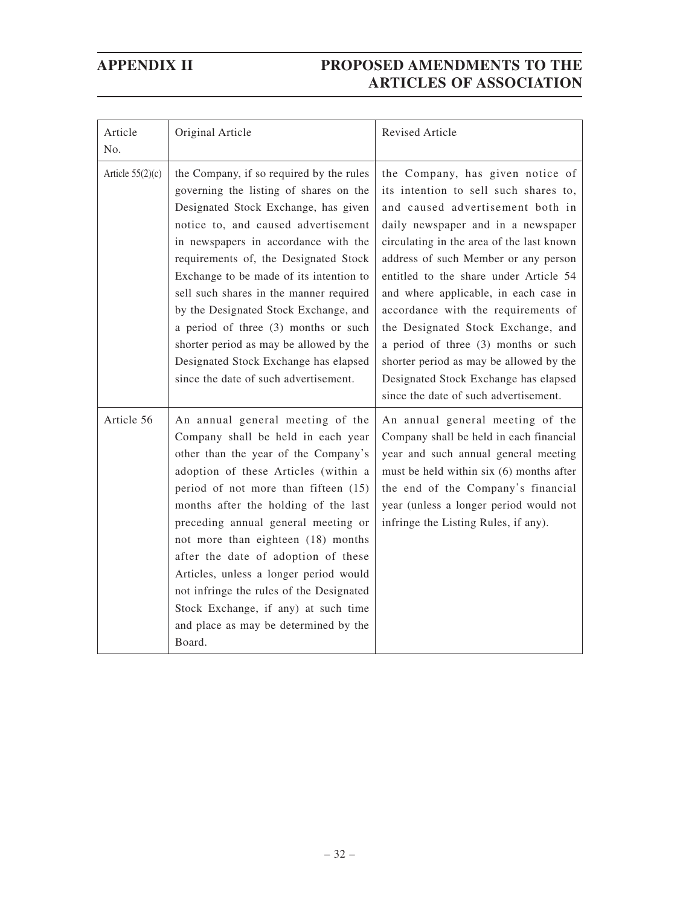| Article<br>No.     | Original Article                                                                                                                                                                                                                                                                                                                                                                                                                                                                                                                                       | Revised Article                                                                                                                                                                                                                                                                                                                                                                                                                                                                                                                                                               |
|--------------------|--------------------------------------------------------------------------------------------------------------------------------------------------------------------------------------------------------------------------------------------------------------------------------------------------------------------------------------------------------------------------------------------------------------------------------------------------------------------------------------------------------------------------------------------------------|-------------------------------------------------------------------------------------------------------------------------------------------------------------------------------------------------------------------------------------------------------------------------------------------------------------------------------------------------------------------------------------------------------------------------------------------------------------------------------------------------------------------------------------------------------------------------------|
| Article $55(2)(c)$ | the Company, if so required by the rules<br>governing the listing of shares on the<br>Designated Stock Exchange, has given<br>notice to, and caused advertisement<br>in newspapers in accordance with the<br>requirements of, the Designated Stock<br>Exchange to be made of its intention to<br>sell such shares in the manner required<br>by the Designated Stock Exchange, and<br>a period of three (3) months or such<br>shorter period as may be allowed by the<br>Designated Stock Exchange has elapsed<br>since the date of such advertisement. | the Company, has given notice of<br>its intention to sell such shares to,<br>and caused advertisement both in<br>daily newspaper and in a newspaper<br>circulating in the area of the last known<br>address of such Member or any person<br>entitled to the share under Article 54<br>and where applicable, in each case in<br>accordance with the requirements of<br>the Designated Stock Exchange, and<br>a period of three (3) months or such<br>shorter period as may be allowed by the<br>Designated Stock Exchange has elapsed<br>since the date of such advertisement. |
| Article 56         | An annual general meeting of the<br>Company shall be held in each year<br>other than the year of the Company's<br>adoption of these Articles (within a<br>period of not more than fifteen (15)<br>months after the holding of the last<br>preceding annual general meeting or<br>not more than eighteen (18) months<br>after the date of adoption of these<br>Articles, unless a longer period would<br>not infringe the rules of the Designated<br>Stock Exchange, if any) at such time<br>and place as may be determined by the<br>Board.            | An annual general meeting of the<br>Company shall be held in each financial<br>year and such annual general meeting<br>must be held within six (6) months after<br>the end of the Company's financial<br>year (unless a longer period would not<br>infringe the Listing Rules, if any).                                                                                                                                                                                                                                                                                       |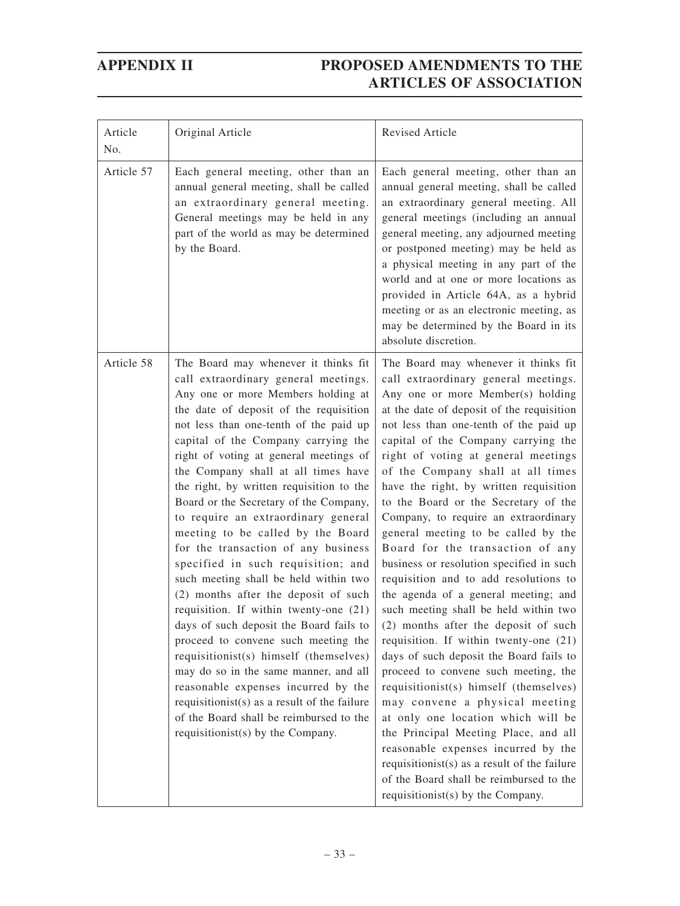| Article<br>No. | Original Article                                                                                                                                                                                                                                                                                                                                                                                                                                                                                                                                                                                                                                                                                                                                                                                                                                                                                                                                                                                                                                     | <b>Revised Article</b>                                                                                                                                                                                                                                                                                                                                                                                                                                                                                                                                                                                                                                                                                                                                                                                                                                                                                                                                                                                                                                                                                                                                                                                       |
|----------------|------------------------------------------------------------------------------------------------------------------------------------------------------------------------------------------------------------------------------------------------------------------------------------------------------------------------------------------------------------------------------------------------------------------------------------------------------------------------------------------------------------------------------------------------------------------------------------------------------------------------------------------------------------------------------------------------------------------------------------------------------------------------------------------------------------------------------------------------------------------------------------------------------------------------------------------------------------------------------------------------------------------------------------------------------|--------------------------------------------------------------------------------------------------------------------------------------------------------------------------------------------------------------------------------------------------------------------------------------------------------------------------------------------------------------------------------------------------------------------------------------------------------------------------------------------------------------------------------------------------------------------------------------------------------------------------------------------------------------------------------------------------------------------------------------------------------------------------------------------------------------------------------------------------------------------------------------------------------------------------------------------------------------------------------------------------------------------------------------------------------------------------------------------------------------------------------------------------------------------------------------------------------------|
| Article 57     | Each general meeting, other than an<br>annual general meeting, shall be called<br>an extraordinary general meeting.<br>General meetings may be held in any<br>part of the world as may be determined<br>by the Board.                                                                                                                                                                                                                                                                                                                                                                                                                                                                                                                                                                                                                                                                                                                                                                                                                                | Each general meeting, other than an<br>annual general meeting, shall be called<br>an extraordinary general meeting. All<br>general meetings (including an annual<br>general meeting, any adjourned meeting<br>or postponed meeting) may be held as<br>a physical meeting in any part of the<br>world and at one or more locations as<br>provided in Article 64A, as a hybrid<br>meeting or as an electronic meeting, as<br>may be determined by the Board in its<br>absolute discretion.                                                                                                                                                                                                                                                                                                                                                                                                                                                                                                                                                                                                                                                                                                                     |
| Article 58     | The Board may whenever it thinks fit<br>call extraordinary general meetings.<br>Any one or more Members holding at<br>the date of deposit of the requisition<br>not less than one-tenth of the paid up<br>capital of the Company carrying the<br>right of voting at general meetings of<br>the Company shall at all times have<br>the right, by written requisition to the<br>Board or the Secretary of the Company,<br>to require an extraordinary general<br>meeting to be called by the Board<br>for the transaction of any business<br>specified in such requisition; and<br>such meeting shall be held within two<br>(2) months after the deposit of such<br>requisition. If within twenty-one (21)<br>days of such deposit the Board fails to<br>proceed to convene such meeting the<br>requisitionist(s) himself (themselves)<br>may do so in the same manner, and all<br>reasonable expenses incurred by the<br>requisitionist(s) as a result of the failure<br>of the Board shall be reimbursed to the<br>requisitionist(s) by the Company. | The Board may whenever it thinks fit<br>call extraordinary general meetings.<br>Any one or more Member(s) holding<br>at the date of deposit of the requisition<br>not less than one-tenth of the paid up<br>capital of the Company carrying the<br>right of voting at general meetings<br>of the Company shall at all times<br>have the right, by written requisition<br>to the Board or the Secretary of the<br>Company, to require an extraordinary<br>general meeting to be called by the<br>Board for the transaction of any<br>business or resolution specified in such<br>requisition and to add resolutions to<br>the agenda of a general meeting; and<br>such meeting shall be held within two<br>(2) months after the deposit of such<br>requisition. If within twenty-one (21)<br>days of such deposit the Board fails to<br>proceed to convene such meeting, the<br>requisitionist(s) himself (themselves)<br>may convene a physical meeting<br>at only one location which will be<br>the Principal Meeting Place, and all<br>reasonable expenses incurred by the<br>requisitionist(s) as a result of the failure<br>of the Board shall be reimbursed to the<br>requisitionist(s) by the Company. |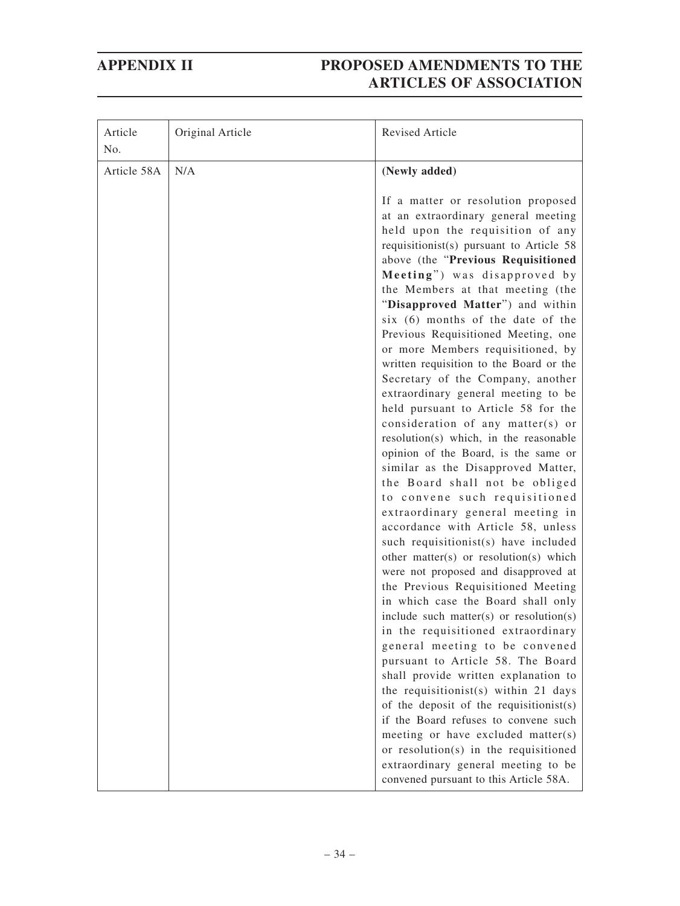| Article<br>No. | Original Article | Revised Article                                                                                                                                                                                                                                                                                                                                                                                                                                                                                                                                                                                                                                                                                                                                                                                                                                                                                                                                                                                                                                                                                                                                                                                                                                                                                                                                |
|----------------|------------------|------------------------------------------------------------------------------------------------------------------------------------------------------------------------------------------------------------------------------------------------------------------------------------------------------------------------------------------------------------------------------------------------------------------------------------------------------------------------------------------------------------------------------------------------------------------------------------------------------------------------------------------------------------------------------------------------------------------------------------------------------------------------------------------------------------------------------------------------------------------------------------------------------------------------------------------------------------------------------------------------------------------------------------------------------------------------------------------------------------------------------------------------------------------------------------------------------------------------------------------------------------------------------------------------------------------------------------------------|
| Article 58A    | N/A              | (Newly added)                                                                                                                                                                                                                                                                                                                                                                                                                                                                                                                                                                                                                                                                                                                                                                                                                                                                                                                                                                                                                                                                                                                                                                                                                                                                                                                                  |
|                |                  | If a matter or resolution proposed<br>at an extraordinary general meeting<br>held upon the requisition of any<br>requisitionist(s) pursuant to Article 58<br>above (the "Previous Requisitioned<br>Meeting") was disapproved by<br>the Members at that meeting (the<br>"Disapproved Matter") and within<br>six (6) months of the date of the<br>Previous Requisitioned Meeting, one<br>or more Members requisitioned, by<br>written requisition to the Board or the<br>Secretary of the Company, another<br>extraordinary general meeting to be<br>held pursuant to Article 58 for the<br>consideration of any matter(s) or<br>resolution(s) which, in the reasonable<br>opinion of the Board, is the same or<br>similar as the Disapproved Matter,<br>the Board shall not be obliged<br>to convene such requisitioned<br>extraordinary general meeting in<br>accordance with Article 58, unless<br>such requisitionist(s) have included<br>other matter(s) or resolution(s) which<br>were not proposed and disapproved at<br>the Previous Requisitioned Meeting<br>in which case the Board shall only<br>include such matter(s) or resolution(s)<br>in the requisitioned extraordinary<br>general meeting to be convened<br>pursuant to Article 58. The Board<br>shall provide written explanation to<br>the requisitionist(s) within 21 days |
|                |                  | of the deposit of the requisitionist(s)<br>if the Board refuses to convene such                                                                                                                                                                                                                                                                                                                                                                                                                                                                                                                                                                                                                                                                                                                                                                                                                                                                                                                                                                                                                                                                                                                                                                                                                                                                |
|                |                  | meeting or have excluded matter(s)<br>or resolution(s) in the requisitioned                                                                                                                                                                                                                                                                                                                                                                                                                                                                                                                                                                                                                                                                                                                                                                                                                                                                                                                                                                                                                                                                                                                                                                                                                                                                    |
|                |                  | extraordinary general meeting to be<br>convened pursuant to this Article 58A.                                                                                                                                                                                                                                                                                                                                                                                                                                                                                                                                                                                                                                                                                                                                                                                                                                                                                                                                                                                                                                                                                                                                                                                                                                                                  |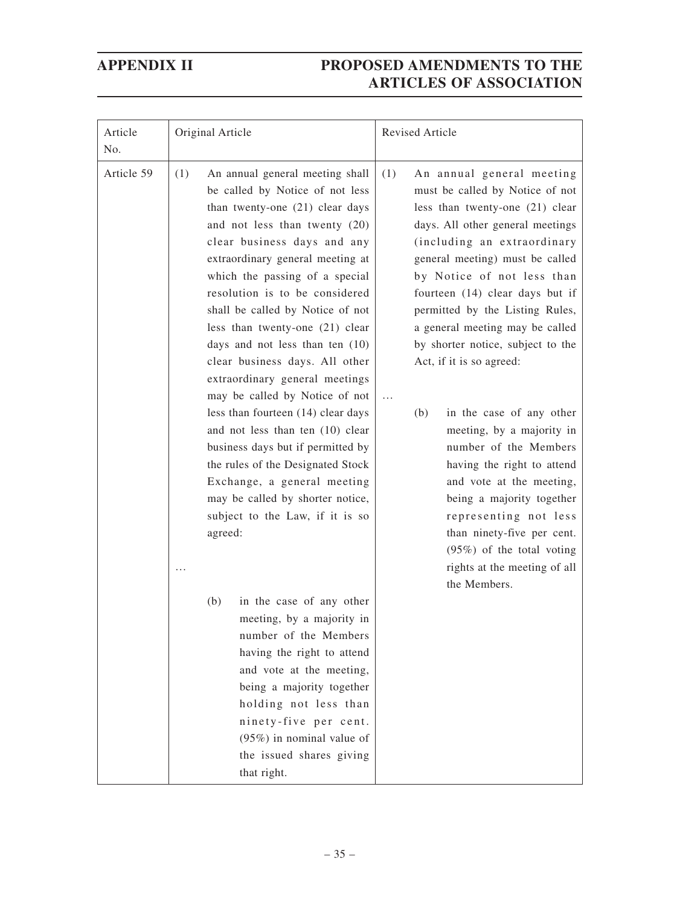| Article<br>No. | Original Article                                                                                                                                                                                                                                                                                                                                                                                                                                                                                                                                                                                                                                                                                                                                                                                                                                                                                                                                                                                                                              | Revised Article                                                                                                                                                                                                                                                                                                                                                                                                                                                                                                                                                                                                                                                                                                                                        |
|----------------|-----------------------------------------------------------------------------------------------------------------------------------------------------------------------------------------------------------------------------------------------------------------------------------------------------------------------------------------------------------------------------------------------------------------------------------------------------------------------------------------------------------------------------------------------------------------------------------------------------------------------------------------------------------------------------------------------------------------------------------------------------------------------------------------------------------------------------------------------------------------------------------------------------------------------------------------------------------------------------------------------------------------------------------------------|--------------------------------------------------------------------------------------------------------------------------------------------------------------------------------------------------------------------------------------------------------------------------------------------------------------------------------------------------------------------------------------------------------------------------------------------------------------------------------------------------------------------------------------------------------------------------------------------------------------------------------------------------------------------------------------------------------------------------------------------------------|
| Article 59     | (1)<br>An annual general meeting shall<br>be called by Notice of not less<br>than twenty-one (21) clear days<br>and not less than twenty (20)<br>clear business days and any<br>extraordinary general meeting at<br>which the passing of a special<br>resolution is to be considered<br>shall be called by Notice of not<br>less than twenty-one (21) clear<br>days and not less than ten $(10)$<br>clear business days. All other<br>extraordinary general meetings<br>may be called by Notice of not<br>less than fourteen (14) clear days<br>and not less than ten (10) clear<br>business days but if permitted by<br>the rules of the Designated Stock<br>Exchange, a general meeting<br>may be called by shorter notice,<br>subject to the Law, if it is so<br>agreed:<br>in the case of any other<br>(b)<br>meeting, by a majority in<br>number of the Members<br>having the right to attend<br>and vote at the meeting,<br>being a majority together<br>holding not less than<br>ninety-five per cent.<br>$(95\%)$ in nominal value of | (1)<br>An annual general meeting<br>must be called by Notice of not<br>less than twenty-one (21) clear<br>days. All other general meetings<br>(including an extraordinary<br>general meeting) must be called<br>by Notice of not less than<br>fourteen (14) clear days but if<br>permitted by the Listing Rules,<br>a general meeting may be called<br>by shorter notice, subject to the<br>Act, if it is so agreed:<br>$\cdots$<br>(b)<br>in the case of any other<br>meeting, by a majority in<br>number of the Members<br>having the right to attend<br>and vote at the meeting,<br>being a majority together<br>representing not less<br>than ninety-five per cent.<br>$(95%)$ of the total voting<br>rights at the meeting of all<br>the Members. |
|                | the issued shares giving<br>that right.                                                                                                                                                                                                                                                                                                                                                                                                                                                                                                                                                                                                                                                                                                                                                                                                                                                                                                                                                                                                       |                                                                                                                                                                                                                                                                                                                                                                                                                                                                                                                                                                                                                                                                                                                                                        |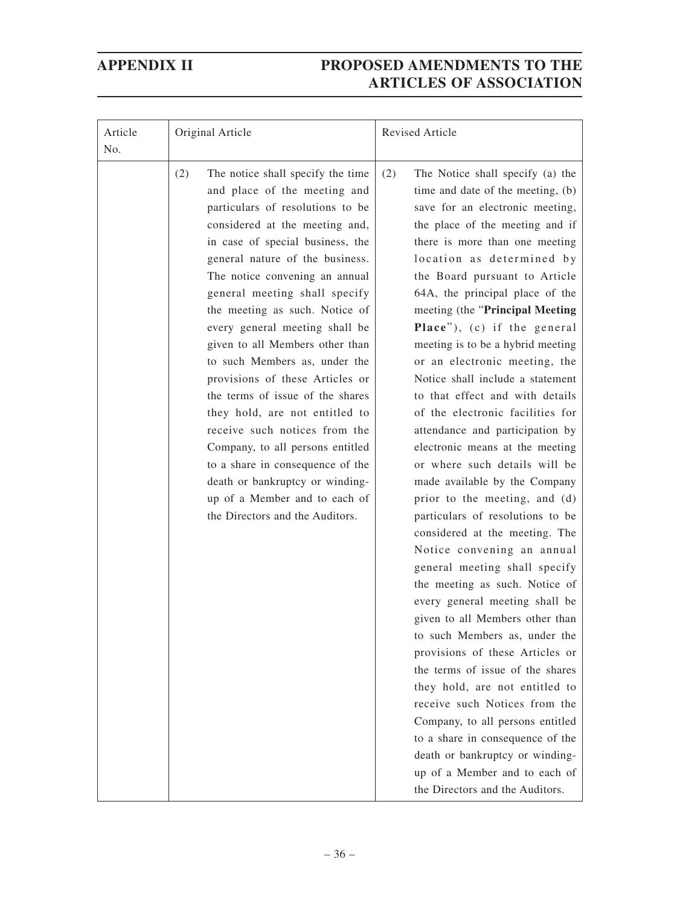| Article<br>No. | Original Article                                                                                                                                                                                                                                                                                                                                                                                                                                                                                                                                                                                                                                                                                                                                          | Revised Article                                                                                                                                                                                                                                                                                                                                                                                                                                                                                                                                                                                                                                                                                                                                                                                                                                                                                                                                                                                                                                                                                                                                                                                                                                                                                                         |
|----------------|-----------------------------------------------------------------------------------------------------------------------------------------------------------------------------------------------------------------------------------------------------------------------------------------------------------------------------------------------------------------------------------------------------------------------------------------------------------------------------------------------------------------------------------------------------------------------------------------------------------------------------------------------------------------------------------------------------------------------------------------------------------|-------------------------------------------------------------------------------------------------------------------------------------------------------------------------------------------------------------------------------------------------------------------------------------------------------------------------------------------------------------------------------------------------------------------------------------------------------------------------------------------------------------------------------------------------------------------------------------------------------------------------------------------------------------------------------------------------------------------------------------------------------------------------------------------------------------------------------------------------------------------------------------------------------------------------------------------------------------------------------------------------------------------------------------------------------------------------------------------------------------------------------------------------------------------------------------------------------------------------------------------------------------------------------------------------------------------------|
|                | (2)<br>The notice shall specify the time<br>and place of the meeting and<br>particulars of resolutions to be<br>considered at the meeting and,<br>in case of special business, the<br>general nature of the business.<br>The notice convening an annual<br>general meeting shall specify<br>the meeting as such. Notice of<br>every general meeting shall be<br>given to all Members other than<br>to such Members as, under the<br>provisions of these Articles or<br>the terms of issue of the shares<br>they hold, are not entitled to<br>receive such notices from the<br>Company, to all persons entitled<br>to a share in consequence of the<br>death or bankruptcy or winding-<br>up of a Member and to each of<br>the Directors and the Auditors. | (2)<br>The Notice shall specify (a) the<br>time and date of the meeting, (b)<br>save for an electronic meeting,<br>the place of the meeting and if<br>there is more than one meeting<br>location as determined by<br>the Board pursuant to Article<br>64A, the principal place of the<br>meeting (the "Principal Meeting<br>Place"), (c) if the general<br>meeting is to be a hybrid meeting<br>or an electronic meeting, the<br>Notice shall include a statement<br>to that effect and with details<br>of the electronic facilities for<br>attendance and participation by<br>electronic means at the meeting<br>or where such details will be<br>made available by the Company<br>prior to the meeting, and (d)<br>particulars of resolutions to be<br>considered at the meeting. The<br>Notice convening an annual<br>general meeting shall specify<br>the meeting as such. Notice of<br>every general meeting shall be<br>given to all Members other than<br>to such Members as, under the<br>provisions of these Articles or<br>the terms of issue of the shares<br>they hold, are not entitled to<br>receive such Notices from the<br>Company, to all persons entitled<br>to a share in consequence of the<br>death or bankruptcy or winding-<br>up of a Member and to each of<br>the Directors and the Auditors. |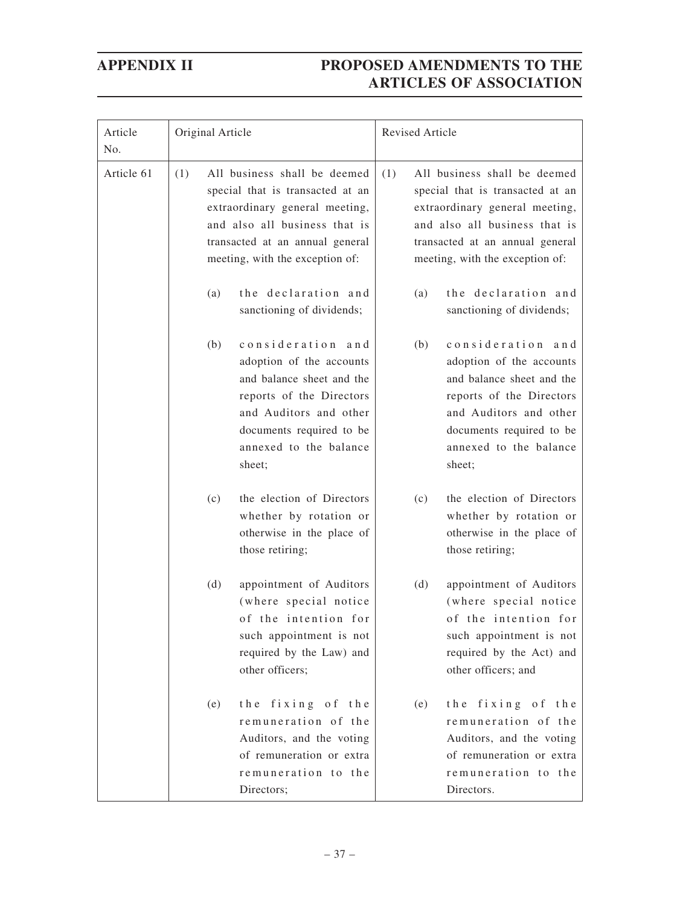| Article<br>No. | Original Article                                                                                                                                                                                                 | Revised Article                                                                                                                                                                                                  |  |
|----------------|------------------------------------------------------------------------------------------------------------------------------------------------------------------------------------------------------------------|------------------------------------------------------------------------------------------------------------------------------------------------------------------------------------------------------------------|--|
| Article 61     | All business shall be deemed<br>(1)<br>special that is transacted at an<br>extraordinary general meeting,<br>and also all business that is<br>transacted at an annual general<br>meeting, with the exception of: | All business shall be deemed<br>(1)<br>special that is transacted at an<br>extraordinary general meeting,<br>and also all business that is<br>transacted at an annual general<br>meeting, with the exception of: |  |
|                | the declaration and<br>(a)<br>sanctioning of dividends;                                                                                                                                                          | the declaration and<br>(a)<br>sanctioning of dividends;                                                                                                                                                          |  |
|                | consideration and<br>(b)<br>adoption of the accounts<br>and balance sheet and the<br>reports of the Directors<br>and Auditors and other<br>documents required to be<br>annexed to the balance<br>sheet;          | consideration and<br>(b)<br>adoption of the accounts<br>and balance sheet and the<br>reports of the Directors<br>and Auditors and other<br>documents required to be<br>annexed to the balance<br>sheet;          |  |
|                | the election of Directors<br>(c)<br>whether by rotation or<br>otherwise in the place of<br>those retiring;                                                                                                       | the election of Directors<br>(c)<br>whether by rotation or<br>otherwise in the place of<br>those retiring;                                                                                                       |  |
|                | appointment of Auditors<br>(d)<br>(where special notice<br>of the intention for<br>such appointment is not<br>required by the Law) and<br>other officers;                                                        | (d)<br>appointment of Auditors<br>(where special notice<br>of the intention for<br>such appointment is not<br>required by the Act) and<br>other officers; and                                                    |  |
|                | the fixing of the<br>(e)<br>remuneration of the<br>Auditors, and the voting<br>of remuneration or extra<br>remuneration to the<br>Directors;                                                                     | the fixing of the<br>(e)<br>remuneration of the<br>Auditors, and the voting<br>of remuneration or extra<br>remuneration to the<br>Directors.                                                                     |  |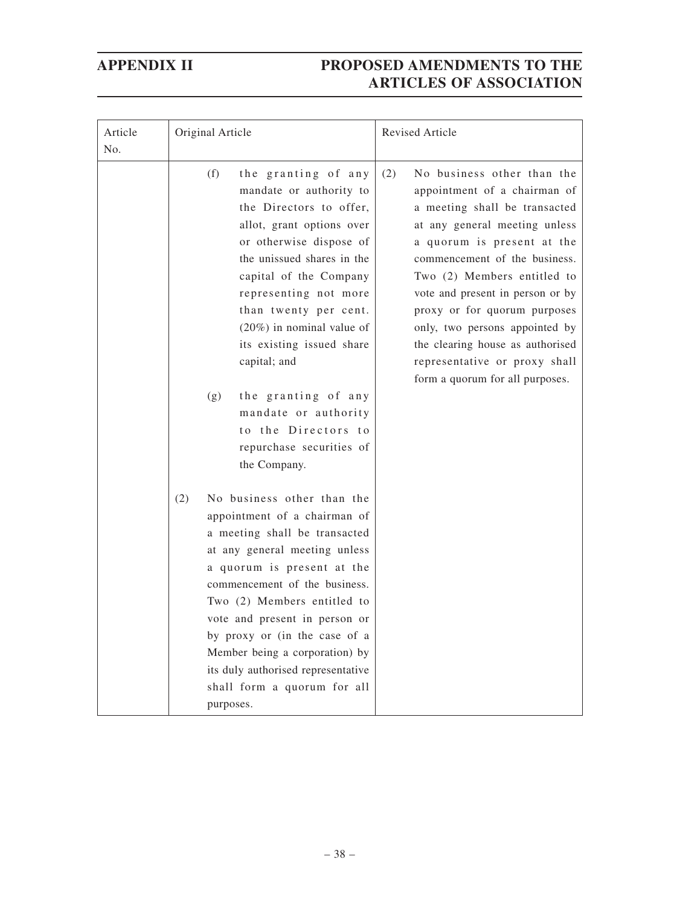| Article<br>No. | Original Article                                                                                                                                                                                                                                                                                                                                                                                                                                         | Revised Article                                                                                                                                                                                                                                                                                                                                                                                                                                 |
|----------------|----------------------------------------------------------------------------------------------------------------------------------------------------------------------------------------------------------------------------------------------------------------------------------------------------------------------------------------------------------------------------------------------------------------------------------------------------------|-------------------------------------------------------------------------------------------------------------------------------------------------------------------------------------------------------------------------------------------------------------------------------------------------------------------------------------------------------------------------------------------------------------------------------------------------|
|                | (f)<br>the granting of any<br>mandate or authority to<br>the Directors to offer,<br>allot, grant options over<br>or otherwise dispose of<br>the unissued shares in the<br>capital of the Company<br>representing not more<br>than twenty per cent.<br>$(20\%)$ in nominal value of<br>its existing issued share<br>capital; and<br>the granting of any<br>(g)<br>mandate or authority<br>to the Directors to<br>repurchase securities of<br>the Company. | No business other than the<br>(2)<br>appointment of a chairman of<br>a meeting shall be transacted<br>at any general meeting unless<br>a quorum is present at the<br>commencement of the business.<br>Two (2) Members entitled to<br>vote and present in person or by<br>proxy or for quorum purposes<br>only, two persons appointed by<br>the clearing house as authorised<br>representative or proxy shall<br>form a quorum for all purposes. |
|                | (2)<br>No business other than the<br>appointment of a chairman of<br>a meeting shall be transacted<br>at any general meeting unless<br>a quorum is present at the<br>commencement of the business.<br>Two (2) Members entitled to<br>vote and present in person or<br>by proxy or (in the case of a<br>Member being a corporation) by<br>its duly authorised representative<br>shall form a quorum for all<br>purposes.                                  |                                                                                                                                                                                                                                                                                                                                                                                                                                                 |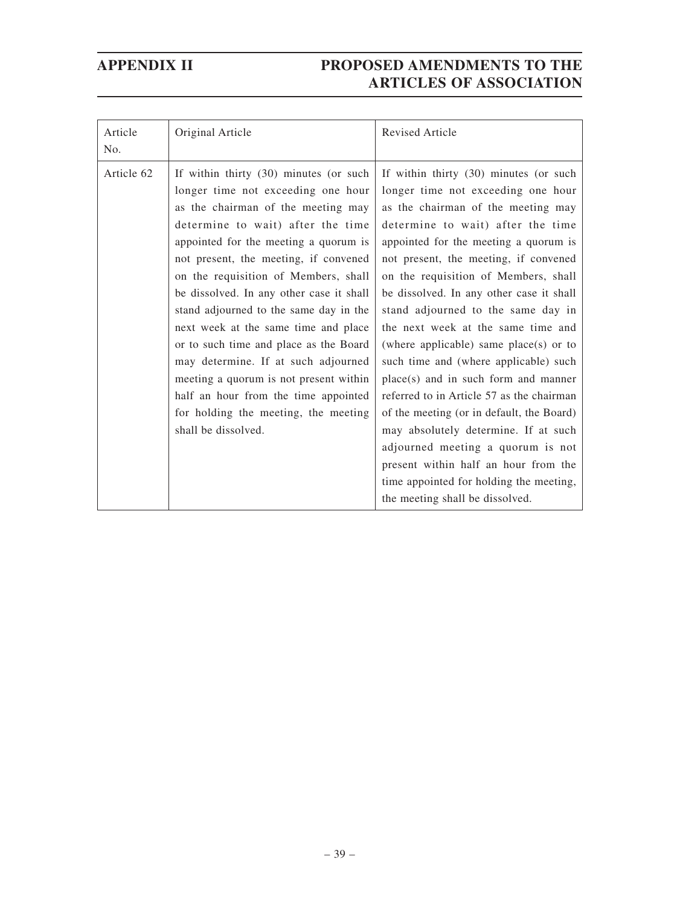| Article<br>No. | Original Article                                                                                                                                                                                                                                                                                                                                                                                                                                                                                                                                                                                                                                  | <b>Revised Article</b>                                                                                                                                                                                                                                                                                                                                                                                                                                                                                                                                                                                                                                                                                                                                                                                                            |
|----------------|---------------------------------------------------------------------------------------------------------------------------------------------------------------------------------------------------------------------------------------------------------------------------------------------------------------------------------------------------------------------------------------------------------------------------------------------------------------------------------------------------------------------------------------------------------------------------------------------------------------------------------------------------|-----------------------------------------------------------------------------------------------------------------------------------------------------------------------------------------------------------------------------------------------------------------------------------------------------------------------------------------------------------------------------------------------------------------------------------------------------------------------------------------------------------------------------------------------------------------------------------------------------------------------------------------------------------------------------------------------------------------------------------------------------------------------------------------------------------------------------------|
| Article 62     | If within thirty (30) minutes (or such<br>longer time not exceeding one hour<br>as the chairman of the meeting may<br>determine to wait) after the time<br>appointed for the meeting a quorum is<br>not present, the meeting, if convened<br>on the requisition of Members, shall<br>be dissolved. In any other case it shall<br>stand adjourned to the same day in the<br>next week at the same time and place<br>or to such time and place as the Board<br>may determine. If at such adjourned<br>meeting a quorum is not present within<br>half an hour from the time appointed<br>for holding the meeting, the meeting<br>shall be dissolved. | If within thirty (30) minutes (or such<br>longer time not exceeding one hour<br>as the chairman of the meeting may<br>determine to wait) after the time<br>appointed for the meeting a quorum is<br>not present, the meeting, if convened<br>on the requisition of Members, shall<br>be dissolved. In any other case it shall<br>stand adjourned to the same day in<br>the next week at the same time and<br>(where applicable) same place(s) or to<br>such time and (where applicable) such<br>place(s) and in such form and manner<br>referred to in Article 57 as the chairman<br>of the meeting (or in default, the Board)<br>may absolutely determine. If at such<br>adjourned meeting a quorum is not<br>present within half an hour from the<br>time appointed for holding the meeting,<br>the meeting shall be dissolved. |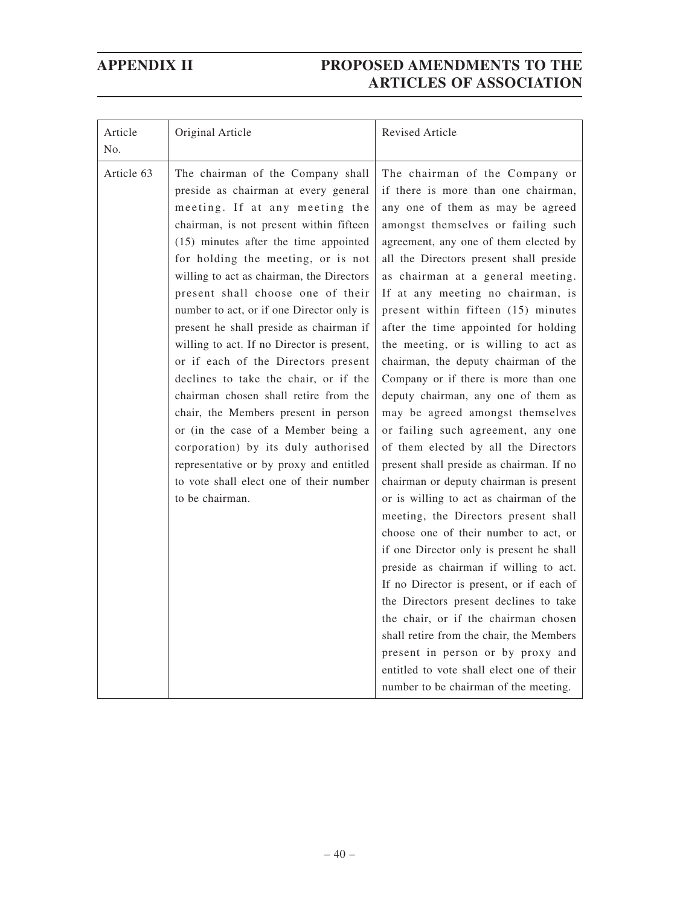| Article<br>No. | Original Article                                                                                                                                                                                                                                                                                                                                                                                                                                                                                                                                                                                                                                                                                                                                                                                                      | Revised Article                                                                                                                                                                                                                                                                                                                                                                                                                                                                                                                                                                                                                                                                                                                                                                                                                                                                                                                                                                                                                                                                                                                                                                                                                                                                            |  |
|----------------|-----------------------------------------------------------------------------------------------------------------------------------------------------------------------------------------------------------------------------------------------------------------------------------------------------------------------------------------------------------------------------------------------------------------------------------------------------------------------------------------------------------------------------------------------------------------------------------------------------------------------------------------------------------------------------------------------------------------------------------------------------------------------------------------------------------------------|--------------------------------------------------------------------------------------------------------------------------------------------------------------------------------------------------------------------------------------------------------------------------------------------------------------------------------------------------------------------------------------------------------------------------------------------------------------------------------------------------------------------------------------------------------------------------------------------------------------------------------------------------------------------------------------------------------------------------------------------------------------------------------------------------------------------------------------------------------------------------------------------------------------------------------------------------------------------------------------------------------------------------------------------------------------------------------------------------------------------------------------------------------------------------------------------------------------------------------------------------------------------------------------------|--|
| Article 63     | The chairman of the Company shall<br>preside as chairman at every general<br>meeting. If at any meeting the<br>chairman, is not present within fifteen<br>(15) minutes after the time appointed<br>for holding the meeting, or is not<br>willing to act as chairman, the Directors<br>present shall choose one of their<br>number to act, or if one Director only is<br>present he shall preside as chairman if<br>willing to act. If no Director is present,<br>or if each of the Directors present<br>declines to take the chair, or if the<br>chairman chosen shall retire from the<br>chair, the Members present in person<br>or (in the case of a Member being a<br>corporation) by its duly authorised<br>representative or by proxy and entitled<br>to vote shall elect one of their number<br>to be chairman. | The chairman of the Company or<br>if there is more than one chairman,<br>any one of them as may be agreed<br>amongst themselves or failing such<br>agreement, any one of them elected by<br>all the Directors present shall preside<br>as chairman at a general meeting.<br>If at any meeting no chairman, is<br>present within fifteen (15) minutes<br>after the time appointed for holding<br>the meeting, or is willing to act as<br>chairman, the deputy chairman of the<br>Company or if there is more than one<br>deputy chairman, any one of them as<br>may be agreed amongst themselves<br>or failing such agreement, any one<br>of them elected by all the Directors<br>present shall preside as chairman. If no<br>chairman or deputy chairman is present<br>or is willing to act as chairman of the<br>meeting, the Directors present shall<br>choose one of their number to act, or<br>if one Director only is present he shall<br>preside as chairman if willing to act.<br>If no Director is present, or if each of<br>the Directors present declines to take<br>the chair, or if the chairman chosen<br>shall retire from the chair, the Members<br>present in person or by proxy and<br>entitled to vote shall elect one of their<br>number to be chairman of the meeting. |  |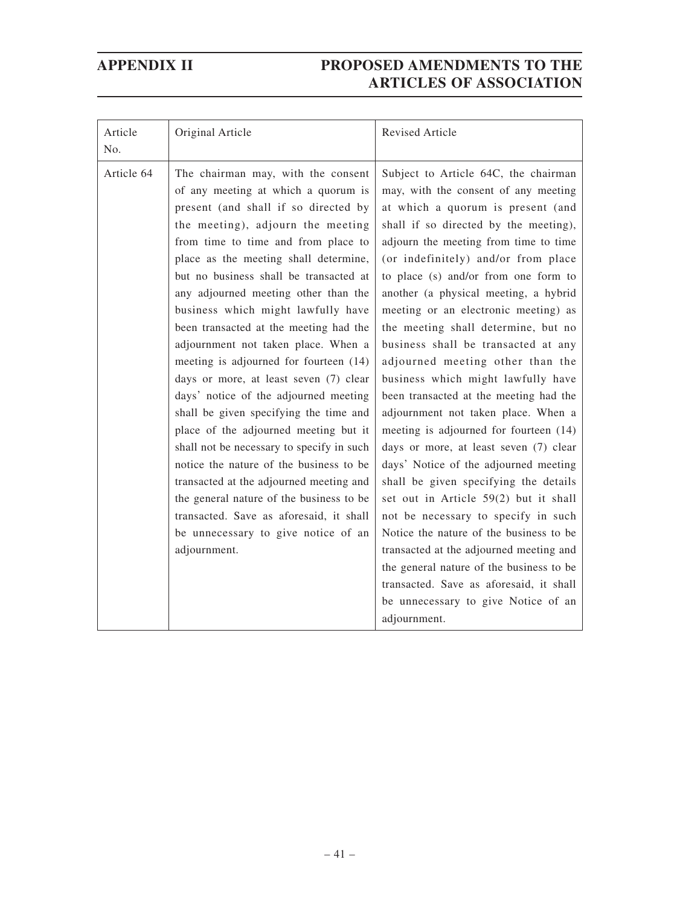| Article<br>No. | Original Article                                                                                                                                                                                                                                                                                                                                                                                                                                                                                                                                                                                                                                                                                                                                                                                                                                                                                                                                 | <b>Revised Article</b>                                                                                                                                                                                                                                                                                                                                                                                                                                                                                                                                                                                                                                                                                                                                                                                                                                                                                                                                                                                                                                                                                 |
|----------------|--------------------------------------------------------------------------------------------------------------------------------------------------------------------------------------------------------------------------------------------------------------------------------------------------------------------------------------------------------------------------------------------------------------------------------------------------------------------------------------------------------------------------------------------------------------------------------------------------------------------------------------------------------------------------------------------------------------------------------------------------------------------------------------------------------------------------------------------------------------------------------------------------------------------------------------------------|--------------------------------------------------------------------------------------------------------------------------------------------------------------------------------------------------------------------------------------------------------------------------------------------------------------------------------------------------------------------------------------------------------------------------------------------------------------------------------------------------------------------------------------------------------------------------------------------------------------------------------------------------------------------------------------------------------------------------------------------------------------------------------------------------------------------------------------------------------------------------------------------------------------------------------------------------------------------------------------------------------------------------------------------------------------------------------------------------------|
| Article 64     | The chairman may, with the consent<br>of any meeting at which a quorum is<br>present (and shall if so directed by<br>the meeting), adjourn the meeting<br>from time to time and from place to<br>place as the meeting shall determine,<br>but no business shall be transacted at<br>any adjourned meeting other than the<br>business which might lawfully have<br>been transacted at the meeting had the<br>adjournment not taken place. When a<br>meeting is adjourned for fourteen (14)<br>days or more, at least seven (7) clear<br>days' notice of the adjourned meeting<br>shall be given specifying the time and<br>place of the adjourned meeting but it<br>shall not be necessary to specify in such<br>notice the nature of the business to be<br>transacted at the adjourned meeting and<br>the general nature of the business to be<br>transacted. Save as aforesaid, it shall<br>be unnecessary to give notice of an<br>adjournment. | Subject to Article 64C, the chairman<br>may, with the consent of any meeting<br>at which a quorum is present (and<br>shall if so directed by the meeting),<br>adjourn the meeting from time to time<br>(or indefinitely) and/or from place<br>to place (s) and/or from one form to<br>another (a physical meeting, a hybrid<br>meeting or an electronic meeting) as<br>the meeting shall determine, but no<br>business shall be transacted at any<br>adjourned meeting other than the<br>business which might lawfully have<br>been transacted at the meeting had the<br>adjournment not taken place. When a<br>meeting is adjourned for fourteen (14)<br>days or more, at least seven (7) clear<br>days' Notice of the adjourned meeting<br>shall be given specifying the details<br>set out in Article 59(2) but it shall<br>not be necessary to specify in such<br>Notice the nature of the business to be<br>transacted at the adjourned meeting and<br>the general nature of the business to be<br>transacted. Save as aforesaid, it shall<br>be unnecessary to give Notice of an<br>adjournment. |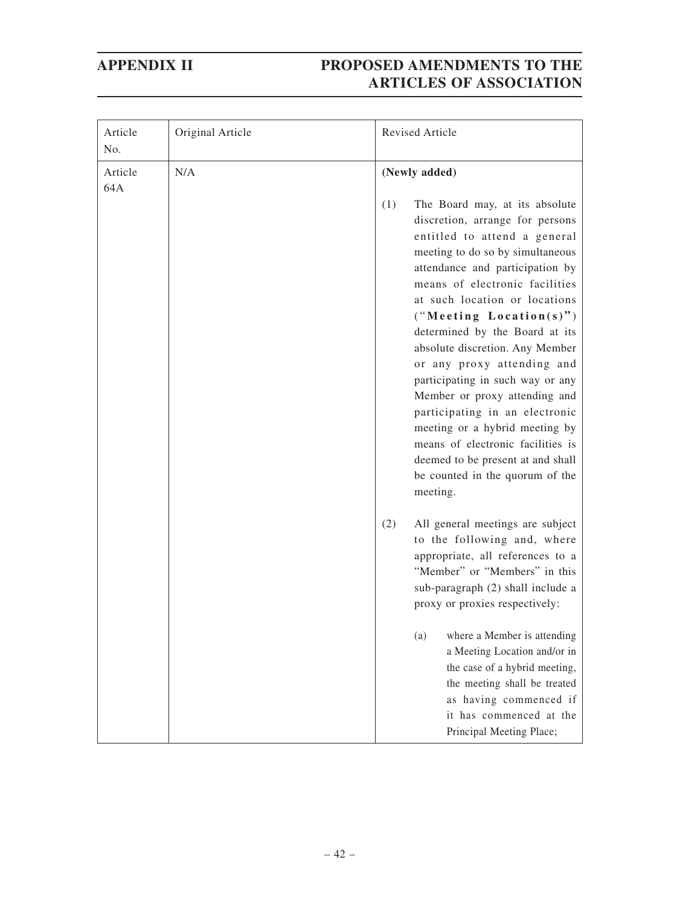| Article<br>No. | Original Article | Revised Article                                                                                                                                                                                                                                                                                                                                                                              |
|----------------|------------------|----------------------------------------------------------------------------------------------------------------------------------------------------------------------------------------------------------------------------------------------------------------------------------------------------------------------------------------------------------------------------------------------|
| Article<br>64A | N/A              | (Newly added)<br>(1)<br>The Board may, at its absolute<br>discretion, arrange for persons<br>entitled to attend a general<br>meeting to do so by simultaneous<br>attendance and participation by<br>means of electronic facilities<br>at such location or locations                                                                                                                          |
|                |                  | ("Meeting Location(s)")<br>determined by the Board at its<br>absolute discretion. Any Member<br>or any proxy attending and<br>participating in such way or any<br>Member or proxy attending and<br>participating in an electronic<br>meeting or a hybrid meeting by<br>means of electronic facilities is<br>deemed to be present at and shall<br>be counted in the quorum of the<br>meeting. |
|                |                  | All general meetings are subject<br>(2)<br>to the following and, where<br>appropriate, all references to a<br>"Member" or "Members" in this<br>sub-paragraph (2) shall include a<br>proxy or proxies respectively:                                                                                                                                                                           |
|                |                  | where a Member is attending<br>(a)<br>a Meeting Location and/or in<br>the case of a hybrid meeting,<br>the meeting shall be treated<br>as having commenced if<br>it has commenced at the<br>Principal Meeting Place;                                                                                                                                                                         |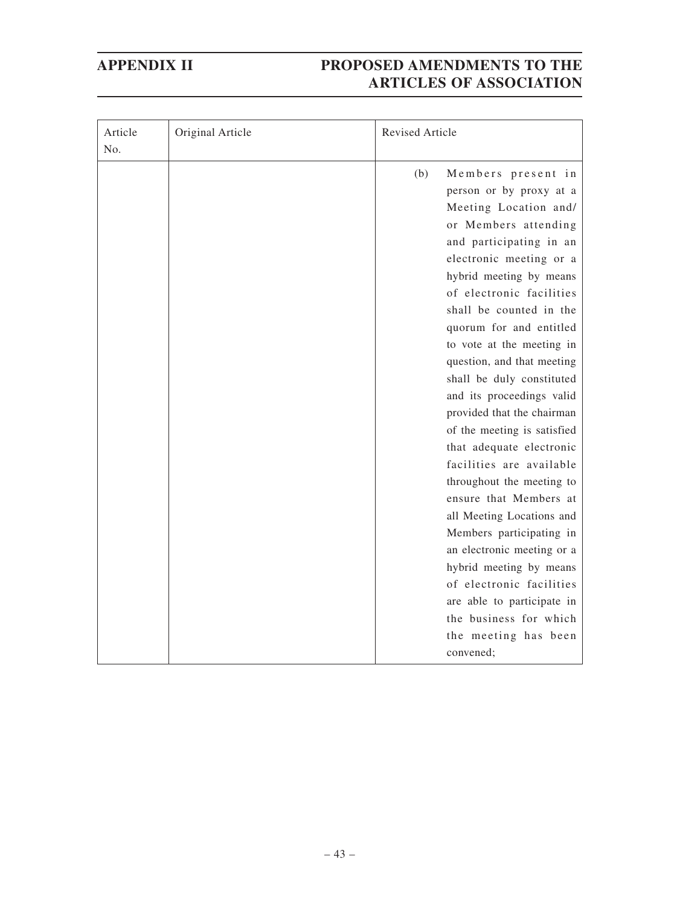| Article<br>No. | Original Article | <b>Revised Article</b>                                                                                                                                                                                                                                                                                                                                                                                                                                                                                                                                                                                                                                                                                                  |
|----------------|------------------|-------------------------------------------------------------------------------------------------------------------------------------------------------------------------------------------------------------------------------------------------------------------------------------------------------------------------------------------------------------------------------------------------------------------------------------------------------------------------------------------------------------------------------------------------------------------------------------------------------------------------------------------------------------------------------------------------------------------------|
|                |                  | (b)<br>Members present in<br>person or by proxy at a<br>Meeting Location and/<br>or Members attending<br>and participating in an<br>electronic meeting or a<br>hybrid meeting by means<br>of electronic facilities<br>shall be counted in the<br>quorum for and entitled<br>to vote at the meeting in<br>question, and that meeting<br>shall be duly constituted<br>and its proceedings valid<br>provided that the chairman<br>of the meeting is satisfied<br>that adequate electronic<br>facilities are available<br>throughout the meeting to<br>ensure that Members at<br>all Meeting Locations and<br>Members participating in<br>an electronic meeting or a<br>hybrid meeting by means<br>of electronic facilities |
|                |                  | are able to participate in<br>the business for which                                                                                                                                                                                                                                                                                                                                                                                                                                                                                                                                                                                                                                                                    |
|                |                  | the meeting has been<br>convened:                                                                                                                                                                                                                                                                                                                                                                                                                                                                                                                                                                                                                                                                                       |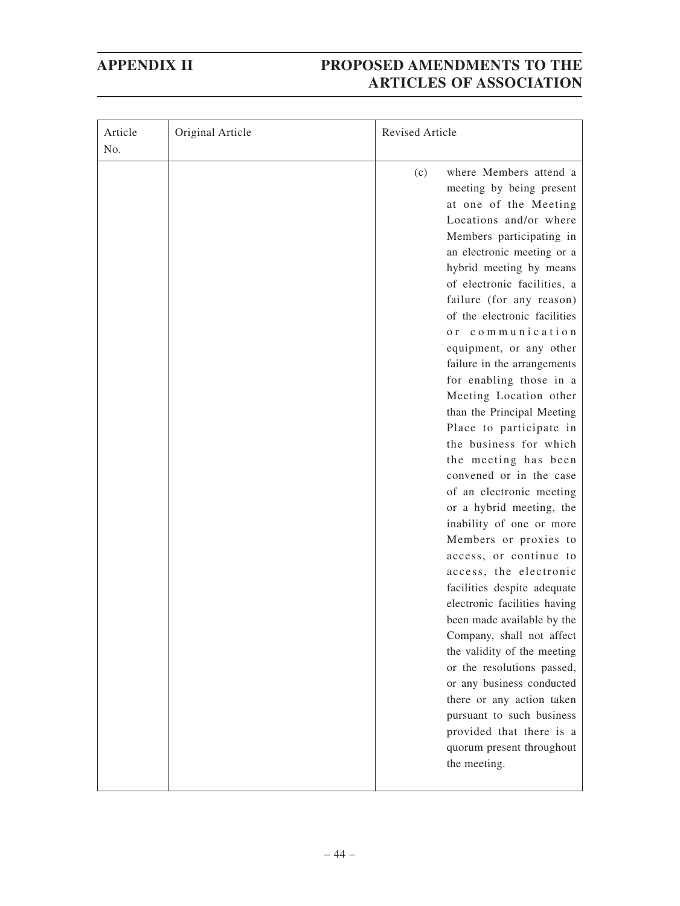| Article<br>No. | Original Article | <b>Revised Article</b> |                                                                                                                                                                                                                                                                                                                                                                                                                                                                                                                                                                                                                                                                                                                                                                                                                                                                                                                                                                                                                                                                                        |
|----------------|------------------|------------------------|----------------------------------------------------------------------------------------------------------------------------------------------------------------------------------------------------------------------------------------------------------------------------------------------------------------------------------------------------------------------------------------------------------------------------------------------------------------------------------------------------------------------------------------------------------------------------------------------------------------------------------------------------------------------------------------------------------------------------------------------------------------------------------------------------------------------------------------------------------------------------------------------------------------------------------------------------------------------------------------------------------------------------------------------------------------------------------------|
|                |                  | (c)                    | where Members attend a<br>meeting by being present<br>at one of the Meeting<br>Locations and/or where<br>Members participating in<br>an electronic meeting or a<br>hybrid meeting by means<br>of electronic facilities, a<br>failure (for any reason)<br>of the electronic facilities<br>or communication<br>equipment, or any other<br>failure in the arrangements<br>for enabling those in a<br>Meeting Location other<br>than the Principal Meeting<br>Place to participate in<br>the business for which<br>the meeting has been<br>convened or in the case<br>of an electronic meeting<br>or a hybrid meeting, the<br>inability of one or more<br>Members or proxies to<br>access, or continue to<br>access, the electronic<br>facilities despite adequate<br>electronic facilities having<br>been made available by the<br>Company, shall not affect<br>the validity of the meeting<br>or the resolutions passed,<br>or any business conducted<br>there or any action taken<br>pursuant to such business<br>provided that there is a<br>quorum present throughout<br>the meeting. |
|                |                  |                        |                                                                                                                                                                                                                                                                                                                                                                                                                                                                                                                                                                                                                                                                                                                                                                                                                                                                                                                                                                                                                                                                                        |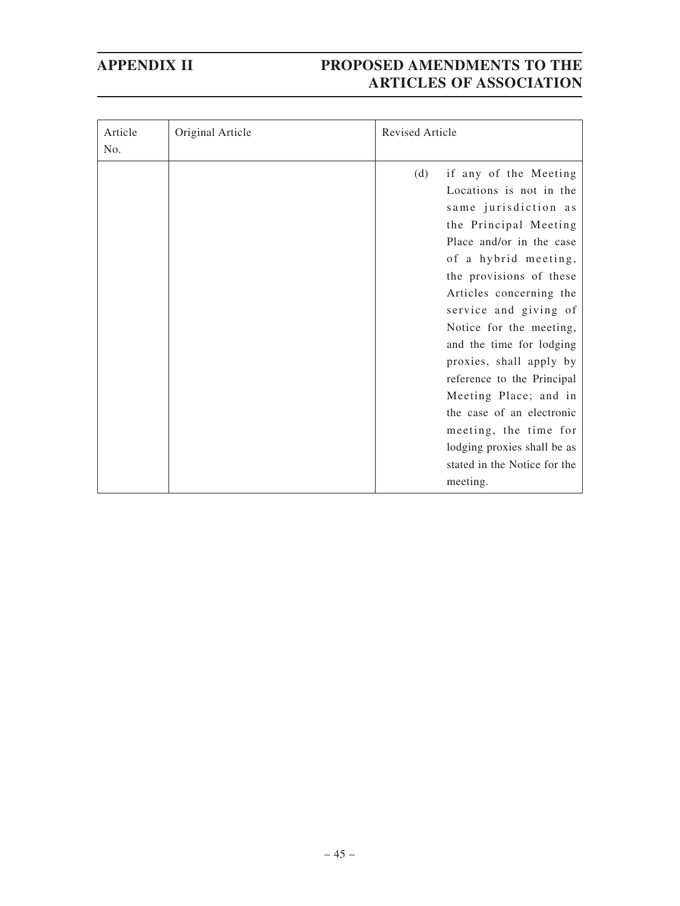| Article<br>No. | Original Article | <b>Revised Article</b> |                                                                                                                                                                                                                                                                                                                                                                                                                                                                                                                |
|----------------|------------------|------------------------|----------------------------------------------------------------------------------------------------------------------------------------------------------------------------------------------------------------------------------------------------------------------------------------------------------------------------------------------------------------------------------------------------------------------------------------------------------------------------------------------------------------|
|                |                  | (d)                    | if any of the Meeting<br>Locations is not in the<br>same jurisdiction as<br>the Principal Meeting<br>Place and/or in the case<br>of a hybrid meeting,<br>the provisions of these<br>Articles concerning the<br>service and giving of<br>Notice for the meeting,<br>and the time for lodging<br>proxies, shall apply by<br>reference to the Principal<br>Meeting Place; and in<br>the case of an electronic<br>meeting, the time for<br>lodging proxies shall be as<br>stated in the Notice for the<br>meeting. |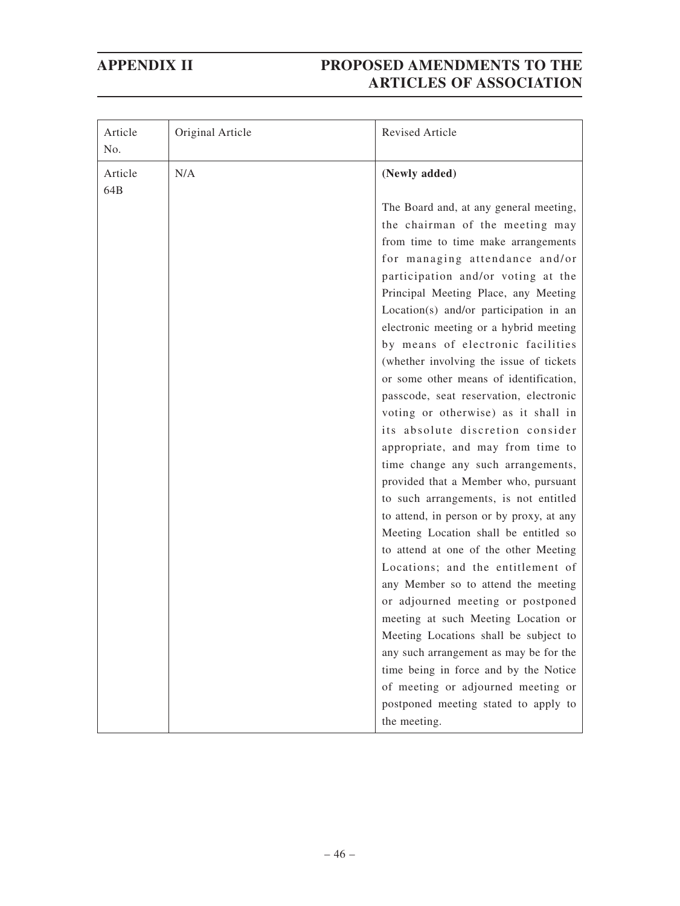| Article<br>No. | Original Article | Revised Article                                                                                                                                                                                                                                                                                                                                                                                                                                                                                                                                                                                                                                                                                                                 |
|----------------|------------------|---------------------------------------------------------------------------------------------------------------------------------------------------------------------------------------------------------------------------------------------------------------------------------------------------------------------------------------------------------------------------------------------------------------------------------------------------------------------------------------------------------------------------------------------------------------------------------------------------------------------------------------------------------------------------------------------------------------------------------|
| Article<br>64B | N/A              | (Newly added)                                                                                                                                                                                                                                                                                                                                                                                                                                                                                                                                                                                                                                                                                                                   |
|                |                  | The Board and, at any general meeting,<br>the chairman of the meeting may<br>from time to time make arrangements<br>for managing attendance and/or<br>participation and/or voting at the<br>Principal Meeting Place, any Meeting<br>Location(s) and/or participation in an<br>electronic meeting or a hybrid meeting<br>by means of electronic facilities<br>(whether involving the issue of tickets<br>or some other means of identification,<br>passcode, seat reservation, electronic<br>voting or otherwise) as it shall in<br>its absolute discretion consider<br>appropriate, and may from time to<br>time change any such arrangements,<br>provided that a Member who, pursuant<br>to such arrangements, is not entitled |
|                |                  | to attend, in person or by proxy, at any<br>Meeting Location shall be entitled so<br>to attend at one of the other Meeting<br>Locations; and the entitlement of<br>any Member so to attend the meeting<br>or adjourned meeting or postponed<br>meeting at such Meeting Location or<br>Meeting Locations shall be subject to<br>any such arrangement as may be for the<br>time being in force and by the Notice<br>of meeting or adjourned meeting or<br>postponed meeting stated to apply to<br>the meeting.                                                                                                                                                                                                                    |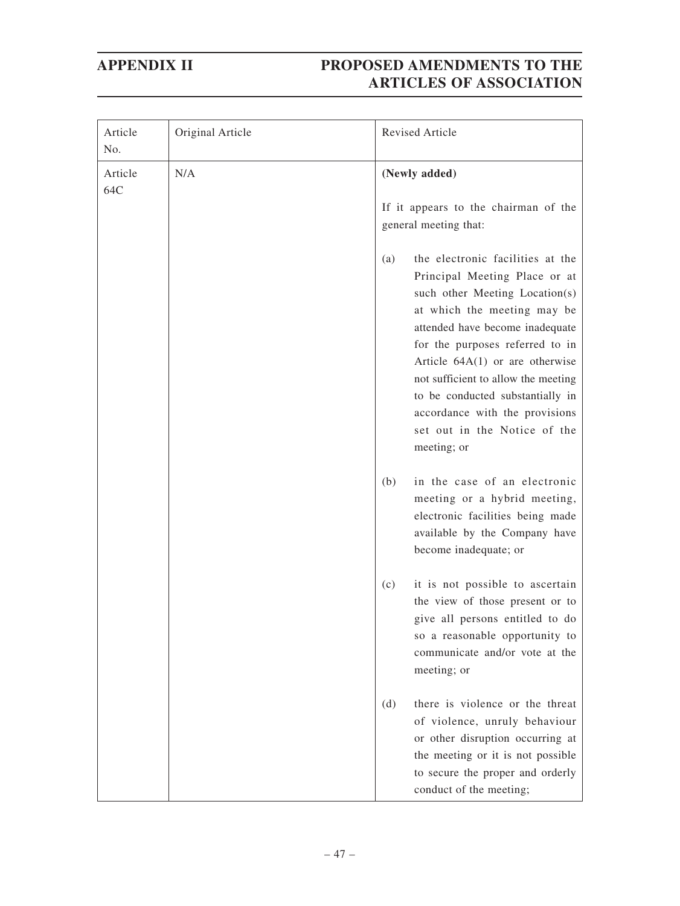| Article<br>No. | Original Article | Revised Article                                                                                                                                                                                                                                                                                                                                                                                                                                         |
|----------------|------------------|---------------------------------------------------------------------------------------------------------------------------------------------------------------------------------------------------------------------------------------------------------------------------------------------------------------------------------------------------------------------------------------------------------------------------------------------------------|
| Article<br>64C | N/A              | (Newly added)<br>If it appears to the chairman of the<br>general meeting that:                                                                                                                                                                                                                                                                                                                                                                          |
|                |                  | the electronic facilities at the<br>(a)<br>Principal Meeting Place or at<br>such other Meeting Location(s)<br>at which the meeting may be<br>attended have become inadequate<br>for the purposes referred to in<br>Article $64A(1)$ or are otherwise<br>not sufficient to allow the meeting<br>to be conducted substantially in<br>accordance with the provisions<br>set out in the Notice of the<br>meeting; or<br>in the case of an electronic<br>(b) |
|                |                  | meeting or a hybrid meeting,<br>electronic facilities being made<br>available by the Company have<br>become inadequate; or                                                                                                                                                                                                                                                                                                                              |
|                |                  | it is not possible to ascertain<br>(c)<br>the view of those present or to<br>give all persons entitled to do<br>so a reasonable opportunity to<br>communicate and/or vote at the<br>meeting; or                                                                                                                                                                                                                                                         |
|                |                  | there is violence or the threat<br>(d)<br>of violence, unruly behaviour<br>or other disruption occurring at<br>the meeting or it is not possible<br>to secure the proper and orderly<br>conduct of the meeting;                                                                                                                                                                                                                                         |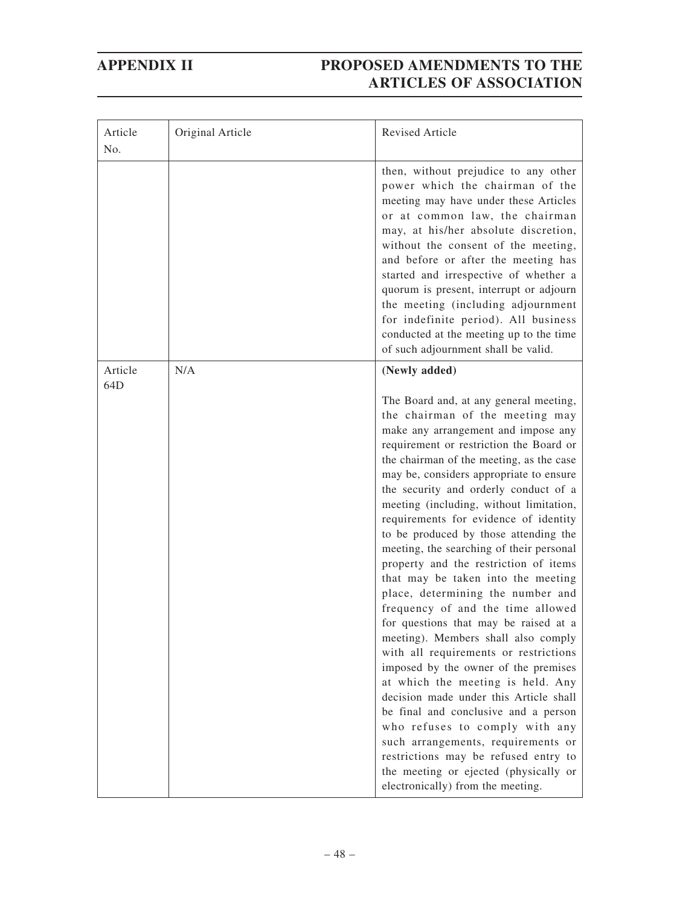| Article<br>No. | Original Article | Revised Article                                                                                                                                                                                                                                                                                                                                                                                                                                                                                                                                                                                                                                                                                                                                                                                                                                                                                                                                                                                                                                                                                                     |
|----------------|------------------|---------------------------------------------------------------------------------------------------------------------------------------------------------------------------------------------------------------------------------------------------------------------------------------------------------------------------------------------------------------------------------------------------------------------------------------------------------------------------------------------------------------------------------------------------------------------------------------------------------------------------------------------------------------------------------------------------------------------------------------------------------------------------------------------------------------------------------------------------------------------------------------------------------------------------------------------------------------------------------------------------------------------------------------------------------------------------------------------------------------------|
|                |                  | then, without prejudice to any other<br>power which the chairman of the<br>meeting may have under these Articles<br>or at common law, the chairman<br>may, at his/her absolute discretion,<br>without the consent of the meeting,<br>and before or after the meeting has<br>started and irrespective of whether a<br>quorum is present, interrupt or adjourn<br>the meeting (including adjournment<br>for indefinite period). All business<br>conducted at the meeting up to the time<br>of such adjournment shall be valid.                                                                                                                                                                                                                                                                                                                                                                                                                                                                                                                                                                                        |
| Article        | N/A              | (Newly added)                                                                                                                                                                                                                                                                                                                                                                                                                                                                                                                                                                                                                                                                                                                                                                                                                                                                                                                                                                                                                                                                                                       |
| 64D            |                  | The Board and, at any general meeting,<br>the chairman of the meeting may<br>make any arrangement and impose any<br>requirement or restriction the Board or<br>the chairman of the meeting, as the case<br>may be, considers appropriate to ensure<br>the security and orderly conduct of a<br>meeting (including, without limitation,<br>requirements for evidence of identity<br>to be produced by those attending the<br>meeting, the searching of their personal<br>property and the restriction of items<br>that may be taken into the meeting<br>place, determining the number and<br>frequency of and the time allowed<br>for questions that may be raised at a<br>meeting). Members shall also comply<br>with all requirements or restrictions<br>imposed by the owner of the premises<br>at which the meeting is held. Any<br>decision made under this Article shall<br>be final and conclusive and a person<br>who refuses to comply with any<br>such arrangements, requirements or<br>restrictions may be refused entry to<br>the meeting or ejected (physically or<br>electronically) from the meeting. |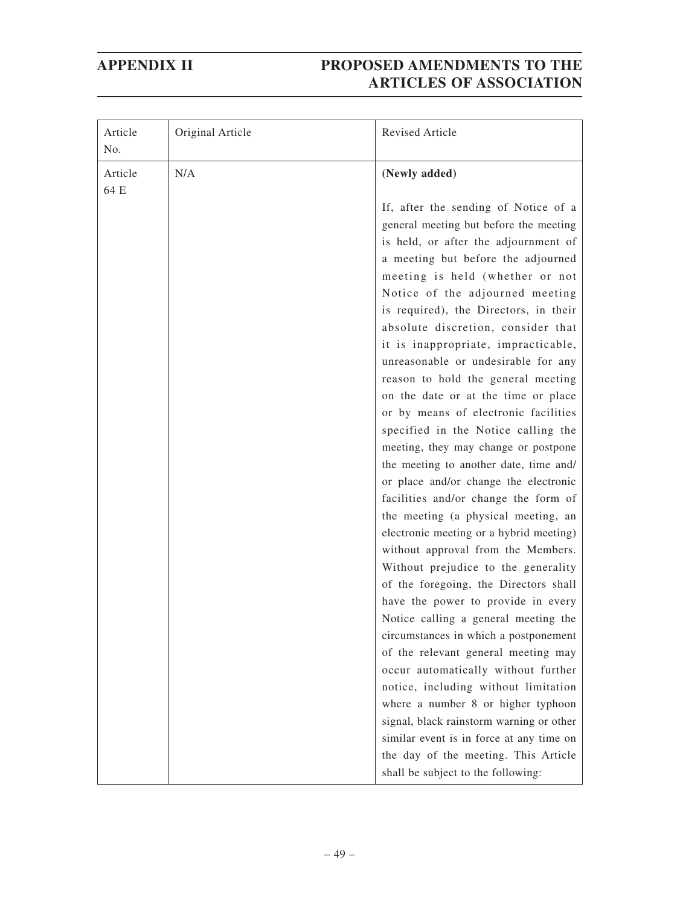| Article<br>No.  | Original Article | <b>Revised Article</b>                                                                                                                                                                                                                                                                                                                                                                                                                                                                                                                                                                                                                                                                                                                                                                                                                                                                                                                                                                                                                                                                                                                                                                                                                                                                                                                                                                          |
|-----------------|------------------|-------------------------------------------------------------------------------------------------------------------------------------------------------------------------------------------------------------------------------------------------------------------------------------------------------------------------------------------------------------------------------------------------------------------------------------------------------------------------------------------------------------------------------------------------------------------------------------------------------------------------------------------------------------------------------------------------------------------------------------------------------------------------------------------------------------------------------------------------------------------------------------------------------------------------------------------------------------------------------------------------------------------------------------------------------------------------------------------------------------------------------------------------------------------------------------------------------------------------------------------------------------------------------------------------------------------------------------------------------------------------------------------------|
| Article<br>64 E | N/A              | (Newly added)                                                                                                                                                                                                                                                                                                                                                                                                                                                                                                                                                                                                                                                                                                                                                                                                                                                                                                                                                                                                                                                                                                                                                                                                                                                                                                                                                                                   |
|                 |                  | If, after the sending of Notice of a<br>general meeting but before the meeting<br>is held, or after the adjournment of<br>a meeting but before the adjourned<br>meeting is held (whether or not<br>Notice of the adjourned meeting<br>is required), the Directors, in their<br>absolute discretion, consider that<br>it is inappropriate, impracticable,<br>unreasonable or undesirable for any<br>reason to hold the general meeting<br>on the date or at the time or place<br>or by means of electronic facilities<br>specified in the Notice calling the<br>meeting, they may change or postpone<br>the meeting to another date, time and/<br>or place and/or change the electronic<br>facilities and/or change the form of<br>the meeting (a physical meeting, an<br>electronic meeting or a hybrid meeting)<br>without approval from the Members.<br>Without prejudice to the generality<br>of the foregoing, the Directors shall<br>have the power to provide in every<br>Notice calling a general meeting the<br>circumstances in which a postponement<br>of the relevant general meeting may<br>occur automatically without further<br>notice, including without limitation<br>where a number 8 or higher typhoon<br>signal, black rainstorm warning or other<br>similar event is in force at any time on<br>the day of the meeting. This Article<br>shall be subject to the following: |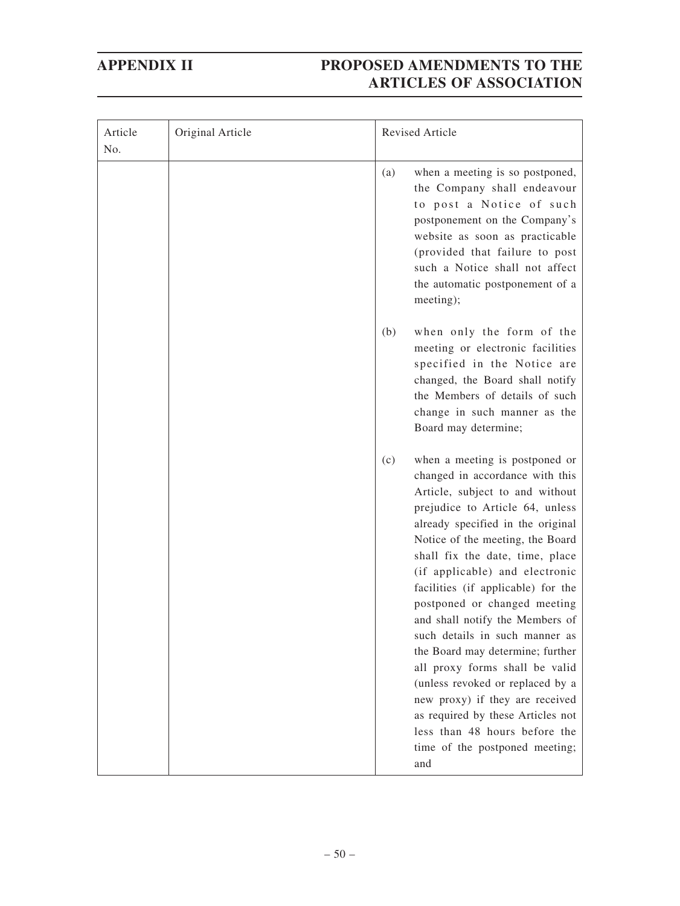| Article<br>No. | Original Article | Revised Article                                                                                                                                                                                                                                                                                                                                                                                                                                                                                                                                                                                                                                                                                     |
|----------------|------------------|-----------------------------------------------------------------------------------------------------------------------------------------------------------------------------------------------------------------------------------------------------------------------------------------------------------------------------------------------------------------------------------------------------------------------------------------------------------------------------------------------------------------------------------------------------------------------------------------------------------------------------------------------------------------------------------------------------|
|                |                  | when a meeting is so postponed,<br>(a)<br>the Company shall endeavour<br>to post a Notice of such<br>postponement on the Company's<br>website as soon as practicable<br>(provided that failure to post<br>such a Notice shall not affect<br>the automatic postponement of a<br>meeting);                                                                                                                                                                                                                                                                                                                                                                                                            |
|                |                  | when only the form of the<br>(b)<br>meeting or electronic facilities<br>specified in the Notice are<br>changed, the Board shall notify<br>the Members of details of such<br>change in such manner as the<br>Board may determine;                                                                                                                                                                                                                                                                                                                                                                                                                                                                    |
|                |                  | (c)<br>when a meeting is postponed or<br>changed in accordance with this<br>Article, subject to and without<br>prejudice to Article 64, unless<br>already specified in the original<br>Notice of the meeting, the Board<br>shall fix the date, time, place<br>(if applicable) and electronic<br>facilities (if applicable) for the<br>postponed or changed meeting<br>and shall notify the Members of<br>such details in such manner as<br>the Board may determine; further<br>all proxy forms shall be valid<br>(unless revoked or replaced by a<br>new proxy) if they are received<br>as required by these Articles not<br>less than 48 hours before the<br>time of the postponed meeting;<br>and |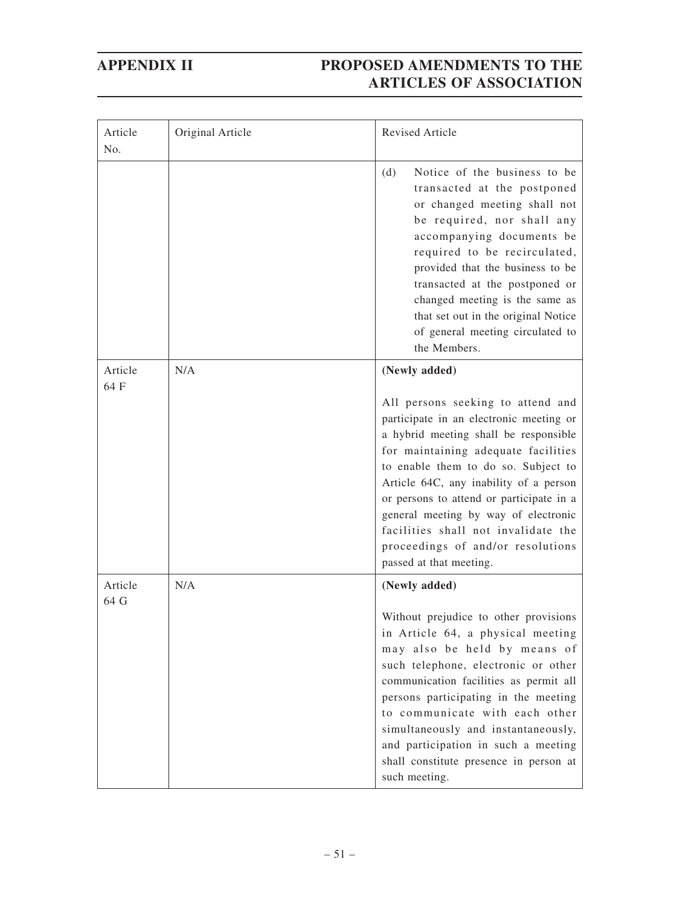| Article<br>No.  | Original Article | Revised Article                                                                                                                                                                                                                                                                                                                                                                                                                          |
|-----------------|------------------|------------------------------------------------------------------------------------------------------------------------------------------------------------------------------------------------------------------------------------------------------------------------------------------------------------------------------------------------------------------------------------------------------------------------------------------|
|                 |                  | Notice of the business to be<br>(d)<br>transacted at the postponed<br>or changed meeting shall not<br>be required, nor shall any<br>accompanying documents be<br>required to be recirculated,<br>provided that the business to be<br>transacted at the postponed or<br>changed meeting is the same as<br>that set out in the original Notice<br>of general meeting circulated to<br>the Members.                                         |
| Article<br>64 F | N/A              | (Newly added)                                                                                                                                                                                                                                                                                                                                                                                                                            |
|                 |                  | All persons seeking to attend and<br>participate in an electronic meeting or<br>a hybrid meeting shall be responsible<br>for maintaining adequate facilities<br>to enable them to do so. Subject to<br>Article 64C, any inability of a person<br>or persons to attend or participate in a<br>general meeting by way of electronic<br>facilities shall not invalidate the<br>proceedings of and/or resolutions<br>passed at that meeting. |
| Article<br>64 G | N/A              | (Newly added)                                                                                                                                                                                                                                                                                                                                                                                                                            |
|                 |                  | Without prejudice to other provisions<br>in Article 64, a physical meeting<br>may also be held by means of<br>such telephone, electronic or other<br>communication facilities as permit all<br>persons participating in the meeting<br>to communicate with each other<br>simultaneously and instantaneously,<br>and participation in such a meeting<br>shall constitute presence in person at<br>such meeting.                           |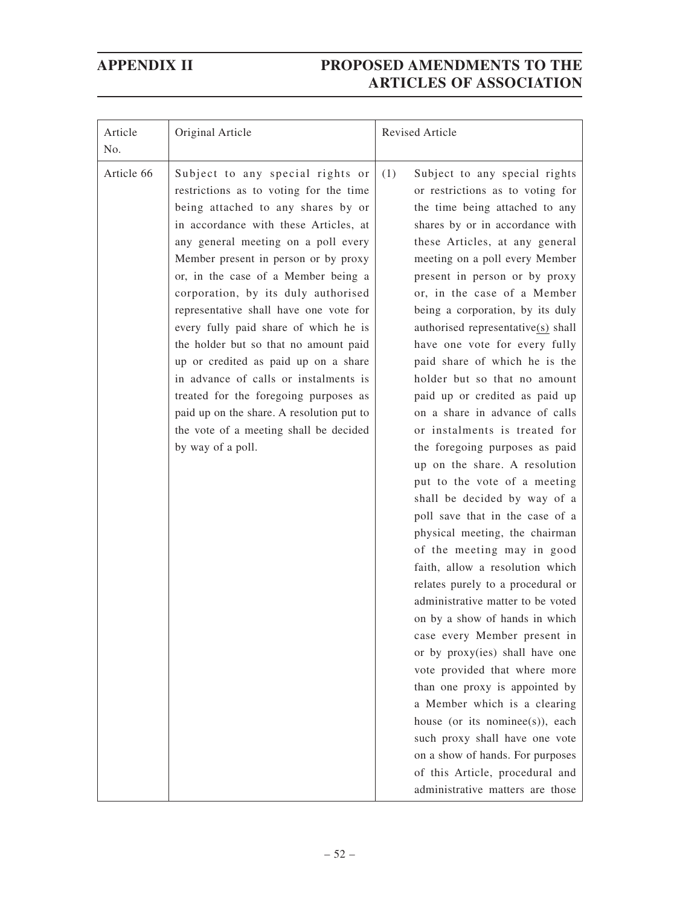| Article<br>No. | Original Article                                                                                                                                                                                                                                                                                                                                                                                                                                                                                                                                                                                                                                                                         | Revised Article                                                                                                                                                                                                                                                                                                                                                                                                                                                                                                                                                                                                                                                                                                                                                                                                                                                                                                                                                                                                                                                                                                                                                                                                                                                                                               |
|----------------|------------------------------------------------------------------------------------------------------------------------------------------------------------------------------------------------------------------------------------------------------------------------------------------------------------------------------------------------------------------------------------------------------------------------------------------------------------------------------------------------------------------------------------------------------------------------------------------------------------------------------------------------------------------------------------------|---------------------------------------------------------------------------------------------------------------------------------------------------------------------------------------------------------------------------------------------------------------------------------------------------------------------------------------------------------------------------------------------------------------------------------------------------------------------------------------------------------------------------------------------------------------------------------------------------------------------------------------------------------------------------------------------------------------------------------------------------------------------------------------------------------------------------------------------------------------------------------------------------------------------------------------------------------------------------------------------------------------------------------------------------------------------------------------------------------------------------------------------------------------------------------------------------------------------------------------------------------------------------------------------------------------|
| Article 66     | Subject to any special rights or<br>restrictions as to voting for the time<br>being attached to any shares by or<br>in accordance with these Articles, at<br>any general meeting on a poll every<br>Member present in person or by proxy<br>or, in the case of a Member being a<br>corporation, by its duly authorised<br>representative shall have one vote for<br>every fully paid share of which he is<br>the holder but so that no amount paid<br>up or credited as paid up on a share<br>in advance of calls or instalments is<br>treated for the foregoing purposes as<br>paid up on the share. A resolution put to<br>the vote of a meeting shall be decided<br>by way of a poll. | (1)<br>Subject to any special rights<br>or restrictions as to voting for<br>the time being attached to any<br>shares by or in accordance with<br>these Articles, at any general<br>meeting on a poll every Member<br>present in person or by proxy<br>or, in the case of a Member<br>being a corporation, by its duly<br>authorised representative(s) shall<br>have one vote for every fully<br>paid share of which he is the<br>holder but so that no amount<br>paid up or credited as paid up<br>on a share in advance of calls<br>or instalments is treated for<br>the foregoing purposes as paid<br>up on the share. A resolution<br>put to the vote of a meeting<br>shall be decided by way of a<br>poll save that in the case of a<br>physical meeting, the chairman<br>of the meeting may in good<br>faith, allow a resolution which<br>relates purely to a procedural or<br>administrative matter to be voted<br>on by a show of hands in which<br>case every Member present in<br>or by proxy(ies) shall have one<br>vote provided that where more<br>than one proxy is appointed by<br>a Member which is a clearing<br>house (or its nominee(s)), each<br>such proxy shall have one vote<br>on a show of hands. For purposes<br>of this Article, procedural and<br>administrative matters are those |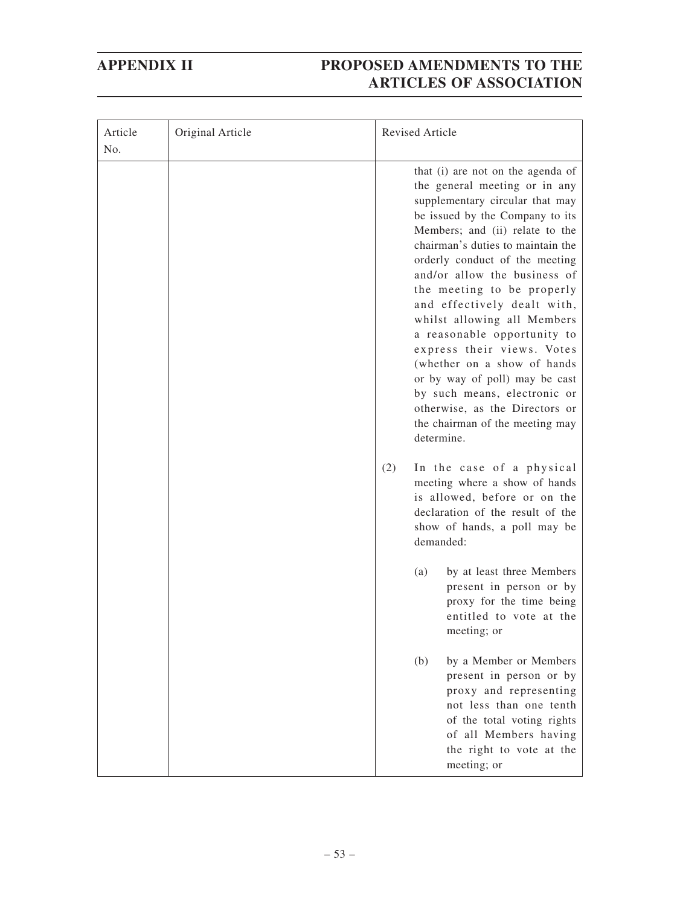| Article<br>No. | Original Article | <b>Revised Article</b>                                                                                                                                                                                                                                                                                                                                                                                                                                                                                                                                                                                                                                                                                                                                                                                                                                                                                                                                                                                                                                                      |
|----------------|------------------|-----------------------------------------------------------------------------------------------------------------------------------------------------------------------------------------------------------------------------------------------------------------------------------------------------------------------------------------------------------------------------------------------------------------------------------------------------------------------------------------------------------------------------------------------------------------------------------------------------------------------------------------------------------------------------------------------------------------------------------------------------------------------------------------------------------------------------------------------------------------------------------------------------------------------------------------------------------------------------------------------------------------------------------------------------------------------------|
|                |                  | that (i) are not on the agenda of<br>the general meeting or in any<br>supplementary circular that may<br>be issued by the Company to its<br>Members; and (ii) relate to the<br>chairman's duties to maintain the<br>orderly conduct of the meeting<br>and/or allow the business of<br>the meeting to be properly<br>and effectively dealt with,<br>whilst allowing all Members<br>a reasonable opportunity to<br>express their views. Votes<br>(whether on a show of hands<br>or by way of poll) may be cast<br>by such means, electronic or<br>otherwise, as the Directors or<br>the chairman of the meeting may<br>determine.<br>(2)<br>In the case of a physical<br>meeting where a show of hands<br>is allowed, before or on the<br>declaration of the result of the<br>show of hands, a poll may be<br>demanded:<br>by at least three Members<br>(a)<br>present in person or by<br>proxy for the time being<br>entitled to vote at the<br>meeting; or<br>(b)<br>by a Member or Members<br>present in person or by<br>proxy and representing<br>not less than one tenth |
|                |                  | of the total voting rights<br>of all Members having<br>the right to vote at the<br>meeting; or                                                                                                                                                                                                                                                                                                                                                                                                                                                                                                                                                                                                                                                                                                                                                                                                                                                                                                                                                                              |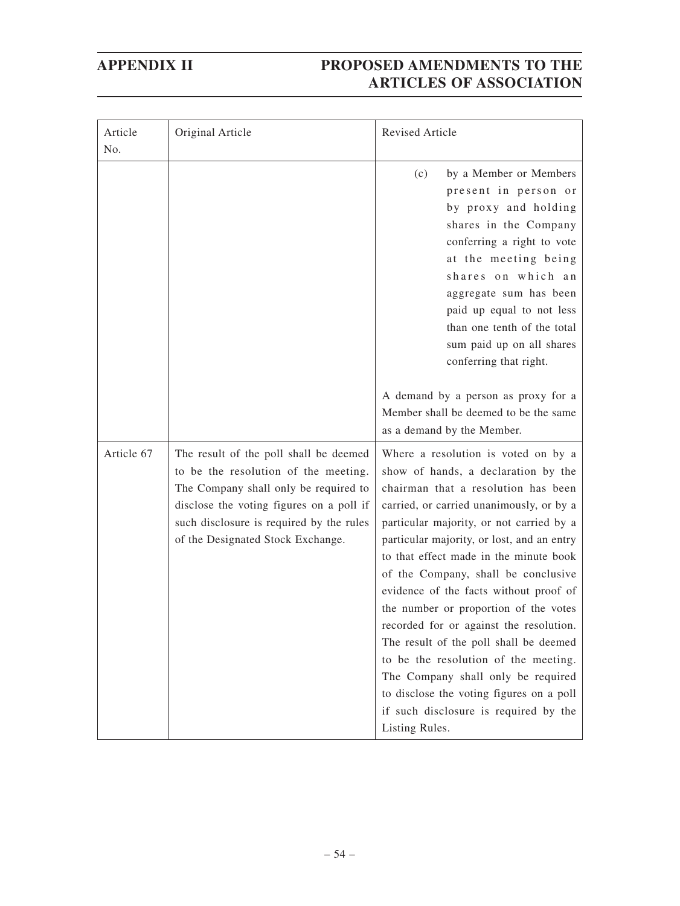| Article<br>No. | Original Article                                                                                                                                                                                                                                     | Revised Article                                                                                                                                                                                                                                                                                                                                                                                                                                                                                                                                                                                                                                                                                       |
|----------------|------------------------------------------------------------------------------------------------------------------------------------------------------------------------------------------------------------------------------------------------------|-------------------------------------------------------------------------------------------------------------------------------------------------------------------------------------------------------------------------------------------------------------------------------------------------------------------------------------------------------------------------------------------------------------------------------------------------------------------------------------------------------------------------------------------------------------------------------------------------------------------------------------------------------------------------------------------------------|
|                |                                                                                                                                                                                                                                                      | by a Member or Members<br>(c)<br>present in person or<br>by proxy and holding<br>shares in the Company<br>conferring a right to vote<br>at the meeting being<br>shares on which an<br>aggregate sum has been<br>paid up equal to not less<br>than one tenth of the total<br>sum paid up on all shares<br>conferring that right.                                                                                                                                                                                                                                                                                                                                                                       |
|                |                                                                                                                                                                                                                                                      | A demand by a person as proxy for a<br>Member shall be deemed to be the same<br>as a demand by the Member.                                                                                                                                                                                                                                                                                                                                                                                                                                                                                                                                                                                            |
| Article 67     | The result of the poll shall be deemed<br>to be the resolution of the meeting.<br>The Company shall only be required to<br>disclose the voting figures on a poll if<br>such disclosure is required by the rules<br>of the Designated Stock Exchange. | Where a resolution is voted on by a<br>show of hands, a declaration by the<br>chairman that a resolution has been<br>carried, or carried unanimously, or by a<br>particular majority, or not carried by a<br>particular majority, or lost, and an entry<br>to that effect made in the minute book<br>of the Company, shall be conclusive<br>evidence of the facts without proof of<br>the number or proportion of the votes<br>recorded for or against the resolution.<br>The result of the poll shall be deemed<br>to be the resolution of the meeting.<br>The Company shall only be required<br>to disclose the voting figures on a poll<br>if such disclosure is required by the<br>Listing Rules. |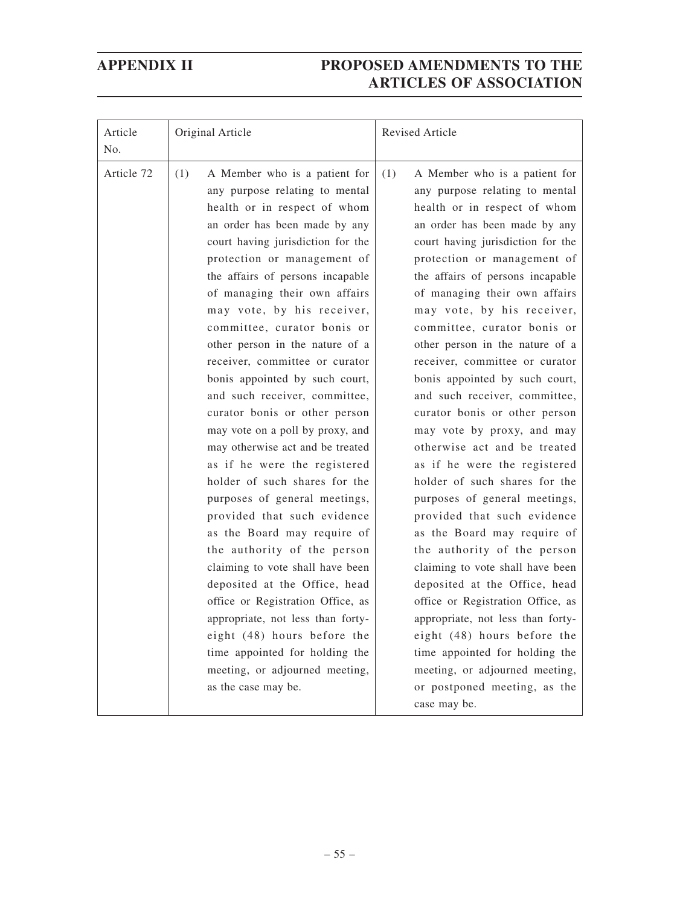| Article<br>No. | Original Article                                                                                                                                                                                                                                                                                                                                                                                                                                                                                                                                                                                                                                                                                                                                                                                                                                                                                                                                                                                                                                                       | Revised Article                                                                                                                                                                                                                                                                                                                                                                                                                                                                                                                                                                                                                                                                                                                                                                                                                                                                                                                                                                                                                                                                       |
|----------------|------------------------------------------------------------------------------------------------------------------------------------------------------------------------------------------------------------------------------------------------------------------------------------------------------------------------------------------------------------------------------------------------------------------------------------------------------------------------------------------------------------------------------------------------------------------------------------------------------------------------------------------------------------------------------------------------------------------------------------------------------------------------------------------------------------------------------------------------------------------------------------------------------------------------------------------------------------------------------------------------------------------------------------------------------------------------|---------------------------------------------------------------------------------------------------------------------------------------------------------------------------------------------------------------------------------------------------------------------------------------------------------------------------------------------------------------------------------------------------------------------------------------------------------------------------------------------------------------------------------------------------------------------------------------------------------------------------------------------------------------------------------------------------------------------------------------------------------------------------------------------------------------------------------------------------------------------------------------------------------------------------------------------------------------------------------------------------------------------------------------------------------------------------------------|
| Article 72     | (1)<br>A Member who is a patient for<br>any purpose relating to mental<br>health or in respect of whom<br>an order has been made by any<br>court having jurisdiction for the<br>protection or management of<br>the affairs of persons incapable<br>of managing their own affairs<br>may vote, by his receiver,<br>committee, curator bonis or<br>other person in the nature of a<br>receiver, committee or curator<br>bonis appointed by such court,<br>and such receiver, committee,<br>curator bonis or other person<br>may vote on a poll by proxy, and<br>may otherwise act and be treated<br>as if he were the registered<br>holder of such shares for the<br>purposes of general meetings,<br>provided that such evidence<br>as the Board may require of<br>the authority of the person<br>claiming to vote shall have been<br>deposited at the Office, head<br>office or Registration Office, as<br>appropriate, not less than forty-<br>eight (48) hours before the<br>time appointed for holding the<br>meeting, or adjourned meeting,<br>as the case may be. | (1)<br>A Member who is a patient for<br>any purpose relating to mental<br>health or in respect of whom<br>an order has been made by any<br>court having jurisdiction for the<br>protection or management of<br>the affairs of persons incapable<br>of managing their own affairs<br>may vote, by his receiver,<br>committee, curator bonis or<br>other person in the nature of a<br>receiver, committee or curator<br>bonis appointed by such court,<br>and such receiver, committee,<br>curator bonis or other person<br>may vote by proxy, and may<br>otherwise act and be treated<br>as if he were the registered<br>holder of such shares for the<br>purposes of general meetings,<br>provided that such evidence<br>as the Board may require of<br>the authority of the person<br>claiming to vote shall have been<br>deposited at the Office, head<br>office or Registration Office, as<br>appropriate, not less than forty-<br>eight (48) hours before the<br>time appointed for holding the<br>meeting, or adjourned meeting,<br>or postponed meeting, as the<br>case may be. |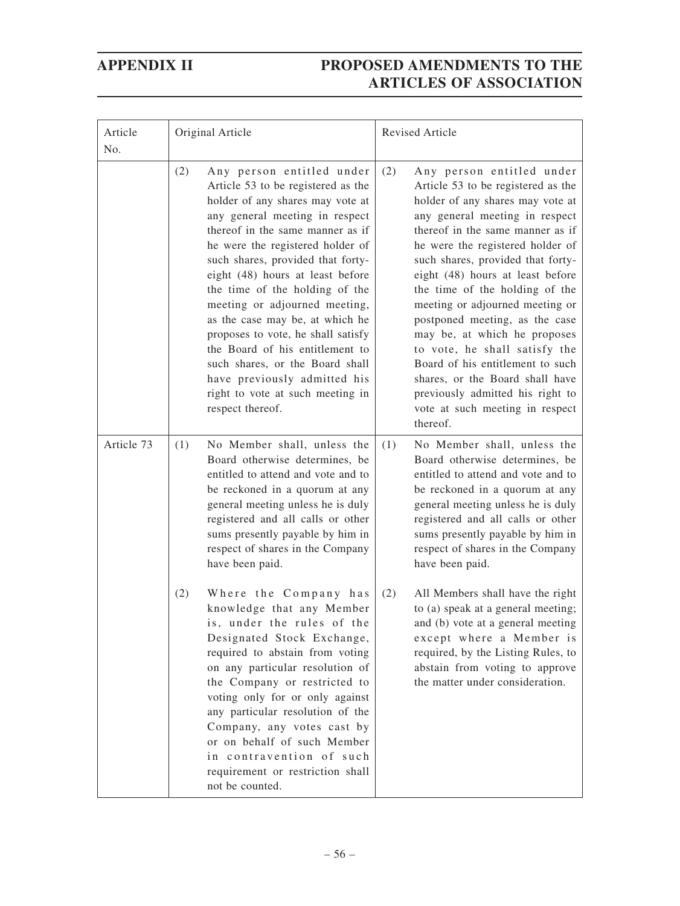| Article<br>No. | Original Article                                                                                                                                                                                                                                                                                                                                                                                                                                                                                                                                                                                        | Revised Article                                                                                                                                                                                                                                                                                                                                                                                                                                                                                                                                                                                                                 |
|----------------|---------------------------------------------------------------------------------------------------------------------------------------------------------------------------------------------------------------------------------------------------------------------------------------------------------------------------------------------------------------------------------------------------------------------------------------------------------------------------------------------------------------------------------------------------------------------------------------------------------|---------------------------------------------------------------------------------------------------------------------------------------------------------------------------------------------------------------------------------------------------------------------------------------------------------------------------------------------------------------------------------------------------------------------------------------------------------------------------------------------------------------------------------------------------------------------------------------------------------------------------------|
|                | (2)<br>Any person entitled under<br>Article 53 to be registered as the<br>holder of any shares may vote at<br>any general meeting in respect<br>thereof in the same manner as if<br>he were the registered holder of<br>such shares, provided that forty-<br>eight (48) hours at least before<br>the time of the holding of the<br>meeting or adjourned meeting,<br>as the case may be, at which he<br>proposes to vote, he shall satisfy<br>the Board of his entitlement to<br>such shares, or the Board shall<br>have previously admitted his<br>right to vote at such meeting in<br>respect thereof. | (2)<br>Any person entitled under<br>Article 53 to be registered as the<br>holder of any shares may vote at<br>any general meeting in respect<br>thereof in the same manner as if<br>he were the registered holder of<br>such shares, provided that forty-<br>eight (48) hours at least before<br>the time of the holding of the<br>meeting or adjourned meeting or<br>postponed meeting, as the case<br>may be, at which he proposes<br>to vote, he shall satisfy the<br>Board of his entitlement to such<br>shares, or the Board shall have<br>previously admitted his right to<br>vote at such meeting in respect<br>thereof. |
| Article 73     | No Member shall, unless the<br>(1)<br>Board otherwise determines, be<br>entitled to attend and vote and to<br>be reckoned in a quorum at any<br>general meeting unless he is duly<br>registered and all calls or other<br>sums presently payable by him in<br>respect of shares in the Company<br>have been paid.                                                                                                                                                                                                                                                                                       | No Member shall, unless the<br>(1)<br>Board otherwise determines, be<br>entitled to attend and vote and to<br>be reckoned in a quorum at any<br>general meeting unless he is duly<br>registered and all calls or other<br>sums presently payable by him in<br>respect of shares in the Company<br>have been paid.                                                                                                                                                                                                                                                                                                               |
|                | (2)<br>Where the Company has<br>knowledge that any Member<br>is, under the rules of the<br>Designated Stock Exchange,<br>required to abstain from voting<br>on any particular resolution of<br>the Company or restricted to<br>voting only for or only against<br>any particular resolution of the<br>Company, any votes cast by<br>or on behalf of such Member<br>in contravention of such<br>requirement or restriction shall<br>not be counted.                                                                                                                                                      | All Members shall have the right<br>(2)<br>to (a) speak at a general meeting;<br>and (b) vote at a general meeting<br>except where a Member is<br>required, by the Listing Rules, to<br>abstain from voting to approve<br>the matter under consideration.                                                                                                                                                                                                                                                                                                                                                                       |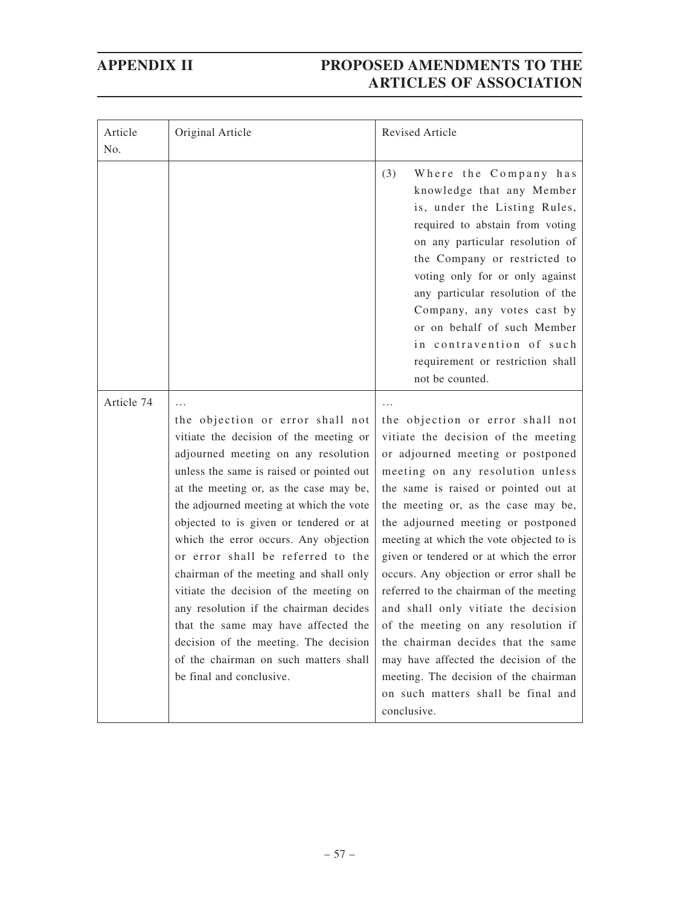| Article<br>No. | Original Article                                                                                                                                                                                                                                                                                                                                                                                                                                                                                                                                                                                                                                              | Revised Article                                                                                                                                                                                                                                                                                                                                                                                                                                                                                                                                                                                                                                                                                               |
|----------------|---------------------------------------------------------------------------------------------------------------------------------------------------------------------------------------------------------------------------------------------------------------------------------------------------------------------------------------------------------------------------------------------------------------------------------------------------------------------------------------------------------------------------------------------------------------------------------------------------------------------------------------------------------------|---------------------------------------------------------------------------------------------------------------------------------------------------------------------------------------------------------------------------------------------------------------------------------------------------------------------------------------------------------------------------------------------------------------------------------------------------------------------------------------------------------------------------------------------------------------------------------------------------------------------------------------------------------------------------------------------------------------|
|                |                                                                                                                                                                                                                                                                                                                                                                                                                                                                                                                                                                                                                                                               | (3)<br>Where the Company has<br>knowledge that any Member<br>is, under the Listing Rules,<br>required to abstain from voting<br>on any particular resolution of<br>the Company or restricted to<br>voting only for or only against<br>any particular resolution of the<br>Company, any votes cast by<br>or on behalf of such Member<br>in contravention of such<br>requirement or restriction shall<br>not be counted.                                                                                                                                                                                                                                                                                        |
| Article 74     | the objection or error shall not<br>vitiate the decision of the meeting or<br>adjourned meeting on any resolution<br>unless the same is raised or pointed out<br>at the meeting or, as the case may be,<br>the adjourned meeting at which the vote<br>objected to is given or tendered or at<br>which the error occurs. Any objection<br>or error shall be referred to the<br>chairman of the meeting and shall only<br>vitiate the decision of the meeting on<br>any resolution if the chairman decides<br>that the same may have affected the<br>decision of the meeting. The decision<br>of the chairman on such matters shall<br>be final and conclusive. | the objection or error shall not<br>vitiate the decision of the meeting<br>or adjourned meeting or postponed<br>meeting on any resolution unless<br>the same is raised or pointed out at<br>the meeting or, as the case may be,<br>the adjourned meeting or postponed<br>meeting at which the vote objected to is<br>given or tendered or at which the error<br>occurs. Any objection or error shall be<br>referred to the chairman of the meeting<br>and shall only vitiate the decision<br>of the meeting on any resolution if<br>the chairman decides that the same<br>may have affected the decision of the<br>meeting. The decision of the chairman<br>on such matters shall be final and<br>conclusive. |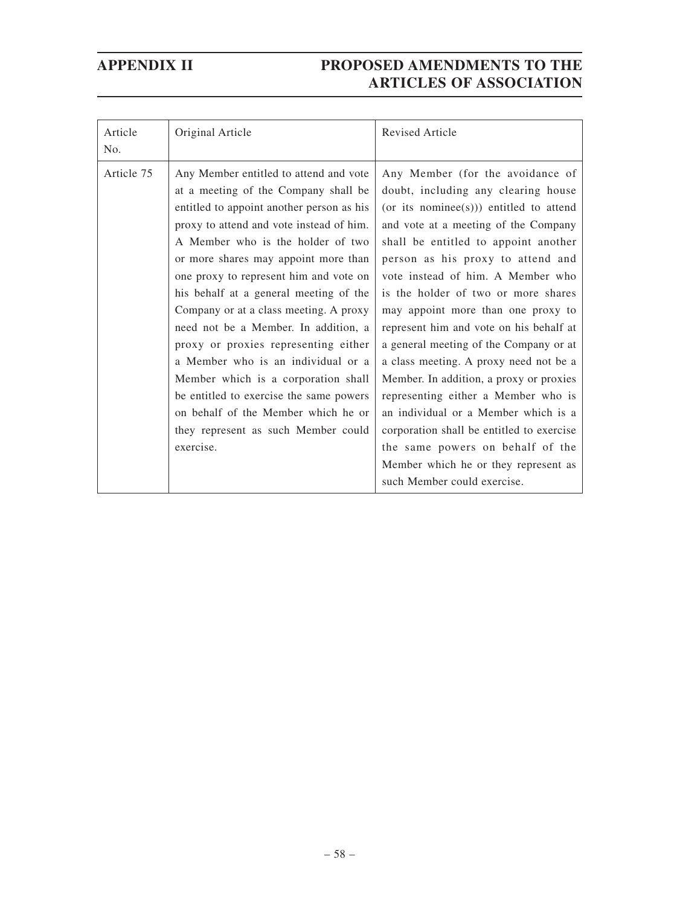| Article<br>No. | Original Article                                                                                                                                                                                                                                                                                                                                                                                                                                                                                                                                                                                                                                                                      | <b>Revised Article</b>                                                                                                                                                                                                                                                                                                                                                                                                                                                                                                                                                                                                                                                                                                                                                     |
|----------------|---------------------------------------------------------------------------------------------------------------------------------------------------------------------------------------------------------------------------------------------------------------------------------------------------------------------------------------------------------------------------------------------------------------------------------------------------------------------------------------------------------------------------------------------------------------------------------------------------------------------------------------------------------------------------------------|----------------------------------------------------------------------------------------------------------------------------------------------------------------------------------------------------------------------------------------------------------------------------------------------------------------------------------------------------------------------------------------------------------------------------------------------------------------------------------------------------------------------------------------------------------------------------------------------------------------------------------------------------------------------------------------------------------------------------------------------------------------------------|
| Article 75     | Any Member entitled to attend and vote<br>at a meeting of the Company shall be<br>entitled to appoint another person as his<br>proxy to attend and vote instead of him.<br>A Member who is the holder of two<br>or more shares may appoint more than<br>one proxy to represent him and vote on<br>his behalf at a general meeting of the<br>Company or at a class meeting. A proxy<br>need not be a Member. In addition, a<br>proxy or proxies representing either<br>a Member who is an individual or a<br>Member which is a corporation shall<br>be entitled to exercise the same powers<br>on behalf of the Member which he or<br>they represent as such Member could<br>exercise. | Any Member (for the avoidance of<br>doubt, including any clearing house<br>(or its nominee(s))) entitled to attend<br>and vote at a meeting of the Company<br>shall be entitled to appoint another<br>person as his proxy to attend and<br>vote instead of him. A Member who<br>is the holder of two or more shares<br>may appoint more than one proxy to<br>represent him and vote on his behalf at<br>a general meeting of the Company or at<br>a class meeting. A proxy need not be a<br>Member. In addition, a proxy or proxies<br>representing either a Member who is<br>an individual or a Member which is a<br>corporation shall be entitled to exercise<br>the same powers on behalf of the<br>Member which he or they represent as<br>such Member could exercise. |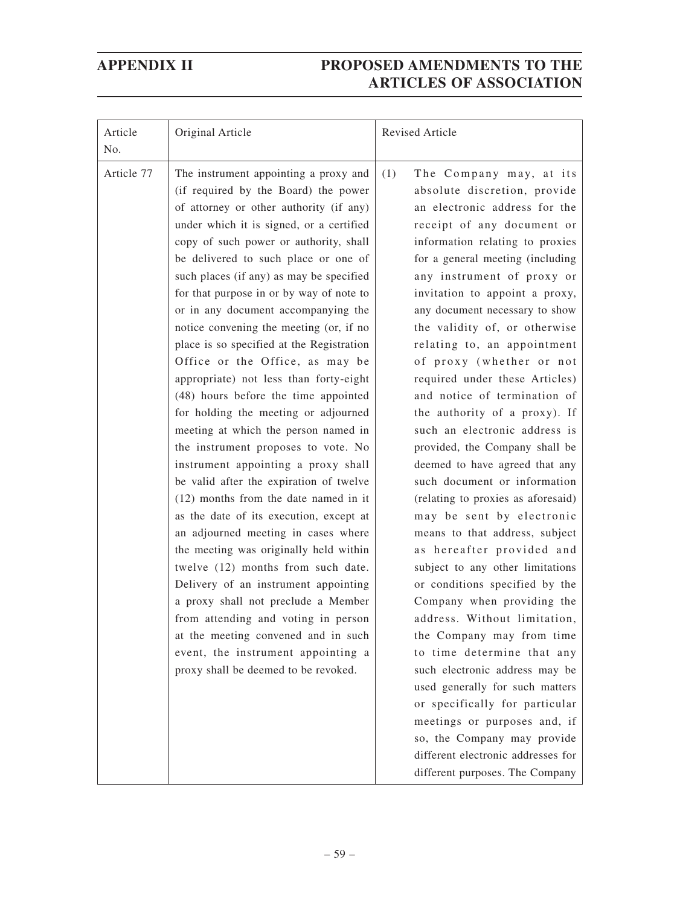| Article<br>No. | Original Article                                                                                                                                                                                                                                                                                                                                                                                                                                                                                                                                                                                                                                                                                                                                                                                                                                                                                                                                                                                                                                                                                                                                                                                                                                                    | Revised Article                                                                                                                                                                                                                                                                                                                                                                                                                                                                                                                                                                                                                                                                                                                                                                                                                                                                                                                                                                                                                                                                                                                                                                                                            |
|----------------|---------------------------------------------------------------------------------------------------------------------------------------------------------------------------------------------------------------------------------------------------------------------------------------------------------------------------------------------------------------------------------------------------------------------------------------------------------------------------------------------------------------------------------------------------------------------------------------------------------------------------------------------------------------------------------------------------------------------------------------------------------------------------------------------------------------------------------------------------------------------------------------------------------------------------------------------------------------------------------------------------------------------------------------------------------------------------------------------------------------------------------------------------------------------------------------------------------------------------------------------------------------------|----------------------------------------------------------------------------------------------------------------------------------------------------------------------------------------------------------------------------------------------------------------------------------------------------------------------------------------------------------------------------------------------------------------------------------------------------------------------------------------------------------------------------------------------------------------------------------------------------------------------------------------------------------------------------------------------------------------------------------------------------------------------------------------------------------------------------------------------------------------------------------------------------------------------------------------------------------------------------------------------------------------------------------------------------------------------------------------------------------------------------------------------------------------------------------------------------------------------------|
| Article 77     | The instrument appointing a proxy and<br>(if required by the Board) the power<br>of attorney or other authority (if any)<br>under which it is signed, or a certified<br>copy of such power or authority, shall<br>be delivered to such place or one of<br>such places (if any) as may be specified<br>for that purpose in or by way of note to<br>or in any document accompanying the<br>notice convening the meeting (or, if no<br>place is so specified at the Registration<br>Office or the Office, as may be<br>appropriate) not less than forty-eight<br>(48) hours before the time appointed<br>for holding the meeting or adjourned<br>meeting at which the person named in<br>the instrument proposes to vote. No<br>instrument appointing a proxy shall<br>be valid after the expiration of twelve<br>$(12)$ months from the date named in it<br>as the date of its execution, except at<br>an adjourned meeting in cases where<br>the meeting was originally held within<br>twelve (12) months from such date.<br>Delivery of an instrument appointing<br>a proxy shall not preclude a Member<br>from attending and voting in person<br>at the meeting convened and in such<br>event, the instrument appointing a<br>proxy shall be deemed to be revoked. | (1)<br>The Company may, at its<br>absolute discretion, provide<br>an electronic address for the<br>receipt of any document or<br>information relating to proxies<br>for a general meeting (including<br>any instrument of proxy or<br>invitation to appoint a proxy,<br>any document necessary to show<br>the validity of, or otherwise<br>relating to, an appointment<br>of proxy (whether or not<br>required under these Articles)<br>and notice of termination of<br>the authority of a proxy). If<br>such an electronic address is<br>provided, the Company shall be<br>deemed to have agreed that any<br>such document or information<br>(relating to proxies as aforesaid)<br>may be sent by electronic<br>means to that address, subject<br>as hereafter provided and<br>subject to any other limitations<br>or conditions specified by the<br>Company when providing the<br>address. Without limitation,<br>the Company may from time<br>to time determine that any<br>such electronic address may be<br>used generally for such matters<br>or specifically for particular<br>meetings or purposes and, if<br>so, the Company may provide<br>different electronic addresses for<br>different purposes. The Company |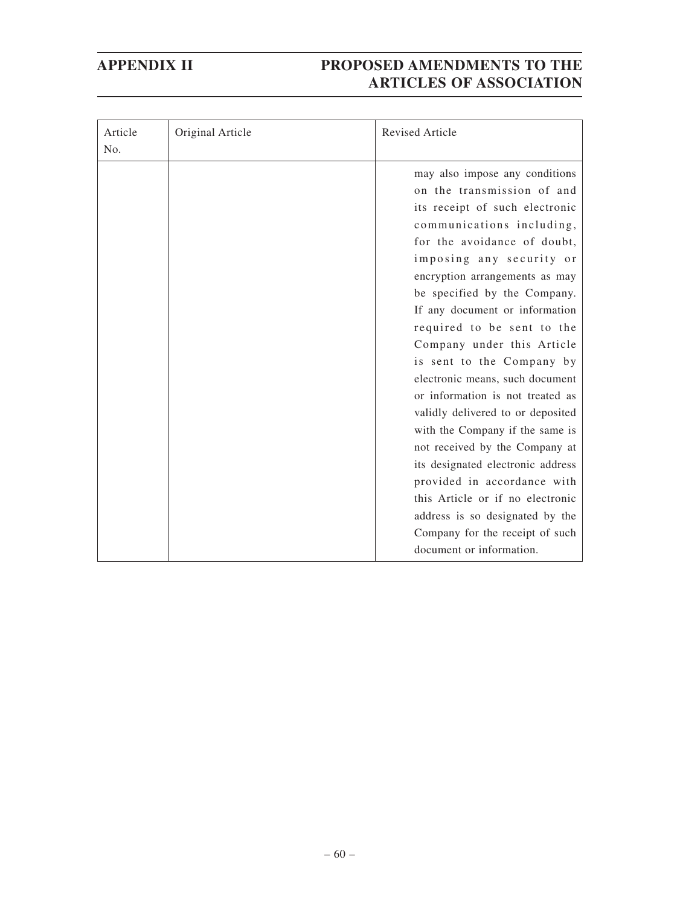| Article<br>No. | Original Article | <b>Revised Article</b>                                                                                                                                                                                                                                                                                                                                                                                                                                                                                                                                                                                                                                                                                                                                                         |
|----------------|------------------|--------------------------------------------------------------------------------------------------------------------------------------------------------------------------------------------------------------------------------------------------------------------------------------------------------------------------------------------------------------------------------------------------------------------------------------------------------------------------------------------------------------------------------------------------------------------------------------------------------------------------------------------------------------------------------------------------------------------------------------------------------------------------------|
|                |                  | may also impose any conditions<br>on the transmission of and<br>its receipt of such electronic<br>communications including,<br>for the avoidance of doubt,<br>imposing any security or<br>encryption arrangements as may<br>be specified by the Company.<br>If any document or information<br>required to be sent to the<br>Company under this Article<br>is sent to the Company by<br>electronic means, such document<br>or information is not treated as<br>validly delivered to or deposited<br>with the Company if the same is<br>not received by the Company at<br>its designated electronic address<br>provided in accordance with<br>this Article or if no electronic<br>address is so designated by the<br>Company for the receipt of such<br>document or information. |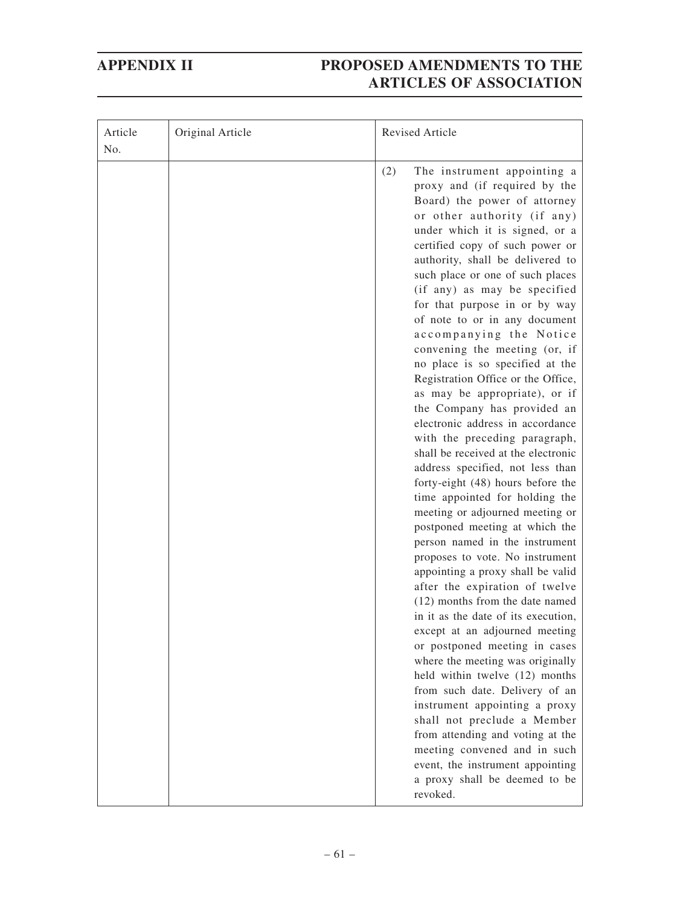| Article<br>No. | Original Article | Revised Article                                                                                                                                                                                                                                                                                                                                                                                                                                                                                                                                                                                                                                                                                                                                                                                                                                                                                                                                                                                                                                                                                                                                                                                                                                                                                                                                                                                                         |
|----------------|------------------|-------------------------------------------------------------------------------------------------------------------------------------------------------------------------------------------------------------------------------------------------------------------------------------------------------------------------------------------------------------------------------------------------------------------------------------------------------------------------------------------------------------------------------------------------------------------------------------------------------------------------------------------------------------------------------------------------------------------------------------------------------------------------------------------------------------------------------------------------------------------------------------------------------------------------------------------------------------------------------------------------------------------------------------------------------------------------------------------------------------------------------------------------------------------------------------------------------------------------------------------------------------------------------------------------------------------------------------------------------------------------------------------------------------------------|
|                |                  | (2)<br>The instrument appointing a<br>proxy and (if required by the<br>Board) the power of attorney<br>or other authority (if any)<br>under which it is signed, or a<br>certified copy of such power or<br>authority, shall be delivered to<br>such place or one of such places<br>(if any) as may be specified<br>for that purpose in or by way<br>of note to or in any document<br>accompanying the Notice<br>convening the meeting (or, if<br>no place is so specified at the<br>Registration Office or the Office,<br>as may be appropriate), or if<br>the Company has provided an<br>electronic address in accordance<br>with the preceding paragraph,<br>shall be received at the electronic<br>address specified, not less than<br>forty-eight (48) hours before the<br>time appointed for holding the<br>meeting or adjourned meeting or<br>postponed meeting at which the<br>person named in the instrument<br>proposes to vote. No instrument<br>appointing a proxy shall be valid<br>after the expiration of twelve<br>(12) months from the date named<br>in it as the date of its execution,<br>except at an adjourned meeting<br>or postponed meeting in cases<br>where the meeting was originally<br>held within twelve (12) months<br>from such date. Delivery of an<br>instrument appointing a proxy<br>shall not preclude a Member<br>from attending and voting at the<br>meeting convened and in such |
|                |                  | event, the instrument appointing<br>a proxy shall be deemed to be<br>revoked.                                                                                                                                                                                                                                                                                                                                                                                                                                                                                                                                                                                                                                                                                                                                                                                                                                                                                                                                                                                                                                                                                                                                                                                                                                                                                                                                           |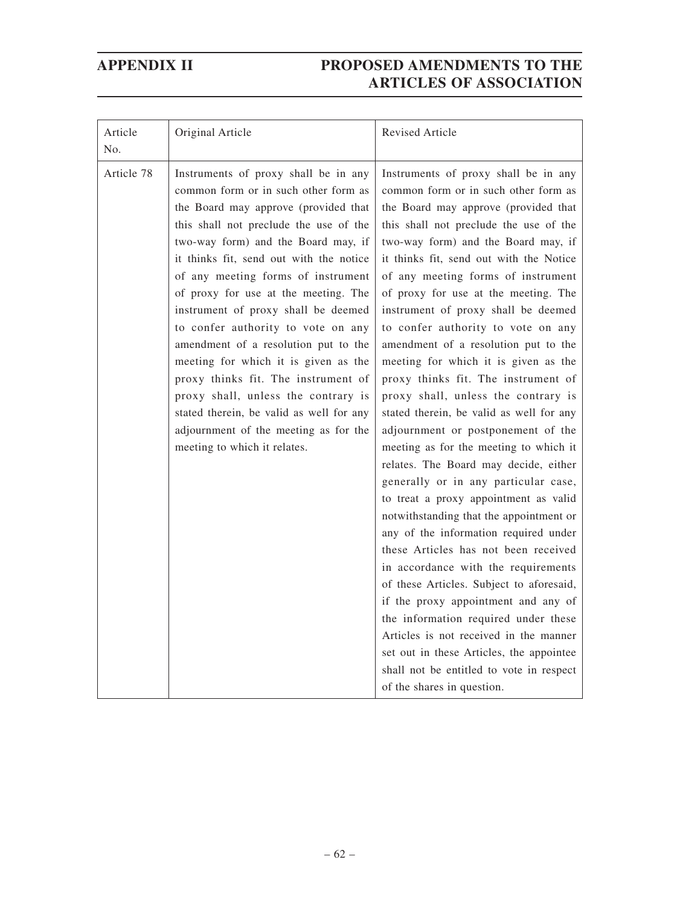| Article<br>N <sub>0</sub> . | Original Article                                                                                                                                                                                                                                                                                                                                                                                                                                                                                                                                                                                                                                                                               | <b>Revised Article</b>                                                                                                                                                                                                                                                                                                                                                                                                                                                                                                                                                                                                                                                                                                                                                                                                                                                                                                                                                                                                                                                                                                                                                                                                                                                                        |
|-----------------------------|------------------------------------------------------------------------------------------------------------------------------------------------------------------------------------------------------------------------------------------------------------------------------------------------------------------------------------------------------------------------------------------------------------------------------------------------------------------------------------------------------------------------------------------------------------------------------------------------------------------------------------------------------------------------------------------------|-----------------------------------------------------------------------------------------------------------------------------------------------------------------------------------------------------------------------------------------------------------------------------------------------------------------------------------------------------------------------------------------------------------------------------------------------------------------------------------------------------------------------------------------------------------------------------------------------------------------------------------------------------------------------------------------------------------------------------------------------------------------------------------------------------------------------------------------------------------------------------------------------------------------------------------------------------------------------------------------------------------------------------------------------------------------------------------------------------------------------------------------------------------------------------------------------------------------------------------------------------------------------------------------------|
| Article 78                  | Instruments of proxy shall be in any<br>common form or in such other form as<br>the Board may approve (provided that<br>this shall not preclude the use of the<br>two-way form) and the Board may, if<br>it thinks fit, send out with the notice<br>of any meeting forms of instrument<br>of proxy for use at the meeting. The<br>instrument of proxy shall be deemed<br>to confer authority to vote on any<br>amendment of a resolution put to the<br>meeting for which it is given as the<br>proxy thinks fit. The instrument of<br>proxy shall, unless the contrary is<br>stated therein, be valid as well for any<br>adjournment of the meeting as for the<br>meeting to which it relates. | Instruments of proxy shall be in any<br>common form or in such other form as<br>the Board may approve (provided that<br>this shall not preclude the use of the<br>two-way form) and the Board may, if<br>it thinks fit, send out with the Notice<br>of any meeting forms of instrument<br>of proxy for use at the meeting. The<br>instrument of proxy shall be deemed<br>to confer authority to vote on any<br>amendment of a resolution put to the<br>meeting for which it is given as the<br>proxy thinks fit. The instrument of<br>proxy shall, unless the contrary is<br>stated therein, be valid as well for any<br>adjournment or postponement of the<br>meeting as for the meeting to which it<br>relates. The Board may decide, either<br>generally or in any particular case,<br>to treat a proxy appointment as valid<br>notwithstanding that the appointment or<br>any of the information required under<br>these Articles has not been received<br>in accordance with the requirements<br>of these Articles. Subject to aforesaid,<br>if the proxy appointment and any of<br>the information required under these<br>Articles is not received in the manner<br>set out in these Articles, the appointee<br>shall not be entitled to vote in respect<br>of the shares in question. |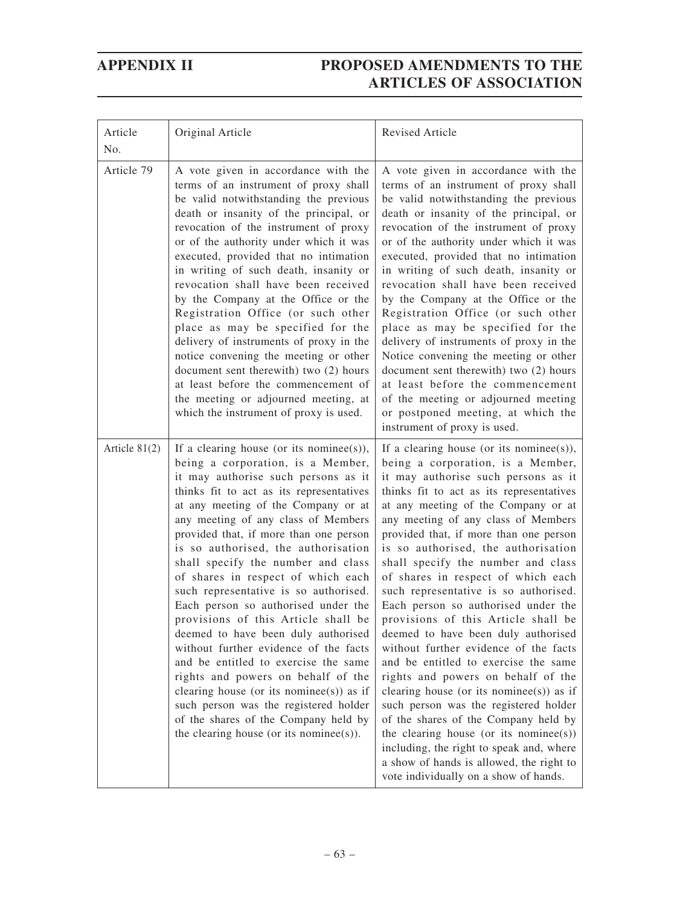| Article<br>No.  | Original Article                                                                                                                                                                                                                                                                                                                                                                                                                                                                                                                                                                                                                                                                                                                                                                                                                                                         | Revised Article                                                                                                                                                                                                                                                                                                                                                                                                                                                                                                                                                                                                                                                                                                                                                                                                                                                                                                                                                                                          |
|-----------------|--------------------------------------------------------------------------------------------------------------------------------------------------------------------------------------------------------------------------------------------------------------------------------------------------------------------------------------------------------------------------------------------------------------------------------------------------------------------------------------------------------------------------------------------------------------------------------------------------------------------------------------------------------------------------------------------------------------------------------------------------------------------------------------------------------------------------------------------------------------------------|----------------------------------------------------------------------------------------------------------------------------------------------------------------------------------------------------------------------------------------------------------------------------------------------------------------------------------------------------------------------------------------------------------------------------------------------------------------------------------------------------------------------------------------------------------------------------------------------------------------------------------------------------------------------------------------------------------------------------------------------------------------------------------------------------------------------------------------------------------------------------------------------------------------------------------------------------------------------------------------------------------|
| Article 79      | A vote given in accordance with the<br>terms of an instrument of proxy shall<br>be valid notwithstanding the previous<br>death or insanity of the principal, or<br>revocation of the instrument of proxy<br>or of the authority under which it was<br>executed, provided that no intimation<br>in writing of such death, insanity or<br>revocation shall have been received<br>by the Company at the Office or the<br>Registration Office (or such other<br>place as may be specified for the<br>delivery of instruments of proxy in the<br>notice convening the meeting or other<br>document sent therewith) two (2) hours<br>at least before the commencement of<br>the meeting or adjourned meeting, at<br>which the instrument of proxy is used.                                                                                                                     | A vote given in accordance with the<br>terms of an instrument of proxy shall<br>be valid notwithstanding the previous<br>death or insanity of the principal, or<br>revocation of the instrument of proxy<br>or of the authority under which it was<br>executed, provided that no intimation<br>in writing of such death, insanity or<br>revocation shall have been received<br>by the Company at the Office or the<br>Registration Office (or such other<br>place as may be specified for the<br>delivery of instruments of proxy in the<br>Notice convening the meeting or other<br>document sent therewith) two (2) hours<br>at least before the commencement<br>of the meeting or adjourned meeting<br>or postponed meeting, at which the<br>instrument of proxy is used.                                                                                                                                                                                                                             |
| Article $81(2)$ | If a clearing house (or its nominee(s)),<br>being a corporation, is a Member,<br>it may authorise such persons as it<br>thinks fit to act as its representatives<br>at any meeting of the Company or at<br>any meeting of any class of Members<br>provided that, if more than one person<br>is so authorised, the authorisation<br>shall specify the number and class<br>of shares in respect of which each<br>such representative is so authorised.<br>Each person so authorised under the<br>provisions of this Article shall be<br>deemed to have been duly authorised<br>without further evidence of the facts<br>and be entitled to exercise the same<br>rights and powers on behalf of the<br>clearing house (or its nominee(s)) as if<br>such person was the registered holder<br>of the shares of the Company held by<br>the clearing house (or its nominee(s)). | If a clearing house (or its nominee(s)),<br>being a corporation, is a Member,<br>it may authorise such persons as it<br>thinks fit to act as its representatives<br>at any meeting of the Company or at<br>any meeting of any class of Members<br>provided that, if more than one person<br>is so authorised, the authorisation<br>shall specify the number and class<br>of shares in respect of which each<br>such representative is so authorised.<br>Each person so authorised under the<br>provisions of this Article shall be<br>deemed to have been duly authorised<br>without further evidence of the facts<br>and be entitled to exercise the same<br>rights and powers on behalf of the<br>clearing house (or its nominee(s)) as if<br>such person was the registered holder<br>of the shares of the Company held by<br>the clearing house (or its nominee(s))<br>including, the right to speak and, where<br>a show of hands is allowed, the right to<br>vote individually on a show of hands. |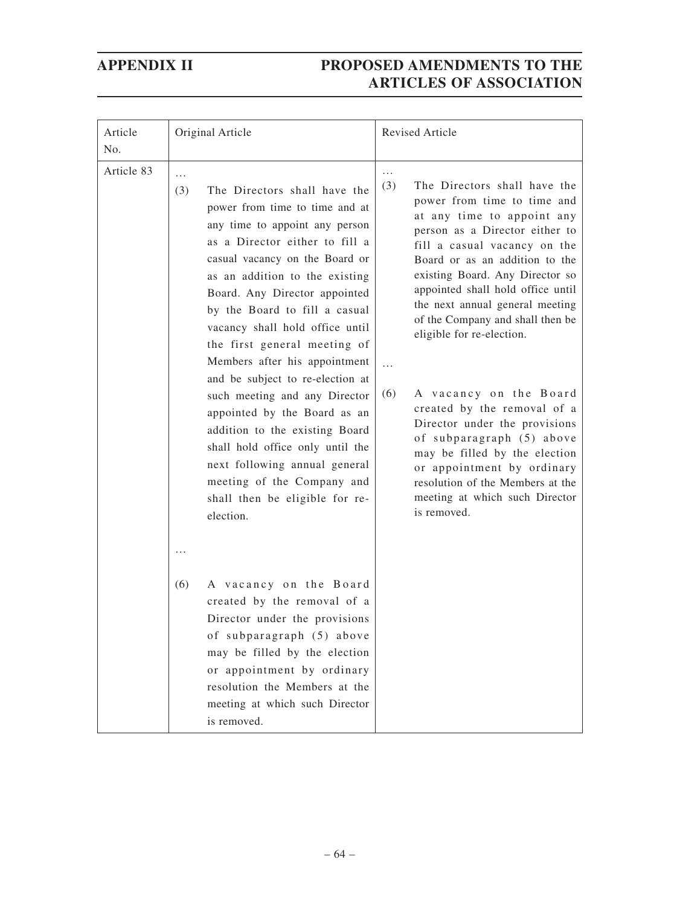| Article<br>No. | Original Article                                                                                                                                                                                                                                                                                                                                                                                                                                                                                                                                                                                                                                                                       | Revised Article                                                                                                                                                                                                                                                                                                                                                                                                                                                                                                                                                                                                                                                                             |
|----------------|----------------------------------------------------------------------------------------------------------------------------------------------------------------------------------------------------------------------------------------------------------------------------------------------------------------------------------------------------------------------------------------------------------------------------------------------------------------------------------------------------------------------------------------------------------------------------------------------------------------------------------------------------------------------------------------|---------------------------------------------------------------------------------------------------------------------------------------------------------------------------------------------------------------------------------------------------------------------------------------------------------------------------------------------------------------------------------------------------------------------------------------------------------------------------------------------------------------------------------------------------------------------------------------------------------------------------------------------------------------------------------------------|
| Article 83     | .<br>The Directors shall have the<br>(3)<br>power from time to time and at<br>any time to appoint any person<br>as a Director either to fill a<br>casual vacancy on the Board or<br>as an addition to the existing<br>Board. Any Director appointed<br>by the Board to fill a casual<br>vacancy shall hold office until<br>the first general meeting of<br>Members after his appointment<br>and be subject to re-election at<br>such meeting and any Director<br>appointed by the Board as an<br>addition to the existing Board<br>shall hold office only until the<br>next following annual general<br>meeting of the Company and<br>shall then be eligible for re-<br>election.<br>. | $\cdots$<br>(3)<br>The Directors shall have the<br>power from time to time and<br>at any time to appoint any<br>person as a Director either to<br>fill a casual vacancy on the<br>Board or as an addition to the<br>existing Board. Any Director so<br>appointed shall hold office until<br>the next annual general meeting<br>of the Company and shall then be<br>eligible for re-election.<br>$\ddotsc$<br>A vacancy on the Board<br>(6)<br>created by the removal of a<br>Director under the provisions<br>of subparagraph (5) above<br>may be filled by the election<br>or appointment by ordinary<br>resolution of the Members at the<br>meeting at which such Director<br>is removed. |
|                | (6)<br>A vacancy on the Board<br>created by the removal of a<br>Director under the provisions<br>of subparagraph (5) above<br>may be filled by the election<br>or appointment by ordinary<br>resolution the Members at the<br>meeting at which such Director<br>is removed.                                                                                                                                                                                                                                                                                                                                                                                                            |                                                                                                                                                                                                                                                                                                                                                                                                                                                                                                                                                                                                                                                                                             |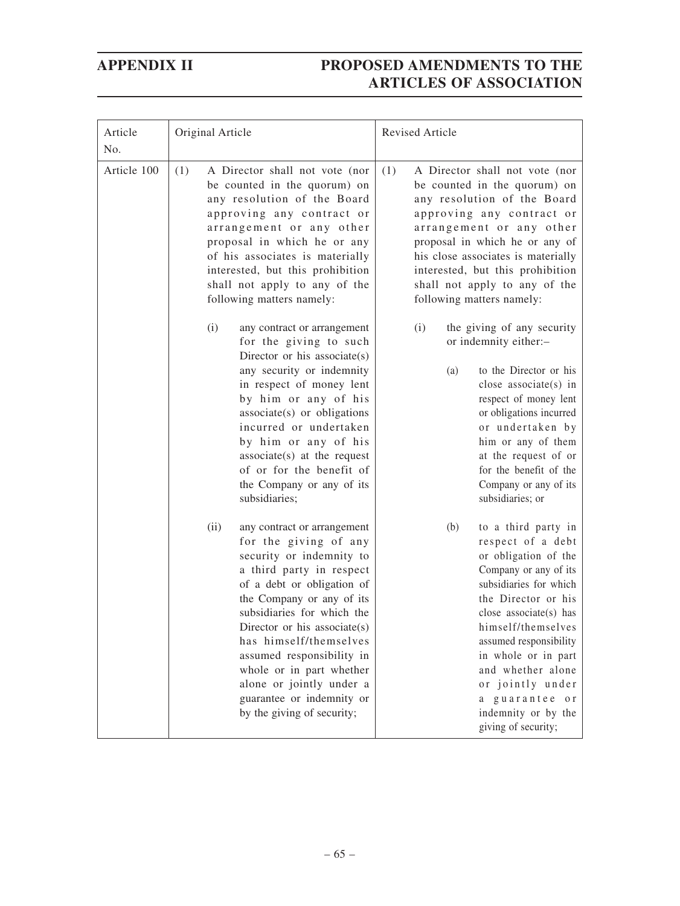| Article<br>No. | Original Article                                                                                                                                                                                                                                                                                                                                                                                                        | Revised Article                                                                                                                                                                                                                                                                                                                                             |
|----------------|-------------------------------------------------------------------------------------------------------------------------------------------------------------------------------------------------------------------------------------------------------------------------------------------------------------------------------------------------------------------------------------------------------------------------|-------------------------------------------------------------------------------------------------------------------------------------------------------------------------------------------------------------------------------------------------------------------------------------------------------------------------------------------------------------|
| Article 100    | (1)<br>A Director shall not vote (nor<br>be counted in the quorum) on<br>any resolution of the Board<br>approving any contract or<br>arrangement or any other<br>proposal in which he or any<br>of his associates is materially<br>interested, but this prohibition<br>shall not apply to any of the<br>following matters namely:                                                                                       | A Director shall not vote (nor<br>(1)<br>be counted in the quorum) on<br>any resolution of the Board<br>approving any contract or<br>arrangement or any other<br>proposal in which he or any of<br>his close associates is materially<br>interested, but this prohibition<br>shall not apply to any of the<br>following matters namely:                     |
|                | (i)<br>any contract or arrangement<br>for the giving to such<br>Director or his associate(s)<br>any security or indemnity<br>in respect of money lent<br>by him or any of his<br>$associate(s)$ or obligations<br>incurred or undertaken<br>by him or any of his<br>$associate(s)$ at the request<br>of or for the benefit of<br>the Company or any of its<br>subsidiaries;                                             | (i)<br>the giving of any security<br>or indemnity either:-<br>to the Director or his<br>(a)<br>close associate(s) in<br>respect of money lent<br>or obligations incurred<br>or undertaken by<br>him or any of them<br>at the request of or<br>for the benefit of the<br>Company or any of its<br>subsidiaries; or                                           |
|                | (ii)<br>any contract or arrangement<br>for the giving of any<br>security or indemnity to<br>a third party in respect<br>of a debt or obligation of<br>the Company or any of its<br>subsidiaries for which the<br>Director or his associate(s)<br>has himself/themselves<br>assumed responsibility in<br>whole or in part whether<br>alone or jointly under a<br>guarantee or indemnity or<br>by the giving of security; | (b)<br>to a third party in<br>respect of a debt<br>or obligation of the<br>Company or any of its<br>subsidiaries for which<br>the Director or his<br>close associate(s) has<br>himself/themselves<br>assumed responsibility<br>in whole or in part<br>and whether alone<br>or jointly under<br>a guarantee or<br>indemnity or by the<br>giving of security; |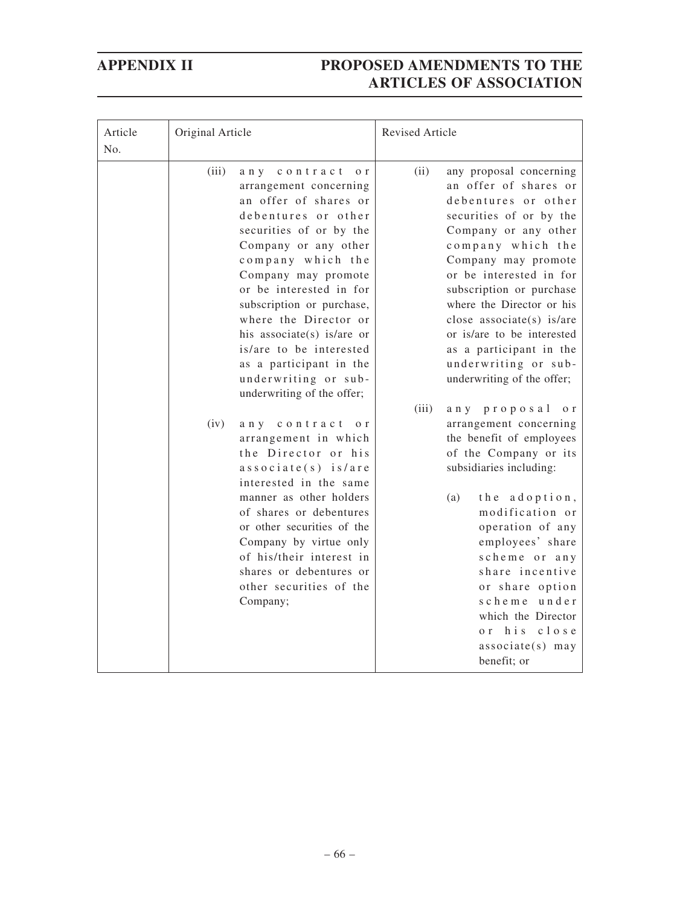| Article<br>No. | Original Article                                                                                                                                                                                                                                                                                                                                                                                                                                                                                                                                                                                                                                                                         | Revised Article                                                                                                                                                                                                                                                                                                                                                                                                                                                                                                                                                                                                                             |
|----------------|------------------------------------------------------------------------------------------------------------------------------------------------------------------------------------------------------------------------------------------------------------------------------------------------------------------------------------------------------------------------------------------------------------------------------------------------------------------------------------------------------------------------------------------------------------------------------------------------------------------------------------------------------------------------------------------|---------------------------------------------------------------------------------------------------------------------------------------------------------------------------------------------------------------------------------------------------------------------------------------------------------------------------------------------------------------------------------------------------------------------------------------------------------------------------------------------------------------------------------------------------------------------------------------------------------------------------------------------|
|                | (iii)<br>any contract<br>o <sub>r</sub><br>arrangement concerning<br>an offer of shares or<br>debentures or other<br>securities of or by the<br>Company or any other<br>company which the<br>Company may promote<br>or be interested in for<br>subscription or purchase,<br>where the Director or<br>his associate(s) is/are or<br>is/are to be interested<br>as a participant in the<br>underwriting or sub-<br>underwriting of the offer;<br>(iv)<br>any contract<br>0 r<br>arrangement in which<br>the Director or his<br>associate(s) is/are<br>interested in the same<br>manner as other holders<br>of shares or debentures<br>or other securities of the<br>Company by virtue only | (ii)<br>any proposal concerning<br>an offer of shares or<br>debentures or other<br>securities of or by the<br>Company or any other<br>company which the<br>Company may promote<br>or be interested in for<br>subscription or purchase<br>where the Director or his<br>close associate(s) is/are<br>or is/are to be interested<br>as a participant in the<br>underwriting or sub-<br>underwriting of the offer;<br>(iii)<br>any proposal<br>o r<br>arrangement concerning<br>the benefit of employees<br>of the Company or its<br>subsidiaries including:<br>(a)<br>the adoption,<br>modification or<br>operation of any<br>employees' share |
|                | of his/their interest in<br>shares or debentures or<br>other securities of the<br>Company;                                                                                                                                                                                                                                                                                                                                                                                                                                                                                                                                                                                               | scheme or any<br>share incentive<br>or share option<br>scheme under<br>which the Director<br>close<br>or his<br>$associate(s)$ may<br>benefit; or                                                                                                                                                                                                                                                                                                                                                                                                                                                                                           |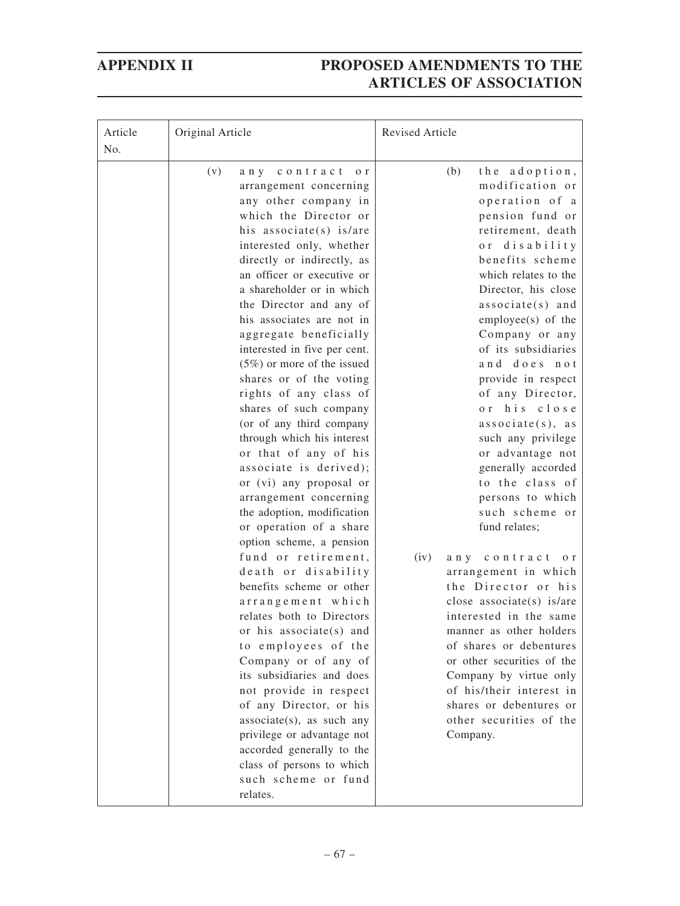| (v)<br>any contract<br>o <sub>r</sub><br>arrangement concerning<br>any other company in                                                                                                                                                                                                                                                                                                                                                                                                                                                                                                                                                                                                                                                                                                                                                                                                                                                                                                                                                                                                                                | (b)<br>the adoption,<br>modification or<br>operation of a<br>pension fund or<br>retirement, death                                                                                                                                                                                                                                                                                                                                                                                                                                                                                                                                                                                                                                                       |
|------------------------------------------------------------------------------------------------------------------------------------------------------------------------------------------------------------------------------------------------------------------------------------------------------------------------------------------------------------------------------------------------------------------------------------------------------------------------------------------------------------------------------------------------------------------------------------------------------------------------------------------------------------------------------------------------------------------------------------------------------------------------------------------------------------------------------------------------------------------------------------------------------------------------------------------------------------------------------------------------------------------------------------------------------------------------------------------------------------------------|---------------------------------------------------------------------------------------------------------------------------------------------------------------------------------------------------------------------------------------------------------------------------------------------------------------------------------------------------------------------------------------------------------------------------------------------------------------------------------------------------------------------------------------------------------------------------------------------------------------------------------------------------------------------------------------------------------------------------------------------------------|
| which the Director or<br>his associate(s) is/are<br>interested only, whether<br>directly or indirectly, as<br>an officer or executive or<br>a shareholder or in which<br>the Director and any of<br>his associates are not in<br>aggregate beneficially<br>interested in five per cent.<br>$(5\%)$ or more of the issued<br>shares or of the voting<br>rights of any class of<br>shares of such company<br>(or of any third company<br>through which his interest<br>or that of any of his<br>associate is derived);<br>or (vi) any proposal or<br>arrangement concerning<br>the adoption, modification<br>or operation of a share<br>option scheme, a pension<br>fund or retirement,<br>(iv)<br>death or disability<br>benefits scheme or other<br>arrangement which<br>relates both to Directors<br>or his associate(s) and<br>to employees of the<br>Company or of any of<br>its subsidiaries and does<br>not provide in respect<br>of any Director, or his<br>associate(s), as such any<br>privilege or advantage not<br>accorded generally to the<br>class of persons to which<br>such scheme or fund<br>relates. | or disability<br>benefits scheme<br>which relates to the<br>Director, his close<br>$associate(s)$ and<br>$employee(s)$ of the<br>Company or any<br>of its subsidiaries<br>and does not<br>provide in respect<br>of any Director,<br>or his close<br>associate(s), as<br>such any privilege<br>or advantage not<br>generally accorded<br>to the class of<br>persons to which<br>such scheme or<br>fund relates;<br>any contract<br>o r<br>arrangement in which<br>the Director or his<br>close associate(s) is/are<br>interested in the same<br>manner as other holders<br>of shares or debentures<br>or other securities of the<br>Company by virtue only<br>of his/their interest in<br>shares or debentures or<br>other securities of the<br>Company. |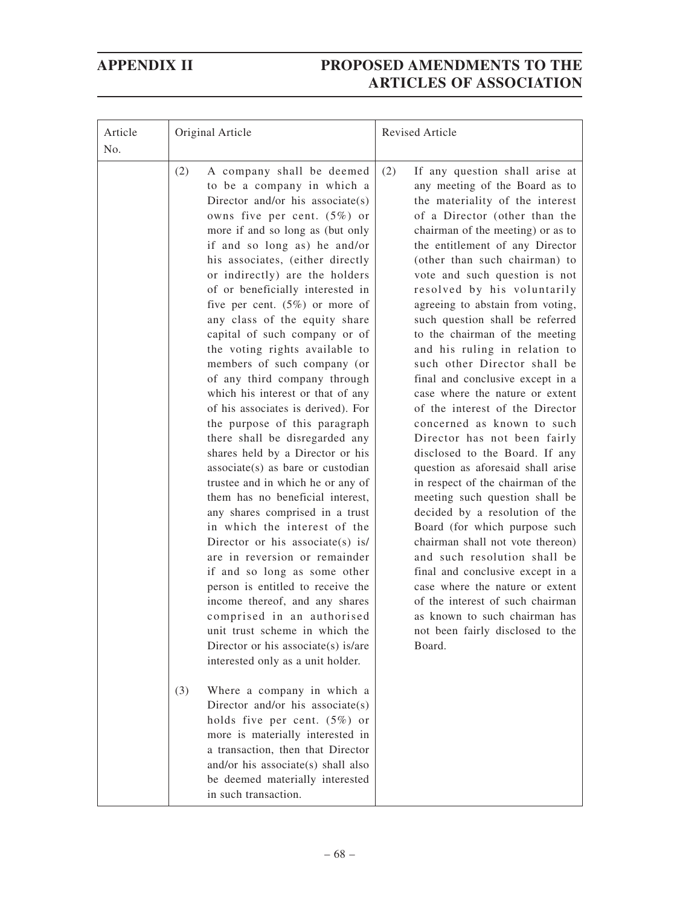| Article<br>No. | Original Article                                                                                                                                                                                                                                                                                                                                                                                                                                                                                                                                                                                                                                                                                                                                                                                                                                                                                                                                                                                                                                                                                                                                                                                                                                                                                                                                                                                                                                                                                             | Revised Article                                                                                                                                                                                                                                                                                                                                                                                                                                                                                                                                                                                                                                                                                                                                                                                                                                                                                                                                                                                                                                                                                                                                       |
|----------------|--------------------------------------------------------------------------------------------------------------------------------------------------------------------------------------------------------------------------------------------------------------------------------------------------------------------------------------------------------------------------------------------------------------------------------------------------------------------------------------------------------------------------------------------------------------------------------------------------------------------------------------------------------------------------------------------------------------------------------------------------------------------------------------------------------------------------------------------------------------------------------------------------------------------------------------------------------------------------------------------------------------------------------------------------------------------------------------------------------------------------------------------------------------------------------------------------------------------------------------------------------------------------------------------------------------------------------------------------------------------------------------------------------------------------------------------------------------------------------------------------------------|-------------------------------------------------------------------------------------------------------------------------------------------------------------------------------------------------------------------------------------------------------------------------------------------------------------------------------------------------------------------------------------------------------------------------------------------------------------------------------------------------------------------------------------------------------------------------------------------------------------------------------------------------------------------------------------------------------------------------------------------------------------------------------------------------------------------------------------------------------------------------------------------------------------------------------------------------------------------------------------------------------------------------------------------------------------------------------------------------------------------------------------------------------|
|                | (2)<br>A company shall be deemed<br>to be a company in which a<br>Director and/or his associate(s)<br>owns five per cent. $(5\%)$ or<br>more if and so long as (but only<br>if and so long as) he and/or<br>his associates, (either directly<br>or indirectly) are the holders<br>of or beneficially interested in<br>five per cent. $(5%)$ or more of<br>any class of the equity share<br>capital of such company or of<br>the voting rights available to<br>members of such company (or<br>of any third company through<br>which his interest or that of any<br>of his associates is derived). For<br>the purpose of this paragraph<br>there shall be disregarded any<br>shares held by a Director or his<br>$associate(s)$ as bare or custodian<br>trustee and in which he or any of<br>them has no beneficial interest,<br>any shares comprised in a trust<br>in which the interest of the<br>Director or his associate(s) is/<br>are in reversion or remainder<br>if and so long as some other<br>person is entitled to receive the<br>income thereof, and any shares<br>comprised in an authorised<br>unit trust scheme in which the<br>Director or his associate(s) is/are<br>interested only as a unit holder.<br>(3)<br>Where a company in which a<br>Director and/or his associate(s)<br>holds five per cent. $(5\%)$ or<br>more is materially interested in<br>a transaction, then that Director<br>and/or his associate(s) shall also<br>be deemed materially interested<br>in such transaction. | If any question shall arise at<br>(2)<br>any meeting of the Board as to<br>the materiality of the interest<br>of a Director (other than the<br>chairman of the meeting) or as to<br>the entitlement of any Director<br>(other than such chairman) to<br>vote and such question is not<br>resolved by his voluntarily<br>agreeing to abstain from voting,<br>such question shall be referred<br>to the chairman of the meeting<br>and his ruling in relation to<br>such other Director shall be<br>final and conclusive except in a<br>case where the nature or extent<br>of the interest of the Director<br>concerned as known to such<br>Director has not been fairly<br>disclosed to the Board. If any<br>question as aforesaid shall arise<br>in respect of the chairman of the<br>meeting such question shall be<br>decided by a resolution of the<br>Board (for which purpose such<br>chairman shall not vote thereon)<br>and such resolution shall be<br>final and conclusive except in a<br>case where the nature or extent<br>of the interest of such chairman<br>as known to such chairman has<br>not been fairly disclosed to the<br>Board. |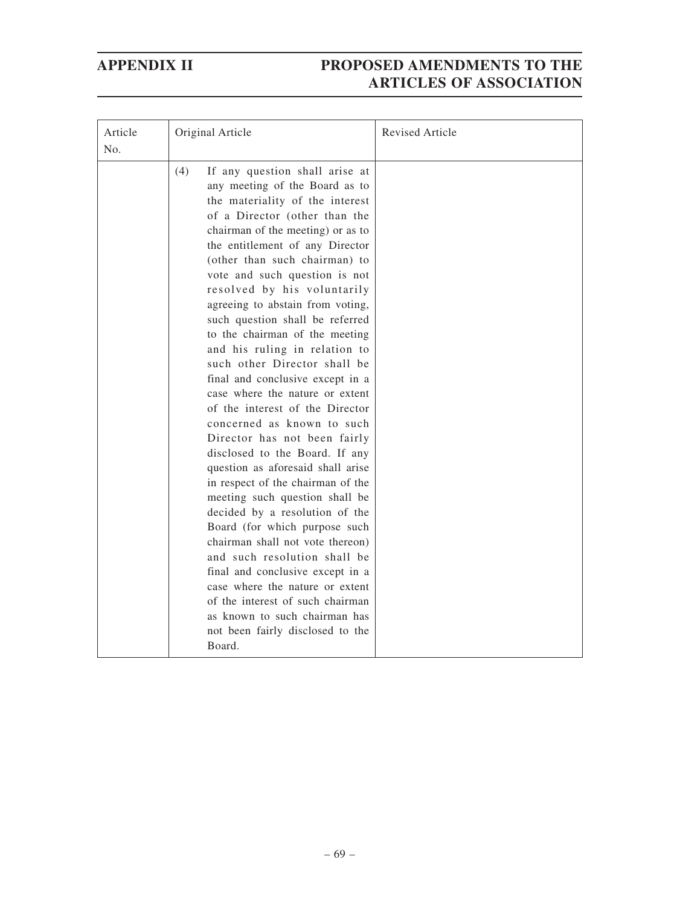| Article | Original Article                                                                                                                                                                                                                                                                                                                                                                                                                                                                                                                                                                                                                                                                                                                                                                                                                                                                                                                                                                                                                                                                                                                                      | <b>Revised Article</b> |
|---------|-------------------------------------------------------------------------------------------------------------------------------------------------------------------------------------------------------------------------------------------------------------------------------------------------------------------------------------------------------------------------------------------------------------------------------------------------------------------------------------------------------------------------------------------------------------------------------------------------------------------------------------------------------------------------------------------------------------------------------------------------------------------------------------------------------------------------------------------------------------------------------------------------------------------------------------------------------------------------------------------------------------------------------------------------------------------------------------------------------------------------------------------------------|------------------------|
| No.     |                                                                                                                                                                                                                                                                                                                                                                                                                                                                                                                                                                                                                                                                                                                                                                                                                                                                                                                                                                                                                                                                                                                                                       |                        |
|         | (4)<br>If any question shall arise at<br>any meeting of the Board as to<br>the materiality of the interest<br>of a Director (other than the<br>chairman of the meeting) or as to<br>the entitlement of any Director<br>(other than such chairman) to<br>vote and such question is not<br>resolved by his voluntarily<br>agreeing to abstain from voting,<br>such question shall be referred<br>to the chairman of the meeting<br>and his ruling in relation to<br>such other Director shall be<br>final and conclusive except in a<br>case where the nature or extent<br>of the interest of the Director<br>concerned as known to such<br>Director has not been fairly<br>disclosed to the Board. If any<br>question as aforesaid shall arise<br>in respect of the chairman of the<br>meeting such question shall be<br>decided by a resolution of the<br>Board (for which purpose such<br>chairman shall not vote thereon)<br>and such resolution shall be<br>final and conclusive except in a<br>case where the nature or extent<br>of the interest of such chairman<br>as known to such chairman has<br>not been fairly disclosed to the<br>Board. |                        |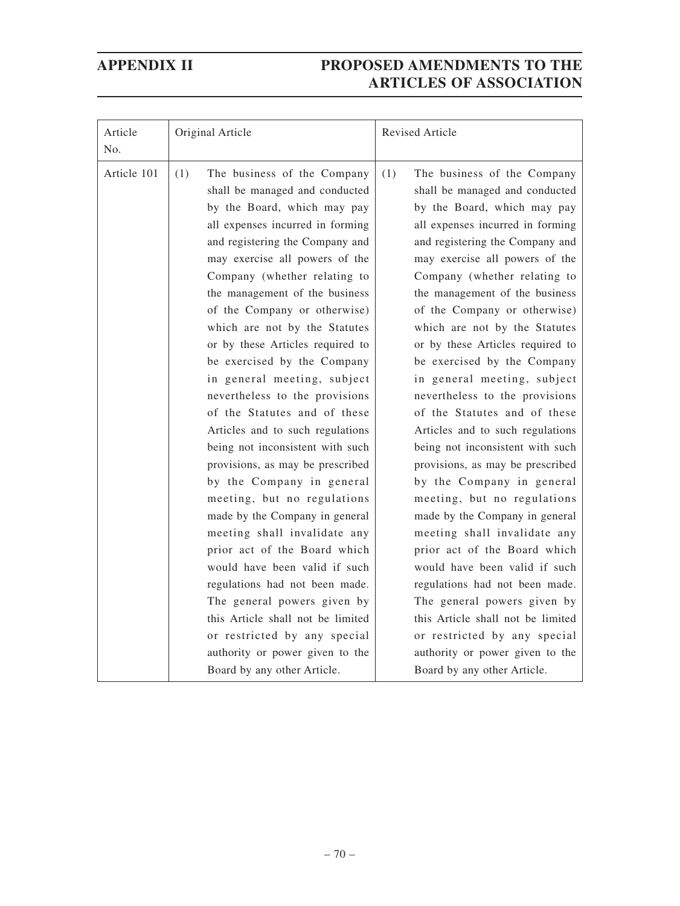| Article<br>No. | Original Article                                                                                                                                                                                                                                                                                                                                                                                                                                                                                                                                                                                                                                                                                                                                                                                                                                                                                                                                                                                                                       | Revised Article                                                                                                                                                                                                                                                                                                                                                                                                                                                                                                                                                                                                                                                                                                                                                                                                                                                                                                                                                                                                                        |
|----------------|----------------------------------------------------------------------------------------------------------------------------------------------------------------------------------------------------------------------------------------------------------------------------------------------------------------------------------------------------------------------------------------------------------------------------------------------------------------------------------------------------------------------------------------------------------------------------------------------------------------------------------------------------------------------------------------------------------------------------------------------------------------------------------------------------------------------------------------------------------------------------------------------------------------------------------------------------------------------------------------------------------------------------------------|----------------------------------------------------------------------------------------------------------------------------------------------------------------------------------------------------------------------------------------------------------------------------------------------------------------------------------------------------------------------------------------------------------------------------------------------------------------------------------------------------------------------------------------------------------------------------------------------------------------------------------------------------------------------------------------------------------------------------------------------------------------------------------------------------------------------------------------------------------------------------------------------------------------------------------------------------------------------------------------------------------------------------------------|
| Article 101    | The business of the Company<br>(1)<br>shall be managed and conducted<br>by the Board, which may pay<br>all expenses incurred in forming<br>and registering the Company and<br>may exercise all powers of the<br>Company (whether relating to<br>the management of the business<br>of the Company or otherwise)<br>which are not by the Statutes<br>or by these Articles required to<br>be exercised by the Company<br>in general meeting, subject<br>nevertheless to the provisions<br>of the Statutes and of these<br>Articles and to such regulations<br>being not inconsistent with such<br>provisions, as may be prescribed<br>by the Company in general<br>meeting, but no regulations<br>made by the Company in general<br>meeting shall invalidate any<br>prior act of the Board which<br>would have been valid if such<br>regulations had not been made.<br>The general powers given by<br>this Article shall not be limited<br>or restricted by any special<br>authority or power given to the<br>Board by any other Article. | (1)<br>The business of the Company<br>shall be managed and conducted<br>by the Board, which may pay<br>all expenses incurred in forming<br>and registering the Company and<br>may exercise all powers of the<br>Company (whether relating to<br>the management of the business<br>of the Company or otherwise)<br>which are not by the Statutes<br>or by these Articles required to<br>be exercised by the Company<br>in general meeting, subject<br>nevertheless to the provisions<br>of the Statutes and of these<br>Articles and to such regulations<br>being not inconsistent with such<br>provisions, as may be prescribed<br>by the Company in general<br>meeting, but no regulations<br>made by the Company in general<br>meeting shall invalidate any<br>prior act of the Board which<br>would have been valid if such<br>regulations had not been made.<br>The general powers given by<br>this Article shall not be limited<br>or restricted by any special<br>authority or power given to the<br>Board by any other Article. |
|                |                                                                                                                                                                                                                                                                                                                                                                                                                                                                                                                                                                                                                                                                                                                                                                                                                                                                                                                                                                                                                                        |                                                                                                                                                                                                                                                                                                                                                                                                                                                                                                                                                                                                                                                                                                                                                                                                                                                                                                                                                                                                                                        |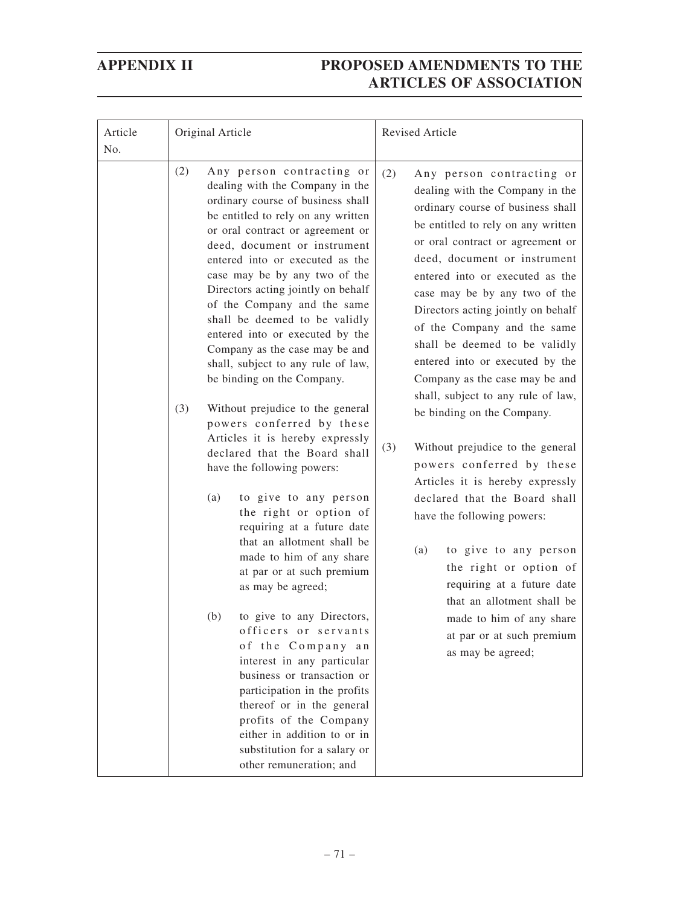| Article<br>No. | Original Article                                                                                                                                                                                                                                                                                                                                                                                                                                                                                                                                                                                                                                                                                                                                                                                                                                                                                                                                                                                                                                                                                                                                                                                                                                  | <b>Revised Article</b>                                                                                                                                                                                                                                                                                                                                                                                                                                                                                                                                                                                                                                                                                                                                                                                                                                                                                              |  |
|----------------|---------------------------------------------------------------------------------------------------------------------------------------------------------------------------------------------------------------------------------------------------------------------------------------------------------------------------------------------------------------------------------------------------------------------------------------------------------------------------------------------------------------------------------------------------------------------------------------------------------------------------------------------------------------------------------------------------------------------------------------------------------------------------------------------------------------------------------------------------------------------------------------------------------------------------------------------------------------------------------------------------------------------------------------------------------------------------------------------------------------------------------------------------------------------------------------------------------------------------------------------------|---------------------------------------------------------------------------------------------------------------------------------------------------------------------------------------------------------------------------------------------------------------------------------------------------------------------------------------------------------------------------------------------------------------------------------------------------------------------------------------------------------------------------------------------------------------------------------------------------------------------------------------------------------------------------------------------------------------------------------------------------------------------------------------------------------------------------------------------------------------------------------------------------------------------|--|
|                | (2)<br>Any person contracting or<br>dealing with the Company in the<br>ordinary course of business shall<br>be entitled to rely on any written<br>or oral contract or agreement or<br>deed, document or instrument<br>entered into or executed as the<br>case may be by any two of the<br>Directors acting jointly on behalf<br>of the Company and the same<br>shall be deemed to be validly<br>entered into or executed by the<br>Company as the case may be and<br>shall, subject to any rule of law,<br>be binding on the Company.<br>(3)<br>Without prejudice to the general<br>powers conferred by these<br>Articles it is hereby expressly<br>declared that the Board shall<br>have the following powers:<br>to give to any person<br>(a)<br>the right or option of<br>requiring at a future date<br>that an allotment shall be<br>made to him of any share<br>at par or at such premium<br>as may be agreed;<br>to give to any Directors,<br>(b)<br>officers or servants<br>of the Company an<br>interest in any particular<br>business or transaction or<br>participation in the profits<br>thereof or in the general<br>profits of the Company<br>either in addition to or in<br>substitution for a salary or<br>other remuneration; and | (2)<br>Any person contracting or<br>dealing with the Company in the<br>ordinary course of business shall<br>be entitled to rely on any written<br>or oral contract or agreement or<br>deed, document or instrument<br>entered into or executed as the<br>case may be by any two of the<br>Directors acting jointly on behalf<br>of the Company and the same<br>shall be deemed to be validly<br>entered into or executed by the<br>Company as the case may be and<br>shall, subject to any rule of law,<br>be binding on the Company.<br>(3)<br>Without prejudice to the general<br>powers conferred by these<br>Articles it is hereby expressly<br>declared that the Board shall<br>have the following powers:<br>(a)<br>to give to any person<br>the right or option of<br>requiring at a future date<br>that an allotment shall be<br>made to him of any share<br>at par or at such premium<br>as may be agreed; |  |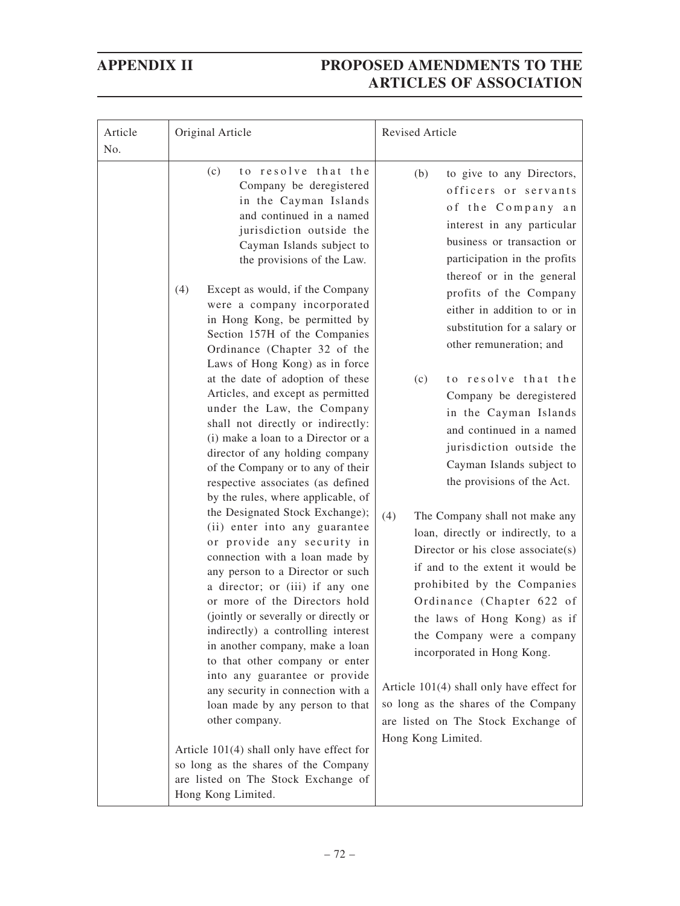| Article<br>No. | Original Article                                                                                                                                                                                                                                                                                                                                                                                                                                                                                                                                                                                                                                                                                                                                                                                                                                                                                                                                                                                                                                                                                                                                                                                                                                                                                                                                                                                                                | <b>Revised Article</b>                                                                                                                                                                                                                                                                                                                                                                                                                                                                                                                                                                                                                                                                                                                                                                                                                                                                                                                                                                               |
|----------------|---------------------------------------------------------------------------------------------------------------------------------------------------------------------------------------------------------------------------------------------------------------------------------------------------------------------------------------------------------------------------------------------------------------------------------------------------------------------------------------------------------------------------------------------------------------------------------------------------------------------------------------------------------------------------------------------------------------------------------------------------------------------------------------------------------------------------------------------------------------------------------------------------------------------------------------------------------------------------------------------------------------------------------------------------------------------------------------------------------------------------------------------------------------------------------------------------------------------------------------------------------------------------------------------------------------------------------------------------------------------------------------------------------------------------------|------------------------------------------------------------------------------------------------------------------------------------------------------------------------------------------------------------------------------------------------------------------------------------------------------------------------------------------------------------------------------------------------------------------------------------------------------------------------------------------------------------------------------------------------------------------------------------------------------------------------------------------------------------------------------------------------------------------------------------------------------------------------------------------------------------------------------------------------------------------------------------------------------------------------------------------------------------------------------------------------------|
|                | to resolve that the<br>(c)<br>Company be deregistered<br>in the Cayman Islands<br>and continued in a named<br>jurisdiction outside the<br>Cayman Islands subject to<br>the provisions of the Law.<br>(4)<br>Except as would, if the Company<br>were a company incorporated<br>in Hong Kong, be permitted by<br>Section 157H of the Companies<br>Ordinance (Chapter 32 of the<br>Laws of Hong Kong) as in force<br>at the date of adoption of these<br>Articles, and except as permitted<br>under the Law, the Company<br>shall not directly or indirectly:<br>(i) make a loan to a Director or a<br>director of any holding company<br>of the Company or to any of their<br>respective associates (as defined<br>by the rules, where applicable, of<br>the Designated Stock Exchange);<br>(ii) enter into any guarantee<br>or provide any security in<br>connection with a loan made by<br>any person to a Director or such<br>a director; or (iii) if any one<br>or more of the Directors hold<br>(jointly or severally or directly or<br>indirectly) a controlling interest<br>in another company, make a loan<br>to that other company or enter<br>into any guarantee or provide<br>any security in connection with a<br>loan made by any person to that<br>other company.<br>Article 101(4) shall only have effect for<br>so long as the shares of the Company<br>are listed on The Stock Exchange of<br>Hong Kong Limited. | to give to any Directors,<br>(b)<br>officers or servants<br>of the Company an<br>interest in any particular<br>business or transaction or<br>participation in the profits<br>thereof or in the general<br>profits of the Company<br>either in addition to or in<br>substitution for a salary or<br>other remuneration; and<br>to resolve that the<br>(c)<br>Company be deregistered<br>in the Cayman Islands<br>and continued in a named<br>jurisdiction outside the<br>Cayman Islands subject to<br>the provisions of the Act.<br>(4)<br>The Company shall not make any<br>loan, directly or indirectly, to a<br>Director or his close associate(s)<br>if and to the extent it would be<br>prohibited by the Companies<br>Ordinance (Chapter 622 of<br>the laws of Hong Kong) as if<br>the Company were a company<br>incorporated in Hong Kong.<br>Article $101(4)$ shall only have effect for<br>so long as the shares of the Company<br>are listed on The Stock Exchange of<br>Hong Kong Limited. |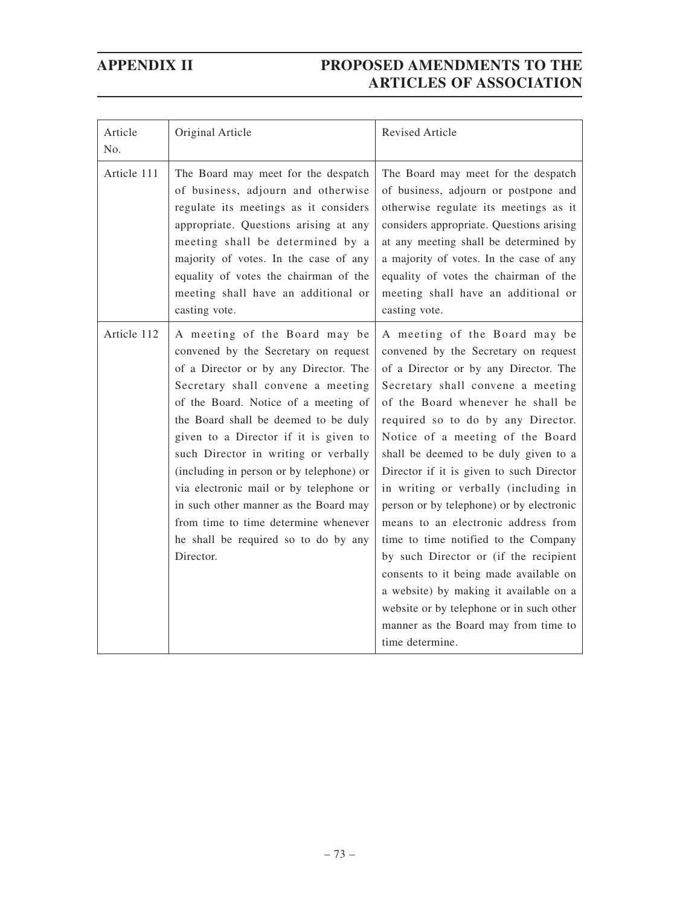| Article<br>No. | Original Article                                                                                                                                                                                                                                                                                                                                                                                                                                                                                                                                 | <b>Revised Article</b>                                                                                                                                                                                                                                                                                                                                                                                                                                                                                                                                                                                                                                                                                                                                         |
|----------------|--------------------------------------------------------------------------------------------------------------------------------------------------------------------------------------------------------------------------------------------------------------------------------------------------------------------------------------------------------------------------------------------------------------------------------------------------------------------------------------------------------------------------------------------------|----------------------------------------------------------------------------------------------------------------------------------------------------------------------------------------------------------------------------------------------------------------------------------------------------------------------------------------------------------------------------------------------------------------------------------------------------------------------------------------------------------------------------------------------------------------------------------------------------------------------------------------------------------------------------------------------------------------------------------------------------------------|
| Article 111    | The Board may meet for the despatch<br>of business, adjourn and otherwise<br>regulate its meetings as it considers<br>appropriate. Questions arising at any<br>meeting shall be determined by a<br>majority of votes. In the case of any<br>equality of votes the chairman of the<br>meeting shall have an additional or<br>casting vote.                                                                                                                                                                                                        | The Board may meet for the despatch<br>of business, adjourn or postpone and<br>otherwise regulate its meetings as it<br>considers appropriate. Questions arising<br>at any meeting shall be determined by<br>a majority of votes. In the case of any<br>equality of votes the chairman of the<br>meeting shall have an additional or<br>casting vote.                                                                                                                                                                                                                                                                                                                                                                                                          |
| Article 112    | A meeting of the Board may be<br>convened by the Secretary on request<br>of a Director or by any Director. The<br>Secretary shall convene a meeting<br>of the Board. Notice of a meeting of<br>the Board shall be deemed to be duly<br>given to a Director if it is given to<br>such Director in writing or verbally<br>(including in person or by telephone) or<br>via electronic mail or by telephone or<br>in such other manner as the Board may<br>from time to time determine whenever<br>he shall be required so to do by any<br>Director. | A meeting of the Board may be<br>convened by the Secretary on request<br>of a Director or by any Director. The<br>Secretary shall convene a meeting<br>of the Board whenever he shall be<br>required so to do by any Director.<br>Notice of a meeting of the Board<br>shall be deemed to be duly given to a<br>Director if it is given to such Director<br>in writing or verbally (including in<br>person or by telephone) or by electronic<br>means to an electronic address from<br>time to time notified to the Company<br>by such Director or (if the recipient<br>consents to it being made available on<br>a website) by making it available on a<br>website or by telephone or in such other<br>manner as the Board may from time to<br>time determine. |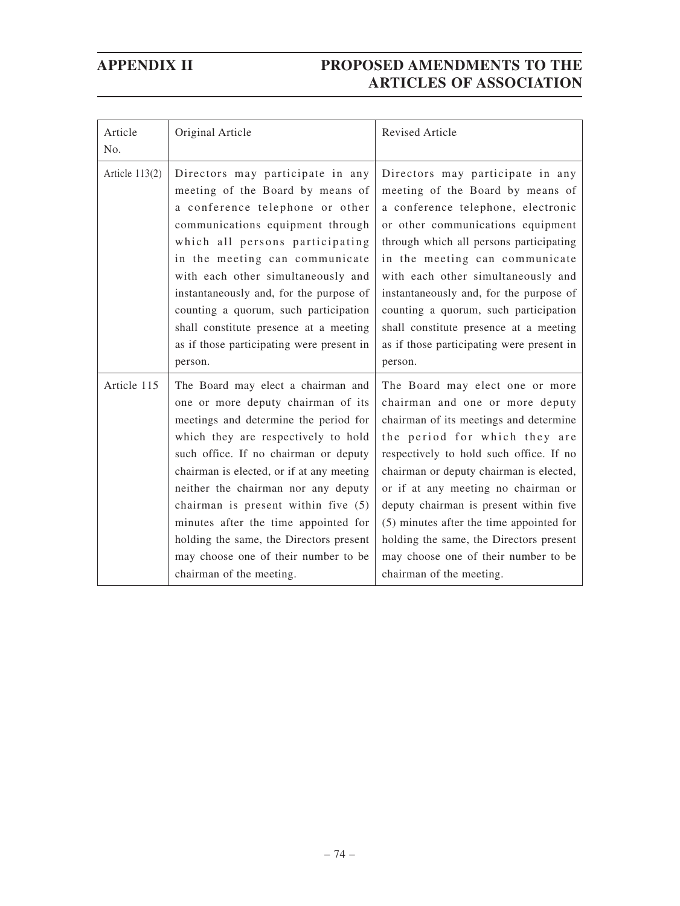| Article<br>No.   | Original Article                                                                                                                                                                                                                                                                                                                                                                                                                                                                    | <b>Revised Article</b>                                                                                                                                                                                                                                                                                                                                                                                                                                                          |  |
|------------------|-------------------------------------------------------------------------------------------------------------------------------------------------------------------------------------------------------------------------------------------------------------------------------------------------------------------------------------------------------------------------------------------------------------------------------------------------------------------------------------|---------------------------------------------------------------------------------------------------------------------------------------------------------------------------------------------------------------------------------------------------------------------------------------------------------------------------------------------------------------------------------------------------------------------------------------------------------------------------------|--|
| Article $113(2)$ | Directors may participate in any<br>meeting of the Board by means of<br>a conference telephone or other<br>communications equipment through<br>which all persons participating<br>in the meeting can communicate<br>with each other simultaneously and<br>instantaneously and, for the purpose of<br>counting a quorum, such participation<br>shall constitute presence at a meeting<br>as if those participating were present in<br>person.                                        | Directors may participate in any<br>meeting of the Board by means of<br>a conference telephone, electronic<br>or other communications equipment<br>through which all persons participating<br>in the meeting can communicate<br>with each other simultaneously and<br>instantaneously and, for the purpose of<br>counting a quorum, such participation<br>shall constitute presence at a meeting<br>as if those participating were present in<br>person.                        |  |
| Article 115      | The Board may elect a chairman and<br>one or more deputy chairman of its<br>meetings and determine the period for<br>which they are respectively to hold<br>such office. If no chairman or deputy<br>chairman is elected, or if at any meeting<br>neither the chairman nor any deputy<br>chairman is present within five (5)<br>minutes after the time appointed for<br>holding the same, the Directors present<br>may choose one of their number to be<br>chairman of the meeting. | The Board may elect one or more<br>chairman and one or more deputy<br>chairman of its meetings and determine<br>the period for which they are<br>respectively to hold such office. If no<br>chairman or deputy chairman is elected,<br>or if at any meeting no chairman or<br>deputy chairman is present within five<br>(5) minutes after the time appointed for<br>holding the same, the Directors present<br>may choose one of their number to be<br>chairman of the meeting. |  |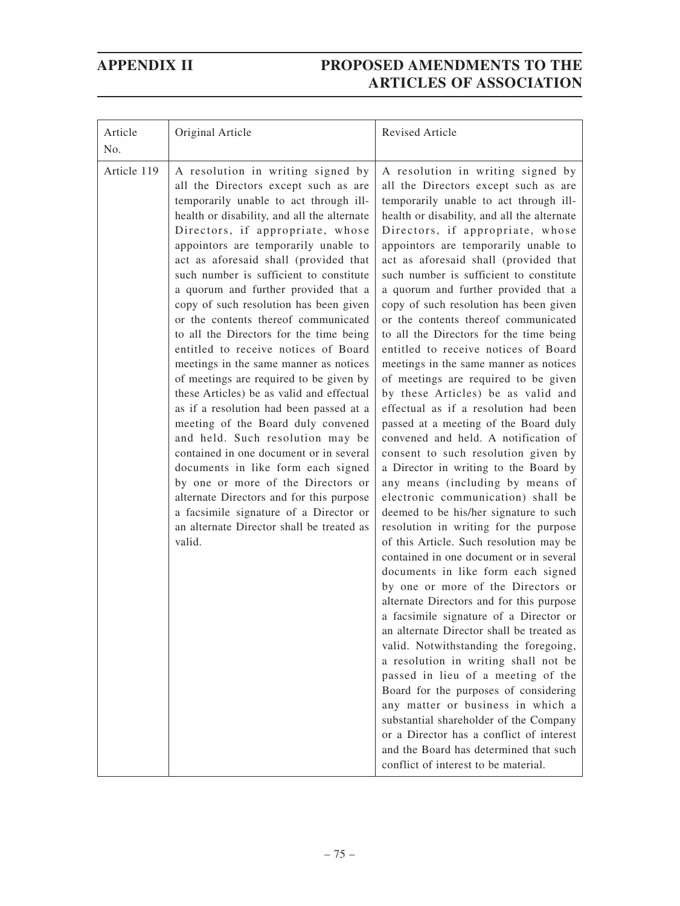| Article<br>No. | Original Article                                                                                                                                                                                                                                                                                                                                                                                                                                                                                                                                                                                                                                                                                                                                                                                                                                                                                                                                                                                                                                                           | Revised Article                                                                                                                                                                                                                                                                                                                                                                                                                                                                                                                                                                                                                                                                                                                                                                                                                                                                                                                                                                                                                                                                                                                                                                                                                                                                                                                                                                                                                                                                                                                                                                                                                                                                                                                  |
|----------------|----------------------------------------------------------------------------------------------------------------------------------------------------------------------------------------------------------------------------------------------------------------------------------------------------------------------------------------------------------------------------------------------------------------------------------------------------------------------------------------------------------------------------------------------------------------------------------------------------------------------------------------------------------------------------------------------------------------------------------------------------------------------------------------------------------------------------------------------------------------------------------------------------------------------------------------------------------------------------------------------------------------------------------------------------------------------------|----------------------------------------------------------------------------------------------------------------------------------------------------------------------------------------------------------------------------------------------------------------------------------------------------------------------------------------------------------------------------------------------------------------------------------------------------------------------------------------------------------------------------------------------------------------------------------------------------------------------------------------------------------------------------------------------------------------------------------------------------------------------------------------------------------------------------------------------------------------------------------------------------------------------------------------------------------------------------------------------------------------------------------------------------------------------------------------------------------------------------------------------------------------------------------------------------------------------------------------------------------------------------------------------------------------------------------------------------------------------------------------------------------------------------------------------------------------------------------------------------------------------------------------------------------------------------------------------------------------------------------------------------------------------------------------------------------------------------------|
| Article 119    | A resolution in writing signed by<br>all the Directors except such as are<br>temporarily unable to act through ill-<br>health or disability, and all the alternate<br>Directors, if appropriate, whose<br>appointors are temporarily unable to<br>act as aforesaid shall (provided that<br>such number is sufficient to constitute<br>a quorum and further provided that a<br>copy of such resolution has been given<br>or the contents thereof communicated<br>to all the Directors for the time being<br>entitled to receive notices of Board<br>meetings in the same manner as notices<br>of meetings are required to be given by<br>these Articles) be as valid and effectual<br>as if a resolution had been passed at a<br>meeting of the Board duly convened<br>and held. Such resolution may be<br>contained in one document or in several<br>documents in like form each signed<br>by one or more of the Directors or<br>alternate Directors and for this purpose<br>a facsimile signature of a Director or<br>an alternate Director shall be treated as<br>valid. | A resolution in writing signed by<br>all the Directors except such as are<br>temporarily unable to act through ill-<br>health or disability, and all the alternate<br>Directors, if appropriate, whose<br>appointors are temporarily unable to<br>act as aforesaid shall (provided that<br>such number is sufficient to constitute<br>a quorum and further provided that a<br>copy of such resolution has been given<br>or the contents thereof communicated<br>to all the Directors for the time being<br>entitled to receive notices of Board<br>meetings in the same manner as notices<br>of meetings are required to be given<br>by these Articles) be as valid and<br>effectual as if a resolution had been<br>passed at a meeting of the Board duly<br>convened and held. A notification of<br>consent to such resolution given by<br>a Director in writing to the Board by<br>any means (including by means of<br>electronic communication) shall be<br>deemed to be his/her signature to such<br>resolution in writing for the purpose<br>of this Article. Such resolution may be<br>contained in one document or in several<br>documents in like form each signed<br>by one or more of the Directors or<br>alternate Directors and for this purpose<br>a facsimile signature of a Director or<br>an alternate Director shall be treated as<br>valid. Notwithstanding the foregoing,<br>a resolution in writing shall not be<br>passed in lieu of a meeting of the<br>Board for the purposes of considering<br>any matter or business in which a<br>substantial shareholder of the Company<br>or a Director has a conflict of interest<br>and the Board has determined that such<br>conflict of interest to be material. |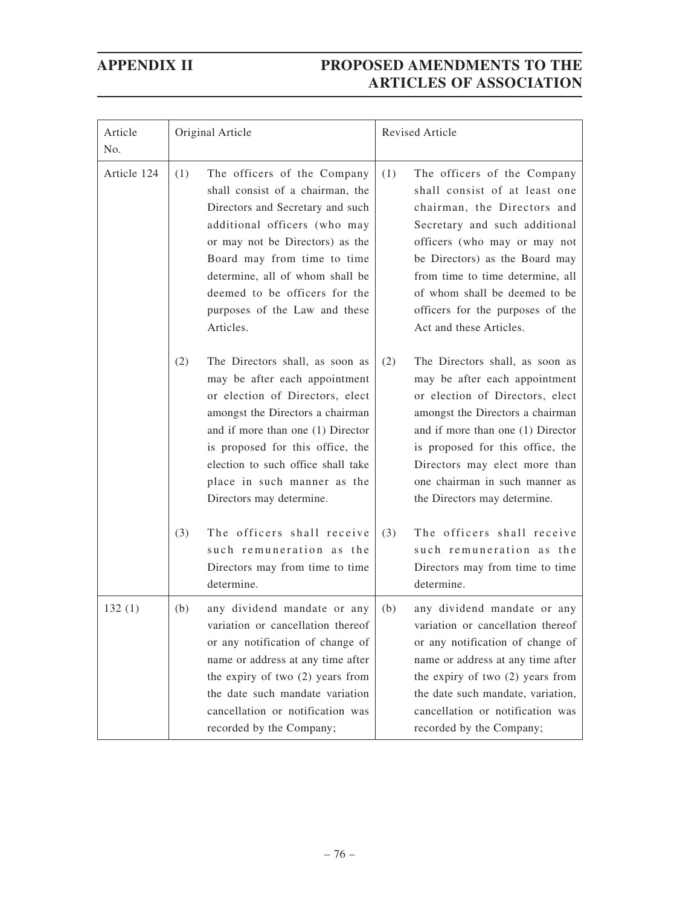| Article<br>No. | Original Article                                                                                                                                                                                                                                                                                                               | Revised Article                                                                                                                                                                                                                                                                                                                           |  |
|----------------|--------------------------------------------------------------------------------------------------------------------------------------------------------------------------------------------------------------------------------------------------------------------------------------------------------------------------------|-------------------------------------------------------------------------------------------------------------------------------------------------------------------------------------------------------------------------------------------------------------------------------------------------------------------------------------------|--|
| Article 124    | (1)<br>The officers of the Company<br>shall consist of a chairman, the<br>Directors and Secretary and such<br>additional officers (who may<br>or may not be Directors) as the<br>Board may from time to time<br>determine, all of whom shall be<br>deemed to be officers for the<br>purposes of the Law and these<br>Articles. | (1)<br>The officers of the Company<br>shall consist of at least one<br>chairman, the Directors and<br>Secretary and such additional<br>officers (who may or may not<br>be Directors) as the Board may<br>from time to time determine, all<br>of whom shall be deemed to be<br>officers for the purposes of the<br>Act and these Articles. |  |
|                | (2)<br>The Directors shall, as soon as<br>may be after each appointment<br>or election of Directors, elect<br>amongst the Directors a chairman<br>and if more than one (1) Director<br>is proposed for this office, the<br>election to such office shall take<br>place in such manner as the<br>Directors may determine.       | (2)<br>The Directors shall, as soon as<br>may be after each appointment<br>or election of Directors, elect<br>amongst the Directors a chairman<br>and if more than one (1) Director<br>is proposed for this office, the<br>Directors may elect more than<br>one chairman in such manner as<br>the Directors may determine.                |  |
|                | The officers shall receive<br>(3)<br>such remuneration as the<br>Directors may from time to time<br>determine.                                                                                                                                                                                                                 | The officers shall receive<br>(3)<br>such remuneration as the<br>Directors may from time to time<br>determine.                                                                                                                                                                                                                            |  |
| 132(1)         | any dividend mandate or any<br>(b)<br>variation or cancellation thereof<br>or any notification of change of<br>name or address at any time after<br>the expiry of two $(2)$ years from<br>the date such mandate variation<br>cancellation or notification was<br>recorded by the Company;                                      | any dividend mandate or any<br>(b)<br>variation or cancellation thereof<br>or any notification of change of<br>name or address at any time after<br>the expiry of two (2) years from<br>the date such mandate, variation,<br>cancellation or notification was<br>recorded by the Company;                                                 |  |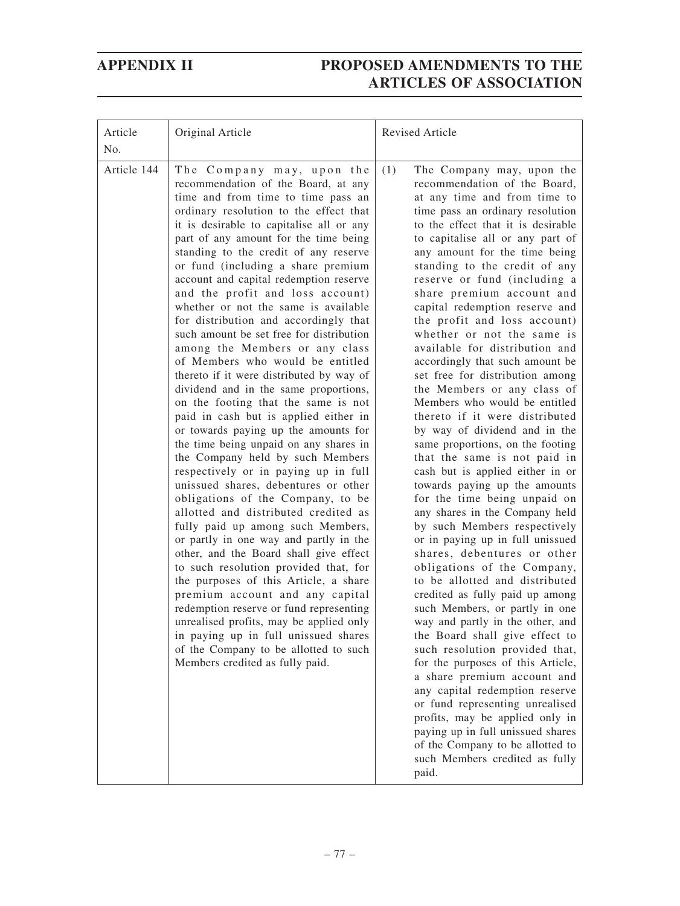| Article<br>No. | Original Article                                                                                                                                                                                                                                                                                                                                                                                                                                                                                                                                                                                                                                                                                                                                                                                                                                                                                                                                                                                                                                                                                                                                                                                                                                                                                                                                                                                                                                                                                                      | <b>Revised Article</b>                                                                                                                                                                                                                                                                                                                                                                                                                                                                                                                                                                                                                                                                                                                                                                                                                                                                                                                                                                                                                                                                                                                                                                                                                                                                                                                                                                                                                                                                                                                               |
|----------------|-----------------------------------------------------------------------------------------------------------------------------------------------------------------------------------------------------------------------------------------------------------------------------------------------------------------------------------------------------------------------------------------------------------------------------------------------------------------------------------------------------------------------------------------------------------------------------------------------------------------------------------------------------------------------------------------------------------------------------------------------------------------------------------------------------------------------------------------------------------------------------------------------------------------------------------------------------------------------------------------------------------------------------------------------------------------------------------------------------------------------------------------------------------------------------------------------------------------------------------------------------------------------------------------------------------------------------------------------------------------------------------------------------------------------------------------------------------------------------------------------------------------------|------------------------------------------------------------------------------------------------------------------------------------------------------------------------------------------------------------------------------------------------------------------------------------------------------------------------------------------------------------------------------------------------------------------------------------------------------------------------------------------------------------------------------------------------------------------------------------------------------------------------------------------------------------------------------------------------------------------------------------------------------------------------------------------------------------------------------------------------------------------------------------------------------------------------------------------------------------------------------------------------------------------------------------------------------------------------------------------------------------------------------------------------------------------------------------------------------------------------------------------------------------------------------------------------------------------------------------------------------------------------------------------------------------------------------------------------------------------------------------------------------------------------------------------------------|
| Article 144    | The Company may, upon the<br>recommendation of the Board, at any<br>time and from time to time pass an<br>ordinary resolution to the effect that<br>it is desirable to capitalise all or any<br>part of any amount for the time being<br>standing to the credit of any reserve<br>or fund (including a share premium<br>account and capital redemption reserve<br>and the profit and loss account)<br>whether or not the same is available<br>for distribution and accordingly that<br>such amount be set free for distribution<br>among the Members or any class<br>of Members who would be entitled<br>thereto if it were distributed by way of<br>dividend and in the same proportions,<br>on the footing that the same is not<br>paid in cash but is applied either in<br>or towards paying up the amounts for<br>the time being unpaid on any shares in<br>the Company held by such Members<br>respectively or in paying up in full<br>unissued shares, debentures or other<br>obligations of the Company, to be<br>allotted and distributed credited as<br>fully paid up among such Members,<br>or partly in one way and partly in the<br>other, and the Board shall give effect<br>to such resolution provided that, for<br>the purposes of this Article, a share<br>premium account and any capital<br>redemption reserve or fund representing<br>unrealised profits, may be applied only<br>in paying up in full unissued shares<br>of the Company to be allotted to such<br>Members credited as fully paid. | (1)<br>The Company may, upon the<br>recommendation of the Board,<br>at any time and from time to<br>time pass an ordinary resolution<br>to the effect that it is desirable<br>to capitalise all or any part of<br>any amount for the time being<br>standing to the credit of any<br>reserve or fund (including a<br>share premium account and<br>capital redemption reserve and<br>the profit and loss account)<br>whether or not the same is<br>available for distribution and<br>accordingly that such amount be<br>set free for distribution among<br>the Members or any class of<br>Members who would be entitled<br>thereto if it were distributed<br>by way of dividend and in the<br>same proportions, on the footing<br>that the same is not paid in<br>cash but is applied either in or<br>towards paying up the amounts<br>for the time being unpaid on<br>any shares in the Company held<br>by such Members respectively<br>or in paying up in full unissued<br>shares, debentures or other<br>obligations of the Company,<br>to be allotted and distributed<br>credited as fully paid up among<br>such Members, or partly in one<br>way and partly in the other, and<br>the Board shall give effect to<br>such resolution provided that,<br>for the purposes of this Article,<br>a share premium account and<br>any capital redemption reserve<br>or fund representing unrealised<br>profits, may be applied only in<br>paying up in full unissued shares<br>of the Company to be allotted to<br>such Members credited as fully<br>paid. |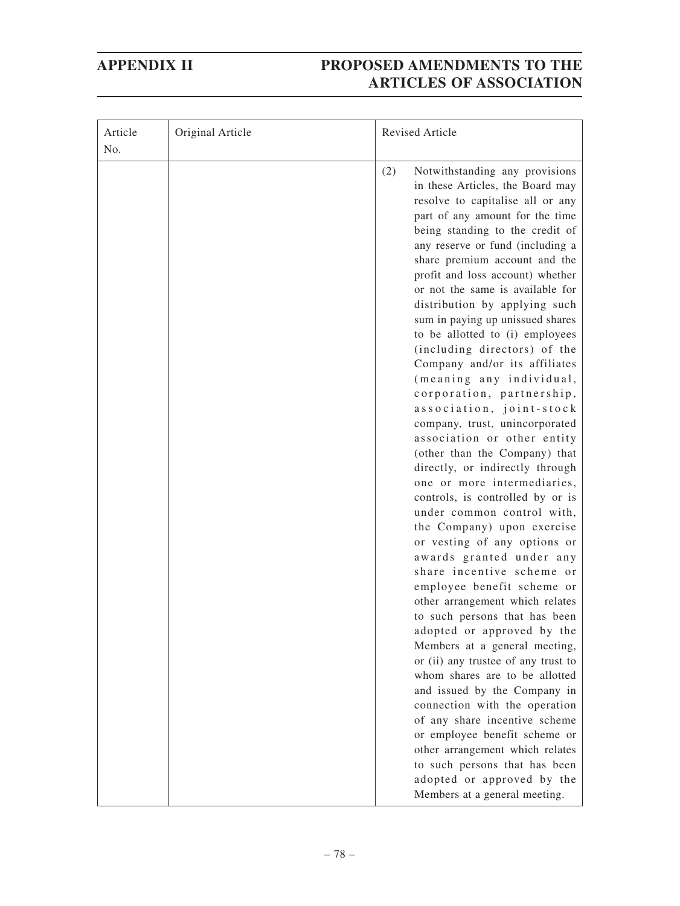| Article<br>No. | Original Article | Revised Article                                                                                                                                                                                                                                                                                                                                                                                                                                                                                                                                                                                                                                                                                                                                                                                                                                                                                                                                                                                                                                                                                                                                                                                                                                                        |
|----------------|------------------|------------------------------------------------------------------------------------------------------------------------------------------------------------------------------------------------------------------------------------------------------------------------------------------------------------------------------------------------------------------------------------------------------------------------------------------------------------------------------------------------------------------------------------------------------------------------------------------------------------------------------------------------------------------------------------------------------------------------------------------------------------------------------------------------------------------------------------------------------------------------------------------------------------------------------------------------------------------------------------------------------------------------------------------------------------------------------------------------------------------------------------------------------------------------------------------------------------------------------------------------------------------------|
|                |                  | (2)<br>Notwithstanding any provisions<br>in these Articles, the Board may<br>resolve to capitalise all or any<br>part of any amount for the time<br>being standing to the credit of<br>any reserve or fund (including a<br>share premium account and the<br>profit and loss account) whether<br>or not the same is available for<br>distribution by applying such<br>sum in paying up unissued shares<br>to be allotted to (i) employees<br>(including directors) of the<br>Company and/or its affiliates<br>(meaning any individual,<br>corporation, partnership,<br>association, joint-stock<br>company, trust, unincorporated<br>association or other entity<br>(other than the Company) that<br>directly, or indirectly through<br>one or more intermediaries,<br>controls, is controlled by or is<br>under common control with,<br>the Company) upon exercise<br>or vesting of any options or<br>awards granted under any<br>share incentive scheme or<br>employee benefit scheme or<br>other arrangement which relates<br>to such persons that has been<br>adopted or approved by the<br>Members at a general meeting,<br>or (ii) any trustee of any trust to<br>whom shares are to be allotted<br>and issued by the Company in<br>connection with the operation |
|                |                  | of any share incentive scheme<br>or employee benefit scheme or<br>other arrangement which relates<br>to such persons that has been<br>adopted or approved by the<br>Members at a general meeting.                                                                                                                                                                                                                                                                                                                                                                                                                                                                                                                                                                                                                                                                                                                                                                                                                                                                                                                                                                                                                                                                      |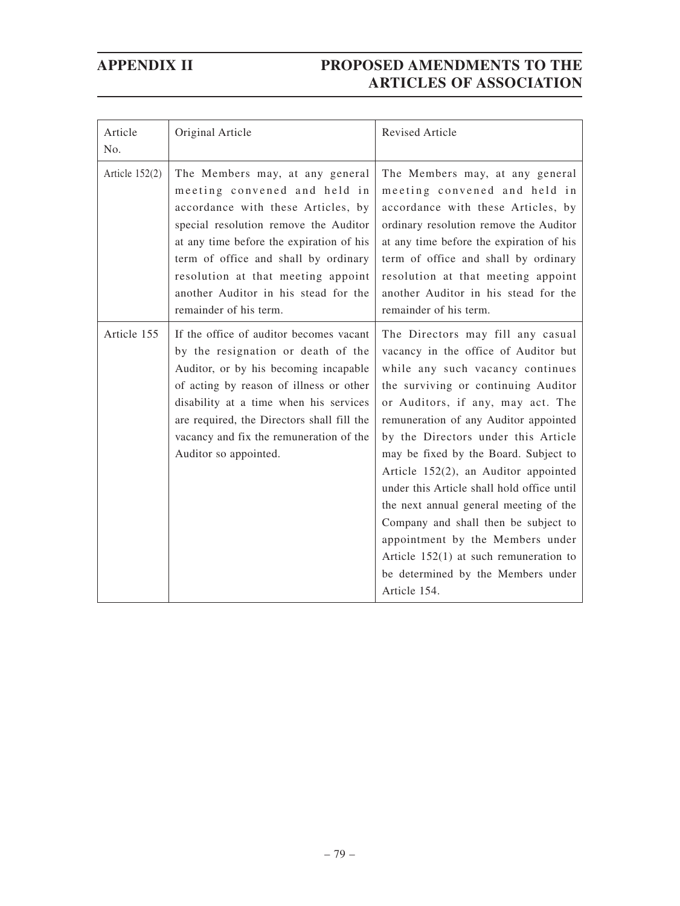| Article<br>No.   | Original Article                                                                                                                                                                                                                                                                                                                           | <b>Revised Article</b>                                                                                                                                                                                                                                                                                                                                                                                                                                                                                                                                                                                                           |
|------------------|--------------------------------------------------------------------------------------------------------------------------------------------------------------------------------------------------------------------------------------------------------------------------------------------------------------------------------------------|----------------------------------------------------------------------------------------------------------------------------------------------------------------------------------------------------------------------------------------------------------------------------------------------------------------------------------------------------------------------------------------------------------------------------------------------------------------------------------------------------------------------------------------------------------------------------------------------------------------------------------|
| Article $152(2)$ | The Members may, at any general<br>meeting convened and held in<br>accordance with these Articles, by<br>special resolution remove the Auditor<br>at any time before the expiration of his<br>term of office and shall by ordinary<br>resolution at that meeting appoint<br>another Auditor in his stead for the<br>remainder of his term. | The Members may, at any general<br>meeting convened and held in<br>accordance with these Articles, by<br>ordinary resolution remove the Auditor<br>at any time before the expiration of his<br>term of office and shall by ordinary<br>resolution at that meeting appoint<br>another Auditor in his stead for the<br>remainder of his term.                                                                                                                                                                                                                                                                                      |
| Article 155      | If the office of auditor becomes vacant<br>by the resignation or death of the<br>Auditor, or by his becoming incapable<br>of acting by reason of illness or other<br>disability at a time when his services<br>are required, the Directors shall fill the<br>vacancy and fix the remuneration of the<br>Auditor so appointed.              | The Directors may fill any casual<br>vacancy in the office of Auditor but<br>while any such vacancy continues<br>the surviving or continuing Auditor<br>or Auditors, if any, may act. The<br>remuneration of any Auditor appointed<br>by the Directors under this Article<br>may be fixed by the Board. Subject to<br>Article 152(2), an Auditor appointed<br>under this Article shall hold office until<br>the next annual general meeting of the<br>Company and shall then be subject to<br>appointment by the Members under<br>Article $152(1)$ at such remuneration to<br>be determined by the Members under<br>Article 154. |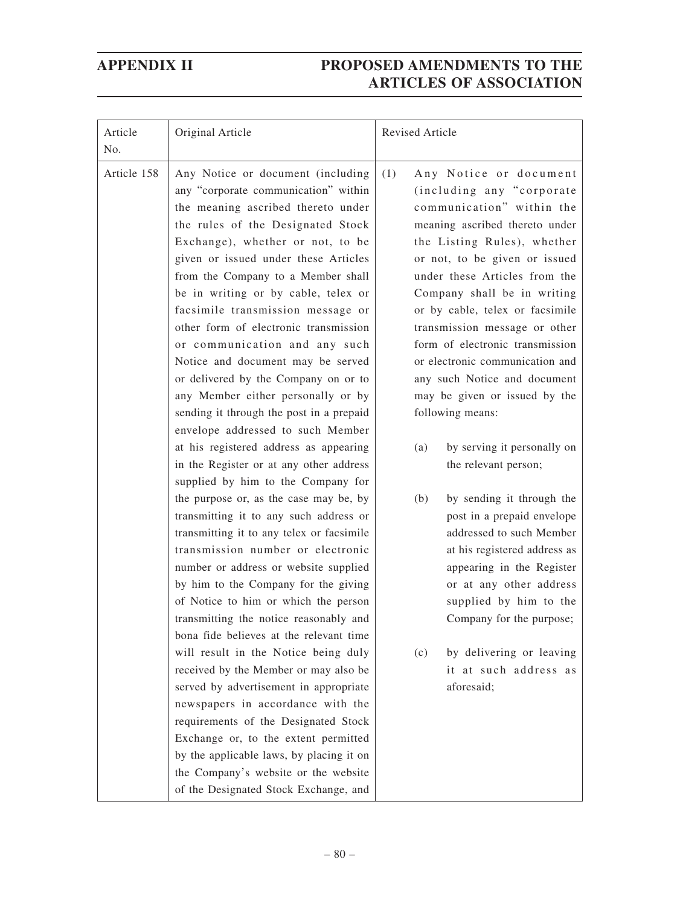| Article<br>No. | Original Article                                                                                                                                                                                                                                                                                                                                                                                                                                                                                                                                                                                                                                                                                                                                                                                                                                                                                                                                                                                                                                                                                                                                                                                                                                                                                                                                        | Revised Article                                                                                                                                                                                                                                                                                                                                                                                                                                                                                                                                                                                                                                                                                                                                                                                                                                                              |  |
|----------------|---------------------------------------------------------------------------------------------------------------------------------------------------------------------------------------------------------------------------------------------------------------------------------------------------------------------------------------------------------------------------------------------------------------------------------------------------------------------------------------------------------------------------------------------------------------------------------------------------------------------------------------------------------------------------------------------------------------------------------------------------------------------------------------------------------------------------------------------------------------------------------------------------------------------------------------------------------------------------------------------------------------------------------------------------------------------------------------------------------------------------------------------------------------------------------------------------------------------------------------------------------------------------------------------------------------------------------------------------------|------------------------------------------------------------------------------------------------------------------------------------------------------------------------------------------------------------------------------------------------------------------------------------------------------------------------------------------------------------------------------------------------------------------------------------------------------------------------------------------------------------------------------------------------------------------------------------------------------------------------------------------------------------------------------------------------------------------------------------------------------------------------------------------------------------------------------------------------------------------------------|--|
| Article 158    | Any Notice or document (including<br>any "corporate communication" within<br>the meaning ascribed thereto under<br>the rules of the Designated Stock<br>Exchange), whether or not, to be<br>given or issued under these Articles<br>from the Company to a Member shall<br>be in writing or by cable, telex or<br>facsimile transmission message or<br>other form of electronic transmission<br>or communication and any such<br>Notice and document may be served<br>or delivered by the Company on or to<br>any Member either personally or by<br>sending it through the post in a prepaid<br>envelope addressed to such Member<br>at his registered address as appearing<br>in the Register or at any other address<br>supplied by him to the Company for<br>the purpose or, as the case may be, by<br>transmitting it to any such address or<br>transmitting it to any telex or facsimile<br>transmission number or electronic<br>number or address or website supplied<br>by him to the Company for the giving<br>of Notice to him or which the person<br>transmitting the notice reasonably and<br>bona fide believes at the relevant time<br>will result in the Notice being duly<br>received by the Member or may also be<br>served by advertisement in appropriate<br>newspapers in accordance with the<br>requirements of the Designated Stock | (1)<br>Any Notice or document<br>(including any "corporate<br>communication" within the<br>meaning ascribed thereto under<br>the Listing Rules), whether<br>or not, to be given or issued<br>under these Articles from the<br>Company shall be in writing<br>or by cable, telex or facsimile<br>transmission message or other<br>form of electronic transmission<br>or electronic communication and<br>any such Notice and document<br>may be given or issued by the<br>following means:<br>by serving it personally on<br>(a)<br>the relevant person;<br>(b)<br>by sending it through the<br>post in a prepaid envelope<br>addressed to such Member<br>at his registered address as<br>appearing in the Register<br>or at any other address<br>supplied by him to the<br>Company for the purpose;<br>by delivering or leaving<br>(c)<br>it at such address as<br>aforesaid; |  |
|                | Exchange or, to the extent permitted<br>by the applicable laws, by placing it on<br>the Company's website or the website<br>of the Designated Stock Exchange, and                                                                                                                                                                                                                                                                                                                                                                                                                                                                                                                                                                                                                                                                                                                                                                                                                                                                                                                                                                                                                                                                                                                                                                                       |                                                                                                                                                                                                                                                                                                                                                                                                                                                                                                                                                                                                                                                                                                                                                                                                                                                                              |  |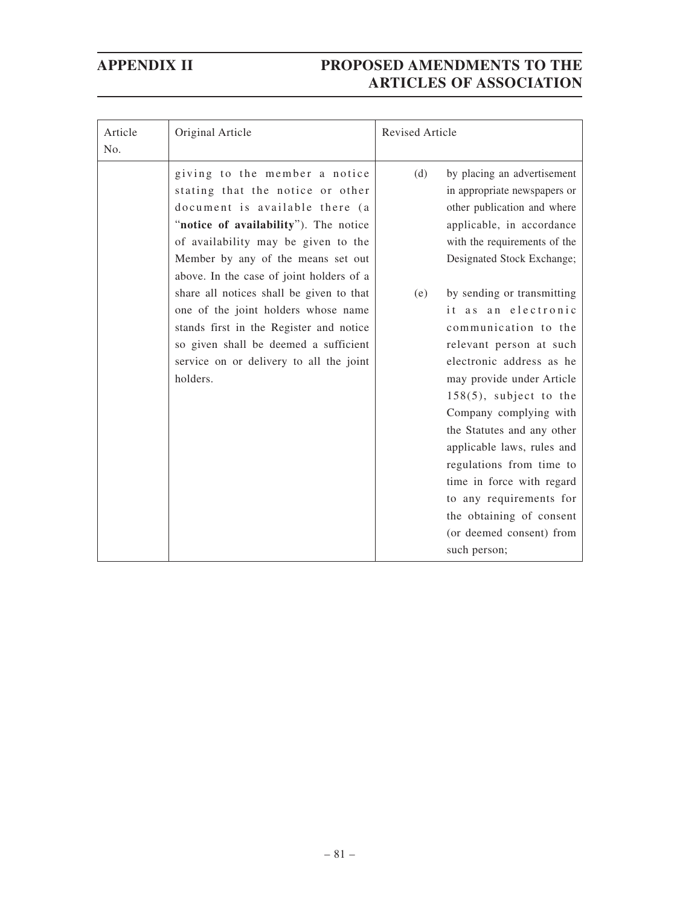| Article<br>No. | Original Article                                                                                                                                                                                                                                                      | <b>Revised Article</b> |                                                                                                                                                                                                                                                                                                                                                                                                                                              |
|----------------|-----------------------------------------------------------------------------------------------------------------------------------------------------------------------------------------------------------------------------------------------------------------------|------------------------|----------------------------------------------------------------------------------------------------------------------------------------------------------------------------------------------------------------------------------------------------------------------------------------------------------------------------------------------------------------------------------------------------------------------------------------------|
|                | giving to the member a notice<br>stating that the notice or other<br>document is available there (a<br>"notice of availability"). The notice<br>of availability may be given to the<br>Member by any of the means set out<br>above. In the case of joint holders of a | (d)                    | by placing an advertisement<br>in appropriate newspapers or<br>other publication and where<br>applicable, in accordance<br>with the requirements of the<br>Designated Stock Exchange;                                                                                                                                                                                                                                                        |
|                | share all notices shall be given to that<br>one of the joint holders whose name<br>stands first in the Register and notice<br>so given shall be deemed a sufficient<br>service on or delivery to all the joint<br>holders.                                            | (e)                    | by sending or transmitting<br>it as an electronic<br>communication to the<br>relevant person at such<br>electronic address as he<br>may provide under Article<br>$158(5)$ , subject to the<br>Company complying with<br>the Statutes and any other<br>applicable laws, rules and<br>regulations from time to<br>time in force with regard<br>to any requirements for<br>the obtaining of consent<br>(or deemed consent) from<br>such person; |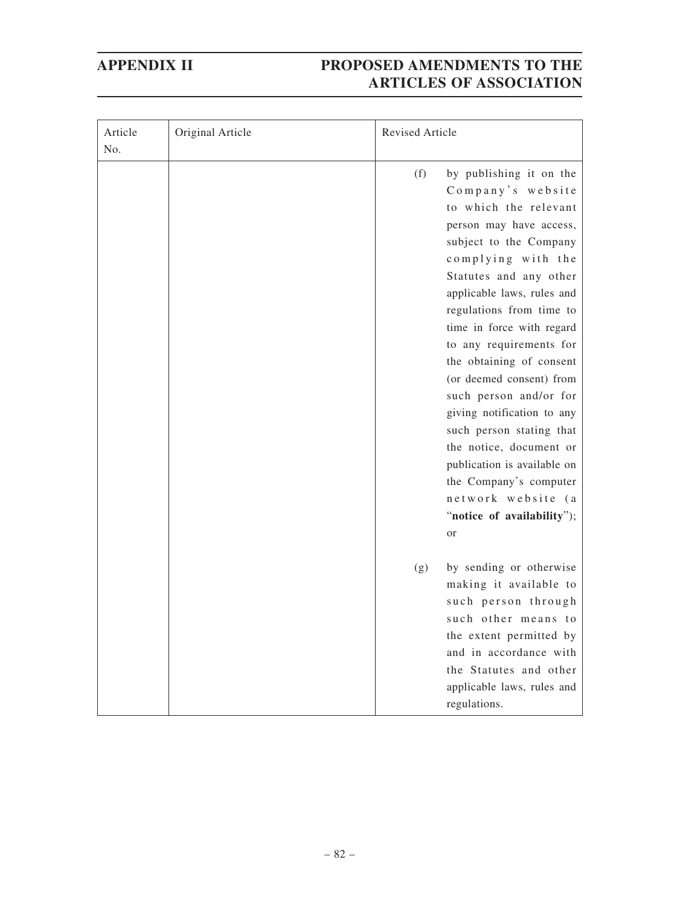| Article<br>No. | Original Article | <b>Revised Article</b>                                                                                                                                                                                                                                                                                                                                                                                                                                                                                                                                                                        |
|----------------|------------------|-----------------------------------------------------------------------------------------------------------------------------------------------------------------------------------------------------------------------------------------------------------------------------------------------------------------------------------------------------------------------------------------------------------------------------------------------------------------------------------------------------------------------------------------------------------------------------------------------|
|                |                  | (f)<br>by publishing it on the<br>Company's website<br>to which the relevant<br>person may have access,<br>subject to the Company<br>complying with the<br>Statutes and any other<br>applicable laws, rules and<br>regulations from time to<br>time in force with regard<br>to any requirements for<br>the obtaining of consent<br>(or deemed consent) from<br>such person and/or for<br>giving notification to any<br>such person stating that<br>the notice, document or<br>publication is available on<br>the Company's computer<br>network website (a<br>"notice of availability");<br>or |
|                |                  | by sending or otherwise<br>(g)<br>making it available to<br>such person through<br>such other means to<br>the extent permitted by<br>and in accordance with<br>the Statutes and other<br>applicable laws, rules and<br>regulations.                                                                                                                                                                                                                                                                                                                                                           |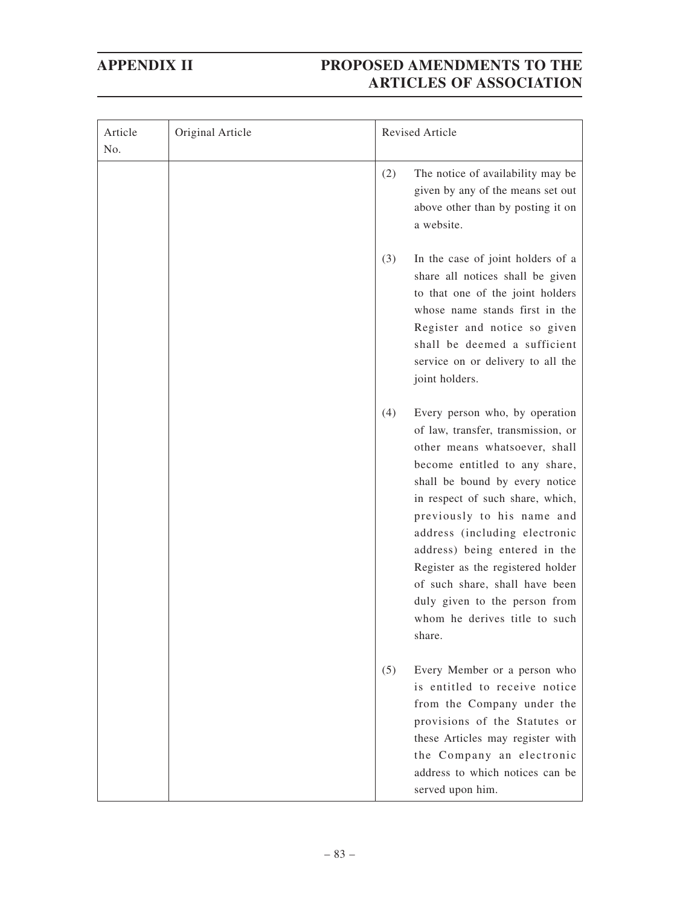| Article<br>No. | Original Article |     | Revised Article                                                                                                                                                                                                                                                                                                                                                                                                                                                 |
|----------------|------------------|-----|-----------------------------------------------------------------------------------------------------------------------------------------------------------------------------------------------------------------------------------------------------------------------------------------------------------------------------------------------------------------------------------------------------------------------------------------------------------------|
|                |                  | (2) | The notice of availability may be<br>given by any of the means set out<br>above other than by posting it on<br>a website.                                                                                                                                                                                                                                                                                                                                       |
|                |                  | (3) | In the case of joint holders of a<br>share all notices shall be given<br>to that one of the joint holders<br>whose name stands first in the<br>Register and notice so given<br>shall be deemed a sufficient<br>service on or delivery to all the<br>joint holders.                                                                                                                                                                                              |
|                |                  | (4) | Every person who, by operation<br>of law, transfer, transmission, or<br>other means whatsoever, shall<br>become entitled to any share,<br>shall be bound by every notice<br>in respect of such share, which,<br>previously to his name and<br>address (including electronic<br>address) being entered in the<br>Register as the registered holder<br>of such share, shall have been<br>duly given to the person from<br>whom he derives title to such<br>share. |
|                |                  | (5) | Every Member or a person who<br>is entitled to receive notice<br>from the Company under the<br>provisions of the Statutes or<br>these Articles may register with<br>the Company an electronic<br>address to which notices can be<br>served upon him.                                                                                                                                                                                                            |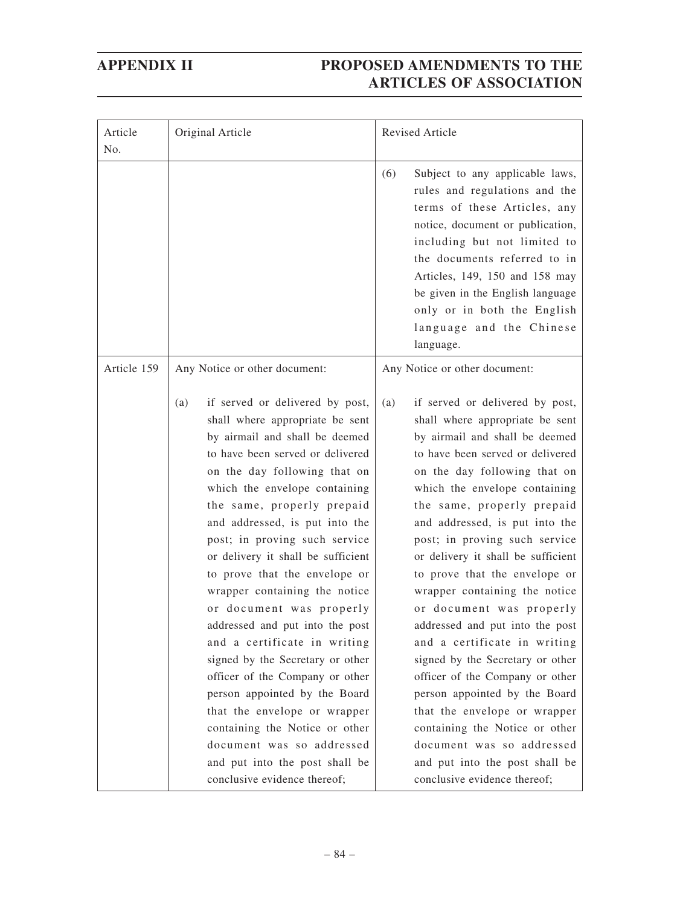| Article<br>No. | Original Article                                                                                                                                                                                                                                                                                                                                                                                                                                                                                                                                                                                                                                                                                                                                                                                  | Revised Article                                                                                                                                                                                                                                                                                                                                                                                                                                                                                                                                                                                                                                                                                                                                                                                   |  |
|----------------|---------------------------------------------------------------------------------------------------------------------------------------------------------------------------------------------------------------------------------------------------------------------------------------------------------------------------------------------------------------------------------------------------------------------------------------------------------------------------------------------------------------------------------------------------------------------------------------------------------------------------------------------------------------------------------------------------------------------------------------------------------------------------------------------------|---------------------------------------------------------------------------------------------------------------------------------------------------------------------------------------------------------------------------------------------------------------------------------------------------------------------------------------------------------------------------------------------------------------------------------------------------------------------------------------------------------------------------------------------------------------------------------------------------------------------------------------------------------------------------------------------------------------------------------------------------------------------------------------------------|--|
|                |                                                                                                                                                                                                                                                                                                                                                                                                                                                                                                                                                                                                                                                                                                                                                                                                   | (6)<br>Subject to any applicable laws,<br>rules and regulations and the<br>terms of these Articles, any<br>notice, document or publication,<br>including but not limited to<br>the documents referred to in<br>Articles, 149, 150 and 158 may<br>be given in the English language<br>only or in both the English<br>language and the Chinese<br>language.                                                                                                                                                                                                                                                                                                                                                                                                                                         |  |
| Article 159    | Any Notice or other document:                                                                                                                                                                                                                                                                                                                                                                                                                                                                                                                                                                                                                                                                                                                                                                     | Any Notice or other document:                                                                                                                                                                                                                                                                                                                                                                                                                                                                                                                                                                                                                                                                                                                                                                     |  |
|                | if served or delivered by post,<br>(a)<br>shall where appropriate be sent<br>by airmail and shall be deemed<br>to have been served or delivered<br>on the day following that on<br>which the envelope containing<br>the same, properly prepaid<br>and addressed, is put into the<br>post; in proving such service<br>or delivery it shall be sufficient<br>to prove that the envelope or<br>wrapper containing the notice<br>or document was properly<br>addressed and put into the post<br>and a certificate in writing<br>signed by the Secretary or other<br>officer of the Company or other<br>person appointed by the Board<br>that the envelope or wrapper<br>containing the Notice or other<br>document was so addressed<br>and put into the post shall be<br>conclusive evidence thereof; | if served or delivered by post,<br>(a)<br>shall where appropriate be sent<br>by airmail and shall be deemed<br>to have been served or delivered<br>on the day following that on<br>which the envelope containing<br>the same, properly prepaid<br>and addressed, is put into the<br>post; in proving such service<br>or delivery it shall be sufficient<br>to prove that the envelope or<br>wrapper containing the notice<br>or document was properly<br>addressed and put into the post<br>and a certificate in writing<br>signed by the Secretary or other<br>officer of the Company or other<br>person appointed by the Board<br>that the envelope or wrapper<br>containing the Notice or other<br>document was so addressed<br>and put into the post shall be<br>conclusive evidence thereof; |  |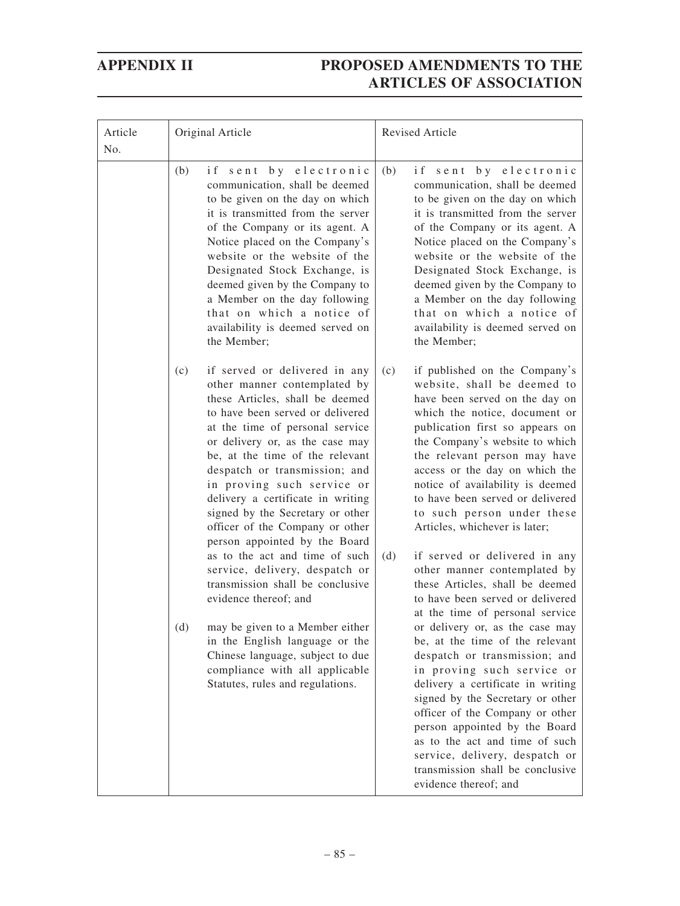| Article<br>No. | Original Article                                                                                                                                                                                                                                                                                                                                                                                                                                                                                                                                                                                  | Revised Article                                                                                                                                                                                                                                                                                                                                                                                                                                                                                                                                                                                        |  |
|----------------|---------------------------------------------------------------------------------------------------------------------------------------------------------------------------------------------------------------------------------------------------------------------------------------------------------------------------------------------------------------------------------------------------------------------------------------------------------------------------------------------------------------------------------------------------------------------------------------------------|--------------------------------------------------------------------------------------------------------------------------------------------------------------------------------------------------------------------------------------------------------------------------------------------------------------------------------------------------------------------------------------------------------------------------------------------------------------------------------------------------------------------------------------------------------------------------------------------------------|--|
|                | (b)<br>if sent by electronic<br>communication, shall be deemed<br>to be given on the day on which<br>it is transmitted from the server<br>of the Company or its agent. A<br>Notice placed on the Company's<br>website or the website of the<br>Designated Stock Exchange, is<br>deemed given by the Company to<br>a Member on the day following<br>that on which a notice of<br>availability is deemed served on<br>the Member;                                                                                                                                                                   | if sent by electronic<br>(b)<br>communication, shall be deemed<br>to be given on the day on which<br>it is transmitted from the server<br>of the Company or its agent. A<br>Notice placed on the Company's<br>website or the website of the<br>Designated Stock Exchange, is<br>deemed given by the Company to<br>a Member on the day following<br>that on which a notice of<br>availability is deemed served on<br>the Member;                                                                                                                                                                        |  |
|                | if served or delivered in any<br>(c)<br>other manner contemplated by<br>these Articles, shall be deemed<br>to have been served or delivered<br>at the time of personal service<br>or delivery or, as the case may<br>be, at the time of the relevant<br>despatch or transmission; and<br>in proving such service or<br>delivery a certificate in writing<br>signed by the Secretary or other<br>officer of the Company or other<br>person appointed by the Board<br>as to the act and time of such<br>service, delivery, despatch or<br>transmission shall be conclusive<br>evidence thereof; and | (c)<br>if published on the Company's<br>website, shall be deemed to<br>have been served on the day on<br>which the notice, document or<br>publication first so appears on<br>the Company's website to which<br>the relevant person may have<br>access or the day on which the<br>notice of availability is deemed<br>to have been served or delivered<br>to such person under these<br>Articles, whichever is later;<br>(d)<br>if served or delivered in any<br>other manner contemplated by<br>these Articles, shall be deemed<br>to have been served or delivered<br>at the time of personal service |  |
|                | may be given to a Member either<br>(d)<br>in the English language or the<br>Chinese language, subject to due<br>compliance with all applicable<br>Statutes, rules and regulations.                                                                                                                                                                                                                                                                                                                                                                                                                | or delivery or, as the case may<br>be, at the time of the relevant<br>despatch or transmission; and<br>in proving such service or<br>delivery a certificate in writing<br>signed by the Secretary or other<br>officer of the Company or other<br>person appointed by the Board<br>as to the act and time of such<br>service, delivery, despatch or<br>transmission shall be conclusive<br>evidence thereof; and                                                                                                                                                                                        |  |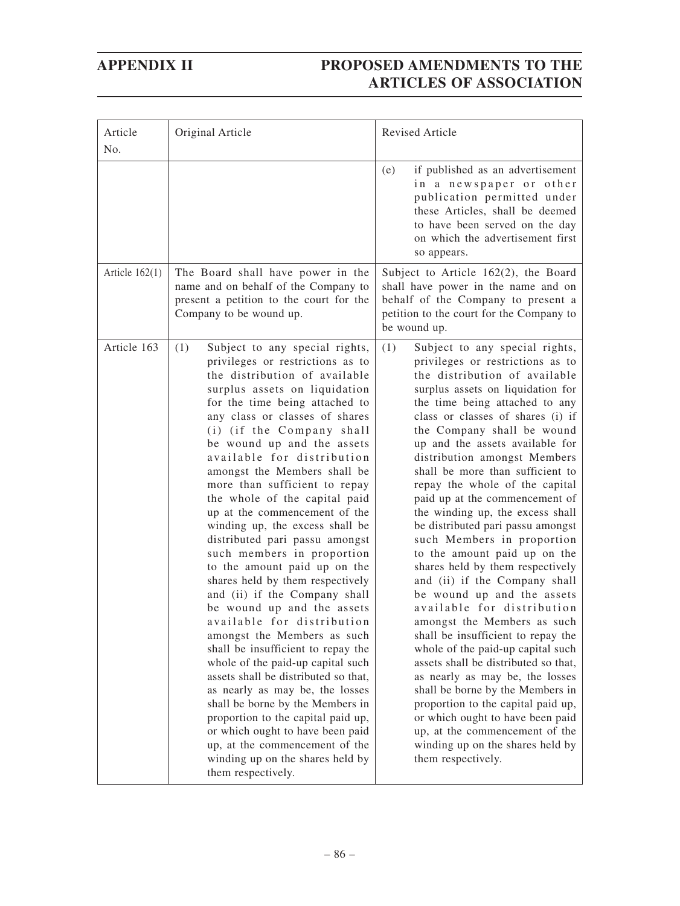| Article<br>No.   | Original Article                                                                                                                                                                                                                                                                                                                                                                                                                                                                                                                                                                                                                                                                                                                                                                                                                                                                                                                                                                                                                                                                                               | <b>Revised Article</b>                                                                                                                                                                                                                                                                                                                                                                                                                                                                                                                                                                                                                                                                                                                                                                                                                                                                                                                                                                                                                                                                                 |
|------------------|----------------------------------------------------------------------------------------------------------------------------------------------------------------------------------------------------------------------------------------------------------------------------------------------------------------------------------------------------------------------------------------------------------------------------------------------------------------------------------------------------------------------------------------------------------------------------------------------------------------------------------------------------------------------------------------------------------------------------------------------------------------------------------------------------------------------------------------------------------------------------------------------------------------------------------------------------------------------------------------------------------------------------------------------------------------------------------------------------------------|--------------------------------------------------------------------------------------------------------------------------------------------------------------------------------------------------------------------------------------------------------------------------------------------------------------------------------------------------------------------------------------------------------------------------------------------------------------------------------------------------------------------------------------------------------------------------------------------------------------------------------------------------------------------------------------------------------------------------------------------------------------------------------------------------------------------------------------------------------------------------------------------------------------------------------------------------------------------------------------------------------------------------------------------------------------------------------------------------------|
|                  |                                                                                                                                                                                                                                                                                                                                                                                                                                                                                                                                                                                                                                                                                                                                                                                                                                                                                                                                                                                                                                                                                                                | if published as an advertisement<br>(e)<br>in a newspaper or other<br>publication permitted under<br>these Articles, shall be deemed<br>to have been served on the day<br>on which the advertisement first<br>so appears.                                                                                                                                                                                                                                                                                                                                                                                                                                                                                                                                                                                                                                                                                                                                                                                                                                                                              |
| Article $162(1)$ | The Board shall have power in the<br>name and on behalf of the Company to<br>present a petition to the court for the<br>Company to be wound up.                                                                                                                                                                                                                                                                                                                                                                                                                                                                                                                                                                                                                                                                                                                                                                                                                                                                                                                                                                | Subject to Article 162(2), the Board<br>shall have power in the name and on<br>behalf of the Company to present a<br>petition to the court for the Company to<br>be wound up.                                                                                                                                                                                                                                                                                                                                                                                                                                                                                                                                                                                                                                                                                                                                                                                                                                                                                                                          |
| Article 163      | (1)<br>Subject to any special rights,<br>privileges or restrictions as to<br>the distribution of available<br>surplus assets on liquidation<br>for the time being attached to<br>any class or classes of shares<br>(i) (if the Company shall<br>be wound up and the assets<br>available for distribution<br>amongst the Members shall be<br>more than sufficient to repay<br>the whole of the capital paid<br>up at the commencement of the<br>winding up, the excess shall be<br>distributed pari passu amongst<br>such members in proportion<br>to the amount paid up on the<br>shares held by them respectively<br>and (ii) if the Company shall<br>be wound up and the assets<br>available for distribution<br>amongst the Members as such<br>shall be insufficient to repay the<br>whole of the paid-up capital such<br>assets shall be distributed so that,<br>as nearly as may be, the losses<br>shall be borne by the Members in<br>proportion to the capital paid up,<br>or which ought to have been paid<br>up, at the commencement of the<br>winding up on the shares held by<br>them respectively. | (1)<br>Subject to any special rights,<br>privileges or restrictions as to<br>the distribution of available<br>surplus assets on liquidation for<br>the time being attached to any<br>class or classes of shares (i) if<br>the Company shall be wound<br>up and the assets available for<br>distribution amongst Members<br>shall be more than sufficient to<br>repay the whole of the capital<br>paid up at the commencement of<br>the winding up, the excess shall<br>be distributed pari passu amongst<br>such Members in proportion<br>to the amount paid up on the<br>shares held by them respectively<br>and (ii) if the Company shall<br>be wound up and the assets<br>available for distribution<br>amongst the Members as such<br>shall be insufficient to repay the<br>whole of the paid-up capital such<br>assets shall be distributed so that,<br>as nearly as may be, the losses<br>shall be borne by the Members in<br>proportion to the capital paid up,<br>or which ought to have been paid<br>up, at the commencement of the<br>winding up on the shares held by<br>them respectively. |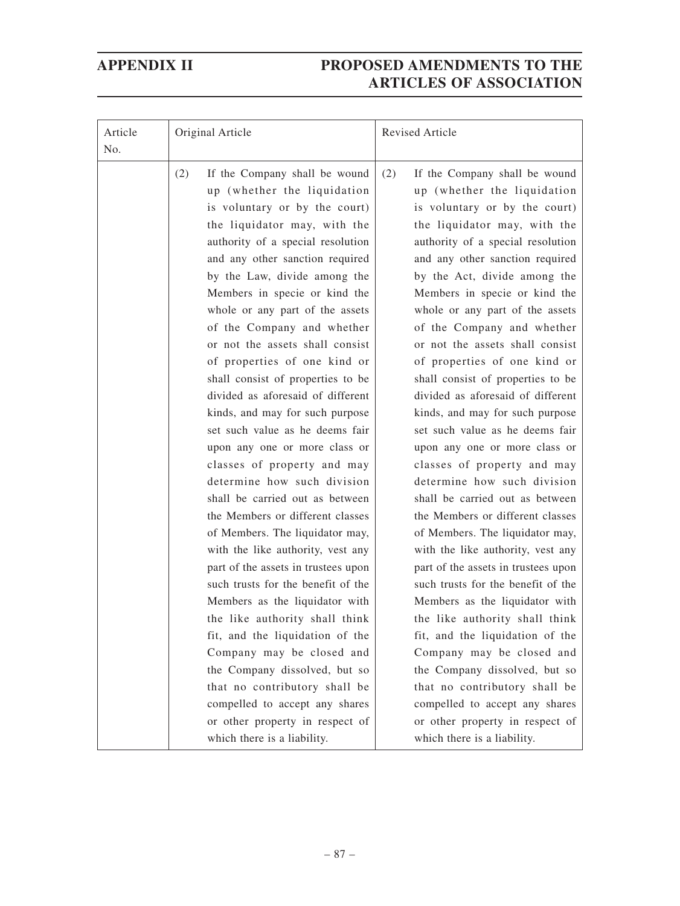| Article<br>No. | Original Article                                                                                                                                                                                                                                                                                                                                                                                                                                                                                                                                                                                                                                                                                                                                                                                                                                                                                                                                                                                                                                                                                                                                                        | Revised Article                                                                                                                                                                                                                                                                                                                                                                                                                                                                                                                                                                                                                                                                                                                                                                                                                                                                                                                                                                                                                                                                                                                                                         |  |
|----------------|-------------------------------------------------------------------------------------------------------------------------------------------------------------------------------------------------------------------------------------------------------------------------------------------------------------------------------------------------------------------------------------------------------------------------------------------------------------------------------------------------------------------------------------------------------------------------------------------------------------------------------------------------------------------------------------------------------------------------------------------------------------------------------------------------------------------------------------------------------------------------------------------------------------------------------------------------------------------------------------------------------------------------------------------------------------------------------------------------------------------------------------------------------------------------|-------------------------------------------------------------------------------------------------------------------------------------------------------------------------------------------------------------------------------------------------------------------------------------------------------------------------------------------------------------------------------------------------------------------------------------------------------------------------------------------------------------------------------------------------------------------------------------------------------------------------------------------------------------------------------------------------------------------------------------------------------------------------------------------------------------------------------------------------------------------------------------------------------------------------------------------------------------------------------------------------------------------------------------------------------------------------------------------------------------------------------------------------------------------------|--|
|                | (2)<br>If the Company shall be wound<br>up (whether the liquidation<br>is voluntary or by the court)<br>the liquidator may, with the<br>authority of a special resolution<br>and any other sanction required<br>by the Law, divide among the<br>Members in specie or kind the<br>whole or any part of the assets<br>of the Company and whether<br>or not the assets shall consist<br>of properties of one kind or<br>shall consist of properties to be<br>divided as aforesaid of different<br>kinds, and may for such purpose<br>set such value as he deems fair<br>upon any one or more class or<br>classes of property and may<br>determine how such division<br>shall be carried out as between<br>the Members or different classes<br>of Members. The liquidator may,<br>with the like authority, vest any<br>part of the assets in trustees upon<br>such trusts for the benefit of the<br>Members as the liquidator with<br>the like authority shall think<br>fit, and the liquidation of the<br>Company may be closed and<br>the Company dissolved, but so<br>that no contributory shall be<br>compelled to accept any shares<br>or other property in respect of | (2)<br>If the Company shall be wound<br>up (whether the liquidation<br>is voluntary or by the court)<br>the liquidator may, with the<br>authority of a special resolution<br>and any other sanction required<br>by the Act, divide among the<br>Members in specie or kind the<br>whole or any part of the assets<br>of the Company and whether<br>or not the assets shall consist<br>of properties of one kind or<br>shall consist of properties to be<br>divided as aforesaid of different<br>kinds, and may for such purpose<br>set such value as he deems fair<br>upon any one or more class or<br>classes of property and may<br>determine how such division<br>shall be carried out as between<br>the Members or different classes<br>of Members. The liquidator may,<br>with the like authority, vest any<br>part of the assets in trustees upon<br>such trusts for the benefit of the<br>Members as the liquidator with<br>the like authority shall think<br>fit, and the liquidation of the<br>Company may be closed and<br>the Company dissolved, but so<br>that no contributory shall be<br>compelled to accept any shares<br>or other property in respect of |  |
|                | which there is a liability.                                                                                                                                                                                                                                                                                                                                                                                                                                                                                                                                                                                                                                                                                                                                                                                                                                                                                                                                                                                                                                                                                                                                             | which there is a liability.                                                                                                                                                                                                                                                                                                                                                                                                                                                                                                                                                                                                                                                                                                                                                                                                                                                                                                                                                                                                                                                                                                                                             |  |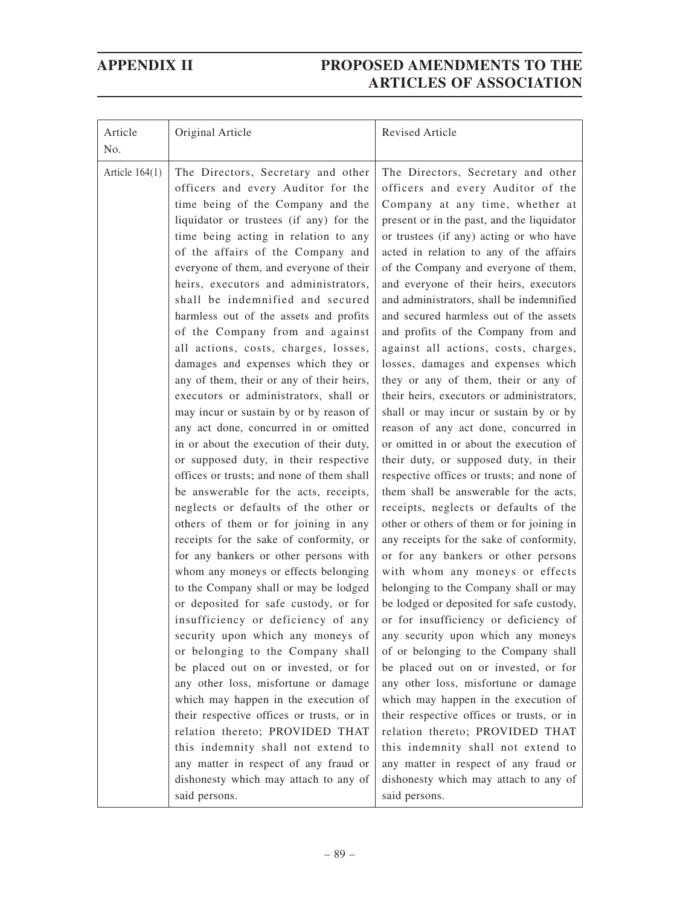| Article<br>No.   | Original Article                                                                                                                                                                                                                                                                                                                                                                                                                                                                                                                                                                                                                                                                                                                                                                                                                                                                                                                                                                                                                                                                                                                                                                                                                                                                                                                                                                                                                                                                                                                                                                                                                            | Revised Article                                                                                                                                                                                                                                                                                                                                                                                                                                                                                                                                                                                                                                                                                                                                                                                                                                                                                                                                                                                                                                                                                                                                                                                                                                                                                                                                                                                                                                                                                                                                                                                                                                                         |
|------------------|---------------------------------------------------------------------------------------------------------------------------------------------------------------------------------------------------------------------------------------------------------------------------------------------------------------------------------------------------------------------------------------------------------------------------------------------------------------------------------------------------------------------------------------------------------------------------------------------------------------------------------------------------------------------------------------------------------------------------------------------------------------------------------------------------------------------------------------------------------------------------------------------------------------------------------------------------------------------------------------------------------------------------------------------------------------------------------------------------------------------------------------------------------------------------------------------------------------------------------------------------------------------------------------------------------------------------------------------------------------------------------------------------------------------------------------------------------------------------------------------------------------------------------------------------------------------------------------------------------------------------------------------|-------------------------------------------------------------------------------------------------------------------------------------------------------------------------------------------------------------------------------------------------------------------------------------------------------------------------------------------------------------------------------------------------------------------------------------------------------------------------------------------------------------------------------------------------------------------------------------------------------------------------------------------------------------------------------------------------------------------------------------------------------------------------------------------------------------------------------------------------------------------------------------------------------------------------------------------------------------------------------------------------------------------------------------------------------------------------------------------------------------------------------------------------------------------------------------------------------------------------------------------------------------------------------------------------------------------------------------------------------------------------------------------------------------------------------------------------------------------------------------------------------------------------------------------------------------------------------------------------------------------------------------------------------------------------|
| Article $164(1)$ | The Directors, Secretary and other<br>officers and every Auditor for the<br>time being of the Company and the<br>liquidator or trustees (if any) for the<br>time being acting in relation to any<br>of the affairs of the Company and<br>everyone of them, and everyone of their<br>heirs, executors and administrators,<br>shall be indemnified and secured<br>harmless out of the assets and profits<br>of the Company from and against<br>all actions, costs, charges, losses,<br>damages and expenses which they or<br>any of them, their or any of their heirs,<br>executors or administrators, shall or<br>may incur or sustain by or by reason of<br>any act done, concurred in or omitted<br>in or about the execution of their duty,<br>or supposed duty, in their respective<br>offices or trusts; and none of them shall<br>be answerable for the acts, receipts,<br>neglects or defaults of the other or<br>others of them or for joining in any<br>receipts for the sake of conformity, or<br>for any bankers or other persons with<br>whom any moneys or effects belonging<br>to the Company shall or may be lodged<br>or deposited for safe custody, or for<br>insufficiency or deficiency of any<br>security upon which any moneys of<br>or belonging to the Company shall<br>be placed out on or invested, or for<br>any other loss, misfortune or damage<br>which may happen in the execution of<br>their respective offices or trusts, or in<br>relation thereto; PROVIDED THAT<br>this indemnity shall not extend to<br>any matter in respect of any fraud or<br>dishonesty which may attach to any of<br>said persons. | The Directors, Secretary and other<br>officers and every Auditor of the<br>Company at any time, whether at<br>present or in the past, and the liquidator<br>or trustees (if any) acting or who have<br>acted in relation to any of the affairs<br>of the Company and everyone of them,<br>and everyone of their heirs, executors<br>and administrators, shall be indemnified<br>and secured harmless out of the assets<br>and profits of the Company from and<br>against all actions, costs, charges,<br>losses, damages and expenses which<br>they or any of them, their or any of<br>their heirs, executors or administrators,<br>shall or may incur or sustain by or by<br>reason of any act done, concurred in<br>or omitted in or about the execution of<br>their duty, or supposed duty, in their<br>respective offices or trusts; and none of<br>them shall be answerable for the acts,<br>receipts, neglects or defaults of the<br>other or others of them or for joining in<br>any receipts for the sake of conformity,<br>or for any bankers or other persons<br>with whom any moneys or effects<br>belonging to the Company shall or may<br>be lodged or deposited for safe custody,<br>or for insufficiency or deficiency of<br>any security upon which any moneys<br>of or belonging to the Company shall<br>be placed out on or invested, or for<br>any other loss, misfortune or damage<br>which may happen in the execution of<br>their respective offices or trusts, or in<br>relation thereto; PROVIDED THAT<br>this indemnity shall not extend to<br>any matter in respect of any fraud or<br>dishonesty which may attach to any of<br>said persons. |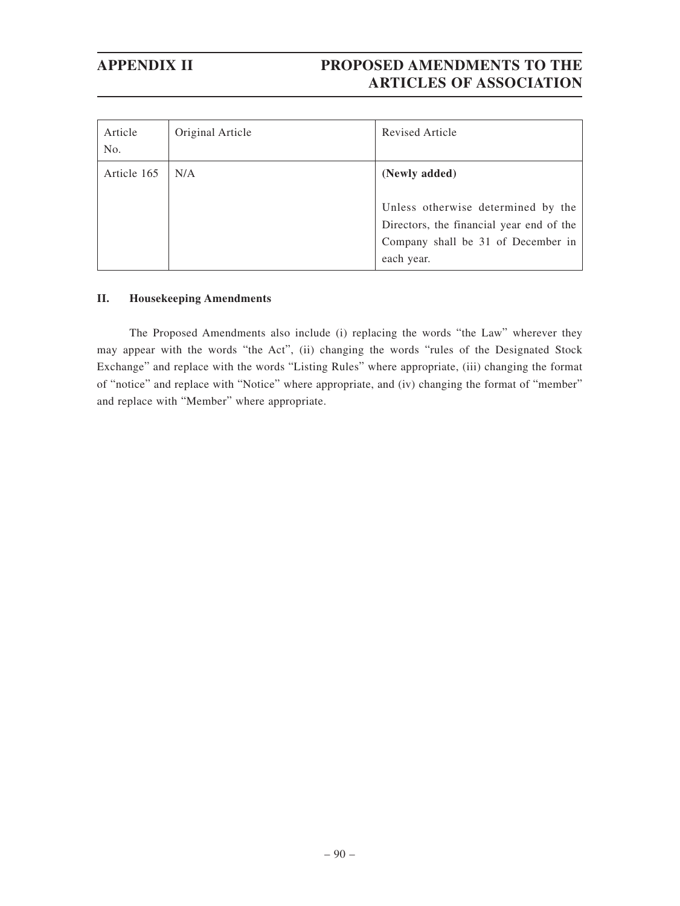| Article<br>No. | Original Article | Revised Article                                                                                                                                     |
|----------------|------------------|-----------------------------------------------------------------------------------------------------------------------------------------------------|
| Article 165    | N/A              | (Newly added)<br>Unless otherwise determined by the<br>Directors, the financial year end of the<br>Company shall be 31 of December in<br>each year. |

### **II. Housekeeping Amendments**

The Proposed Amendments also include (i) replacing the words "the Law" wherever they may appear with the words "the Act", (ii) changing the words "rules of the Designated Stock Exchange" and replace with the words "Listing Rules" where appropriate, (iii) changing the format of "notice" and replace with "Notice" where appropriate, and (iv) changing the format of "member" and replace with "Member" where appropriate.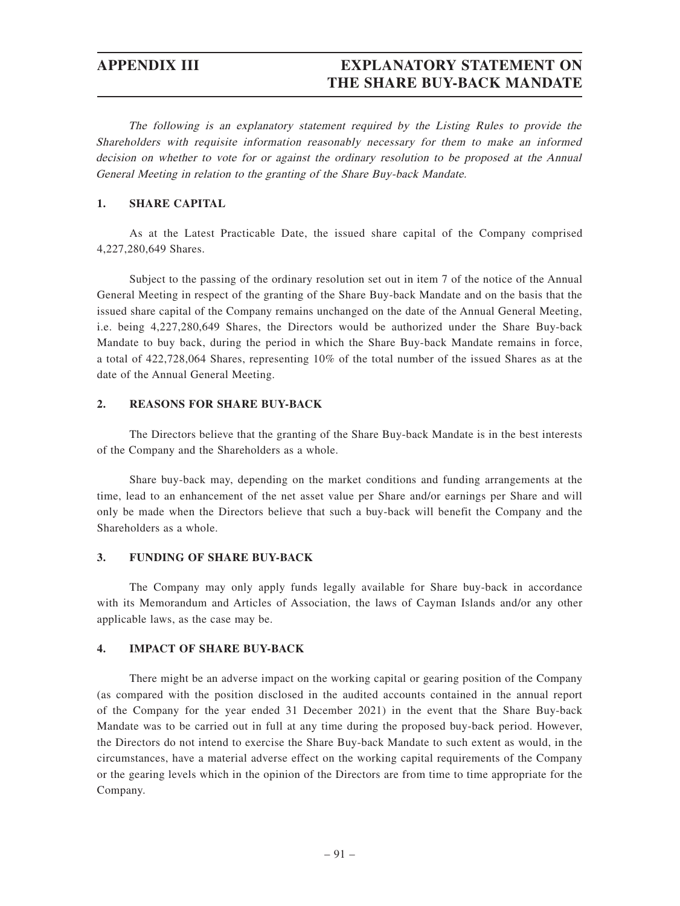## **APPENDIX III EXPLANATORY STATEMENT ON THE SHARE BUY-BACK MANDATE**

The following is an explanatory statement required by the Listing Rules to provide the Shareholders with requisite information reasonably necessary for them to make an informed decision on whether to vote for or against the ordinary resolution to be proposed at the Annual General Meeting in relation to the granting of the Share Buy-back Mandate.

### **1. SHARE CAPITAL**

As at the Latest Practicable Date, the issued share capital of the Company comprised 4,227,280,649 Shares.

Subject to the passing of the ordinary resolution set out in item 7 of the notice of the Annual General Meeting in respect of the granting of the Share Buy-back Mandate and on the basis that the issued share capital of the Company remains unchanged on the date of the Annual General Meeting, i.e. being 4,227,280,649 Shares, the Directors would be authorized under the Share Buy-back Mandate to buy back, during the period in which the Share Buy-back Mandate remains in force, a total of 422,728,064 Shares, representing 10% of the total number of the issued Shares as at the date of the Annual General Meeting.

### **2. REASONS FOR SHARE BUY-BACK**

The Directors believe that the granting of the Share Buy-back Mandate is in the best interests of the Company and the Shareholders as a whole.

Share buy-back may, depending on the market conditions and funding arrangements at the time, lead to an enhancement of the net asset value per Share and/or earnings per Share and will only be made when the Directors believe that such a buy-back will benefit the Company and the Shareholders as a whole.

### **3. FUNDING OF SHARE BUY-BACK**

The Company may only apply funds legally available for Share buy-back in accordance with its Memorandum and Articles of Association, the laws of Cayman Islands and/or any other applicable laws, as the case may be.

### **4. IMPACT OF SHARE BUY-BACK**

There might be an adverse impact on the working capital or gearing position of the Company (as compared with the position disclosed in the audited accounts contained in the annual report of the Company for the year ended 31 December 2021) in the event that the Share Buy-back Mandate was to be carried out in full at any time during the proposed buy-back period. However, the Directors do not intend to exercise the Share Buy-back Mandate to such extent as would, in the circumstances, have a material adverse effect on the working capital requirements of the Company or the gearing levels which in the opinion of the Directors are from time to time appropriate for the Company.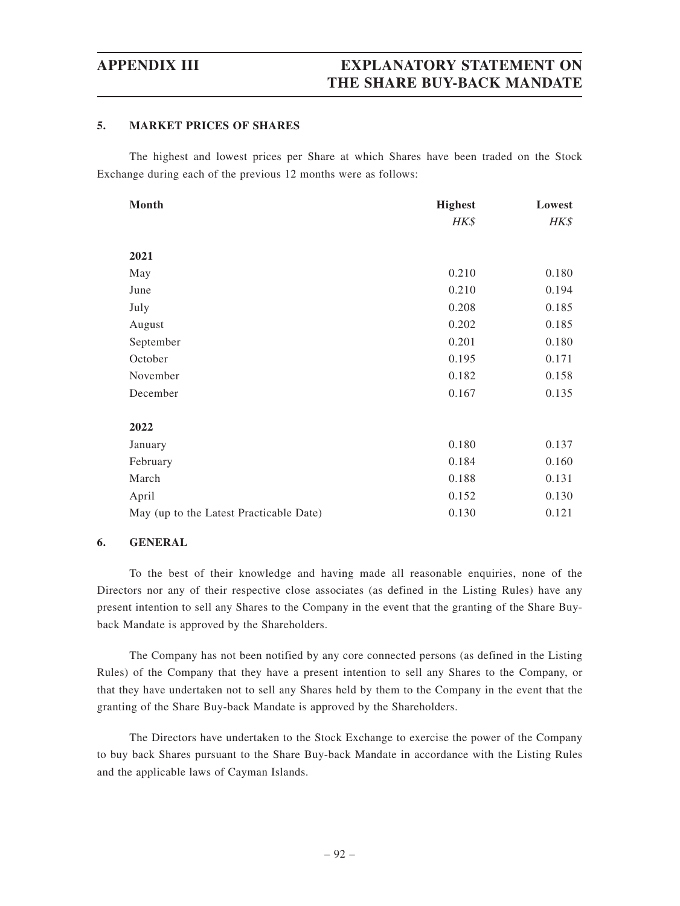### **5. MARKET PRICES OF SHARES**

The highest and lowest prices per Share at which Shares have been traded on the Stock Exchange during each of the previous 12 months were as follows:

| <b>Month</b>                            | <b>Highest</b> | Lowest |
|-----------------------------------------|----------------|--------|
|                                         | HK\$           | HK\$   |
|                                         |                |        |
| 2021                                    |                |        |
| May                                     | 0.210          | 0.180  |
| June                                    | 0.210          | 0.194  |
| July                                    | 0.208          | 0.185  |
| August                                  | 0.202          | 0.185  |
| September                               | 0.201          | 0.180  |
| October                                 | 0.195          | 0.171  |
| November                                | 0.182          | 0.158  |
| December                                | 0.167          | 0.135  |
|                                         |                |        |
| 2022                                    |                |        |
| January                                 | 0.180          | 0.137  |
| February                                | 0.184          | 0.160  |
| March                                   | 0.188          | 0.131  |
| April                                   | 0.152          | 0.130  |
| May (up to the Latest Practicable Date) | 0.130          | 0.121  |

### **6. GENERAL**

To the best of their knowledge and having made all reasonable enquiries, none of the Directors nor any of their respective close associates (as defined in the Listing Rules) have any present intention to sell any Shares to the Company in the event that the granting of the Share Buyback Mandate is approved by the Shareholders.

The Company has not been notified by any core connected persons (as defined in the Listing Rules) of the Company that they have a present intention to sell any Shares to the Company, or that they have undertaken not to sell any Shares held by them to the Company in the event that the granting of the Share Buy-back Mandate is approved by the Shareholders.

The Directors have undertaken to the Stock Exchange to exercise the power of the Company to buy back Shares pursuant to the Share Buy-back Mandate in accordance with the Listing Rules and the applicable laws of Cayman Islands.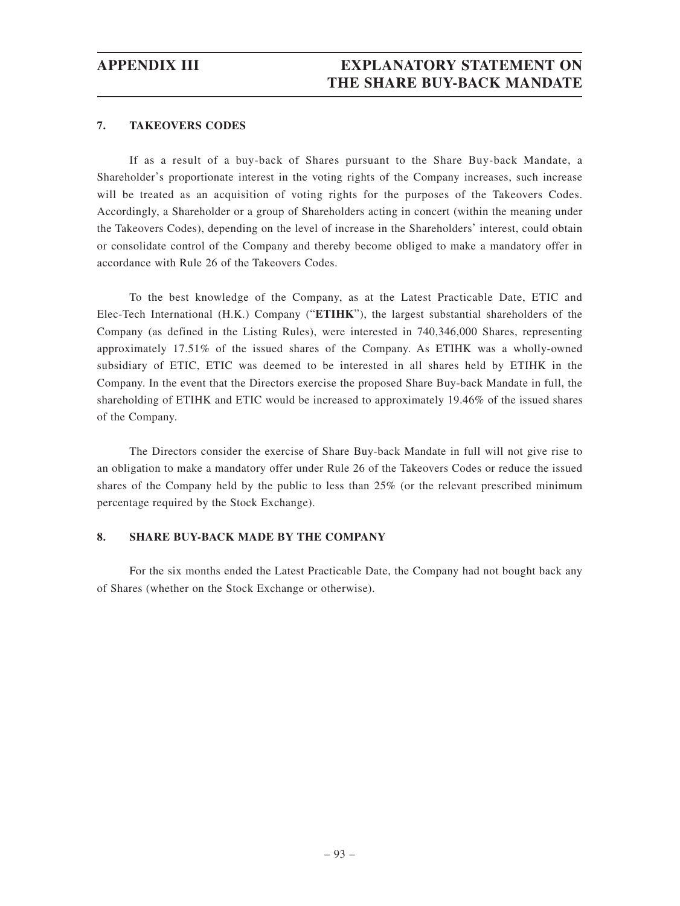### **7. TAKEOVERS CODES**

If as a result of a buy-back of Shares pursuant to the Share Buy-back Mandate, a Shareholder's proportionate interest in the voting rights of the Company increases, such increase will be treated as an acquisition of voting rights for the purposes of the Takeovers Codes. Accordingly, a Shareholder or a group of Shareholders acting in concert (within the meaning under the Takeovers Codes), depending on the level of increase in the Shareholders' interest, could obtain or consolidate control of the Company and thereby become obliged to make a mandatory offer in accordance with Rule 26 of the Takeovers Codes.

To the best knowledge of the Company, as at the Latest Practicable Date, ETIC and Elec-Tech International (H.K.) Company ("**ETIHK**"), the largest substantial shareholders of the Company (as defined in the Listing Rules), were interested in 740,346,000 Shares, representing approximately 17.51% of the issued shares of the Company. As ETIHK was a wholly-owned subsidiary of ETIC, ETIC was deemed to be interested in all shares held by ETIHK in the Company. In the event that the Directors exercise the proposed Share Buy-back Mandate in full, the shareholding of ETIHK and ETIC would be increased to approximately 19.46% of the issued shares of the Company.

The Directors consider the exercise of Share Buy-back Mandate in full will not give rise to an obligation to make a mandatory offer under Rule 26 of the Takeovers Codes or reduce the issued shares of the Company held by the public to less than 25% (or the relevant prescribed minimum percentage required by the Stock Exchange).

### **8. SHARE BUY-BACK MADE BY THE COMPANY**

For the six months ended the Latest Practicable Date, the Company had not bought back any of Shares (whether on the Stock Exchange or otherwise).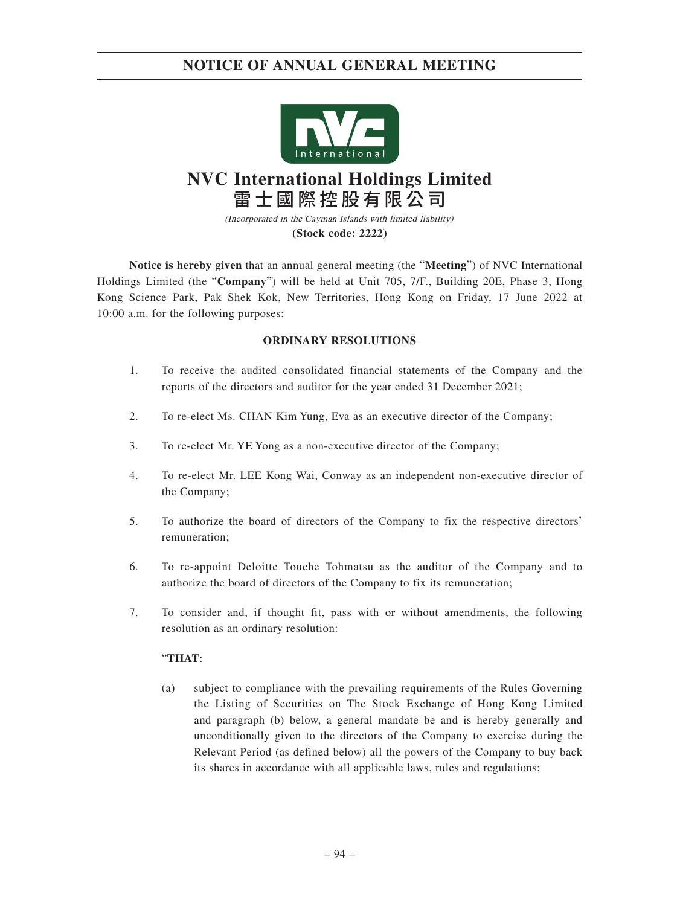

# **NVC International Holdings Limited** 雷士國際控股有限公司

(Incorporated in the Cayman Islands with limited liability) **(Stock code: 2222)**

**Notice is hereby given** that an annual general meeting (the "**Meeting**") of NVC International Holdings Limited (the "**Company**") will be held at Unit 705, 7/F., Building 20E, Phase 3, Hong Kong Science Park, Pak Shek Kok, New Territories, Hong Kong on Friday, 17 June 2022 at 10:00 a.m. for the following purposes:

### **ORDINARY RESOLUTIONS**

- 1. To receive the audited consolidated financial statements of the Company and the reports of the directors and auditor for the year ended 31 December 2021;
- 2. To re-elect Ms. CHAN Kim Yung, Eva as an executive director of the Company;
- 3. To re-elect Mr. YE Yong as a non-executive director of the Company;
- 4. To re-elect Mr. LEE Kong Wai, Conway as an independent non-executive director of the Company;
- 5. To authorize the board of directors of the Company to fix the respective directors' remuneration;
- 6. To re-appoint Deloitte Touche Tohmatsu as the auditor of the Company and to authorize the board of directors of the Company to fix its remuneration;
- 7. To consider and, if thought fit, pass with or without amendments, the following resolution as an ordinary resolution:

### "**THAT**:

(a) subject to compliance with the prevailing requirements of the Rules Governing the Listing of Securities on The Stock Exchange of Hong Kong Limited and paragraph (b) below, a general mandate be and is hereby generally and unconditionally given to the directors of the Company to exercise during the Relevant Period (as defined below) all the powers of the Company to buy back its shares in accordance with all applicable laws, rules and regulations;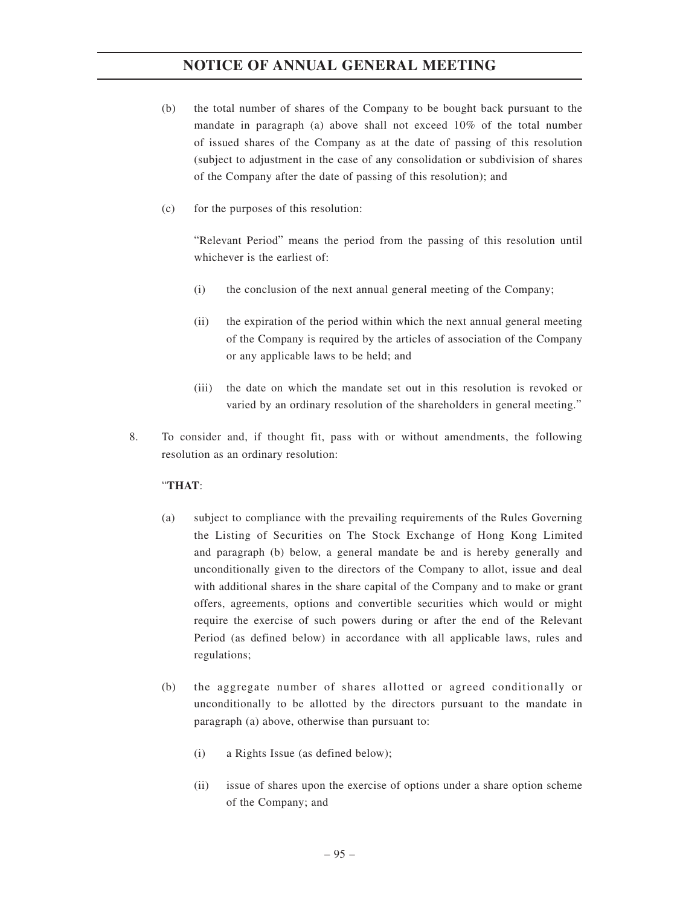- (b) the total number of shares of the Company to be bought back pursuant to the mandate in paragraph (a) above shall not exceed 10% of the total number of issued shares of the Company as at the date of passing of this resolution (subject to adjustment in the case of any consolidation or subdivision of shares of the Company after the date of passing of this resolution); and
- (c) for the purposes of this resolution:

"Relevant Period" means the period from the passing of this resolution until whichever is the earliest of:

- (i) the conclusion of the next annual general meeting of the Company;
- (ii) the expiration of the period within which the next annual general meeting of the Company is required by the articles of association of the Company or any applicable laws to be held; and
- (iii) the date on which the mandate set out in this resolution is revoked or varied by an ordinary resolution of the shareholders in general meeting."
- 8. To consider and, if thought fit, pass with or without amendments, the following resolution as an ordinary resolution:

### "**THAT**:

- (a) subject to compliance with the prevailing requirements of the Rules Governing the Listing of Securities on The Stock Exchange of Hong Kong Limited and paragraph (b) below, a general mandate be and is hereby generally and unconditionally given to the directors of the Company to allot, issue and deal with additional shares in the share capital of the Company and to make or grant offers, agreements, options and convertible securities which would or might require the exercise of such powers during or after the end of the Relevant Period (as defined below) in accordance with all applicable laws, rules and regulations;
- (b) the aggregate number of shares allotted or agreed conditionally or unconditionally to be allotted by the directors pursuant to the mandate in paragraph (a) above, otherwise than pursuant to:
	- (i) a Rights Issue (as defined below);
	- (ii) issue of shares upon the exercise of options under a share option scheme of the Company; and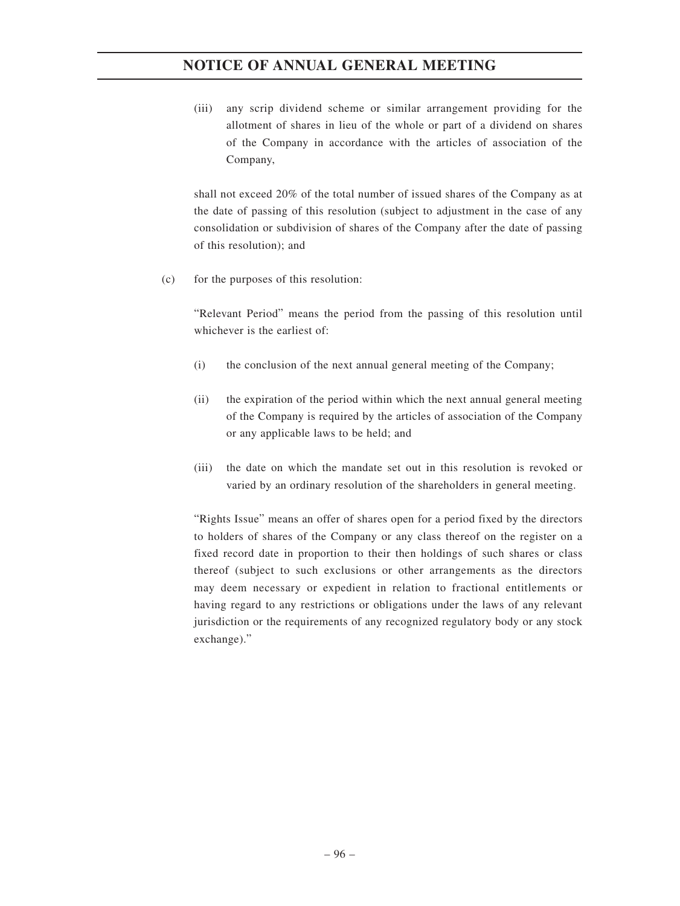(iii) any scrip dividend scheme or similar arrangement providing for the allotment of shares in lieu of the whole or part of a dividend on shares of the Company in accordance with the articles of association of the Company,

shall not exceed 20% of the total number of issued shares of the Company as at the date of passing of this resolution (subject to adjustment in the case of any consolidation or subdivision of shares of the Company after the date of passing of this resolution); and

(c) for the purposes of this resolution:

"Relevant Period" means the period from the passing of this resolution until whichever is the earliest of:

- (i) the conclusion of the next annual general meeting of the Company;
- (ii) the expiration of the period within which the next annual general meeting of the Company is required by the articles of association of the Company or any applicable laws to be held; and
- (iii) the date on which the mandate set out in this resolution is revoked or varied by an ordinary resolution of the shareholders in general meeting.

"Rights Issue" means an offer of shares open for a period fixed by the directors to holders of shares of the Company or any class thereof on the register on a fixed record date in proportion to their then holdings of such shares or class thereof (subject to such exclusions or other arrangements as the directors may deem necessary or expedient in relation to fractional entitlements or having regard to any restrictions or obligations under the laws of any relevant jurisdiction or the requirements of any recognized regulatory body or any stock exchange)."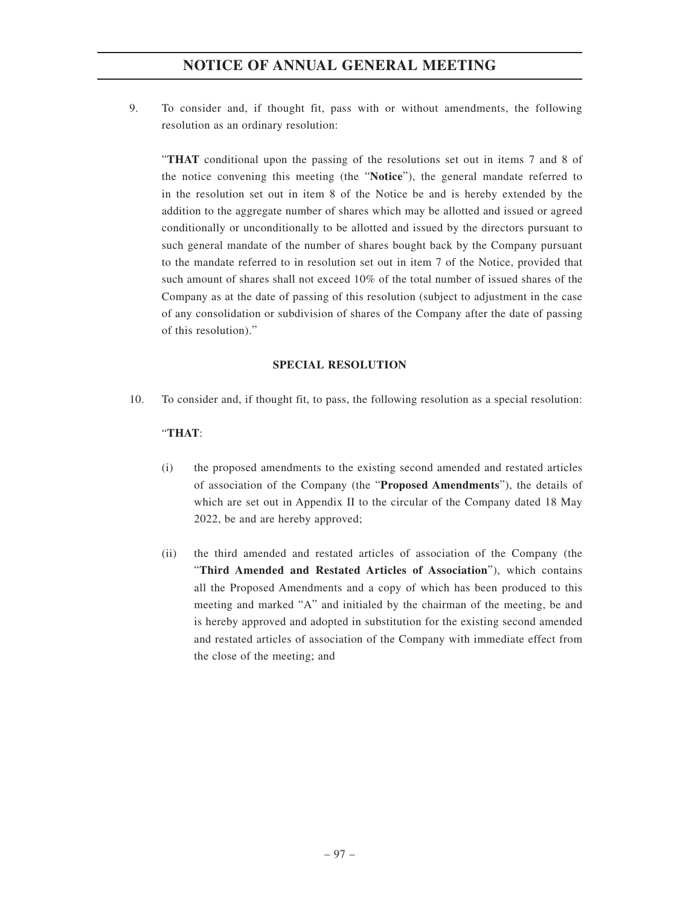9. To consider and, if thought fit, pass with or without amendments, the following resolution as an ordinary resolution:

"**THAT** conditional upon the passing of the resolutions set out in items 7 and 8 of the notice convening this meeting (the "**Notice**"), the general mandate referred to in the resolution set out in item 8 of the Notice be and is hereby extended by the addition to the aggregate number of shares which may be allotted and issued or agreed conditionally or unconditionally to be allotted and issued by the directors pursuant to such general mandate of the number of shares bought back by the Company pursuant to the mandate referred to in resolution set out in item 7 of the Notice, provided that such amount of shares shall not exceed 10% of the total number of issued shares of the Company as at the date of passing of this resolution (subject to adjustment in the case of any consolidation or subdivision of shares of the Company after the date of passing of this resolution)."

### **SPECIAL RESOLUTION**

10. To consider and, if thought fit, to pass, the following resolution as a special resolution:

### "**THAT**:

- (i) the proposed amendments to the existing second amended and restated articles of association of the Company (the "**Proposed Amendments**"), the details of which are set out in Appendix II to the circular of the Company dated 18 May 2022, be and are hereby approved;
- (ii) the third amended and restated articles of association of the Company (the "**Third Amended and Restated Articles of Association**"), which contains all the Proposed Amendments and a copy of which has been produced to this meeting and marked "A" and initialed by the chairman of the meeting, be and is hereby approved and adopted in substitution for the existing second amended and restated articles of association of the Company with immediate effect from the close of the meeting; and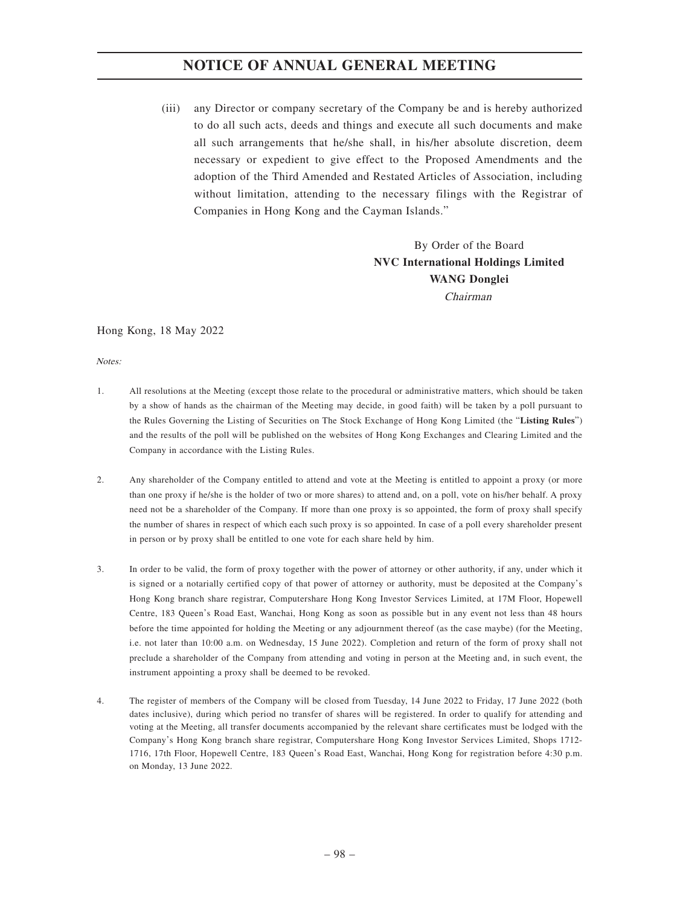(iii) any Director or company secretary of the Company be and is hereby authorized to do all such acts, deeds and things and execute all such documents and make all such arrangements that he/she shall, in his/her absolute discretion, deem necessary or expedient to give effect to the Proposed Amendments and the adoption of the Third Amended and Restated Articles of Association, including without limitation, attending to the necessary filings with the Registrar of Companies in Hong Kong and the Cayman Islands."

> By Order of the Board **NVC International Holdings Limited WANG Donglei** Chairman

### Hong Kong, 18 May 2022

Notes:

- 1. All resolutions at the Meeting (except those relate to the procedural or administrative matters, which should be taken by a show of hands as the chairman of the Meeting may decide, in good faith) will be taken by a poll pursuant to the Rules Governing the Listing of Securities on The Stock Exchange of Hong Kong Limited (the "**Listing Rules**") and the results of the poll will be published on the websites of Hong Kong Exchanges and Clearing Limited and the Company in accordance with the Listing Rules.
- 2. Any shareholder of the Company entitled to attend and vote at the Meeting is entitled to appoint a proxy (or more than one proxy if he/she is the holder of two or more shares) to attend and, on a poll, vote on his/her behalf. A proxy need not be a shareholder of the Company. If more than one proxy is so appointed, the form of proxy shall specify the number of shares in respect of which each such proxy is so appointed. In case of a poll every shareholder present in person or by proxy shall be entitled to one vote for each share held by him.
- 3. In order to be valid, the form of proxy together with the power of attorney or other authority, if any, under which it is signed or a notarially certified copy of that power of attorney or authority, must be deposited at the Company's Hong Kong branch share registrar, Computershare Hong Kong Investor Services Limited, at 17M Floor, Hopewell Centre, 183 Queen's Road East, Wanchai, Hong Kong as soon as possible but in any event not less than 48 hours before the time appointed for holding the Meeting or any adjournment thereof (as the case maybe) (for the Meeting, i.e. not later than 10:00 a.m. on Wednesday, 15 June 2022). Completion and return of the form of proxy shall not preclude a shareholder of the Company from attending and voting in person at the Meeting and, in such event, the instrument appointing a proxy shall be deemed to be revoked.
- 4. The register of members of the Company will be closed from Tuesday, 14 June 2022 to Friday, 17 June 2022 (both dates inclusive), during which period no transfer of shares will be registered. In order to qualify for attending and voting at the Meeting, all transfer documents accompanied by the relevant share certificates must be lodged with the Company's Hong Kong branch share registrar, Computershare Hong Kong Investor Services Limited, Shops 1712- 1716, 17th Floor, Hopewell Centre, 183 Queen's Road East, Wanchai, Hong Kong for registration before 4:30 p.m. on Monday, 13 June 2022.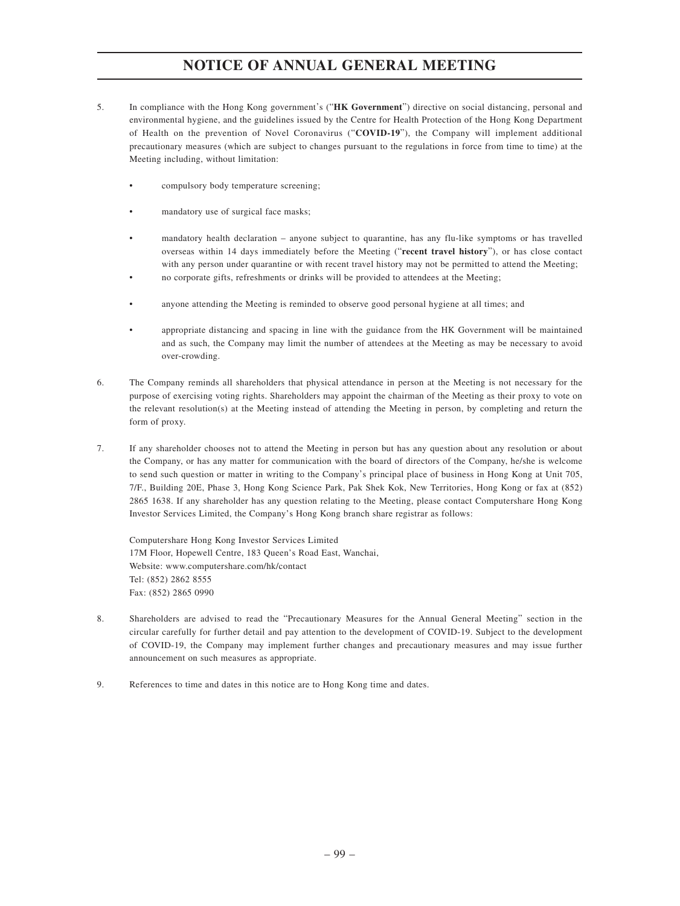- 5. In compliance with the Hong Kong government's ("**HK Government**") directive on social distancing, personal and environmental hygiene, and the guidelines issued by the Centre for Health Protection of the Hong Kong Department of Health on the prevention of Novel Coronavirus ("**COVID-19**"), the Company will implement additional precautionary measures (which are subject to changes pursuant to the regulations in force from time to time) at the Meeting including, without limitation:
	- compulsory body temperature screening;
	- mandatory use of surgical face masks;
	- mandatory health declaration anyone subject to quarantine, has any flu-like symptoms or has travelled overseas within 14 days immediately before the Meeting ("**recent travel history**"), or has close contact with any person under quarantine or with recent travel history may not be permitted to attend the Meeting;
	- no corporate gifts, refreshments or drinks will be provided to attendees at the Meeting;
	- anyone attending the Meeting is reminded to observe good personal hygiene at all times; and
	- appropriate distancing and spacing in line with the guidance from the HK Government will be maintained and as such, the Company may limit the number of attendees at the Meeting as may be necessary to avoid over-crowding.
- 6. The Company reminds all shareholders that physical attendance in person at the Meeting is not necessary for the purpose of exercising voting rights. Shareholders may appoint the chairman of the Meeting as their proxy to vote on the relevant resolution(s) at the Meeting instead of attending the Meeting in person, by completing and return the form of proxy.
- 7. If any shareholder chooses not to attend the Meeting in person but has any question about any resolution or about the Company, or has any matter for communication with the board of directors of the Company, he/she is welcome to send such question or matter in writing to the Company's principal place of business in Hong Kong at Unit 705, 7/F., Building 20E, Phase 3, Hong Kong Science Park, Pak Shek Kok, New Territories, Hong Kong or fax at (852) 2865 1638. If any shareholder has any question relating to the Meeting, please contact Computershare Hong Kong Investor Services Limited, the Company's Hong Kong branch share registrar as follows:

Computershare Hong Kong Investor Services Limited 17M Floor, Hopewell Centre, 183 Queen's Road East, Wanchai, Website: www.computershare.com/hk/contact Tel: (852) 2862 8555 Fax: (852) 2865 0990

- 8. Shareholders are advised to read the "Precautionary Measures for the Annual General Meeting" section in the circular carefully for further detail and pay attention to the development of COVID-19. Subject to the development of COVID-19, the Company may implement further changes and precautionary measures and may issue further announcement on such measures as appropriate.
- 9. References to time and dates in this notice are to Hong Kong time and dates.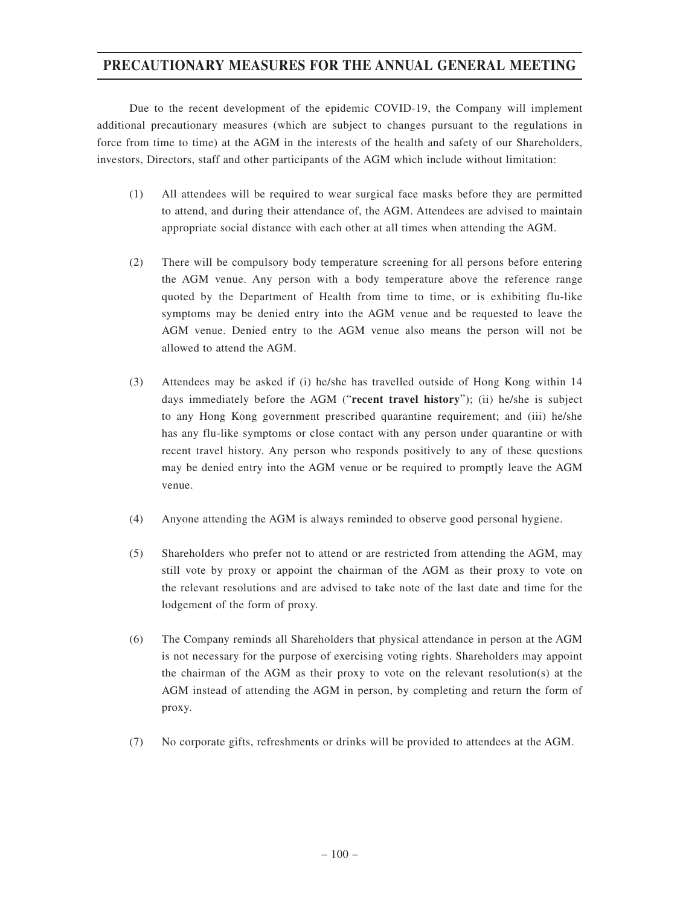### **PRECAUTIONARY MEASURES FOR THE ANNUAL GENERAL MEETING**

Due to the recent development of the epidemic COVID-19, the Company will implement additional precautionary measures (which are subject to changes pursuant to the regulations in force from time to time) at the AGM in the interests of the health and safety of our Shareholders, investors, Directors, staff and other participants of the AGM which include without limitation:

- (1) All attendees will be required to wear surgical face masks before they are permitted to attend, and during their attendance of, the AGM. Attendees are advised to maintain appropriate social distance with each other at all times when attending the AGM.
- (2) There will be compulsory body temperature screening for all persons before entering the AGM venue. Any person with a body temperature above the reference range quoted by the Department of Health from time to time, or is exhibiting flu-like symptoms may be denied entry into the AGM venue and be requested to leave the AGM venue. Denied entry to the AGM venue also means the person will not be allowed to attend the AGM.
- (3) Attendees may be asked if (i) he/she has travelled outside of Hong Kong within 14 days immediately before the AGM ("**recent travel history**"); (ii) he/she is subject to any Hong Kong government prescribed quarantine requirement; and (iii) he/she has any flu-like symptoms or close contact with any person under quarantine or with recent travel history. Any person who responds positively to any of these questions may be denied entry into the AGM venue or be required to promptly leave the AGM venue.
- (4) Anyone attending the AGM is always reminded to observe good personal hygiene.
- (5) Shareholders who prefer not to attend or are restricted from attending the AGM, may still vote by proxy or appoint the chairman of the AGM as their proxy to vote on the relevant resolutions and are advised to take note of the last date and time for the lodgement of the form of proxy.
- (6) The Company reminds all Shareholders that physical attendance in person at the AGM is not necessary for the purpose of exercising voting rights. Shareholders may appoint the chairman of the AGM as their proxy to vote on the relevant resolution(s) at the AGM instead of attending the AGM in person, by completing and return the form of proxy.
- (7) No corporate gifts, refreshments or drinks will be provided to attendees at the AGM.